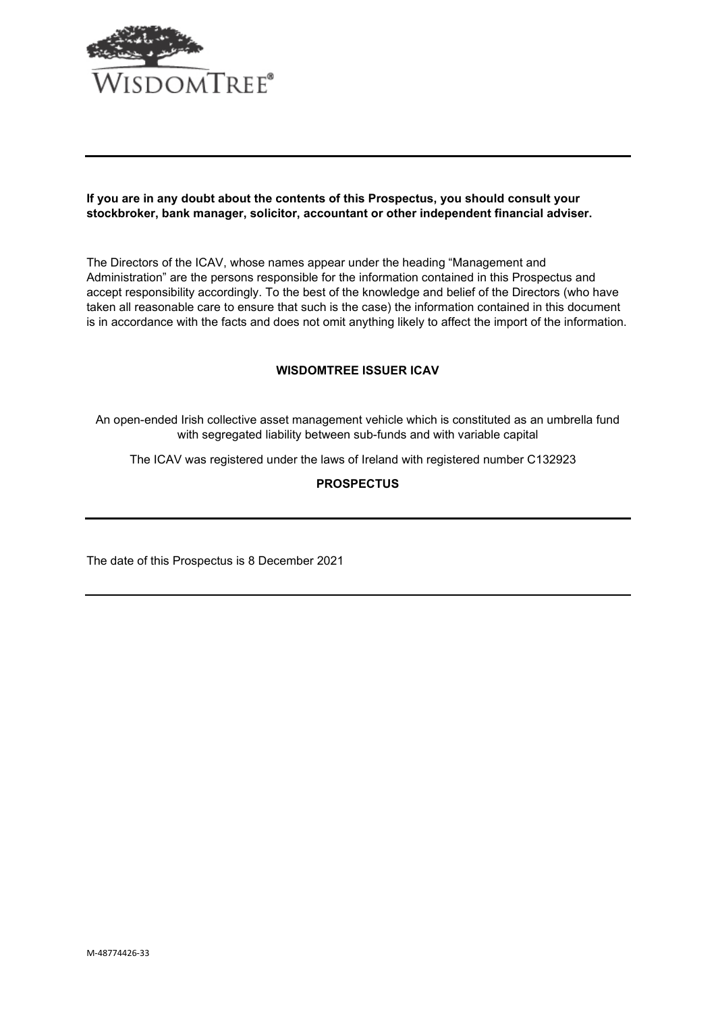

### **If you are in any doubt about the contents of this Prospectus, you should consult your stockbroker, bank manager, solicitor, accountant or other independent financial adviser.**

The Directors of the ICAV, whose names appear under the heading "Management and Administration" are the persons responsible for the information contained in this Prospectus and accept responsibility accordingly. To the best of the knowledge and belief of the Directors (who have taken all reasonable care to ensure that such is the case) the information contained in this document is in accordance with the facts and does not omit anything likely to affect the import of the information.

## **WISDOMTREE ISSUER ICAV**

An open-ended Irish collective asset management vehicle which is constituted as an umbrella fund with segregated liability between sub-funds and with variable capital

The ICAV was registered under the laws of Ireland with registered number C132923

# **PROSPECTUS**

The date of this Prospectus is 8 December 2021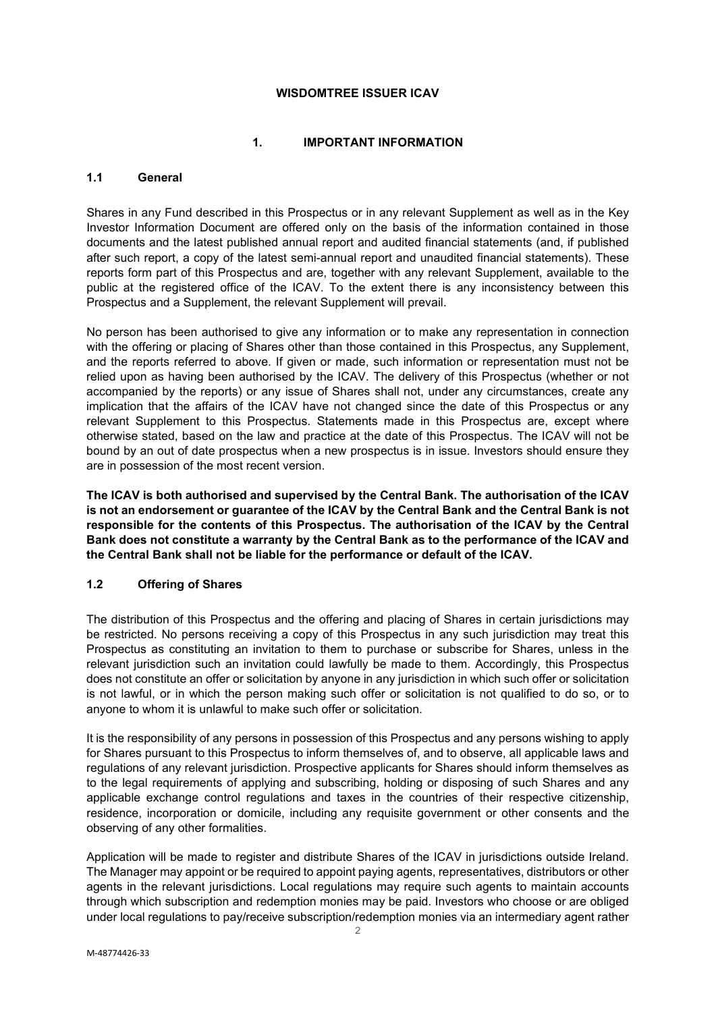### **WISDOMTREE ISSUER ICAV**

## **1. IMPORTANT INFORMATION**

# <span id="page-1-1"></span><span id="page-1-0"></span>**1.1 General**

Shares in any Fund described in this Prospectus or in any relevant Supplement as well as in the Key Investor Information Document are offered only on the basis of the information contained in those documents and the latest published annual report and audited financial statements (and, if published after such report, a copy of the latest semi-annual report and unaudited financial statements). These reports form part of this Prospectus and are, together with any relevant Supplement, available to the public at the registered office of the ICAV. To the extent there is any inconsistency between this Prospectus and a Supplement, the relevant Supplement will prevail.

No person has been authorised to give any information or to make any representation in connection with the offering or placing of Shares other than those contained in this Prospectus, any Supplement, and the reports referred to above. If given or made, such information or representation must not be relied upon as having been authorised by the ICAV. The delivery of this Prospectus (whether or not accompanied by the reports) or any issue of Shares shall not, under any circumstances, create any implication that the affairs of the ICAV have not changed since the date of this Prospectus or any relevant Supplement to this Prospectus. Statements made in this Prospectus are, except where otherwise stated, based on the law and practice at the date of this Prospectus. The ICAV will not be bound by an out of date prospectus when a new prospectus is in issue. Investors should ensure they are in possession of the most recent version.

**The ICAV is both authorised and supervised by the Central Bank. The authorisation of the ICAV is not an endorsement or guarantee of the ICAV by the Central Bank and the Central Bank is not responsible for the contents of this Prospectus. The authorisation of the ICAV by the Central Bank does not constitute a warranty by the Central Bank as to the performance of the ICAV and the Central Bank shall not be liable for the performance or default of the ICAV.**

## <span id="page-1-2"></span>**1.2 Offering of Shares**

The distribution of this Prospectus and the offering and placing of Shares in certain jurisdictions may be restricted. No persons receiving a copy of this Prospectus in any such jurisdiction may treat this Prospectus as constituting an invitation to them to purchase or subscribe for Shares, unless in the relevant jurisdiction such an invitation could lawfully be made to them. Accordingly, this Prospectus does not constitute an offer or solicitation by anyone in any jurisdiction in which such offer or solicitation is not lawful, or in which the person making such offer or solicitation is not qualified to do so, or to anyone to whom it is unlawful to make such offer or solicitation.

It is the responsibility of any persons in possession of this Prospectus and any persons wishing to apply for Shares pursuant to this Prospectus to inform themselves of, and to observe, all applicable laws and regulations of any relevant jurisdiction. Prospective applicants for Shares should inform themselves as to the legal requirements of applying and subscribing, holding or disposing of such Shares and any applicable exchange control regulations and taxes in the countries of their respective citizenship, residence, incorporation or domicile, including any requisite government or other consents and the observing of any other formalities.

Application will be made to register and distribute Shares of the ICAV in jurisdictions outside Ireland. The Manager may appoint or be required to appoint paying agents, representatives, distributors or other agents in the relevant jurisdictions. Local regulations may require such agents to maintain accounts through which subscription and redemption monies may be paid. Investors who choose or are obliged under local regulations to pay/receive subscription/redemption monies via an intermediary agent rather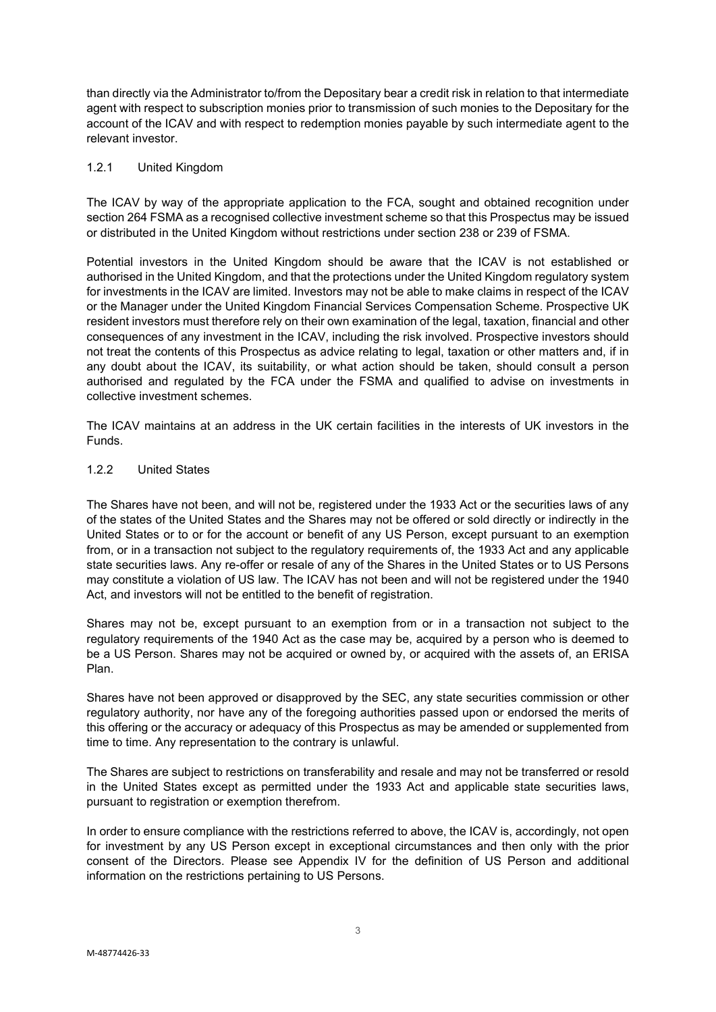than directly via the Administrator to/from the Depositary bear a credit risk in relation to that intermediate agent with respect to subscription monies prior to transmission of such monies to the Depositary for the account of the ICAV and with respect to redemption monies payable by such intermediate agent to the relevant investor.

#### 1.2.1 United Kingdom

The ICAV by way of the appropriate application to the FCA, sought and obtained recognition under section 264 FSMA as a recognised collective investment scheme so that this Prospectus may be issued or distributed in the United Kingdom without restrictions under section 238 or 239 of FSMA.

Potential investors in the United Kingdom should be aware that the ICAV is not established or authorised in the United Kingdom, and that the protections under the United Kingdom regulatory system for investments in the ICAV are limited. Investors may not be able to make claims in respect of the ICAV or the Manager under the United Kingdom Financial Services Compensation Scheme. Prospective UK resident investors must therefore rely on their own examination of the legal, taxation, financial and other consequences of any investment in the ICAV, including the risk involved. Prospective investors should not treat the contents of this Prospectus as advice relating to legal, taxation or other matters and, if in any doubt about the ICAV, its suitability, or what action should be taken, should consult a person authorised and regulated by the FCA under the FSMA and qualified to advise on investments in collective investment schemes.

The ICAV maintains at an address in the UK certain facilities in the interests of UK investors in the Funds.

## 1.2.2 United States

The Shares have not been, and will not be, registered under the 1933 Act or the securities laws of any of the states of the United States and the Shares may not be offered or sold directly or indirectly in the United States or to or for the account or benefit of any US Person, except pursuant to an exemption from, or in a transaction not subject to the regulatory requirements of, the 1933 Act and any applicable state securities laws. Any re-offer or resale of any of the Shares in the United States or to US Persons may constitute a violation of US law. The ICAV has not been and will not be registered under the 1940 Act, and investors will not be entitled to the benefit of registration.

Shares may not be, except pursuant to an exemption from or in a transaction not subject to the regulatory requirements of the 1940 Act as the case may be, acquired by a person who is deemed to be a US Person. Shares may not be acquired or owned by, or acquired with the assets of, an ERISA Plan.

Shares have not been approved or disapproved by the SEC, any state securities commission or other regulatory authority, nor have any of the foregoing authorities passed upon or endorsed the merits of this offering or the accuracy or adequacy of this Prospectus as may be amended or supplemented from time to time. Any representation to the contrary is unlawful.

The Shares are subject to restrictions on transferability and resale and may not be transferred or resold in the United States except as permitted under the 1933 Act and applicable state securities laws, pursuant to registration or exemption therefrom.

In order to ensure compliance with the restrictions referred to above, the ICAV is, accordingly, not open for investment by any US Person except in exceptional circumstances and then only with the prior consent of the Directors. Please see Appendix IV for the definition of US Person and additional information on the restrictions pertaining to US Persons.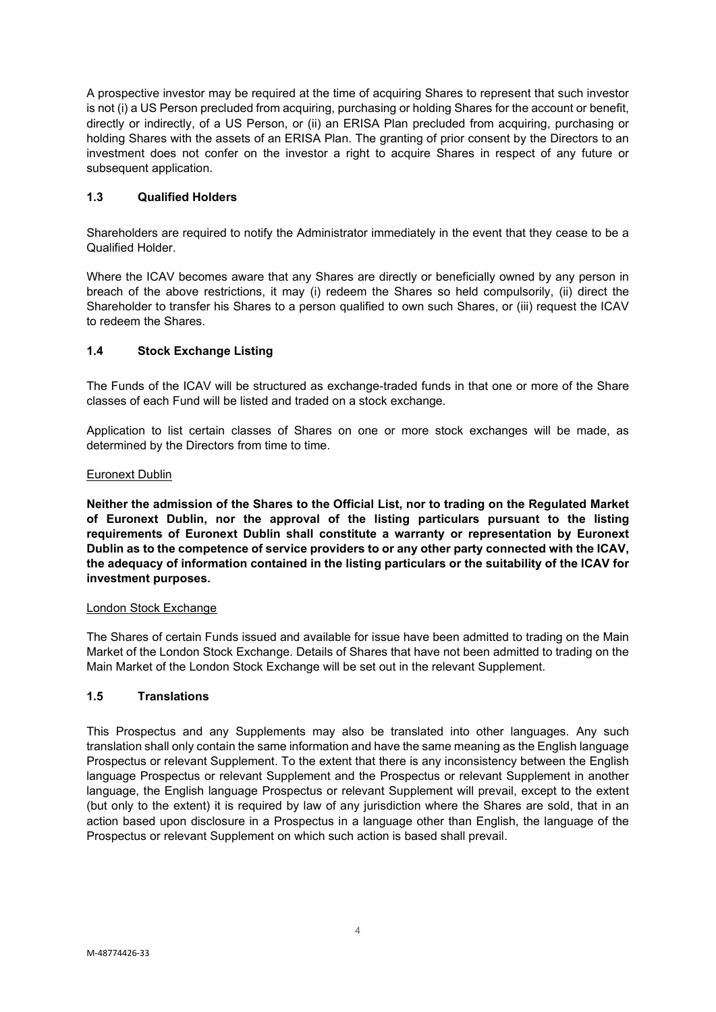A prospective investor may be required at the time of acquiring Shares to represent that such investor is not (i) a US Person precluded from acquiring, purchasing or holding Shares for the account or benefit, directly or indirectly, of a US Person, or (ii) an ERISA Plan precluded from acquiring, purchasing or holding Shares with the assets of an ERISA Plan. The granting of prior consent by the Directors to an investment does not confer on the investor a right to acquire Shares in respect of any future or subsequent application.

# <span id="page-3-0"></span>**1.3 Qualified Holders**

Shareholders are required to notify the Administrator immediately in the event that they cease to be a Qualified Holder.

Where the ICAV becomes aware that any Shares are directly or beneficially owned by any person in breach of the above restrictions, it may (i) redeem the Shares so held compulsorily, (ii) direct the Shareholder to transfer his Shares to a person qualified to own such Shares, or (iii) request the ICAV to redeem the Shares.

# <span id="page-3-1"></span>**1.4 Stock Exchange Listing**

The Funds of the ICAV will be structured as exchange-traded funds in that one or more of the Share classes of each Fund will be listed and traded on a stock exchange.

Application to list certain classes of Shares on one or more stock exchanges will be made, as determined by the Directors from time to time.

#### Euronext Dublin

**Neither the admission of the Shares to the Official List, nor to trading on the Regulated Market of Euronext Dublin, nor the approval of the listing particulars pursuant to the listing requirements of Euronext Dublin shall constitute a warranty or representation by Euronext Dublin as to the competence of service providers to or any other party connected with the ICAV, the adequacy of information contained in the listing particulars or the suitability of the ICAV for investment purposes.**

## London Stock Exchange

The Shares of certain Funds issued and available for issue have been admitted to trading on the Main Market of the London Stock Exchange. Details of Shares that have not been admitted to trading on the Main Market of the London Stock Exchange will be set out in the relevant Supplement.

## <span id="page-3-2"></span>**1.5 Translations**

This Prospectus and any Supplements may also be translated into other languages. Any such translation shall only contain the same information and have the same meaning as the English language Prospectus or relevant Supplement. To the extent that there is any inconsistency between the English language Prospectus or relevant Supplement and the Prospectus or relevant Supplement in another language, the English language Prospectus or relevant Supplement will prevail, except to the extent (but only to the extent) it is required by law of any jurisdiction where the Shares are sold, that in an action based upon disclosure in a Prospectus in a language other than English, the language of the Prospectus or relevant Supplement on which such action is based shall prevail.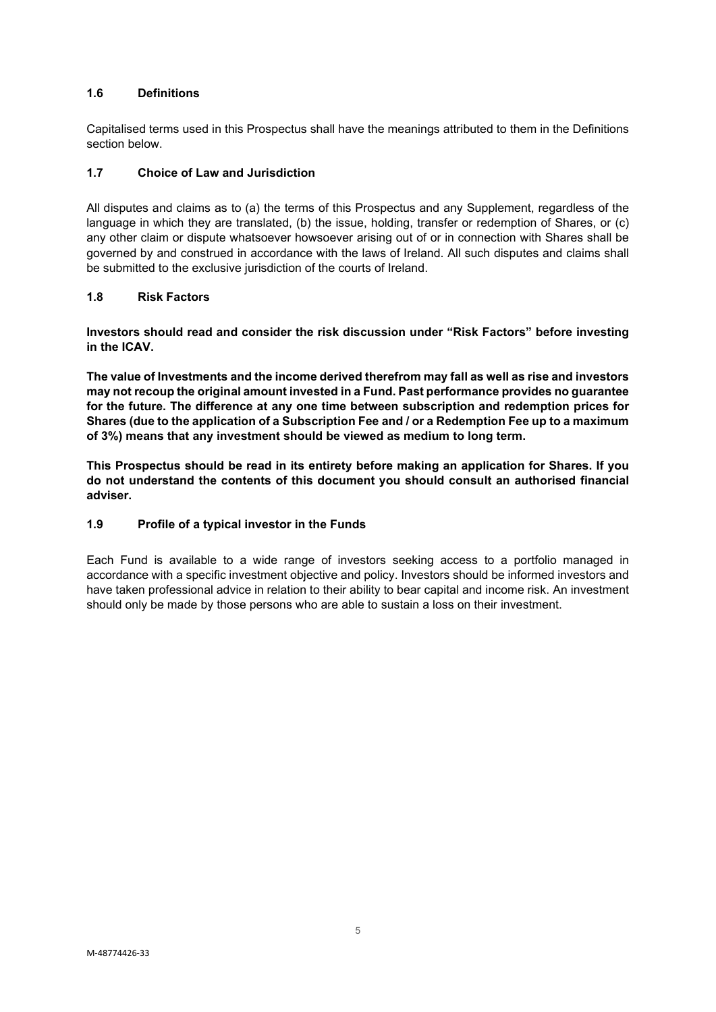# <span id="page-4-0"></span>**1.6 Definitions**

Capitalised terms used in this Prospectus shall have the meanings attributed to them in the Definitions section below.

# <span id="page-4-1"></span>**1.7 Choice of Law and Jurisdiction**

All disputes and claims as to (a) the terms of this Prospectus and any Supplement, regardless of the language in which they are translated, (b) the issue, holding, transfer or redemption of Shares, or (c) any other claim or dispute whatsoever howsoever arising out of or in connection with Shares shall be governed by and construed in accordance with the laws of Ireland. All such disputes and claims shall be submitted to the exclusive jurisdiction of the courts of Ireland.

# <span id="page-4-2"></span>**1.8 Risk Factors**

**Investors should read and consider the risk discussion under "Risk Factors" before investing in the ICAV.**

**The value of Investments and the income derived therefrom may fall as well as rise and investors may not recoup the original amount invested in a Fund. Past performance provides no guarantee for the future. The difference at any one time between subscription and redemption prices for Shares (due to the application of a Subscription Fee and / or a Redemption Fee up to a maximum of 3%) means that any investment should be viewed as medium to long term.**

**This Prospectus should be read in its entirety before making an application for Shares. If you do not understand the contents of this document you should consult an authorised financial adviser.**

# <span id="page-4-3"></span>**1.9 Profile of a typical investor in the Funds**

Each Fund is available to a wide range of investors seeking access to a portfolio managed in accordance with a specific investment objective and policy. Investors should be informed investors and have taken professional advice in relation to their ability to bear capital and income risk. An investment should only be made by those persons who are able to sustain a loss on their investment.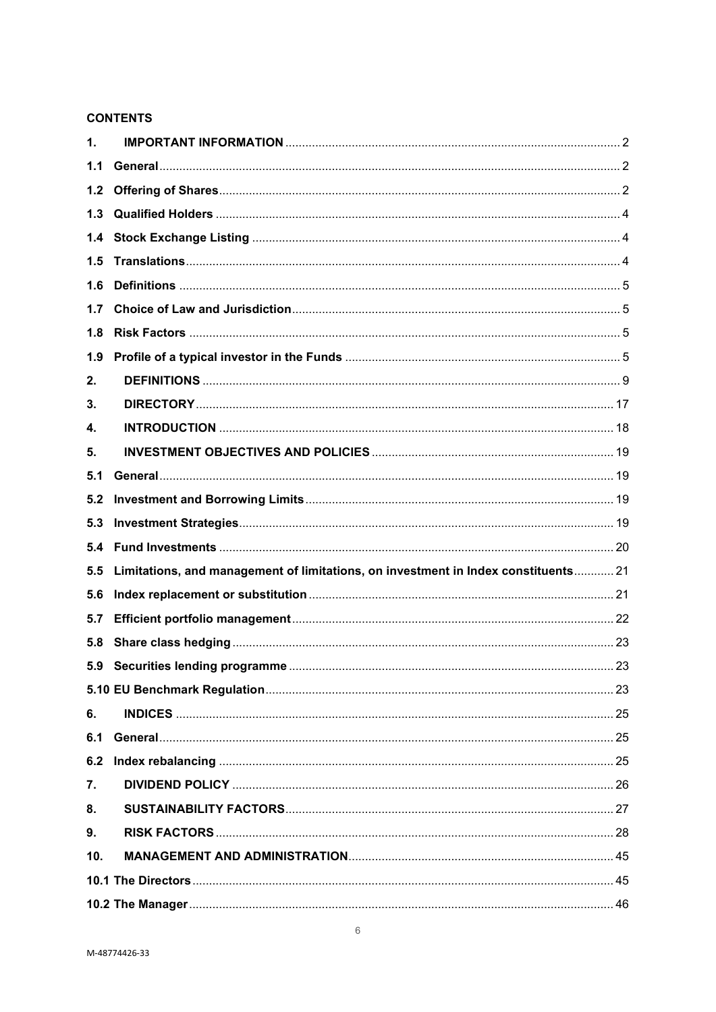# **CONTENTS**

| 1.    |                                                                                    |  |
|-------|------------------------------------------------------------------------------------|--|
| 1.1   |                                                                                    |  |
| $1.2$ |                                                                                    |  |
| 1.3   |                                                                                    |  |
| 1.4   |                                                                                    |  |
| 1.5   |                                                                                    |  |
| 1.6   |                                                                                    |  |
| 1.7   |                                                                                    |  |
| 1.8   |                                                                                    |  |
| 1.9   |                                                                                    |  |
| 2.    |                                                                                    |  |
| 3.    |                                                                                    |  |
| 4.    |                                                                                    |  |
| 5.    |                                                                                    |  |
| 5.1   |                                                                                    |  |
| 5.2   |                                                                                    |  |
| 5.3   |                                                                                    |  |
| 5.4   |                                                                                    |  |
| 5.5   | Limitations, and management of limitations, on investment in Index constituents 21 |  |
| 5.6   |                                                                                    |  |
| 5.7   |                                                                                    |  |
| 5.8   |                                                                                    |  |
| 5.9   |                                                                                    |  |
|       |                                                                                    |  |
| 6.    |                                                                                    |  |
| 6.1   |                                                                                    |  |
| 6.2   |                                                                                    |  |
| 7.    |                                                                                    |  |
| 8.    |                                                                                    |  |
| 9.    |                                                                                    |  |
| 10.   |                                                                                    |  |
|       |                                                                                    |  |
|       |                                                                                    |  |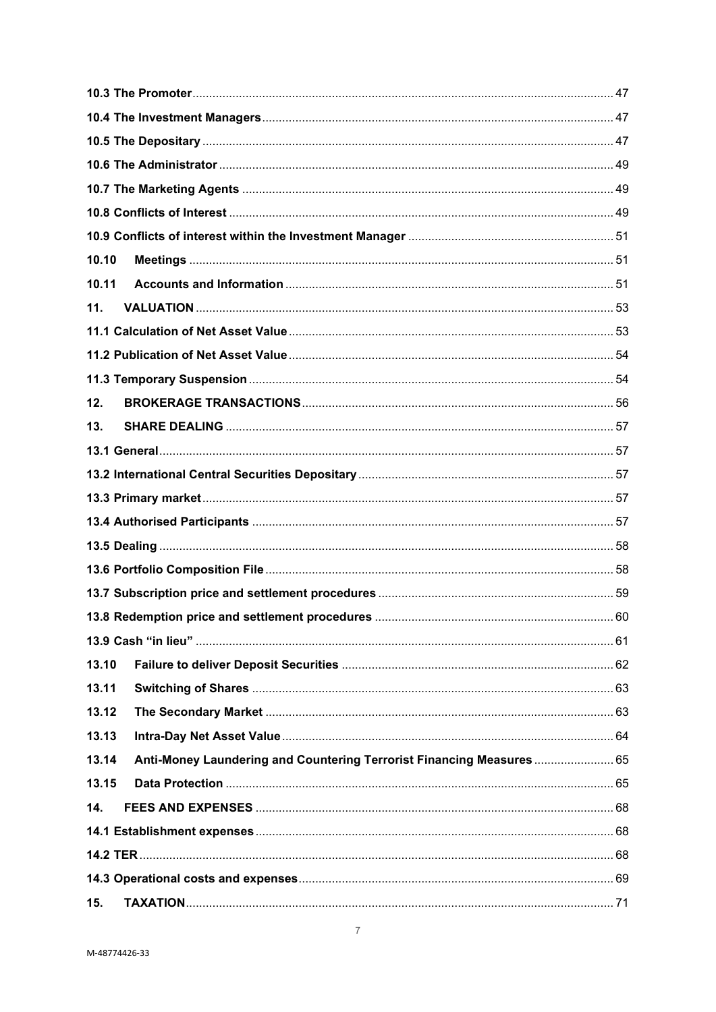| 10.10 |                                                                       |  |  |
|-------|-----------------------------------------------------------------------|--|--|
| 10.11 |                                                                       |  |  |
| 11.   |                                                                       |  |  |
|       |                                                                       |  |  |
|       |                                                                       |  |  |
|       |                                                                       |  |  |
| 12.   |                                                                       |  |  |
| 13.   |                                                                       |  |  |
|       |                                                                       |  |  |
|       |                                                                       |  |  |
|       |                                                                       |  |  |
|       |                                                                       |  |  |
|       |                                                                       |  |  |
|       |                                                                       |  |  |
|       |                                                                       |  |  |
|       |                                                                       |  |  |
|       |                                                                       |  |  |
| 13.10 |                                                                       |  |  |
| 13.11 |                                                                       |  |  |
| 13.12 |                                                                       |  |  |
| 13.13 |                                                                       |  |  |
| 13.14 | Anti-Money Laundering and Countering Terrorist Financing Measures  65 |  |  |
| 13.15 |                                                                       |  |  |
| 14.   |                                                                       |  |  |
|       |                                                                       |  |  |
|       |                                                                       |  |  |
|       |                                                                       |  |  |
| 15.   |                                                                       |  |  |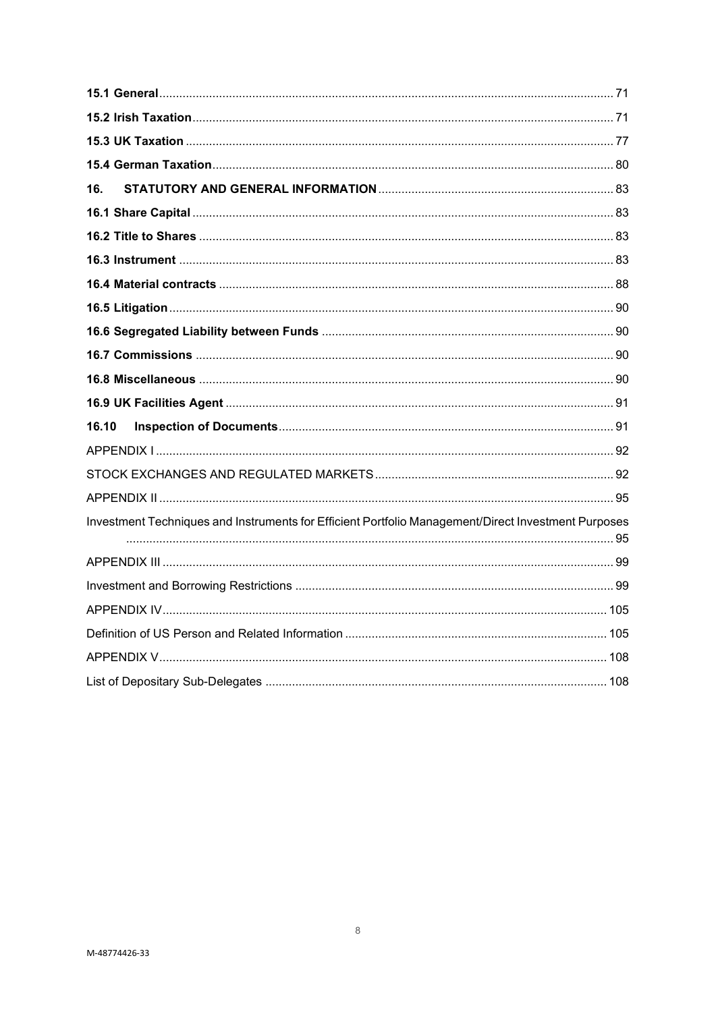| 16.                                                                                                 |  |  |  |
|-----------------------------------------------------------------------------------------------------|--|--|--|
|                                                                                                     |  |  |  |
|                                                                                                     |  |  |  |
|                                                                                                     |  |  |  |
|                                                                                                     |  |  |  |
|                                                                                                     |  |  |  |
|                                                                                                     |  |  |  |
|                                                                                                     |  |  |  |
|                                                                                                     |  |  |  |
|                                                                                                     |  |  |  |
| 16.10                                                                                               |  |  |  |
|                                                                                                     |  |  |  |
|                                                                                                     |  |  |  |
|                                                                                                     |  |  |  |
| Investment Techniques and Instruments for Efficient Portfolio Management/Direct Investment Purposes |  |  |  |
|                                                                                                     |  |  |  |
|                                                                                                     |  |  |  |
|                                                                                                     |  |  |  |
|                                                                                                     |  |  |  |
|                                                                                                     |  |  |  |
|                                                                                                     |  |  |  |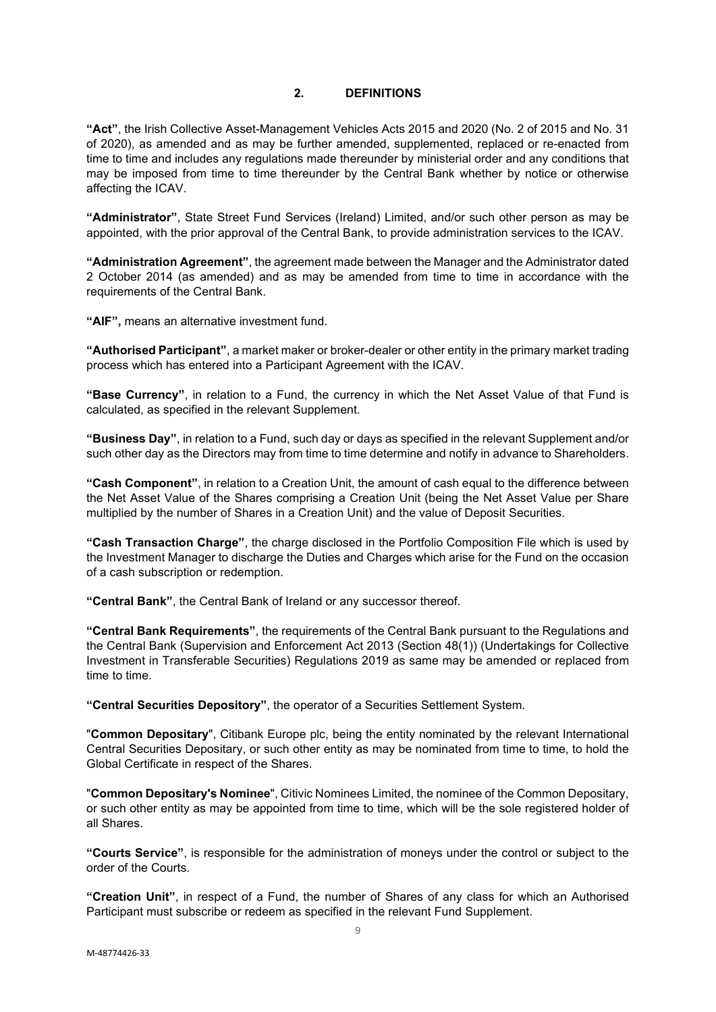## **2. DEFINITIONS**

<span id="page-8-0"></span>**"Act"**, the Irish Collective Asset-Management Vehicles Acts 2015 and 2020 (No. 2 of 2015 and No. 31 of 2020), as amended and as may be further amended, supplemented, replaced or re-enacted from time to time and includes any regulations made thereunder by ministerial order and any conditions that may be imposed from time to time thereunder by the Central Bank whether by notice or otherwise affecting the ICAV.

**"Administrator"**, State Street Fund Services (Ireland) Limited, and/or such other person as may be appointed, with the prior approval of the Central Bank, to provide administration services to the ICAV.

**"Administration Agreement"**, the agreement made between the Manager and the Administrator dated 2 October 2014 (as amended) and as may be amended from time to time in accordance with the requirements of the Central Bank.

**"AIF",** means an alternative investment fund.

**"Authorised Participant"**, a market maker or broker-dealer or other entity in the primary market trading process which has entered into a Participant Agreement with the ICAV.

**"Base Currency"**, in relation to a Fund, the currency in which the Net Asset Value of that Fund is calculated, as specified in the relevant Supplement.

**"Business Day"**, in relation to a Fund, such day or days as specified in the relevant Supplement and/or such other day as the Directors may from time to time determine and notify in advance to Shareholders.

**"Cash Component"**, in relation to a Creation Unit, the amount of cash equal to the difference between the Net Asset Value of the Shares comprising a Creation Unit (being the Net Asset Value per Share multiplied by the number of Shares in a Creation Unit) and the value of Deposit Securities.

**"Cash Transaction Charge"**, the charge disclosed in the Portfolio Composition File which is used by the Investment Manager to discharge the Duties and Charges which arise for the Fund on the occasion of a cash subscription or redemption.

**"Central Bank"**, the Central Bank of Ireland or any successor thereof.

**"Central Bank Requirements"**, the requirements of the Central Bank pursuant to the Regulations and the Central Bank (Supervision and Enforcement Act 2013 (Section 48(1)) (Undertakings for Collective Investment in Transferable Securities) Regulations 2019 as same may be amended or replaced from time to time.

**"Central Securities Depository"**, the operator of a Securities Settlement System.

"**Common Depositary**", Citibank Europe plc, being the entity nominated by the relevant International Central Securities Depositary, or such other entity as may be nominated from time to time, to hold the Global Certificate in respect of the Shares.

"**Common Depositary's Nominee**", Citivic Nominees Limited, the nominee of the Common Depositary, or such other entity as may be appointed from time to time, which will be the sole registered holder of all Shares.

**"Courts Service"**, is responsible for the administration of moneys under the control or subject to the order of the Courts.

**"Creation Unit"**, in respect of a Fund, the number of Shares of any class for which an Authorised Participant must subscribe or redeem as specified in the relevant Fund Supplement.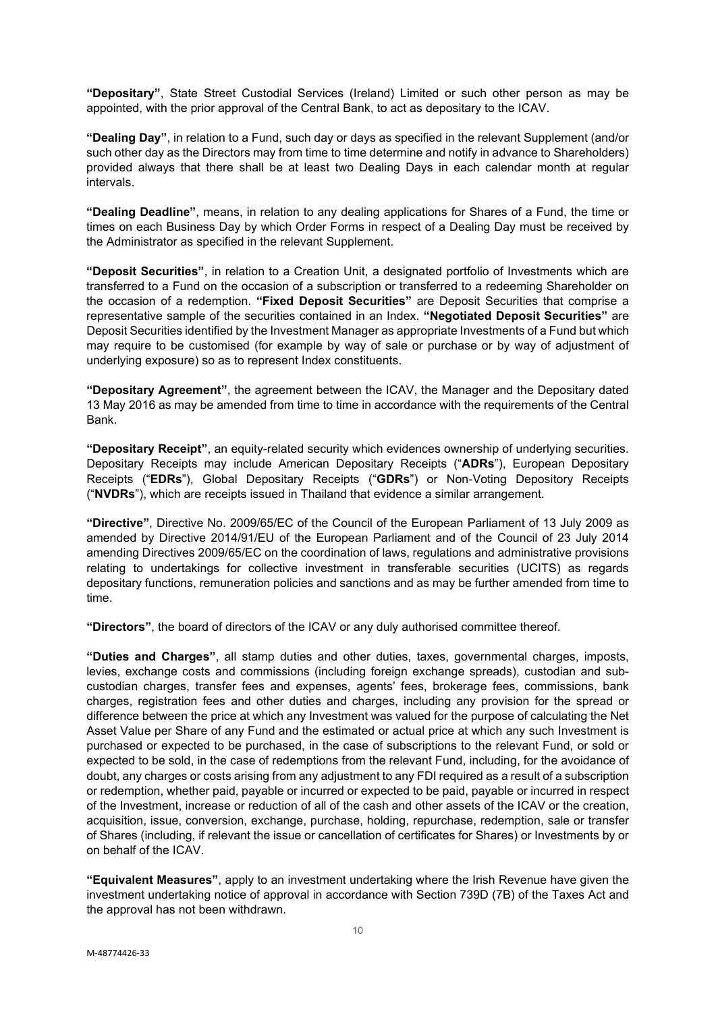**"Depositary"**, State Street Custodial Services (Ireland) Limited or such other person as may be appointed, with the prior approval of the Central Bank, to act as depositary to the ICAV.

**"Dealing Day"**, in relation to a Fund, such day or days as specified in the relevant Supplement (and/or such other day as the Directors may from time to time determine and notify in advance to Shareholders) provided always that there shall be at least two Dealing Days in each calendar month at regular intervals.

**"Dealing Deadline"**, means, in relation to any dealing applications for Shares of a Fund, the time or times on each Business Day by which Order Forms in respect of a Dealing Day must be received by the Administrator as specified in the relevant Supplement.

**"Deposit Securities"**, in relation to a Creation Unit, a designated portfolio of Investments which are transferred to a Fund on the occasion of a subscription or transferred to a redeeming Shareholder on the occasion of a redemption. **"Fixed Deposit Securities"** are Deposit Securities that comprise a representative sample of the securities contained in an Index. **"Negotiated Deposit Securities"** are Deposit Securities identified by the Investment Manager as appropriate Investments of a Fund but which may require to be customised (for example by way of sale or purchase or by way of adjustment of underlying exposure) so as to represent Index constituents.

**"Depositary Agreement"**, the agreement between the ICAV, the Manager and the Depositary dated 13 May 2016 as may be amended from time to time in accordance with the requirements of the Central Bank.

**"Depositary Receipt"**, an equity-related security which evidences ownership of underlying securities. Depositary Receipts may include American Depositary Receipts ("**ADRs**"), European Depositary Receipts ("**EDRs**"), Global Depositary Receipts ("**GDRs**") or Non-Voting Depository Receipts ("**NVDRs**"), which are receipts issued in Thailand that evidence a similar arrangement.

**"Directive"**, Directive No. 2009/65/EC of the Council of the European Parliament of 13 July 2009 as amended by Directive 2014/91/EU of the European Parliament and of the Council of 23 July 2014 amending Directives 2009/65/EC on the coordination of laws, regulations and administrative provisions relating to undertakings for collective investment in transferable securities (UCITS) as regards depositary functions, remuneration policies and sanctions and as may be further amended from time to time.

**"Directors"**, the board of directors of the ICAV or any duly authorised committee thereof.

**"Duties and Charges"**, all stamp duties and other duties, taxes, governmental charges, imposts, levies, exchange costs and commissions (including foreign exchange spreads), custodian and subcustodian charges, transfer fees and expenses, agents' fees, brokerage fees, commissions, bank charges, registration fees and other duties and charges, including any provision for the spread or difference between the price at which any Investment was valued for the purpose of calculating the Net Asset Value per Share of any Fund and the estimated or actual price at which any such Investment is purchased or expected to be purchased, in the case of subscriptions to the relevant Fund, or sold or expected to be sold, in the case of redemptions from the relevant Fund, including, for the avoidance of doubt, any charges or costs arising from any adjustment to any FDI required as a result of a subscription or redemption, whether paid, payable or incurred or expected to be paid, payable or incurred in respect of the Investment, increase or reduction of all of the cash and other assets of the ICAV or the creation, acquisition, issue, conversion, exchange, purchase, holding, repurchase, redemption, sale or transfer of Shares (including, if relevant the issue or cancellation of certificates for Shares) or Investments by or on behalf of the ICAV.

**"Equivalent Measures"**, apply to an investment undertaking where the Irish Revenue have given the investment undertaking notice of approval in accordance with Section 739D (7B) of the Taxes Act and the approval has not been withdrawn.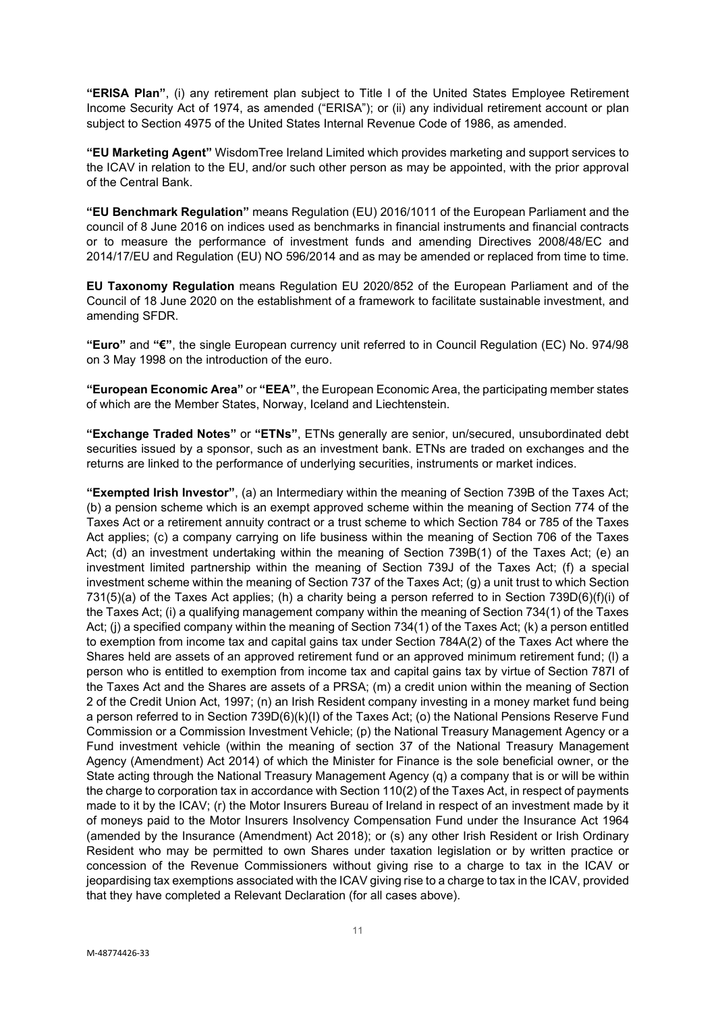**"ERISA Plan"**, (i) any retirement plan subject to Title I of the United States Employee Retirement Income Security Act of 1974, as amended ("ERISA"); or (ii) any individual retirement account or plan subject to Section 4975 of the United States Internal Revenue Code of 1986, as amended.

**"EU Marketing Agent"** WisdomTree Ireland Limited which provides marketing and support services to the ICAV in relation to the EU, and/or such other person as may be appointed, with the prior approval of the Central Bank.

**"EU Benchmark Regulation"** means Regulation (EU) 2016/1011 of the European Parliament and the council of 8 June 2016 on indices used as benchmarks in financial instruments and financial contracts or to measure the performance of investment funds and amending Directives 2008/48/EC and 2014/17/EU and Regulation (EU) NO 596/2014 and as may be amended or replaced from time to time.

**EU Taxonomy Regulation** means Regulation EU 2020/852 of the European Parliament and of the Council of 18 June 2020 on the establishment of a framework to facilitate sustainable investment, and amending SFDR.

**"Euro"** and **"€"**, the single European currency unit referred to in Council Regulation (EC) No. 974/98 on 3 May 1998 on the introduction of the euro.

**"European Economic Area"** or **"EEA"**, the European Economic Area, the participating member states of which are the Member States, Norway, Iceland and Liechtenstein.

**"Exchange Traded Notes"** or **"ETNs"**, ETNs generally are senior, un/secured, unsubordinated debt securities issued by a sponsor, such as an investment bank. ETNs are traded on exchanges and the returns are linked to the performance of underlying securities, instruments or market indices.

**"Exempted Irish Investor"**, (a) an Intermediary within the meaning of Section 739B of the Taxes Act; (b) a pension scheme which is an exempt approved scheme within the meaning of Section 774 of the Taxes Act or a retirement annuity contract or a trust scheme to which Section 784 or 785 of the Taxes Act applies; (c) a company carrying on life business within the meaning of Section 706 of the Taxes Act; (d) an investment undertaking within the meaning of Section 739B(1) of the Taxes Act; (e) an investment limited partnership within the meaning of Section 739J of the Taxes Act; (f) a special investment scheme within the meaning of Section 737 of the Taxes Act; (g) a unit trust to which Section 731(5)(a) of the Taxes Act applies; (h) a charity being a person referred to in Section 739D(6)(f)(i) of the Taxes Act; (i) a qualifying management company within the meaning of Section 734(1) of the Taxes Act; (i) a specified company within the meaning of Section 734(1) of the Taxes Act; (k) a person entitled to exemption from income tax and capital gains tax under Section 784A(2) of the Taxes Act where the Shares held are assets of an approved retirement fund or an approved minimum retirement fund; (l) a person who is entitled to exemption from income tax and capital gains tax by virtue of Section 787I of the Taxes Act and the Shares are assets of a PRSA; (m) a credit union within the meaning of Section 2 of the Credit Union Act, 1997; (n) an Irish Resident company investing in a money market fund being a person referred to in Section 739D(6)(k)(I) of the Taxes Act; (o) the National Pensions Reserve Fund Commission or a Commission Investment Vehicle; (p) the National Treasury Management Agency or a Fund investment vehicle (within the meaning of section 37 of the National Treasury Management Agency (Amendment) Act 2014) of which the Minister for Finance is the sole beneficial owner, or the State acting through the National Treasury Management Agency (q) a company that is or will be within the charge to corporation tax in accordance with Section 110(2) of the Taxes Act, in respect of payments made to it by the ICAV; (r) the Motor Insurers Bureau of Ireland in respect of an investment made by it of moneys paid to the Motor Insurers Insolvency Compensation Fund under the Insurance Act 1964 (amended by the Insurance (Amendment) Act 2018); or (s) any other Irish Resident or Irish Ordinary Resident who may be permitted to own Shares under taxation legislation or by written practice or concession of the Revenue Commissioners without giving rise to a charge to tax in the ICAV or jeopardising tax exemptions associated with the ICAV giving rise to a charge to tax in the ICAV, provided that they have completed a Relevant Declaration (for all cases above).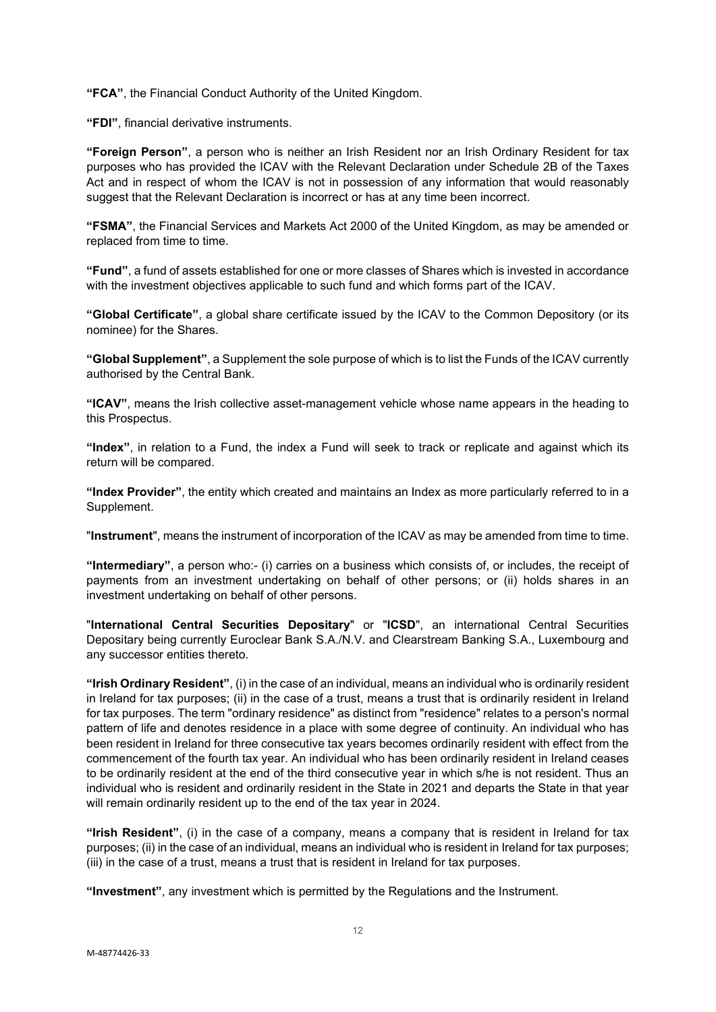**"FCA"**, the Financial Conduct Authority of the United Kingdom.

**"FDI"**, financial derivative instruments.

**"Foreign Person"**, a person who is neither an Irish Resident nor an Irish Ordinary Resident for tax purposes who has provided the ICAV with the Relevant Declaration under Schedule 2B of the Taxes Act and in respect of whom the ICAV is not in possession of any information that would reasonably suggest that the Relevant Declaration is incorrect or has at any time been incorrect.

**"FSMA"**, the Financial Services and Markets Act 2000 of the United Kingdom, as may be amended or replaced from time to time.

**"Fund"**, a fund of assets established for one or more classes of Shares which is invested in accordance with the investment objectives applicable to such fund and which forms part of the ICAV.

**"Global Certificate"**, a global share certificate issued by the ICAV to the Common Depository (or its nominee) for the Shares.

**"Global Supplement"**, a Supplement the sole purpose of which is to list the Funds of the ICAV currently authorised by the Central Bank.

**"ICAV"**, means the Irish collective asset-management vehicle whose name appears in the heading to this Prospectus.

**"Index"**, in relation to a Fund, the index a Fund will seek to track or replicate and against which its return will be compared.

**"Index Provider"**, the entity which created and maintains an Index as more particularly referred to in a Supplement.

"**Instrument**", means the instrument of incorporation of the ICAV as may be amended from time to time.

**"Intermediary"**, a person who:- (i) carries on a business which consists of, or includes, the receipt of payments from an investment undertaking on behalf of other persons; or (ii) holds shares in an investment undertaking on behalf of other persons.

"**International Central Securities Depositary**" or "**ICSD**", an international Central Securities Depositary being currently Euroclear Bank S.A./N.V. and Clearstream Banking S.A., Luxembourg and any successor entities thereto.

**"Irish Ordinary Resident"**, (i) in the case of an individual, means an individual who is ordinarily resident in Ireland for tax purposes; (ii) in the case of a trust, means a trust that is ordinarily resident in Ireland for tax purposes. The term "ordinary residence" as distinct from "residence" relates to a person's normal pattern of life and denotes residence in a place with some degree of continuity. An individual who has been resident in Ireland for three consecutive tax years becomes ordinarily resident with effect from the commencement of the fourth tax year. An individual who has been ordinarily resident in Ireland ceases to be ordinarily resident at the end of the third consecutive year in which s/he is not resident. Thus an individual who is resident and ordinarily resident in the State in 2021 and departs the State in that year will remain ordinarily resident up to the end of the tax year in 2024.

**"Irish Resident"**, (i) in the case of a company, means a company that is resident in Ireland for tax purposes; (ii) in the case of an individual, means an individual who is resident in Ireland for tax purposes; (iii) in the case of a trust, means a trust that is resident in Ireland for tax purposes.

**"Investment"**, any investment which is permitted by the Regulations and the Instrument.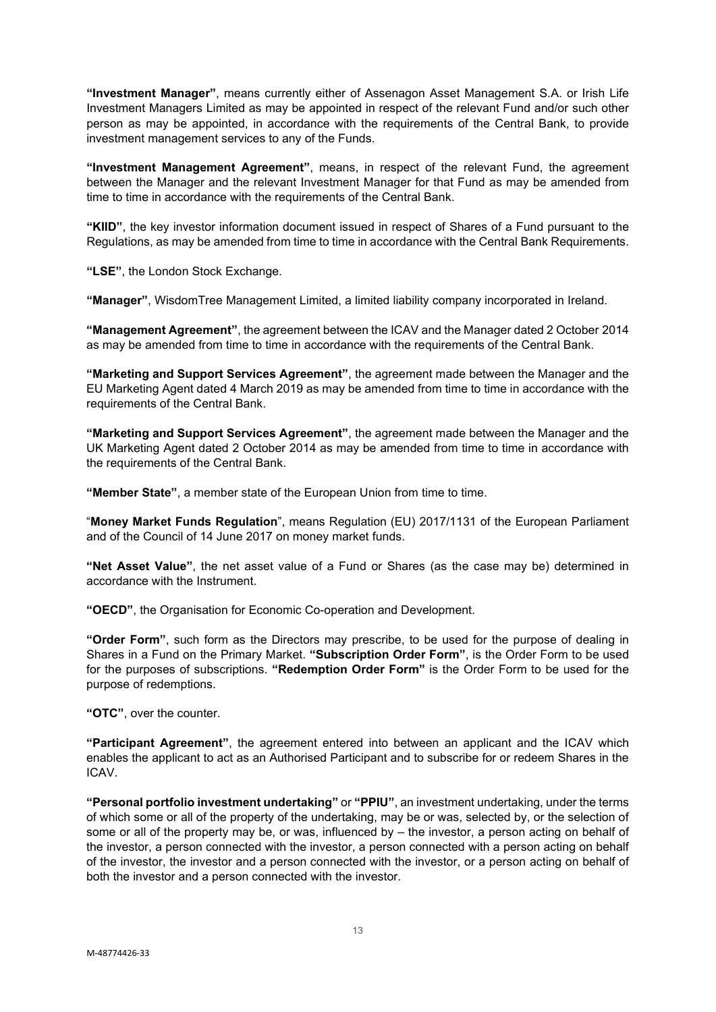**"Investment Manager"**, means currently either of Assenagon Asset Management S.A. or Irish Life Investment Managers Limited as may be appointed in respect of the relevant Fund and/or such other person as may be appointed, in accordance with the requirements of the Central Bank, to provide investment management services to any of the Funds.

**"Investment Management Agreement"**, means, in respect of the relevant Fund, the agreement between the Manager and the relevant Investment Manager for that Fund as may be amended from time to time in accordance with the requirements of the Central Bank.

**"KIID"**, the key investor information document issued in respect of Shares of a Fund pursuant to the Regulations, as may be amended from time to time in accordance with the Central Bank Requirements.

**"LSE"**, the London Stock Exchange.

**"Manager"**, WisdomTree Management Limited, a limited liability company incorporated in Ireland.

**"Management Agreement"**, the agreement between the ICAV and the Manager dated 2 October 2014 as may be amended from time to time in accordance with the requirements of the Central Bank.

**"Marketing and Support Services Agreement"**, the agreement made between the Manager and the EU Marketing Agent dated 4 March 2019 as may be amended from time to time in accordance with the requirements of the Central Bank.

**"Marketing and Support Services Agreement"**, the agreement made between the Manager and the UK Marketing Agent dated 2 October 2014 as may be amended from time to time in accordance with the requirements of the Central Bank.

**"Member State"**, a member state of the European Union from time to time.

"**Money Market Funds Regulation**", means Regulation (EU) 2017/1131 of the European Parliament and of the Council of 14 June 2017 on money market funds.

**"Net Asset Value"**, the net asset value of a Fund or Shares (as the case may be) determined in accordance with the Instrument.

**"OECD"**, the Organisation for Economic Co-operation and Development.

**"Order Form"**, such form as the Directors may prescribe, to be used for the purpose of dealing in Shares in a Fund on the Primary Market. **"Subscription Order Form"**, is the Order Form to be used for the purposes of subscriptions. **"Redemption Order Form"** is the Order Form to be used for the purpose of redemptions.

**"OTC"**, over the counter.

**"Participant Agreement"**, the agreement entered into between an applicant and the ICAV which enables the applicant to act as an Authorised Participant and to subscribe for or redeem Shares in the ICAV.

**"Personal portfolio investment undertaking"** or **"PPIU"**, an investment undertaking, under the terms of which some or all of the property of the undertaking, may be or was, selected by, or the selection of some or all of the property may be, or was, influenced by – the investor, a person acting on behalf of the investor, a person connected with the investor, a person connected with a person acting on behalf of the investor, the investor and a person connected with the investor, or a person acting on behalf of both the investor and a person connected with the investor.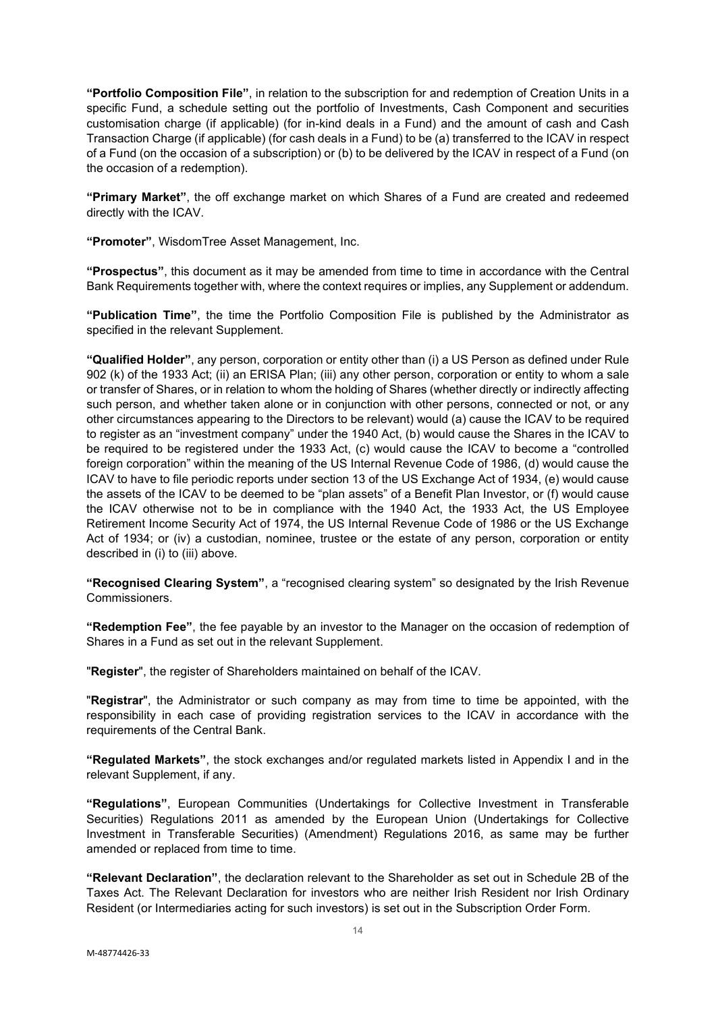**"Portfolio Composition File"**, in relation to the subscription for and redemption of Creation Units in a specific Fund, a schedule setting out the portfolio of Investments, Cash Component and securities customisation charge (if applicable) (for in-kind deals in a Fund) and the amount of cash and Cash Transaction Charge (if applicable) (for cash deals in a Fund) to be (a) transferred to the ICAV in respect of a Fund (on the occasion of a subscription) or (b) to be delivered by the ICAV in respect of a Fund (on the occasion of a redemption).

**"Primary Market"**, the off exchange market on which Shares of a Fund are created and redeemed directly with the ICAV.

**"Promoter"**, WisdomTree Asset Management, Inc.

**"Prospectus"**, this document as it may be amended from time to time in accordance with the Central Bank Requirements together with, where the context requires or implies, any Supplement or addendum.

**"Publication Time"**, the time the Portfolio Composition File is published by the Administrator as specified in the relevant Supplement.

**"Qualified Holder"**, any person, corporation or entity other than (i) a US Person as defined under Rule 902 (k) of the 1933 Act; (ii) an ERISA Plan; (iii) any other person, corporation or entity to whom a sale or transfer of Shares, or in relation to whom the holding of Shares (whether directly or indirectly affecting such person, and whether taken alone or in conjunction with other persons, connected or not, or any other circumstances appearing to the Directors to be relevant) would (a) cause the ICAV to be required to register as an "investment company" under the 1940 Act, (b) would cause the Shares in the ICAV to be required to be registered under the 1933 Act, (c) would cause the ICAV to become a "controlled foreign corporation" within the meaning of the US Internal Revenue Code of 1986, (d) would cause the ICAV to have to file periodic reports under section 13 of the US Exchange Act of 1934, (e) would cause the assets of the ICAV to be deemed to be "plan assets" of a Benefit Plan Investor, or (f) would cause the ICAV otherwise not to be in compliance with the 1940 Act, the 1933 Act, the US Employee Retirement Income Security Act of 1974, the US Internal Revenue Code of 1986 or the US Exchange Act of 1934; or (iv) a custodian, nominee, trustee or the estate of any person, corporation or entity described in (i) to (iii) above.

**"Recognised Clearing System"**, a "recognised clearing system" so designated by the Irish Revenue Commissioners.

**"Redemption Fee"**, the fee payable by an investor to the Manager on the occasion of redemption of Shares in a Fund as set out in the relevant Supplement.

"**Register**", the register of Shareholders maintained on behalf of the ICAV.

"**Registrar**", the Administrator or such company as may from time to time be appointed, with the responsibility in each case of providing registration services to the ICAV in accordance with the requirements of the Central Bank.

**"Regulated Markets"**, the stock exchanges and/or regulated markets listed in Appendix I and in the relevant Supplement, if any.

**"Regulations"**, European Communities (Undertakings for Collective Investment in Transferable Securities) Regulations 2011 as amended by the European Union (Undertakings for Collective Investment in Transferable Securities) (Amendment) Regulations 2016, as same may be further amended or replaced from time to time.

**"Relevant Declaration"**, the declaration relevant to the Shareholder as set out in Schedule 2B of the Taxes Act. The Relevant Declaration for investors who are neither Irish Resident nor Irish Ordinary Resident (or Intermediaries acting for such investors) is set out in the Subscription Order Form.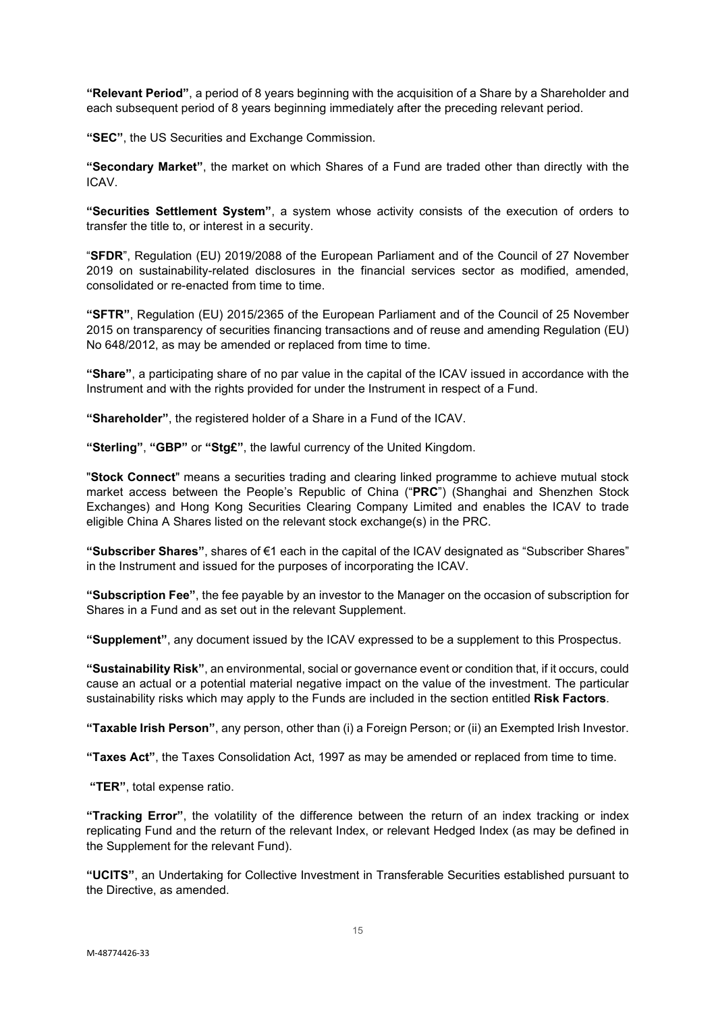**"Relevant Period"**, a period of 8 years beginning with the acquisition of a Share by a Shareholder and each subsequent period of 8 years beginning immediately after the preceding relevant period.

**"SEC"**, the US Securities and Exchange Commission.

**"Secondary Market"**, the market on which Shares of a Fund are traded other than directly with the ICAV.

**"Securities Settlement System"**, a system whose activity consists of the execution of orders to transfer the title to, or interest in a security.

"**SFDR**", Regulation (EU) 2019/2088 of the European Parliament and of the Council of 27 November 2019 on sustainability-related disclosures in the financial services sector as modified, amended, consolidated or re-enacted from time to time.

**"SFTR"**, Regulation (EU) 2015/2365 of the European Parliament and of the Council of 25 November 2015 on transparency of securities financing transactions and of reuse and amending Regulation (EU) No 648/2012, as may be amended or replaced from time to time.

**"Share"**, a participating share of no par value in the capital of the ICAV issued in accordance with the Instrument and with the rights provided for under the Instrument in respect of a Fund.

**"Shareholder"**, the registered holder of a Share in a Fund of the ICAV.

**"Sterling"**, **"GBP"** or **"Stg£"**, the lawful currency of the United Kingdom.

"**Stock Connect**" means a securities trading and clearing linked programme to achieve mutual stock market access between the People's Republic of China ("**PRC**") (Shanghai and Shenzhen Stock Exchanges) and Hong Kong Securities Clearing Company Limited and enables the ICAV to trade eligible China A Shares listed on the relevant stock exchange(s) in the PRC.

**"Subscriber Shares"**, shares of €1 each in the capital of the ICAV designated as "Subscriber Shares" in the Instrument and issued for the purposes of incorporating the ICAV.

**"Subscription Fee"**, the fee payable by an investor to the Manager on the occasion of subscription for Shares in a Fund and as set out in the relevant Supplement.

**"Supplement"**, any document issued by the ICAV expressed to be a supplement to this Prospectus.

**"Sustainability Risk"**, an environmental, social or governance event or condition that, if it occurs, could cause an actual or a potential material negative impact on the value of the investment. The particular sustainability risks which may apply to the Funds are included in the section entitled **Risk Factors**.

**"Taxable Irish Person"**, any person, other than (i) a Foreign Person; or (ii) an Exempted Irish Investor.

**"Taxes Act"**, the Taxes Consolidation Act, 1997 as may be amended or replaced from time to time.

**"TER"**, total expense ratio.

**"Tracking Error"**, the volatility of the difference between the return of an index tracking or index replicating Fund and the return of the relevant Index, or relevant Hedged Index (as may be defined in the Supplement for the relevant Fund).

**"UCITS"**, an Undertaking for Collective Investment in Transferable Securities established pursuant to the Directive, as amended.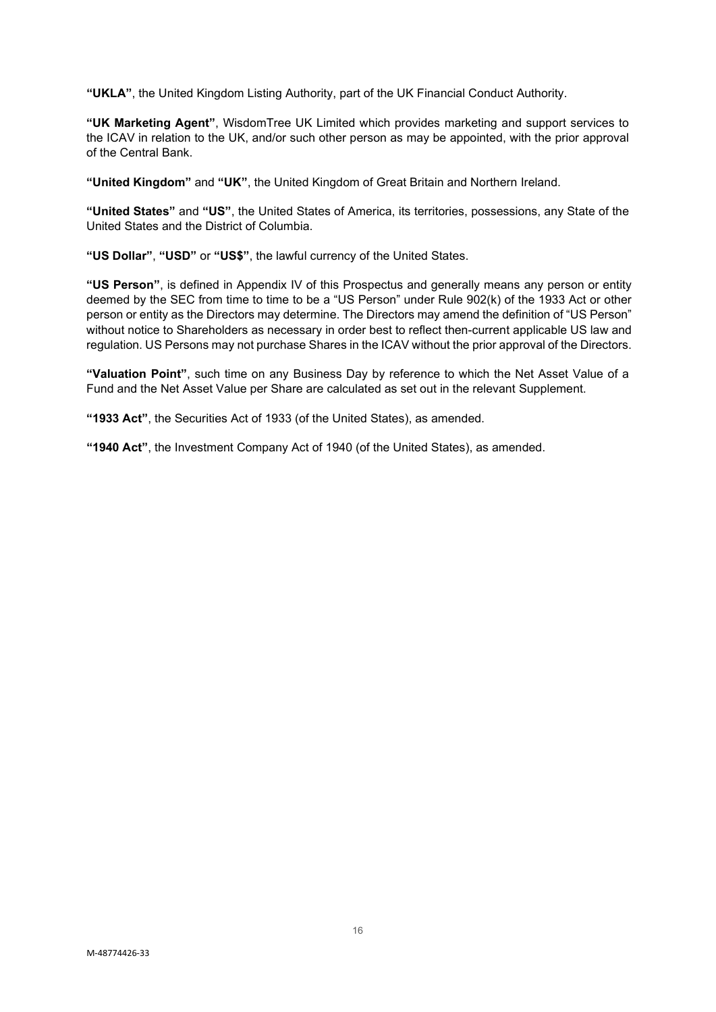**"UKLA"**, the United Kingdom Listing Authority, part of the UK Financial Conduct Authority.

**"UK Marketing Agent"**, WisdomTree UK Limited which provides marketing and support services to the ICAV in relation to the UK, and/or such other person as may be appointed, with the prior approval of the Central Bank.

**"United Kingdom"** and **"UK"**, the United Kingdom of Great Britain and Northern Ireland.

**"United States"** and **"US"**, the United States of America, its territories, possessions, any State of the United States and the District of Columbia.

**"US Dollar"**, **"USD"** or **"US\$"**, the lawful currency of the United States.

**"US Person"**, is defined in Appendix IV of this Prospectus and generally means any person or entity deemed by the SEC from time to time to be a "US Person" under Rule 902(k) of the 1933 Act or other person or entity as the Directors may determine. The Directors may amend the definition of "US Person" without notice to Shareholders as necessary in order best to reflect then-current applicable US law and regulation. US Persons may not purchase Shares in the ICAV without the prior approval of the Directors.

**"Valuation Point"**, such time on any Business Day by reference to which the Net Asset Value of a Fund and the Net Asset Value per Share are calculated as set out in the relevant Supplement.

**"1933 Act"**, the Securities Act of 1933 (of the United States), as amended.

**"1940 Act"**, the Investment Company Act of 1940 (of the United States), as amended.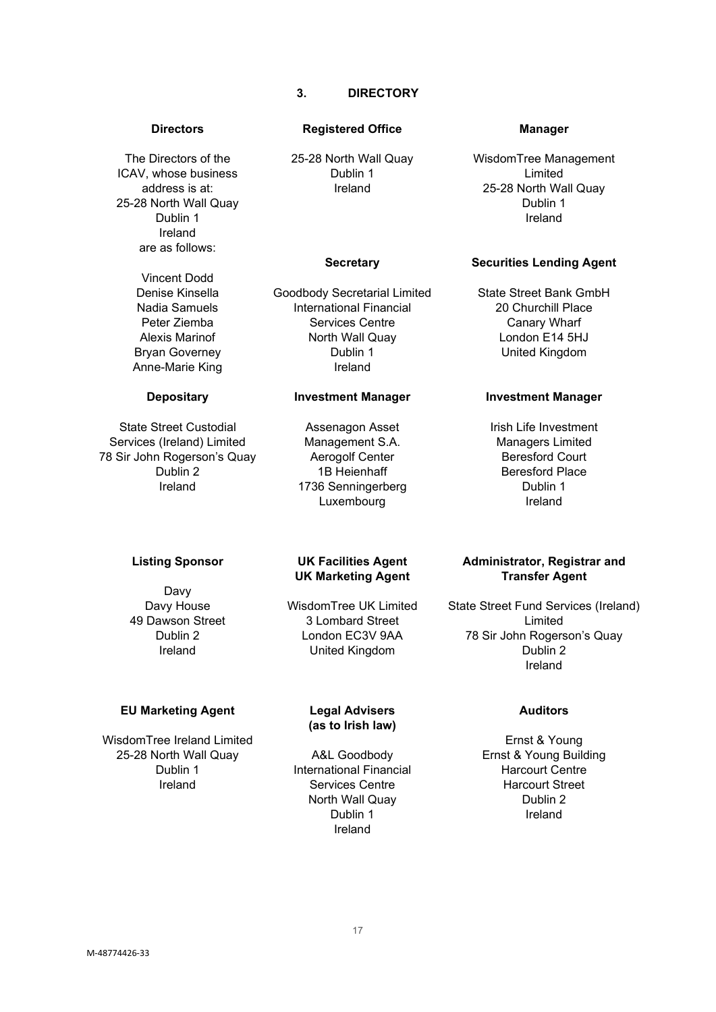# **3. DIRECTORY**

<span id="page-16-0"></span>The Directors of the ICAV, whose business address is at: 25-28 North Wall Quay Dublin 1 Ireland are as follows:

> Vincent Dodd Denise Kinsella Nadia Samuels Peter Ziemba Alexis Marinof Bryan Governey Anne-Marie King

#### **Depositary**

State Street Custodial Services (Ireland) Limited 78 Sir John Rogerson's Quay Dublin 2 Ireland

#### **Listing Sponsor**

Davy Davy House 49 Dawson Street Dublin 2 Ireland

#### **EU Marketing Agent**

WisdomTree Ireland Limited 25-28 North Wall Quay Dublin 1 Ireland

#### **Directors Registered Office Manager**

25-28 North Wall Quay Dublin 1 Ireland

#### **Secretary**

Goodbody Secretarial Limited International Financial Services Centre North Wall Quay Dublin 1 Ireland

#### **Investment Manager**

Assenagon Asset Management S.A. Aerogolf Center 1B Heienhaff 1736 Senningerberg Luxembourg

## **UK Facilities Agent UK Marketing Agent**

WisdomTree UK Limited 3 Lombard Street London EC3V 9AA United Kingdom

#### **Legal Advisers (as to Irish law)**

A&L Goodbody International Financial Services Centre North Wall Quay Dublin 1 Ireland

WisdomTree Management Limited 25-28 North Wall Quay Dublin 1 Ireland

#### **Securities Lending Agent**

State Street Bank GmbH 20 Churchill Place Canary Wharf London E14 5HJ United Kingdom

#### **Investment Manager**

Irish Life Investment Managers Limited Beresford Court Beresford Place Dublin 1 Ireland

### **Administrator, Registrar and Transfer Agent**

State Street Fund Services (Ireland) Limited 78 Sir John Rogerson's Quay Dublin 2 Ireland

# **Auditors**

Ernst & Young Ernst & Young Building Harcourt Centre Harcourt Street Dublin 2 Ireland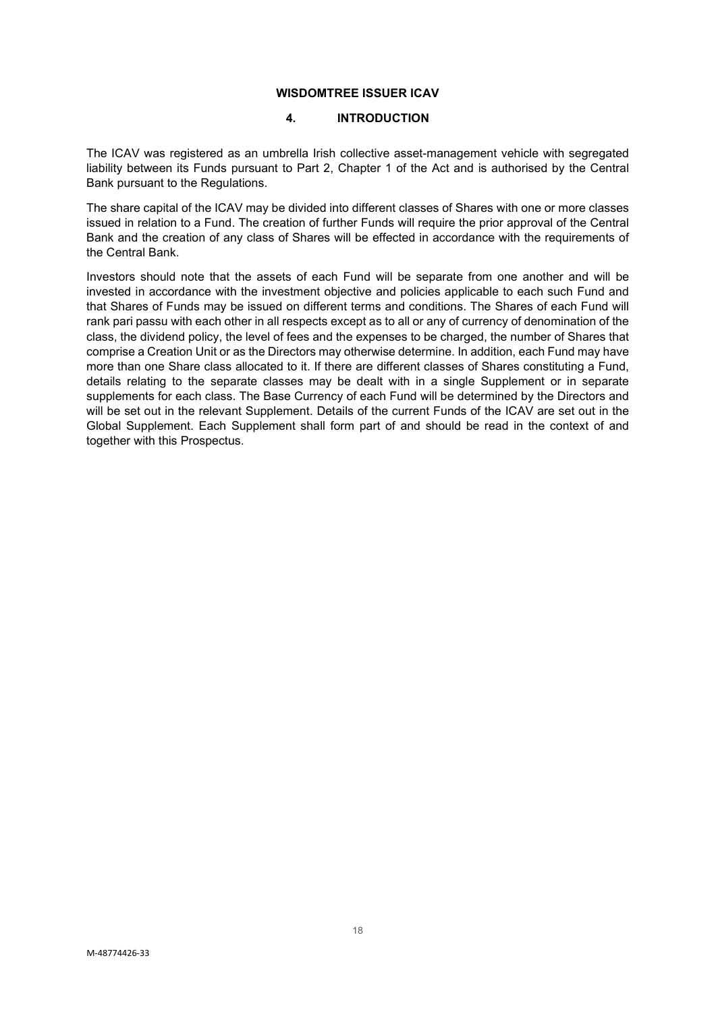# **WISDOMTREE ISSUER ICAV**

#### **4. INTRODUCTION**

<span id="page-17-0"></span>The ICAV was registered as an umbrella Irish collective asset-management vehicle with segregated liability between its Funds pursuant to Part 2, Chapter 1 of the Act and is authorised by the Central Bank pursuant to the Regulations.

The share capital of the ICAV may be divided into different classes of Shares with one or more classes issued in relation to a Fund. The creation of further Funds will require the prior approval of the Central Bank and the creation of any class of Shares will be effected in accordance with the requirements of the Central Bank.

Investors should note that the assets of each Fund will be separate from one another and will be invested in accordance with the investment objective and policies applicable to each such Fund and that Shares of Funds may be issued on different terms and conditions. The Shares of each Fund will rank pari passu with each other in all respects except as to all or any of currency of denomination of the class, the dividend policy, the level of fees and the expenses to be charged, the number of Shares that comprise a Creation Unit or as the Directors may otherwise determine. In addition, each Fund may have more than one Share class allocated to it. If there are different classes of Shares constituting a Fund, details relating to the separate classes may be dealt with in a single Supplement or in separate supplements for each class. The Base Currency of each Fund will be determined by the Directors and will be set out in the relevant Supplement. Details of the current Funds of the ICAV are set out in the Global Supplement. Each Supplement shall form part of and should be read in the context of and together with this Prospectus.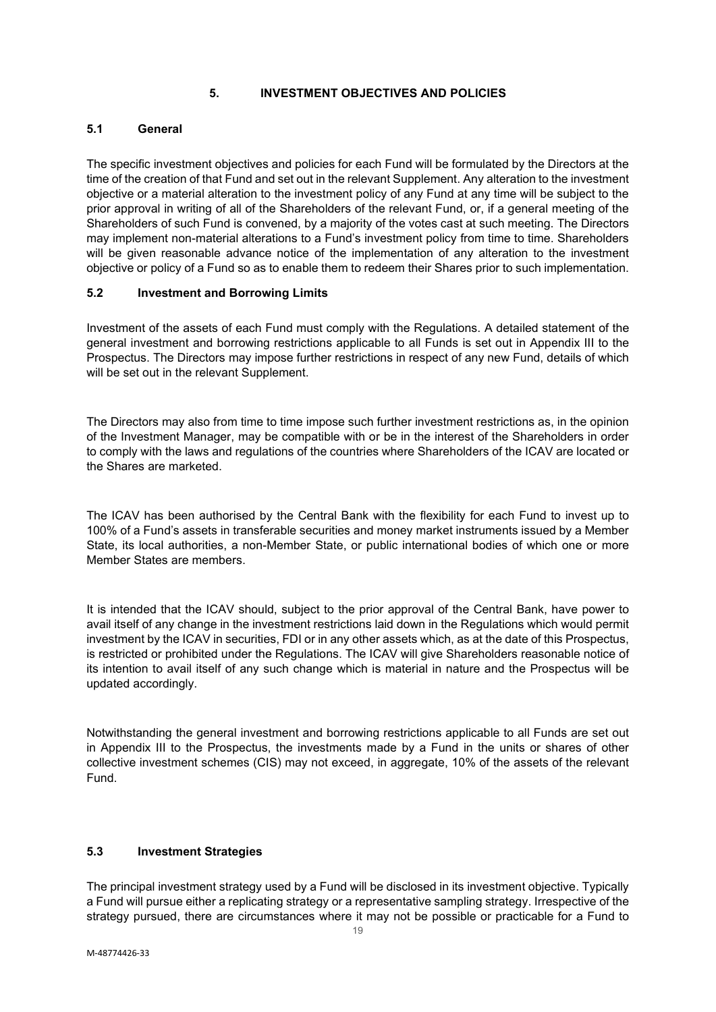## **5. INVESTMENT OBJECTIVES AND POLICIES**

## <span id="page-18-1"></span><span id="page-18-0"></span>**5.1 General**

The specific investment objectives and policies for each Fund will be formulated by the Directors at the time of the creation of that Fund and set out in the relevant Supplement. Any alteration to the investment objective or a material alteration to the investment policy of any Fund at any time will be subject to the prior approval in writing of all of the Shareholders of the relevant Fund, or, if a general meeting of the Shareholders of such Fund is convened, by a majority of the votes cast at such meeting. The Directors may implement non-material alterations to a Fund's investment policy from time to time. Shareholders will be given reasonable advance notice of the implementation of any alteration to the investment objective or policy of a Fund so as to enable them to redeem their Shares prior to such implementation.

#### <span id="page-18-2"></span>**5.2 Investment and Borrowing Limits**

Investment of the assets of each Fund must comply with the Regulations. A detailed statement of the general investment and borrowing restrictions applicable to all Funds is set out in Appendix III to the Prospectus. The Directors may impose further restrictions in respect of any new Fund, details of which will be set out in the relevant Supplement.

The Directors may also from time to time impose such further investment restrictions as, in the opinion of the Investment Manager, may be compatible with or be in the interest of the Shareholders in order to comply with the laws and regulations of the countries where Shareholders of the ICAV are located or the Shares are marketed.

The ICAV has been authorised by the Central Bank with the flexibility for each Fund to invest up to 100% of a Fund's assets in transferable securities and money market instruments issued by a Member State, its local authorities, a non-Member State, or public international bodies of which one or more Member States are members.

It is intended that the ICAV should, subject to the prior approval of the Central Bank, have power to avail itself of any change in the investment restrictions laid down in the Regulations which would permit investment by the ICAV in securities, FDI or in any other assets which, as at the date of this Prospectus, is restricted or prohibited under the Regulations. The ICAV will give Shareholders reasonable notice of its intention to avail itself of any such change which is material in nature and the Prospectus will be updated accordingly.

Notwithstanding the general investment and borrowing restrictions applicable to all Funds are set out in Appendix III to the Prospectus, the investments made by a Fund in the units or shares of other collective investment schemes (CIS) may not exceed, in aggregate, 10% of the assets of the relevant Fund.

# <span id="page-18-3"></span>**5.3 Investment Strategies**

The principal investment strategy used by a Fund will be disclosed in its investment objective. Typically a Fund will pursue either a replicating strategy or a representative sampling strategy. Irrespective of the strategy pursued, there are circumstances where it may not be possible or practicable for a Fund to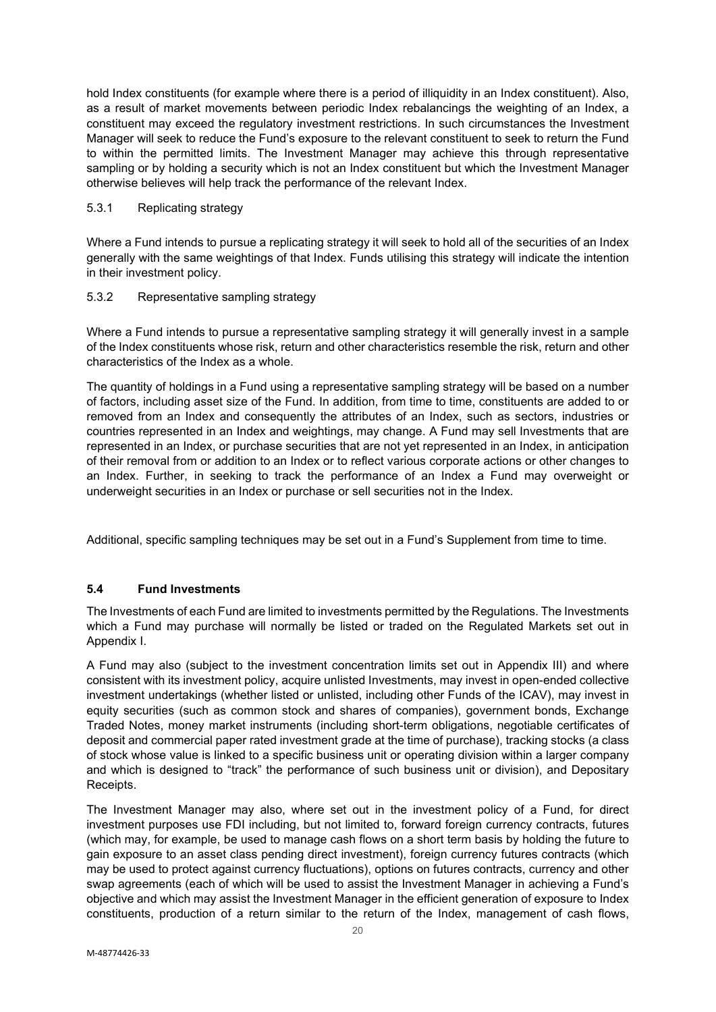hold Index constituents (for example where there is a period of illiquidity in an Index constituent). Also, as a result of market movements between periodic Index rebalancings the weighting of an Index, a constituent may exceed the regulatory investment restrictions. In such circumstances the Investment Manager will seek to reduce the Fund's exposure to the relevant constituent to seek to return the Fund to within the permitted limits. The Investment Manager may achieve this through representative sampling or by holding a security which is not an Index constituent but which the Investment Manager otherwise believes will help track the performance of the relevant Index.

## 5.3.1 Replicating strategy

Where a Fund intends to pursue a replicating strategy it will seek to hold all of the securities of an Index generally with the same weightings of that Index. Funds utilising this strategy will indicate the intention in their investment policy.

#### 5.3.2 Representative sampling strategy

Where a Fund intends to pursue a representative sampling strategy it will generally invest in a sample of the Index constituents whose risk, return and other characteristics resemble the risk, return and other characteristics of the Index as a whole.

The quantity of holdings in a Fund using a representative sampling strategy will be based on a number of factors, including asset size of the Fund. In addition, from time to time, constituents are added to or removed from an Index and consequently the attributes of an Index, such as sectors, industries or countries represented in an Index and weightings, may change. A Fund may sell Investments that are represented in an Index, or purchase securities that are not yet represented in an Index, in anticipation of their removal from or addition to an Index or to reflect various corporate actions or other changes to an Index. Further, in seeking to track the performance of an Index a Fund may overweight or underweight securities in an Index or purchase or sell securities not in the Index.

Additional, specific sampling techniques may be set out in a Fund's Supplement from time to time.

## <span id="page-19-0"></span>**5.4 Fund Investments**

The Investments of each Fund are limited to investments permitted by the Regulations. The Investments which a Fund may purchase will normally be listed or traded on the Regulated Markets set out in Appendix I.

A Fund may also (subject to the investment concentration limits set out in Appendix III) and where consistent with its investment policy, acquire unlisted Investments, may invest in open-ended collective investment undertakings (whether listed or unlisted, including other Funds of the ICAV), may invest in equity securities (such as common stock and shares of companies), government bonds, Exchange Traded Notes, money market instruments (including short-term obligations, negotiable certificates of deposit and commercial paper rated investment grade at the time of purchase), tracking stocks (a class of stock whose value is linked to a specific business unit or operating division within a larger company and which is designed to "track" the performance of such business unit or division), and Depositary Receipts.

The Investment Manager may also, where set out in the investment policy of a Fund, for direct investment purposes use FDI including, but not limited to, forward foreign currency contracts, futures (which may, for example, be used to manage cash flows on a short term basis by holding the future to gain exposure to an asset class pending direct investment), foreign currency futures contracts (which may be used to protect against currency fluctuations), options on futures contracts, currency and other swap agreements (each of which will be used to assist the Investment Manager in achieving a Fund's objective and which may assist the Investment Manager in the efficient generation of exposure to Index constituents, production of a return similar to the return of the Index, management of cash flows,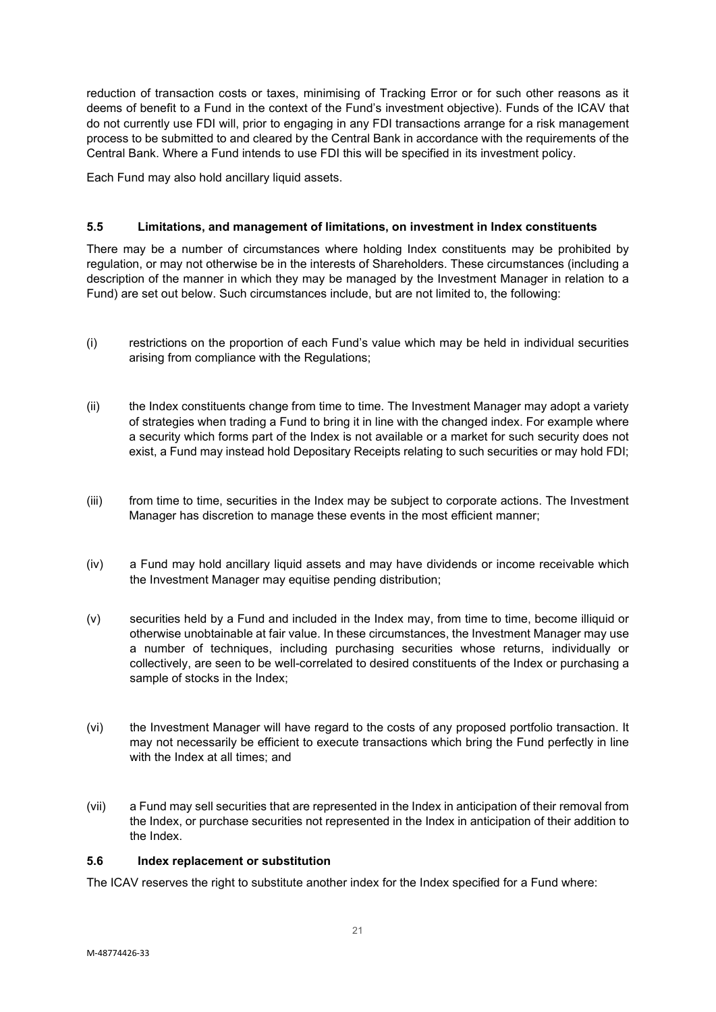reduction of transaction costs or taxes, minimising of Tracking Error or for such other reasons as it deems of benefit to a Fund in the context of the Fund's investment objective). Funds of the ICAV that do not currently use FDI will, prior to engaging in any FDI transactions arrange for a risk management process to be submitted to and cleared by the Central Bank in accordance with the requirements of the Central Bank. Where a Fund intends to use FDI this will be specified in its investment policy.

Each Fund may also hold ancillary liquid assets.

# <span id="page-20-0"></span>**5.5 Limitations, and management of limitations, on investment in Index constituents**

There may be a number of circumstances where holding Index constituents may be prohibited by regulation, or may not otherwise be in the interests of Shareholders. These circumstances (including a description of the manner in which they may be managed by the Investment Manager in relation to a Fund) are set out below. Such circumstances include, but are not limited to, the following:

- (i) restrictions on the proportion of each Fund's value which may be held in individual securities arising from compliance with the Regulations;
- (ii) the Index constituents change from time to time. The Investment Manager may adopt a variety of strategies when trading a Fund to bring it in line with the changed index. For example where a security which forms part of the Index is not available or a market for such security does not exist, a Fund may instead hold Depositary Receipts relating to such securities or may hold FDI;
- (iii) from time to time, securities in the Index may be subject to corporate actions. The Investment Manager has discretion to manage these events in the most efficient manner;
- (iv) a Fund may hold ancillary liquid assets and may have dividends or income receivable which the Investment Manager may equitise pending distribution;
- (v) securities held by a Fund and included in the Index may, from time to time, become illiquid or otherwise unobtainable at fair value. In these circumstances, the Investment Manager may use a number of techniques, including purchasing securities whose returns, individually or collectively, are seen to be well-correlated to desired constituents of the Index or purchasing a sample of stocks in the Index;
- (vi) the Investment Manager will have regard to the costs of any proposed portfolio transaction. It may not necessarily be efficient to execute transactions which bring the Fund perfectly in line with the Index at all times; and
- (vii) a Fund may sell securities that are represented in the Index in anticipation of their removal from the Index, or purchase securities not represented in the Index in anticipation of their addition to the Index.

## <span id="page-20-1"></span>**5.6 Index replacement or substitution**

The ICAV reserves the right to substitute another index for the Index specified for a Fund where: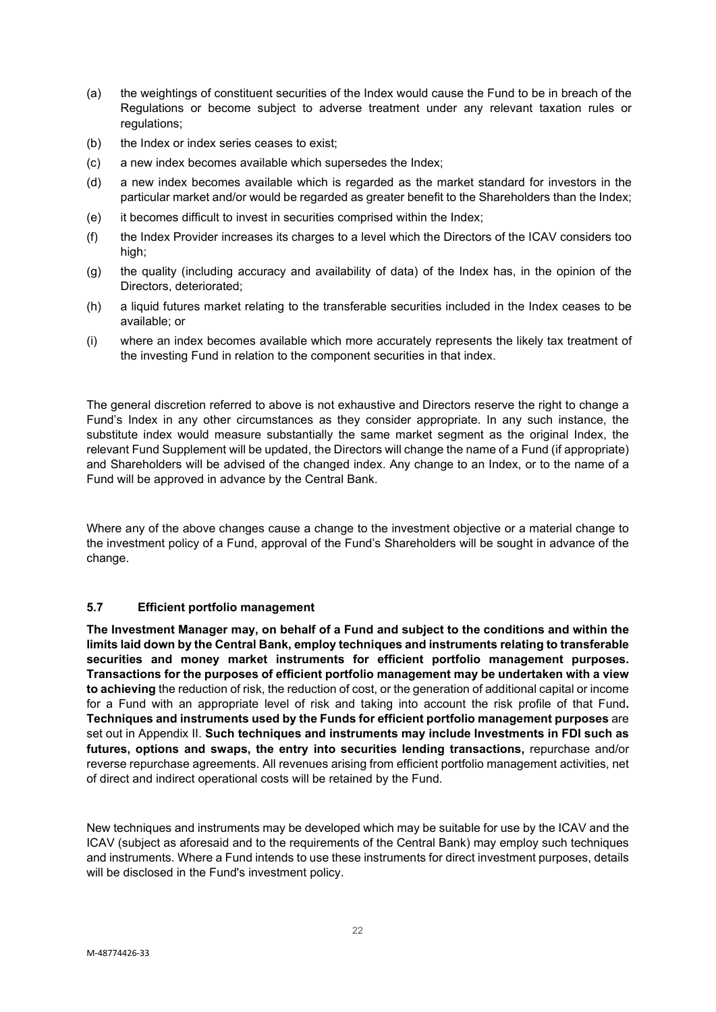- (a) the weightings of constituent securities of the Index would cause the Fund to be in breach of the Regulations or become subject to adverse treatment under any relevant taxation rules or regulations;
- (b) the Index or index series ceases to exist;
- (c) a new index becomes available which supersedes the Index;
- (d) a new index becomes available which is regarded as the market standard for investors in the particular market and/or would be regarded as greater benefit to the Shareholders than the Index;
- (e) it becomes difficult to invest in securities comprised within the Index;
- (f) the Index Provider increases its charges to a level which the Directors of the ICAV considers too high;
- (g) the quality (including accuracy and availability of data) of the Index has, in the opinion of the Directors, deteriorated;
- (h) a liquid futures market relating to the transferable securities included in the Index ceases to be available; or
- (i) where an index becomes available which more accurately represents the likely tax treatment of the investing Fund in relation to the component securities in that index.

The general discretion referred to above is not exhaustive and Directors reserve the right to change a Fund's Index in any other circumstances as they consider appropriate. In any such instance, the substitute index would measure substantially the same market segment as the original Index, the relevant Fund Supplement will be updated, the Directors will change the name of a Fund (if appropriate) and Shareholders will be advised of the changed index. Any change to an Index, or to the name of a Fund will be approved in advance by the Central Bank.

Where any of the above changes cause a change to the investment objective or a material change to the investment policy of a Fund, approval of the Fund's Shareholders will be sought in advance of the change.

## <span id="page-21-0"></span>**5.7 Efficient portfolio management**

**The Investment Manager may, on behalf of a Fund and subject to the conditions and within the limits laid down by the Central Bank, employ techniques and instruments relating to transferable securities and money market instruments for efficient portfolio management purposes. Transactions for the purposes of efficient portfolio management may be undertaken with a view to achieving** the reduction of risk, the reduction of cost, or the generation of additional capital or income for a Fund with an appropriate level of risk and taking into account the risk profile of that Fund**. Techniques and instruments used by the Funds for efficient portfolio management purposes** are set out in Appendix II. **Such techniques and instruments may include Investments in FDI such as futures, options and swaps, the entry into securities lending transactions,** repurchase and/or reverse repurchase agreements. All revenues arising from efficient portfolio management activities, net of direct and indirect operational costs will be retained by the Fund.

New techniques and instruments may be developed which may be suitable for use by the ICAV and the ICAV (subject as aforesaid and to the requirements of the Central Bank) may employ such techniques and instruments. Where a Fund intends to use these instruments for direct investment purposes, details will be disclosed in the Fund's investment policy.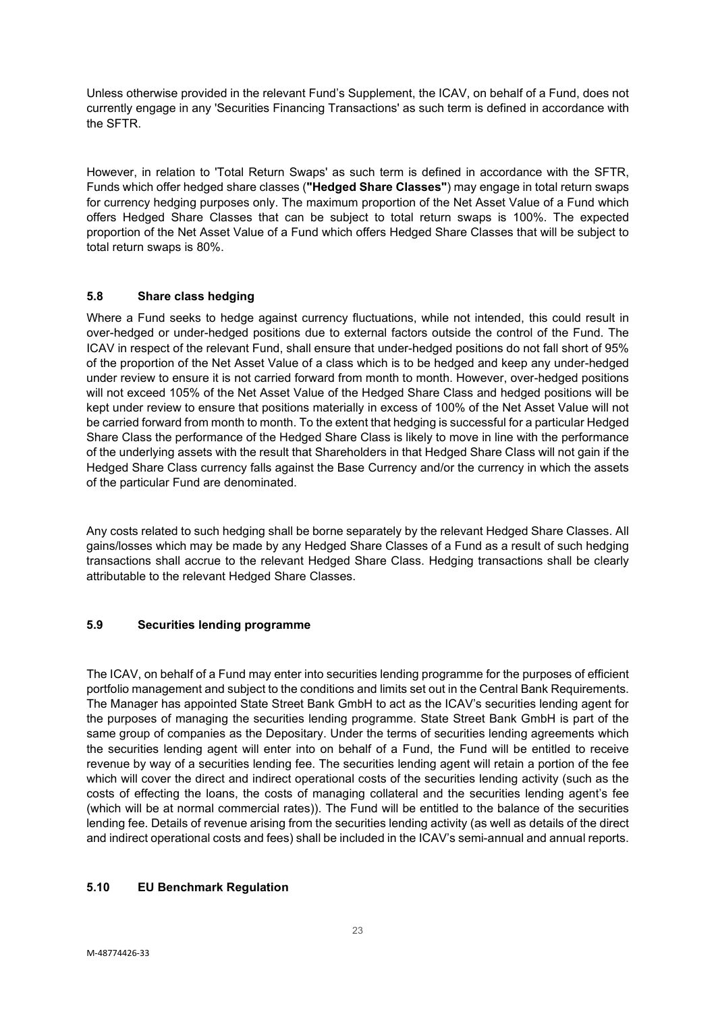Unless otherwise provided in the relevant Fund's Supplement, the ICAV, on behalf of a Fund, does not currently engage in any 'Securities Financing Transactions' as such term is defined in accordance with the SFTR.

However, in relation to 'Total Return Swaps' as such term is defined in accordance with the SFTR, Funds which offer hedged share classes (**"Hedged Share Classes"**) may engage in total return swaps for currency hedging purposes only. The maximum proportion of the Net Asset Value of a Fund which offers Hedged Share Classes that can be subject to total return swaps is 100%. The expected proportion of the Net Asset Value of a Fund which offers Hedged Share Classes that will be subject to total return swaps is 80%.

# <span id="page-22-0"></span>**5.8 Share class hedging**

Where a Fund seeks to hedge against currency fluctuations, while not intended, this could result in over-hedged or under-hedged positions due to external factors outside the control of the Fund. The ICAV in respect of the relevant Fund, shall ensure that under-hedged positions do not fall short of 95% of the proportion of the Net Asset Value of a class which is to be hedged and keep any under-hedged under review to ensure it is not carried forward from month to month. However, over-hedged positions will not exceed 105% of the Net Asset Value of the Hedged Share Class and hedged positions will be kept under review to ensure that positions materially in excess of 100% of the Net Asset Value will not be carried forward from month to month. To the extent that hedging is successful for a particular Hedged Share Class the performance of the Hedged Share Class is likely to move in line with the performance of the underlying assets with the result that Shareholders in that Hedged Share Class will not gain if the Hedged Share Class currency falls against the Base Currency and/or the currency in which the assets of the particular Fund are denominated.

Any costs related to such hedging shall be borne separately by the relevant Hedged Share Classes. All gains/losses which may be made by any Hedged Share Classes of a Fund as a result of such hedging transactions shall accrue to the relevant Hedged Share Class. Hedging transactions shall be clearly attributable to the relevant Hedged Share Classes.

# <span id="page-22-1"></span>**5.9 Securities lending programme**

The ICAV, on behalf of a Fund may enter into securities lending programme for the purposes of efficient portfolio management and subject to the conditions and limits set out in the Central Bank Requirements. The Manager has appointed State Street Bank GmbH to act as the ICAV's securities lending agent for the purposes of managing the securities lending programme. State Street Bank GmbH is part of the same group of companies as the Depositary. Under the terms of securities lending agreements which the securities lending agent will enter into on behalf of a Fund, the Fund will be entitled to receive revenue by way of a securities lending fee. The securities lending agent will retain a portion of the fee which will cover the direct and indirect operational costs of the securities lending activity (such as the costs of effecting the loans, the costs of managing collateral and the securities lending agent's fee (which will be at normal commercial rates)). The Fund will be entitled to the balance of the securities lending fee. Details of revenue arising from the securities lending activity (as well as details of the direct and indirect operational costs and fees) shall be included in the ICAV's semi-annual and annual reports.

# <span id="page-22-2"></span>**5.10 EU Benchmark Regulation**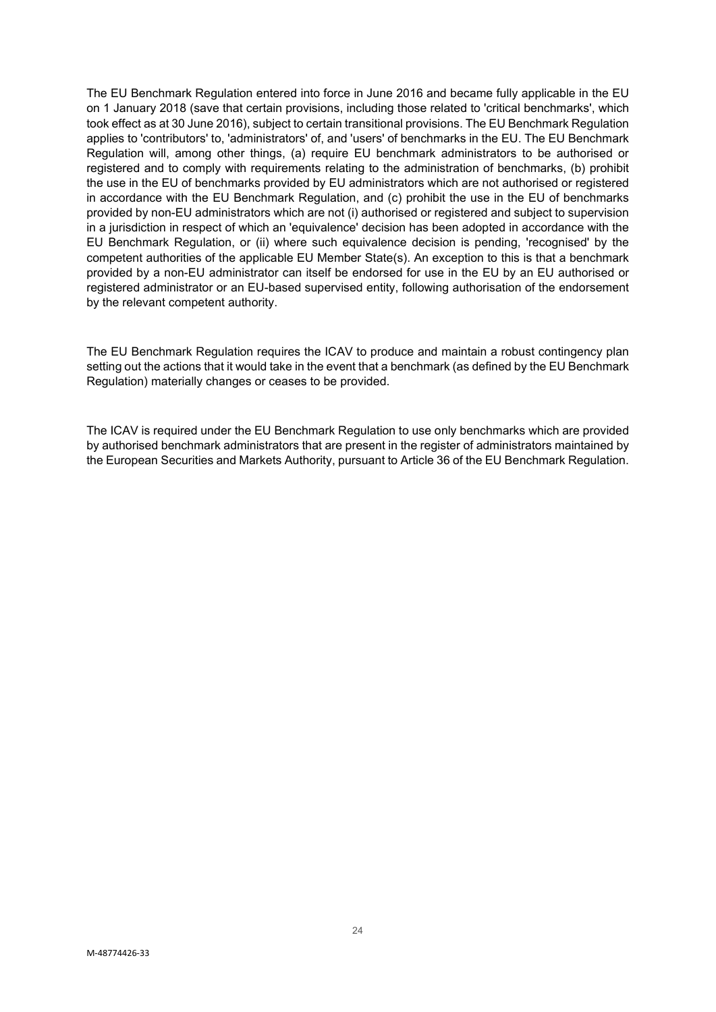The EU Benchmark Regulation entered into force in June 2016 and became fully applicable in the EU on 1 January 2018 (save that certain provisions, including those related to 'critical benchmarks', which took effect as at 30 June 2016), subject to certain transitional provisions. The EU Benchmark Regulation applies to 'contributors' to, 'administrators' of, and 'users' of benchmarks in the EU. The EU Benchmark Regulation will, among other things, (a) require EU benchmark administrators to be authorised or registered and to comply with requirements relating to the administration of benchmarks, (b) prohibit the use in the EU of benchmarks provided by EU administrators which are not authorised or registered in accordance with the EU Benchmark Regulation, and (c) prohibit the use in the EU of benchmarks provided by non-EU administrators which are not (i) authorised or registered and subject to supervision in a jurisdiction in respect of which an 'equivalence' decision has been adopted in accordance with the EU Benchmark Regulation, or (ii) where such equivalence decision is pending, 'recognised' by the competent authorities of the applicable EU Member State(s). An exception to this is that a benchmark provided by a non-EU administrator can itself be endorsed for use in the EU by an EU authorised or registered administrator or an EU-based supervised entity, following authorisation of the endorsement by the relevant competent authority.

The EU Benchmark Regulation requires the ICAV to produce and maintain a robust contingency plan setting out the actions that it would take in the event that a benchmark (as defined by the EU Benchmark Regulation) materially changes or ceases to be provided.

The ICAV is required under the EU Benchmark Regulation to use only benchmarks which are provided by authorised benchmark administrators that are present in the register of administrators maintained by the European Securities and Markets Authority, pursuant to Article 36 of the EU Benchmark Regulation.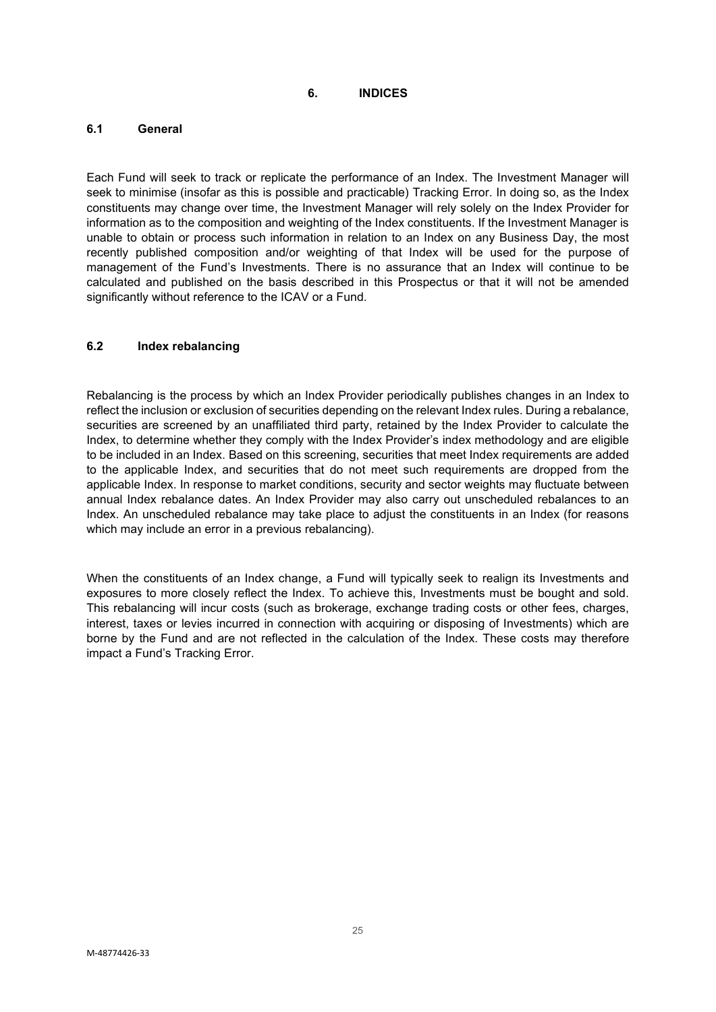**6. INDICES**

## <span id="page-24-1"></span><span id="page-24-0"></span>**6.1 General**

Each Fund will seek to track or replicate the performance of an Index. The Investment Manager will seek to minimise (insofar as this is possible and practicable) Tracking Error. In doing so, as the Index constituents may change over time, the Investment Manager will rely solely on the Index Provider for information as to the composition and weighting of the Index constituents. If the Investment Manager is unable to obtain or process such information in relation to an Index on any Business Day, the most recently published composition and/or weighting of that Index will be used for the purpose of management of the Fund's Investments. There is no assurance that an Index will continue to be calculated and published on the basis described in this Prospectus or that it will not be amended significantly without reference to the ICAV or a Fund.

## <span id="page-24-2"></span>**6.2 Index rebalancing**

Rebalancing is the process by which an Index Provider periodically publishes changes in an Index to reflect the inclusion or exclusion of securities depending on the relevant Index rules. During a rebalance, securities are screened by an unaffiliated third party, retained by the Index Provider to calculate the Index, to determine whether they comply with the Index Provider's index methodology and are eligible to be included in an Index. Based on this screening, securities that meet Index requirements are added to the applicable Index, and securities that do not meet such requirements are dropped from the applicable Index. In response to market conditions, security and sector weights may fluctuate between annual Index rebalance dates. An Index Provider may also carry out unscheduled rebalances to an Index. An unscheduled rebalance may take place to adjust the constituents in an Index (for reasons which may include an error in a previous rebalancing).

When the constituents of an Index change, a Fund will typically seek to realign its Investments and exposures to more closely reflect the Index. To achieve this, Investments must be bought and sold. This rebalancing will incur costs (such as brokerage, exchange trading costs or other fees, charges, interest, taxes or levies incurred in connection with acquiring or disposing of Investments) which are borne by the Fund and are not reflected in the calculation of the Index. These costs may therefore impact a Fund's Tracking Error.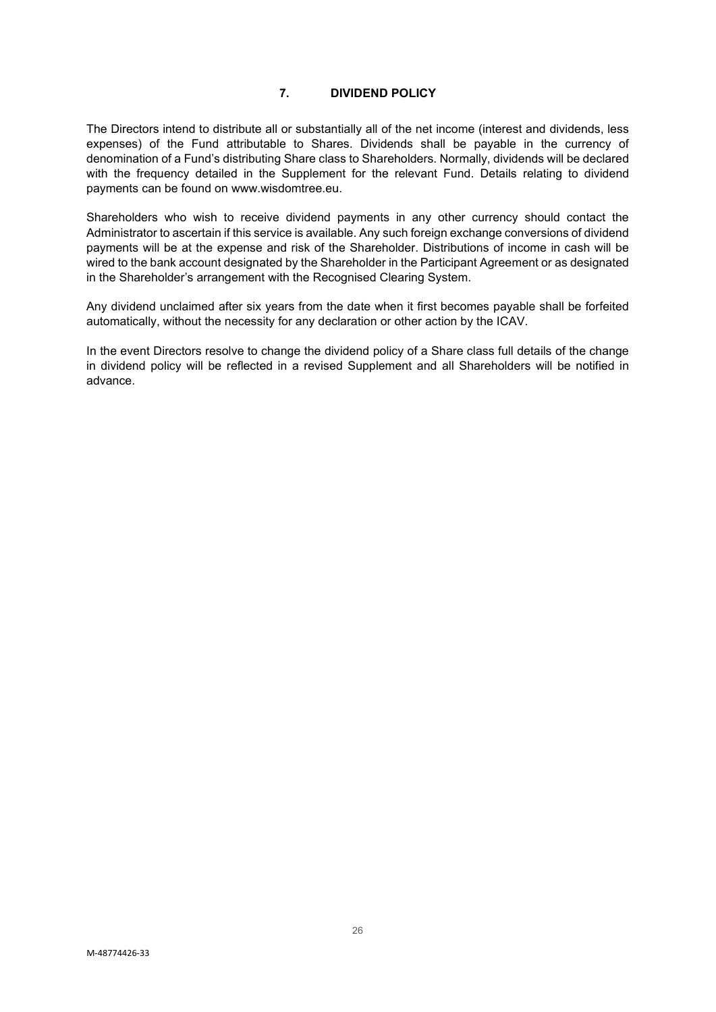# **7. DIVIDEND POLICY**

<span id="page-25-0"></span>The Directors intend to distribute all or substantially all of the net income (interest and dividends, less expenses) of the Fund attributable to Shares. Dividends shall be payable in the currency of denomination of a Fund's distributing Share class to Shareholders. Normally, dividends will be declared with the frequency detailed in the Supplement for the relevant Fund. Details relating to dividend payments can be found on www.wisdomtree.eu.

Shareholders who wish to receive dividend payments in any other currency should contact the Administrator to ascertain if this service is available. Any such foreign exchange conversions of dividend payments will be at the expense and risk of the Shareholder. Distributions of income in cash will be wired to the bank account designated by the Shareholder in the Participant Agreement or as designated in the Shareholder's arrangement with the Recognised Clearing System.

Any dividend unclaimed after six years from the date when it first becomes payable shall be forfeited automatically, without the necessity for any declaration or other action by the ICAV.

In the event Directors resolve to change the dividend policy of a Share class full details of the change in dividend policy will be reflected in a revised Supplement and all Shareholders will be notified in advance.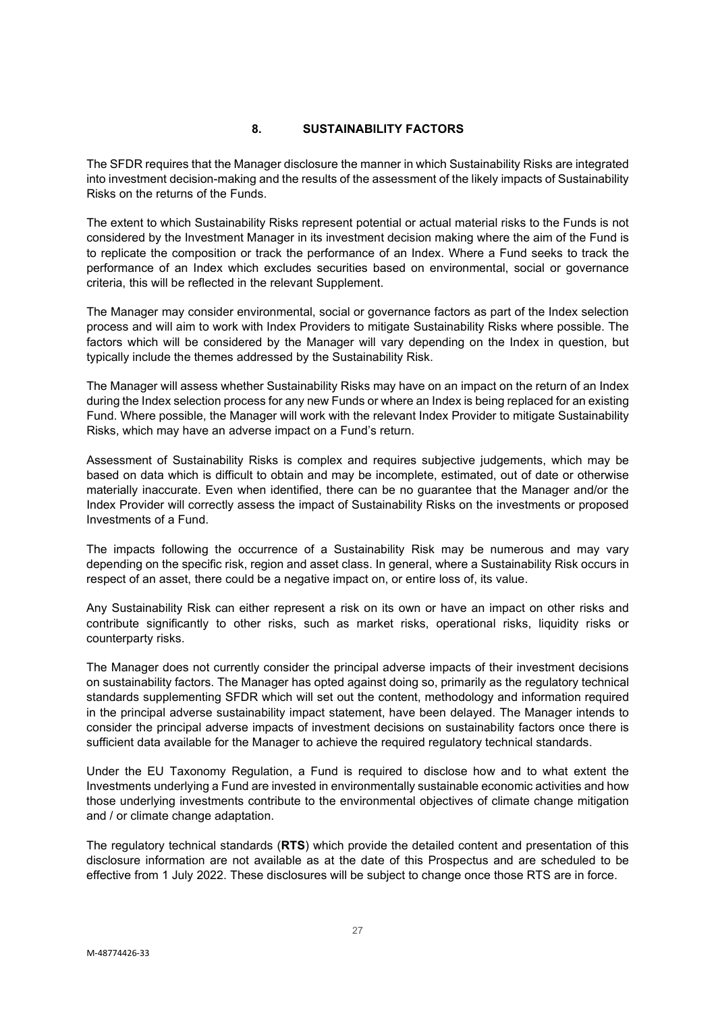## **8. SUSTAINABILITY FACTORS**

<span id="page-26-0"></span>The SFDR requires that the Manager disclosure the manner in which Sustainability Risks are integrated into investment decision-making and the results of the assessment of the likely impacts of Sustainability Risks on the returns of the Funds.

The extent to which Sustainability Risks represent potential or actual material risks to the Funds is not considered by the Investment Manager in its investment decision making where the aim of the Fund is to replicate the composition or track the performance of an Index. Where a Fund seeks to track the performance of an Index which excludes securities based on environmental, social or governance criteria, this will be reflected in the relevant Supplement.

The Manager may consider environmental, social or governance factors as part of the Index selection process and will aim to work with Index Providers to mitigate Sustainability Risks where possible. The factors which will be considered by the Manager will vary depending on the Index in question, but typically include the themes addressed by the Sustainability Risk.

The Manager will assess whether Sustainability Risks may have on an impact on the return of an Index during the Index selection process for any new Funds or where an Index is being replaced for an existing Fund. Where possible, the Manager will work with the relevant Index Provider to mitigate Sustainability Risks, which may have an adverse impact on a Fund's return.

Assessment of Sustainability Risks is complex and requires subjective judgements, which may be based on data which is difficult to obtain and may be incomplete, estimated, out of date or otherwise materially inaccurate. Even when identified, there can be no guarantee that the Manager and/or the Index Provider will correctly assess the impact of Sustainability Risks on the investments or proposed Investments of a Fund.

The impacts following the occurrence of a Sustainability Risk may be numerous and may vary depending on the specific risk, region and asset class. In general, where a Sustainability Risk occurs in respect of an asset, there could be a negative impact on, or entire loss of, its value.

Any Sustainability Risk can either represent a risk on its own or have an impact on other risks and contribute significantly to other risks, such as market risks, operational risks, liquidity risks or counterparty risks.

The Manager does not currently consider the principal adverse impacts of their investment decisions on sustainability factors. The Manager has opted against doing so, primarily as the regulatory technical standards supplementing SFDR which will set out the content, methodology and information required in the principal adverse sustainability impact statement, have been delayed. The Manager intends to consider the principal adverse impacts of investment decisions on sustainability factors once there is sufficient data available for the Manager to achieve the required regulatory technical standards.

Under the EU Taxonomy Regulation, a Fund is required to disclose how and to what extent the Investments underlying a Fund are invested in environmentally sustainable economic activities and how those underlying investments contribute to the environmental objectives of climate change mitigation and / or climate change adaptation.

The regulatory technical standards (**RTS**) which provide the detailed content and presentation of this disclosure information are not available as at the date of this Prospectus and are scheduled to be effective from 1 July 2022. These disclosures will be subject to change once those RTS are in force.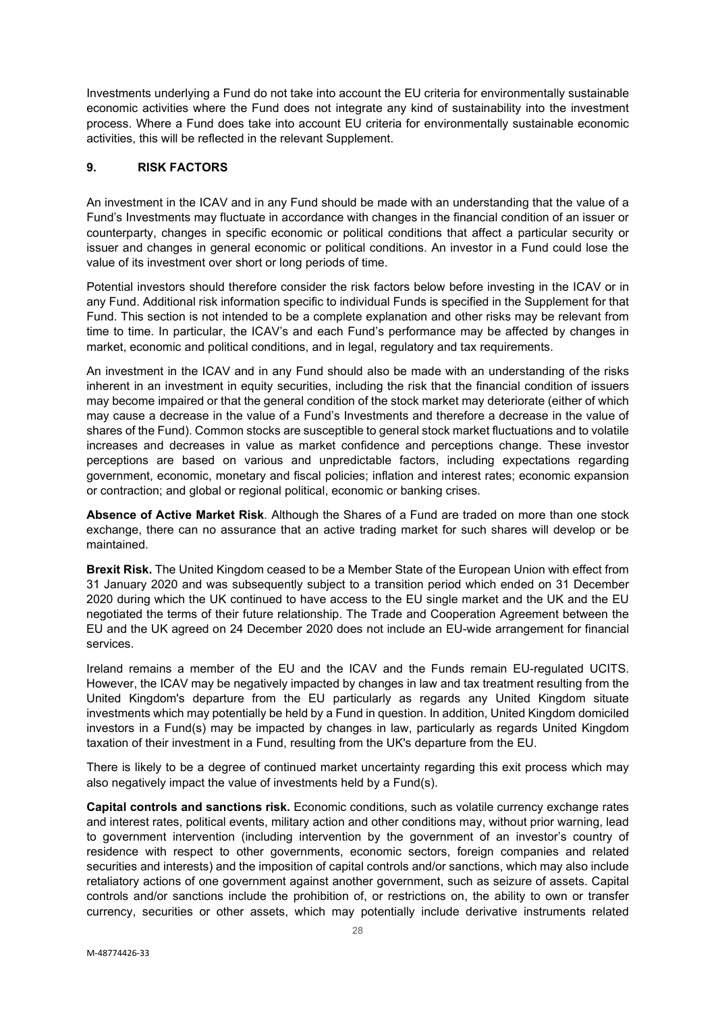Investments underlying a Fund do not take into account the EU criteria for environmentally sustainable economic activities where the Fund does not integrate any kind of sustainability into the investment process. Where a Fund does take into account EU criteria for environmentally sustainable economic activities, this will be reflected in the relevant Supplement.

# <span id="page-27-0"></span>**9. RISK FACTORS**

An investment in the ICAV and in any Fund should be made with an understanding that the value of a Fund's Investments may fluctuate in accordance with changes in the financial condition of an issuer or counterparty, changes in specific economic or political conditions that affect a particular security or issuer and changes in general economic or political conditions. An investor in a Fund could lose the value of its investment over short or long periods of time.

Potential investors should therefore consider the risk factors below before investing in the ICAV or in any Fund. Additional risk information specific to individual Funds is specified in the Supplement for that Fund. This section is not intended to be a complete explanation and other risks may be relevant from time to time. In particular, the ICAV's and each Fund's performance may be affected by changes in market, economic and political conditions, and in legal, regulatory and tax requirements.

An investment in the ICAV and in any Fund should also be made with an understanding of the risks inherent in an investment in equity securities, including the risk that the financial condition of issuers may become impaired or that the general condition of the stock market may deteriorate (either of which may cause a decrease in the value of a Fund's Investments and therefore a decrease in the value of shares of the Fund). Common stocks are susceptible to general stock market fluctuations and to volatile increases and decreases in value as market confidence and perceptions change. These investor perceptions are based on various and unpredictable factors, including expectations regarding government, economic, monetary and fiscal policies; inflation and interest rates; economic expansion or contraction; and global or regional political, economic or banking crises.

**Absence of Active Market Risk**. Although the Shares of a Fund are traded on more than one stock exchange, there can no assurance that an active trading market for such shares will develop or be maintained.

**Brexit Risk.** The United Kingdom ceased to be a Member State of the European Union with effect from 31 January 2020 and was subsequently subject to a transition period which ended on 31 December 2020 during which the UK continued to have access to the EU single market and the UK and the EU negotiated the terms of their future relationship. The Trade and Cooperation Agreement between the EU and the UK agreed on 24 December 2020 does not include an EU-wide arrangement for financial services.

Ireland remains a member of the EU and the ICAV and the Funds remain EU-regulated UCITS. However, the ICAV may be negatively impacted by changes in law and tax treatment resulting from the United Kingdom's departure from the EU particularly as regards any United Kingdom situate investments which may potentially be held by a Fund in question. In addition, United Kingdom domiciled investors in a Fund(s) may be impacted by changes in law, particularly as regards United Kingdom taxation of their investment in a Fund, resulting from the UK's departure from the EU.

There is likely to be a degree of continued market uncertainty regarding this exit process which may also negatively impact the value of investments held by a Fund(s).

**Capital controls and sanctions risk.** Economic conditions, such as volatile currency exchange rates and interest rates, political events, military action and other conditions may, without prior warning, lead to government intervention (including intervention by the government of an investor's country of residence with respect to other governments, economic sectors, foreign companies and related securities and interests) and the imposition of capital controls and/or sanctions, which may also include retaliatory actions of one government against another government, such as seizure of assets. Capital controls and/or sanctions include the prohibition of, or restrictions on, the ability to own or transfer currency, securities or other assets, which may potentially include derivative instruments related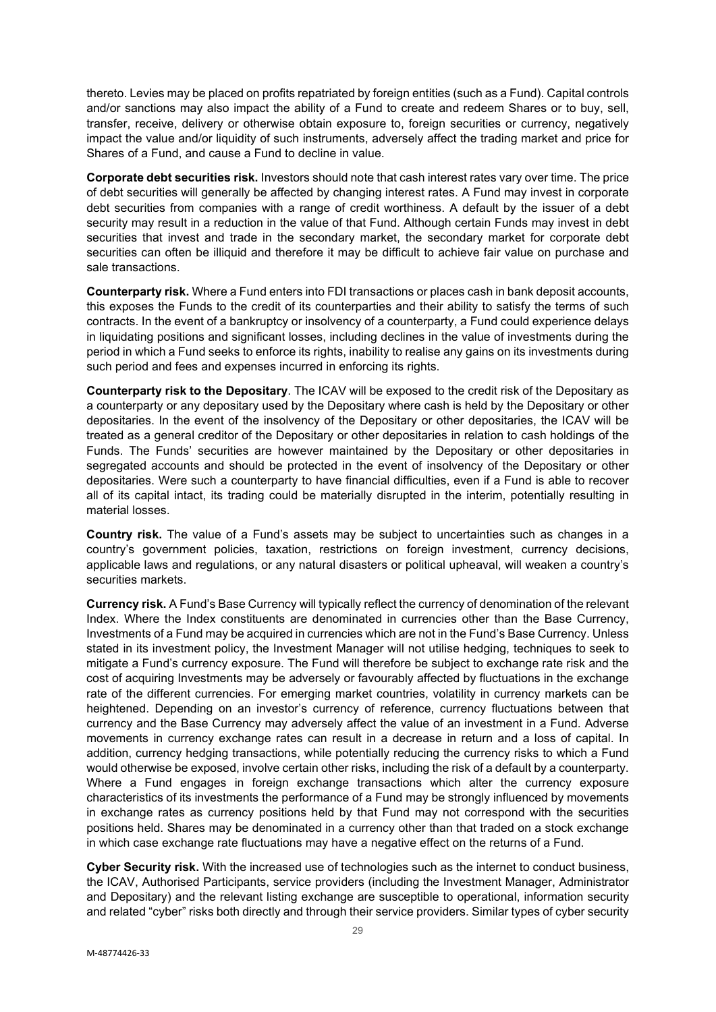thereto. Levies may be placed on profits repatriated by foreign entities (such as a Fund). Capital controls and/or sanctions may also impact the ability of a Fund to create and redeem Shares or to buy, sell, transfer, receive, delivery or otherwise obtain exposure to, foreign securities or currency, negatively impact the value and/or liquidity of such instruments, adversely affect the trading market and price for Shares of a Fund, and cause a Fund to decline in value.

**Corporate debt securities risk.** Investors should note that cash interest rates vary over time. The price of debt securities will generally be affected by changing interest rates. A Fund may invest in corporate debt securities from companies with a range of credit worthiness. A default by the issuer of a debt security may result in a reduction in the value of that Fund. Although certain Funds may invest in debt securities that invest and trade in the secondary market, the secondary market for corporate debt securities can often be illiquid and therefore it may be difficult to achieve fair value on purchase and sale transactions.

**Counterparty risk.** Where a Fund enters into FDI transactions or places cash in bank deposit accounts, this exposes the Funds to the credit of its counterparties and their ability to satisfy the terms of such contracts. In the event of a bankruptcy or insolvency of a counterparty, a Fund could experience delays in liquidating positions and significant losses, including declines in the value of investments during the period in which a Fund seeks to enforce its rights, inability to realise any gains on its investments during such period and fees and expenses incurred in enforcing its rights.

**Counterparty risk to the Depositary**. The ICAV will be exposed to the credit risk of the Depositary as a counterparty or any depositary used by the Depositary where cash is held by the Depositary or other depositaries. In the event of the insolvency of the Depositary or other depositaries, the ICAV will be treated as a general creditor of the Depositary or other depositaries in relation to cash holdings of the Funds. The Funds' securities are however maintained by the Depositary or other depositaries in segregated accounts and should be protected in the event of insolvency of the Depositary or other depositaries. Were such a counterparty to have financial difficulties, even if a Fund is able to recover all of its capital intact, its trading could be materially disrupted in the interim, potentially resulting in material losses.

**Country risk.** The value of a Fund's assets may be subject to uncertainties such as changes in a country's government policies, taxation, restrictions on foreign investment, currency decisions, applicable laws and regulations, or any natural disasters or political upheaval, will weaken a country's securities markets.

**Currency risk.** A Fund's Base Currency will typically reflect the currency of denomination of the relevant Index. Where the Index constituents are denominated in currencies other than the Base Currency, Investments of a Fund may be acquired in currencies which are not in the Fund's Base Currency. Unless stated in its investment policy, the Investment Manager will not utilise hedging, techniques to seek to mitigate a Fund's currency exposure. The Fund will therefore be subject to exchange rate risk and the cost of acquiring Investments may be adversely or favourably affected by fluctuations in the exchange rate of the different currencies. For emerging market countries, volatility in currency markets can be heightened. Depending on an investor's currency of reference, currency fluctuations between that currency and the Base Currency may adversely affect the value of an investment in a Fund. Adverse movements in currency exchange rates can result in a decrease in return and a loss of capital. In addition, currency hedging transactions, while potentially reducing the currency risks to which a Fund would otherwise be exposed, involve certain other risks, including the risk of a default by a counterparty. Where a Fund engages in foreign exchange transactions which alter the currency exposure characteristics of its investments the performance of a Fund may be strongly influenced by movements in exchange rates as currency positions held by that Fund may not correspond with the securities positions held. Shares may be denominated in a currency other than that traded on a stock exchange in which case exchange rate fluctuations may have a negative effect on the returns of a Fund.

**Cyber Security risk.** With the increased use of technologies such as the internet to conduct business, the ICAV, Authorised Participants, service providers (including the Investment Manager, Administrator and Depositary) and the relevant listing exchange are susceptible to operational, information security and related "cyber" risks both directly and through their service providers. Similar types of cyber security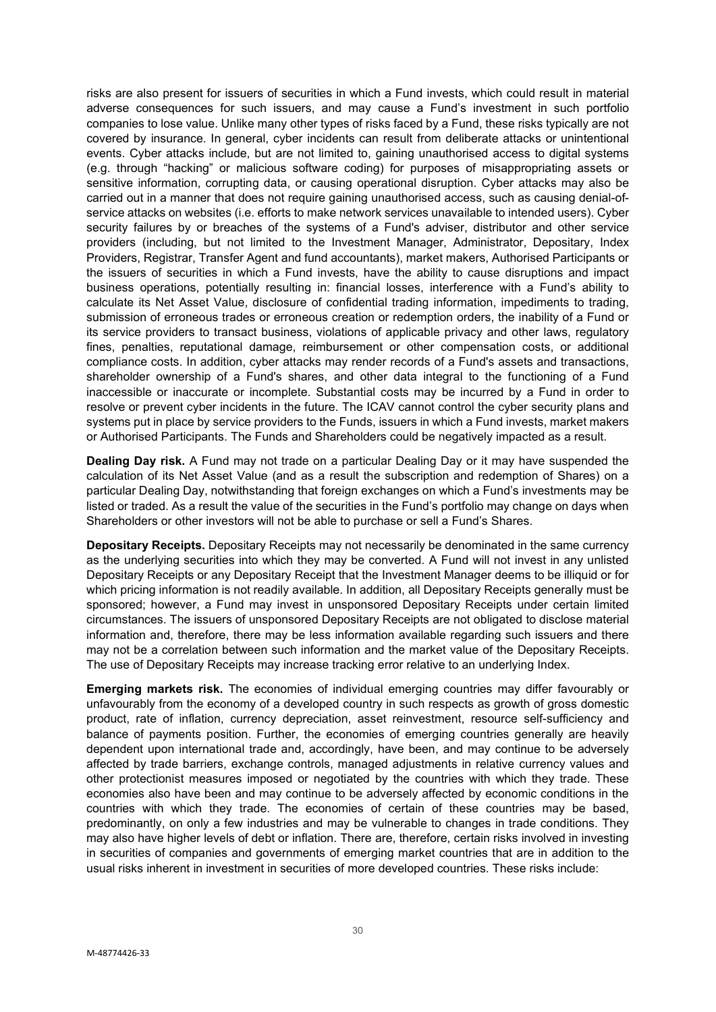risks are also present for issuers of securities in which a Fund invests, which could result in material adverse consequences for such issuers, and may cause a Fund's investment in such portfolio companies to lose value. Unlike many other types of risks faced by a Fund, these risks typically are not covered by insurance. In general, cyber incidents can result from deliberate attacks or unintentional events. Cyber attacks include, but are not limited to, gaining unauthorised access to digital systems (e.g. through "hacking" or malicious software coding) for purposes of misappropriating assets or sensitive information, corrupting data, or causing operational disruption. Cyber attacks may also be carried out in a manner that does not require gaining unauthorised access, such as causing denial-ofservice attacks on websites (i.e. efforts to make network services unavailable to intended users). Cyber security failures by or breaches of the systems of a Fund's adviser, distributor and other service providers (including, but not limited to the Investment Manager, Administrator, Depositary, Index Providers, Registrar, Transfer Agent and fund accountants), market makers, Authorised Participants or the issuers of securities in which a Fund invests, have the ability to cause disruptions and impact business operations, potentially resulting in: financial losses, interference with a Fund's ability to calculate its Net Asset Value, disclosure of confidential trading information, impediments to trading, submission of erroneous trades or erroneous creation or redemption orders, the inability of a Fund or its service providers to transact business, violations of applicable privacy and other laws, regulatory fines, penalties, reputational damage, reimbursement or other compensation costs, or additional compliance costs. In addition, cyber attacks may render records of a Fund's assets and transactions, shareholder ownership of a Fund's shares, and other data integral to the functioning of a Fund inaccessible or inaccurate or incomplete. Substantial costs may be incurred by a Fund in order to resolve or prevent cyber incidents in the future. The ICAV cannot control the cyber security plans and systems put in place by service providers to the Funds, issuers in which a Fund invests, market makers or Authorised Participants. The Funds and Shareholders could be negatively impacted as a result.

**Dealing Day risk.** A Fund may not trade on a particular Dealing Day or it may have suspended the calculation of its Net Asset Value (and as a result the subscription and redemption of Shares) on a particular Dealing Day, notwithstanding that foreign exchanges on which a Fund's investments may be listed or traded. As a result the value of the securities in the Fund's portfolio may change on days when Shareholders or other investors will not be able to purchase or sell a Fund's Shares.

**Depositary Receipts.** Depositary Receipts may not necessarily be denominated in the same currency as the underlying securities into which they may be converted. A Fund will not invest in any unlisted Depositary Receipts or any Depositary Receipt that the Investment Manager deems to be illiquid or for which pricing information is not readily available. In addition, all Depositary Receipts generally must be sponsored; however, a Fund may invest in unsponsored Depositary Receipts under certain limited circumstances. The issuers of unsponsored Depositary Receipts are not obligated to disclose material information and, therefore, there may be less information available regarding such issuers and there may not be a correlation between such information and the market value of the Depositary Receipts. The use of Depositary Receipts may increase tracking error relative to an underlying Index.

**Emerging markets risk.** The economies of individual emerging countries may differ favourably or unfavourably from the economy of a developed country in such respects as growth of gross domestic product, rate of inflation, currency depreciation, asset reinvestment, resource self-sufficiency and balance of payments position. Further, the economies of emerging countries generally are heavily dependent upon international trade and, accordingly, have been, and may continue to be adversely affected by trade barriers, exchange controls, managed adjustments in relative currency values and other protectionist measures imposed or negotiated by the countries with which they trade. These economies also have been and may continue to be adversely affected by economic conditions in the countries with which they trade. The economies of certain of these countries may be based, predominantly, on only a few industries and may be vulnerable to changes in trade conditions. They may also have higher levels of debt or inflation. There are, therefore, certain risks involved in investing in securities of companies and governments of emerging market countries that are in addition to the usual risks inherent in investment in securities of more developed countries. These risks include: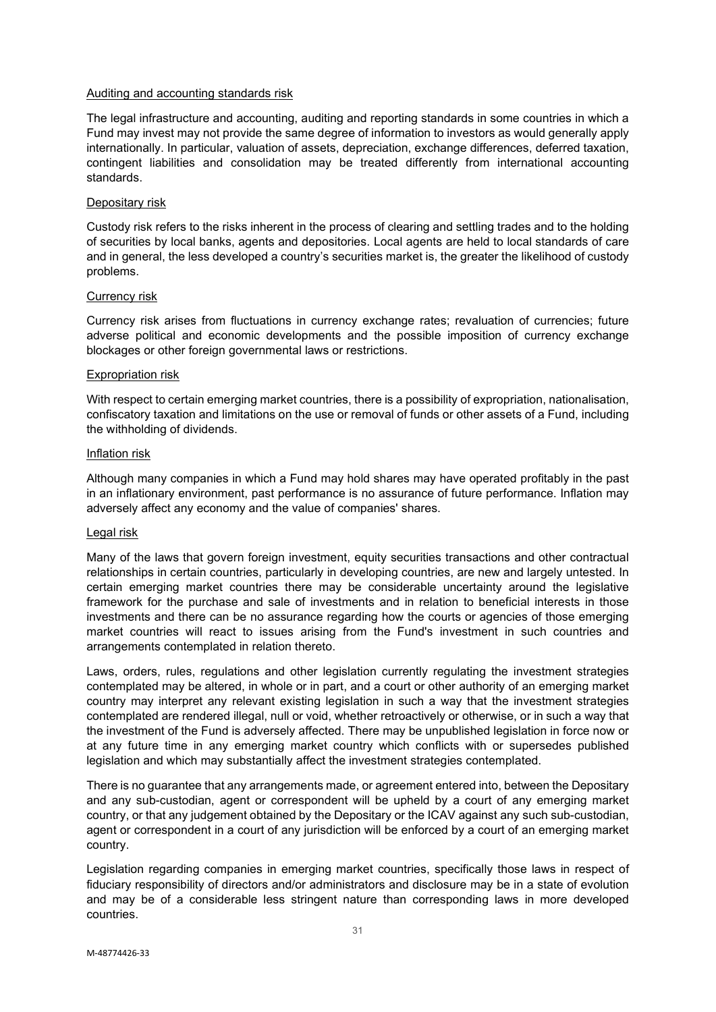#### Auditing and accounting standards risk

The legal infrastructure and accounting, auditing and reporting standards in some countries in which a Fund may invest may not provide the same degree of information to investors as would generally apply internationally. In particular, valuation of assets, depreciation, exchange differences, deferred taxation, contingent liabilities and consolidation may be treated differently from international accounting standards.

#### Depositary risk

Custody risk refers to the risks inherent in the process of clearing and settling trades and to the holding of securities by local banks, agents and depositories. Local agents are held to local standards of care and in general, the less developed a country's securities market is, the greater the likelihood of custody problems.

#### Currency risk

Currency risk arises from fluctuations in currency exchange rates; revaluation of currencies; future adverse political and economic developments and the possible imposition of currency exchange blockages or other foreign governmental laws or restrictions.

#### Expropriation risk

With respect to certain emerging market countries, there is a possibility of expropriation, nationalisation, confiscatory taxation and limitations on the use or removal of funds or other assets of a Fund, including the withholding of dividends.

#### Inflation risk

Although many companies in which a Fund may hold shares may have operated profitably in the past in an inflationary environment, past performance is no assurance of future performance. Inflation may adversely affect any economy and the value of companies' shares.

#### Legal risk

Many of the laws that govern foreign investment, equity securities transactions and other contractual relationships in certain countries, particularly in developing countries, are new and largely untested. In certain emerging market countries there may be considerable uncertainty around the legislative framework for the purchase and sale of investments and in relation to beneficial interests in those investments and there can be no assurance regarding how the courts or agencies of those emerging market countries will react to issues arising from the Fund's investment in such countries and arrangements contemplated in relation thereto.

Laws, orders, rules, regulations and other legislation currently regulating the investment strategies contemplated may be altered, in whole or in part, and a court or other authority of an emerging market country may interpret any relevant existing legislation in such a way that the investment strategies contemplated are rendered illegal, null or void, whether retroactively or otherwise, or in such a way that the investment of the Fund is adversely affected. There may be unpublished legislation in force now or at any future time in any emerging market country which conflicts with or supersedes published legislation and which may substantially affect the investment strategies contemplated.

There is no guarantee that any arrangements made, or agreement entered into, between the Depositary and any sub-custodian, agent or correspondent will be upheld by a court of any emerging market country, or that any judgement obtained by the Depositary or the ICAV against any such sub-custodian, agent or correspondent in a court of any jurisdiction will be enforced by a court of an emerging market country.

Legislation regarding companies in emerging market countries, specifically those laws in respect of fiduciary responsibility of directors and/or administrators and disclosure may be in a state of evolution and may be of a considerable less stringent nature than corresponding laws in more developed countries.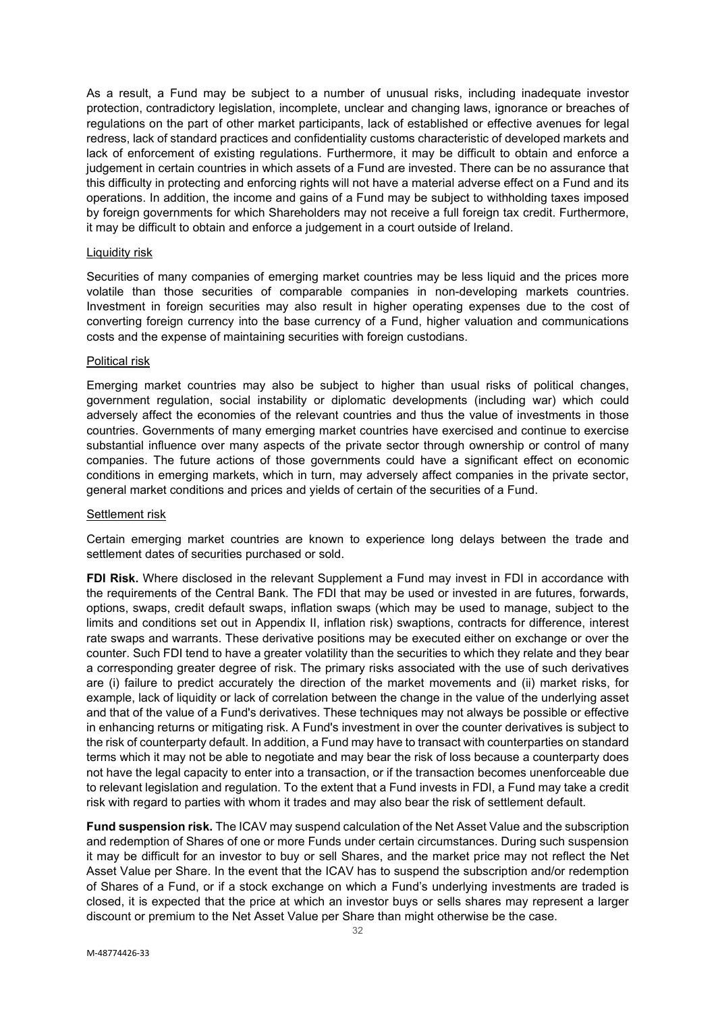As a result, a Fund may be subject to a number of unusual risks, including inadequate investor protection, contradictory legislation, incomplete, unclear and changing laws, ignorance or breaches of regulations on the part of other market participants, lack of established or effective avenues for legal redress, lack of standard practices and confidentiality customs characteristic of developed markets and lack of enforcement of existing regulations. Furthermore, it may be difficult to obtain and enforce a judgement in certain countries in which assets of a Fund are invested. There can be no assurance that this difficulty in protecting and enforcing rights will not have a material adverse effect on a Fund and its operations. In addition, the income and gains of a Fund may be subject to withholding taxes imposed by foreign governments for which Shareholders may not receive a full foreign tax credit. Furthermore, it may be difficult to obtain and enforce a judgement in a court outside of Ireland.

#### Liquidity risk

Securities of many companies of emerging market countries may be less liquid and the prices more volatile than those securities of comparable companies in non-developing markets countries. Investment in foreign securities may also result in higher operating expenses due to the cost of converting foreign currency into the base currency of a Fund, higher valuation and communications costs and the expense of maintaining securities with foreign custodians.

#### Political risk

Emerging market countries may also be subject to higher than usual risks of political changes, government regulation, social instability or diplomatic developments (including war) which could adversely affect the economies of the relevant countries and thus the value of investments in those countries. Governments of many emerging market countries have exercised and continue to exercise substantial influence over many aspects of the private sector through ownership or control of many companies. The future actions of those governments could have a significant effect on economic conditions in emerging markets, which in turn, may adversely affect companies in the private sector, general market conditions and prices and yields of certain of the securities of a Fund.

#### Settlement risk

Certain emerging market countries are known to experience long delays between the trade and settlement dates of securities purchased or sold.

**FDI Risk.** Where disclosed in the relevant Supplement a Fund may invest in FDI in accordance with the requirements of the Central Bank. The FDI that may be used or invested in are futures, forwards, options, swaps, credit default swaps, inflation swaps (which may be used to manage, subject to the limits and conditions set out in Appendix II, inflation risk) swaptions, contracts for difference, interest rate swaps and warrants. These derivative positions may be executed either on exchange or over the counter. Such FDI tend to have a greater volatility than the securities to which they relate and they bear a corresponding greater degree of risk. The primary risks associated with the use of such derivatives are (i) failure to predict accurately the direction of the market movements and (ii) market risks, for example, lack of liquidity or lack of correlation between the change in the value of the underlying asset and that of the value of a Fund's derivatives. These techniques may not always be possible or effective in enhancing returns or mitigating risk. A Fund's investment in over the counter derivatives is subject to the risk of counterparty default. In addition, a Fund may have to transact with counterparties on standard terms which it may not be able to negotiate and may bear the risk of loss because a counterparty does not have the legal capacity to enter into a transaction, or if the transaction becomes unenforceable due to relevant legislation and regulation. To the extent that a Fund invests in FDI, a Fund may take a credit risk with regard to parties with whom it trades and may also bear the risk of settlement default.

**Fund suspension risk.** The ICAV may suspend calculation of the Net Asset Value and the subscription and redemption of Shares of one or more Funds under certain circumstances. During such suspension it may be difficult for an investor to buy or sell Shares, and the market price may not reflect the Net Asset Value per Share. In the event that the ICAV has to suspend the subscription and/or redemption of Shares of a Fund, or if a stock exchange on which a Fund's underlying investments are traded is closed, it is expected that the price at which an investor buys or sells shares may represent a larger discount or premium to the Net Asset Value per Share than might otherwise be the case.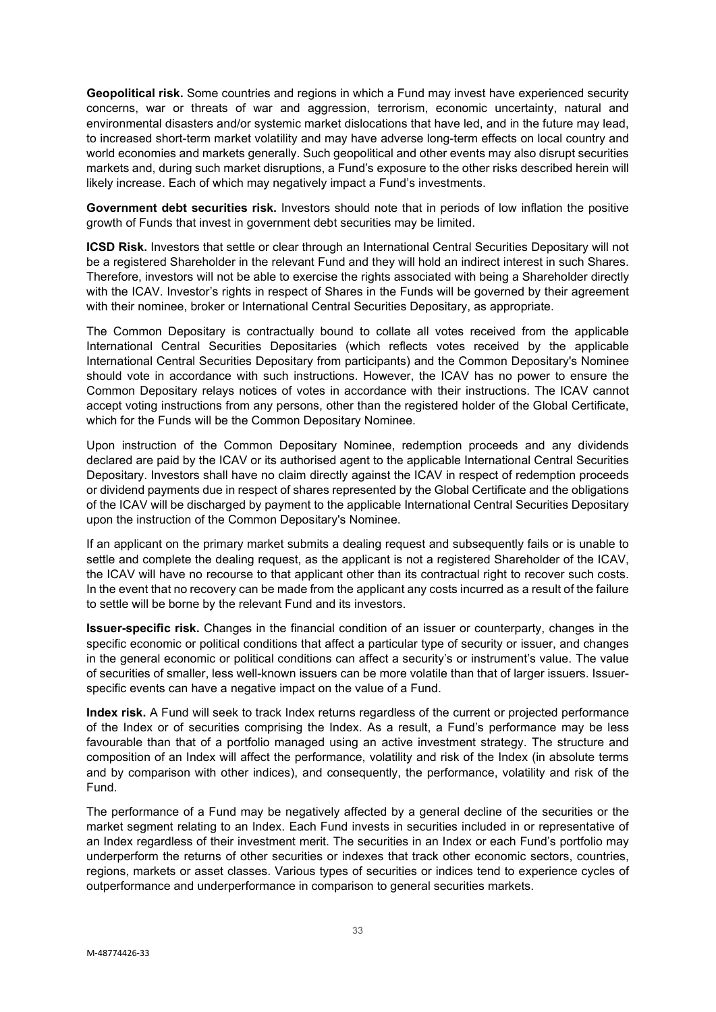**Geopolitical risk.** Some countries and regions in which a Fund may invest have experienced security concerns, war or threats of war and aggression, terrorism, economic uncertainty, natural and environmental disasters and/or systemic market dislocations that have led, and in the future may lead, to increased short-term market volatility and may have adverse long-term effects on local country and world economies and markets generally. Such geopolitical and other events may also disrupt securities markets and, during such market disruptions, a Fund's exposure to the other risks described herein will likely increase. Each of which may negatively impact a Fund's investments.

**Government debt securities risk.** Investors should note that in periods of low inflation the positive growth of Funds that invest in government debt securities may be limited.

**ICSD Risk.** Investors that settle or clear through an International Central Securities Depositary will not be a registered Shareholder in the relevant Fund and they will hold an indirect interest in such Shares. Therefore, investors will not be able to exercise the rights associated with being a Shareholder directly with the ICAV. Investor's rights in respect of Shares in the Funds will be governed by their agreement with their nominee, broker or International Central Securities Depositary, as appropriate.

The Common Depositary is contractually bound to collate all votes received from the applicable International Central Securities Depositaries (which reflects votes received by the applicable International Central Securities Depositary from participants) and the Common Depositary's Nominee should vote in accordance with such instructions. However, the ICAV has no power to ensure the Common Depositary relays notices of votes in accordance with their instructions. The ICAV cannot accept voting instructions from any persons, other than the registered holder of the Global Certificate, which for the Funds will be the Common Depositary Nominee.

Upon instruction of the Common Depositary Nominee, redemption proceeds and any dividends declared are paid by the ICAV or its authorised agent to the applicable International Central Securities Depositary. Investors shall have no claim directly against the ICAV in respect of redemption proceeds or dividend payments due in respect of shares represented by the Global Certificate and the obligations of the ICAV will be discharged by payment to the applicable International Central Securities Depositary upon the instruction of the Common Depositary's Nominee.

If an applicant on the primary market submits a dealing request and subsequently fails or is unable to settle and complete the dealing request, as the applicant is not a registered Shareholder of the ICAV, the ICAV will have no recourse to that applicant other than its contractual right to recover such costs. In the event that no recovery can be made from the applicant any costs incurred as a result of the failure to settle will be borne by the relevant Fund and its investors.

**Issuer-specific risk.** Changes in the financial condition of an issuer or counterparty, changes in the specific economic or political conditions that affect a particular type of security or issuer, and changes in the general economic or political conditions can affect a security's or instrument's value. The value of securities of smaller, less well-known issuers can be more volatile than that of larger issuers. Issuerspecific events can have a negative impact on the value of a Fund.

**Index risk.** A Fund will seek to track Index returns regardless of the current or projected performance of the Index or of securities comprising the Index. As a result, a Fund's performance may be less favourable than that of a portfolio managed using an active investment strategy. The structure and composition of an Index will affect the performance, volatility and risk of the Index (in absolute terms and by comparison with other indices), and consequently, the performance, volatility and risk of the Fund.

The performance of a Fund may be negatively affected by a general decline of the securities or the market segment relating to an Index. Each Fund invests in securities included in or representative of an Index regardless of their investment merit. The securities in an Index or each Fund's portfolio may underperform the returns of other securities or indexes that track other economic sectors, countries, regions, markets or asset classes. Various types of securities or indices tend to experience cycles of outperformance and underperformance in comparison to general securities markets.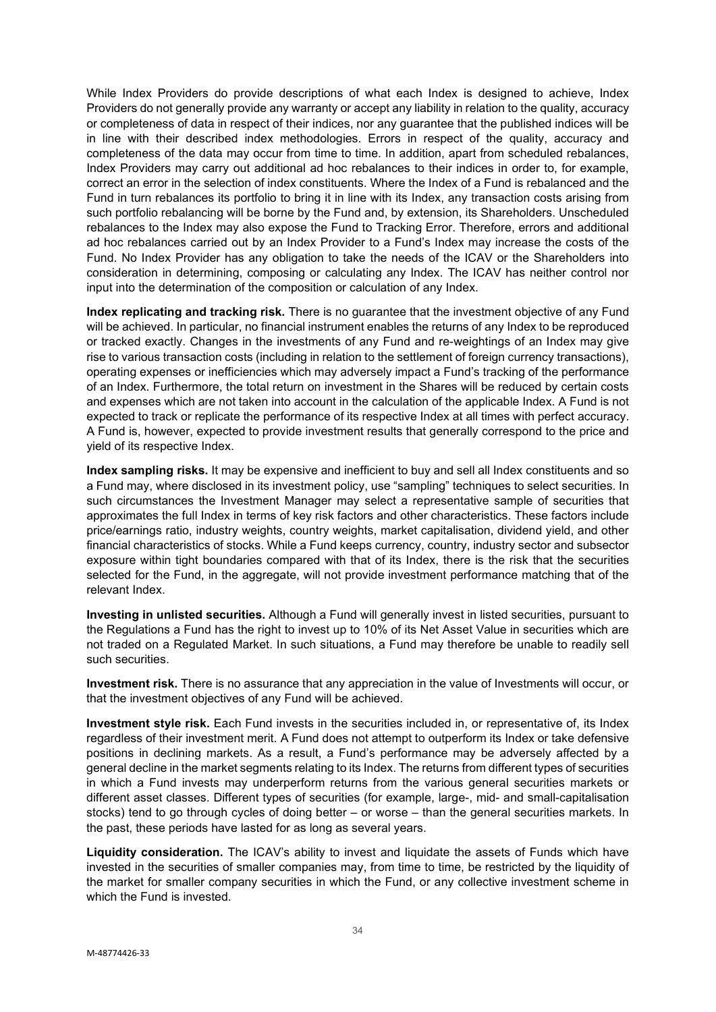While Index Providers do provide descriptions of what each Index is designed to achieve, Index Providers do not generally provide any warranty or accept any liability in relation to the quality, accuracy or completeness of data in respect of their indices, nor any guarantee that the published indices will be in line with their described index methodologies. Errors in respect of the quality, accuracy and completeness of the data may occur from time to time. In addition, apart from scheduled rebalances, Index Providers may carry out additional ad hoc rebalances to their indices in order to, for example, correct an error in the selection of index constituents. Where the Index of a Fund is rebalanced and the Fund in turn rebalances its portfolio to bring it in line with its Index, any transaction costs arising from such portfolio rebalancing will be borne by the Fund and, by extension, its Shareholders. Unscheduled rebalances to the Index may also expose the Fund to Tracking Error. Therefore, errors and additional ad hoc rebalances carried out by an Index Provider to a Fund's Index may increase the costs of the Fund. No Index Provider has any obligation to take the needs of the ICAV or the Shareholders into consideration in determining, composing or calculating any Index. The ICAV has neither control nor input into the determination of the composition or calculation of any Index.

**Index replicating and tracking risk.** There is no guarantee that the investment objective of any Fund will be achieved. In particular, no financial instrument enables the returns of any Index to be reproduced or tracked exactly. Changes in the investments of any Fund and re-weightings of an Index may give rise to various transaction costs (including in relation to the settlement of foreign currency transactions), operating expenses or inefficiencies which may adversely impact a Fund's tracking of the performance of an Index. Furthermore, the total return on investment in the Shares will be reduced by certain costs and expenses which are not taken into account in the calculation of the applicable Index. A Fund is not expected to track or replicate the performance of its respective Index at all times with perfect accuracy. A Fund is, however, expected to provide investment results that generally correspond to the price and yield of its respective Index.

**Index sampling risks.** It may be expensive and inefficient to buy and sell all Index constituents and so a Fund may, where disclosed in its investment policy, use "sampling" techniques to select securities. In such circumstances the Investment Manager may select a representative sample of securities that approximates the full Index in terms of key risk factors and other characteristics. These factors include price/earnings ratio, industry weights, country weights, market capitalisation, dividend yield, and other financial characteristics of stocks. While a Fund keeps currency, country, industry sector and subsector exposure within tight boundaries compared with that of its Index, there is the risk that the securities selected for the Fund, in the aggregate, will not provide investment performance matching that of the relevant Index.

**Investing in unlisted securities.** Although a Fund will generally invest in listed securities, pursuant to the Regulations a Fund has the right to invest up to 10% of its Net Asset Value in securities which are not traded on a Regulated Market. In such situations, a Fund may therefore be unable to readily sell such securities.

**Investment risk.** There is no assurance that any appreciation in the value of Investments will occur, or that the investment objectives of any Fund will be achieved.

**Investment style risk.** Each Fund invests in the securities included in, or representative of, its Index regardless of their investment merit. A Fund does not attempt to outperform its Index or take defensive positions in declining markets. As a result, a Fund's performance may be adversely affected by a general decline in the market segments relating to its Index. The returns from different types of securities in which a Fund invests may underperform returns from the various general securities markets or different asset classes. Different types of securities (for example, large-, mid- and small-capitalisation stocks) tend to go through cycles of doing better – or worse – than the general securities markets. In the past, these periods have lasted for as long as several years.

**Liquidity consideration.** The ICAV's ability to invest and liquidate the assets of Funds which have invested in the securities of smaller companies may, from time to time, be restricted by the liquidity of the market for smaller company securities in which the Fund, or any collective investment scheme in which the Fund is invested.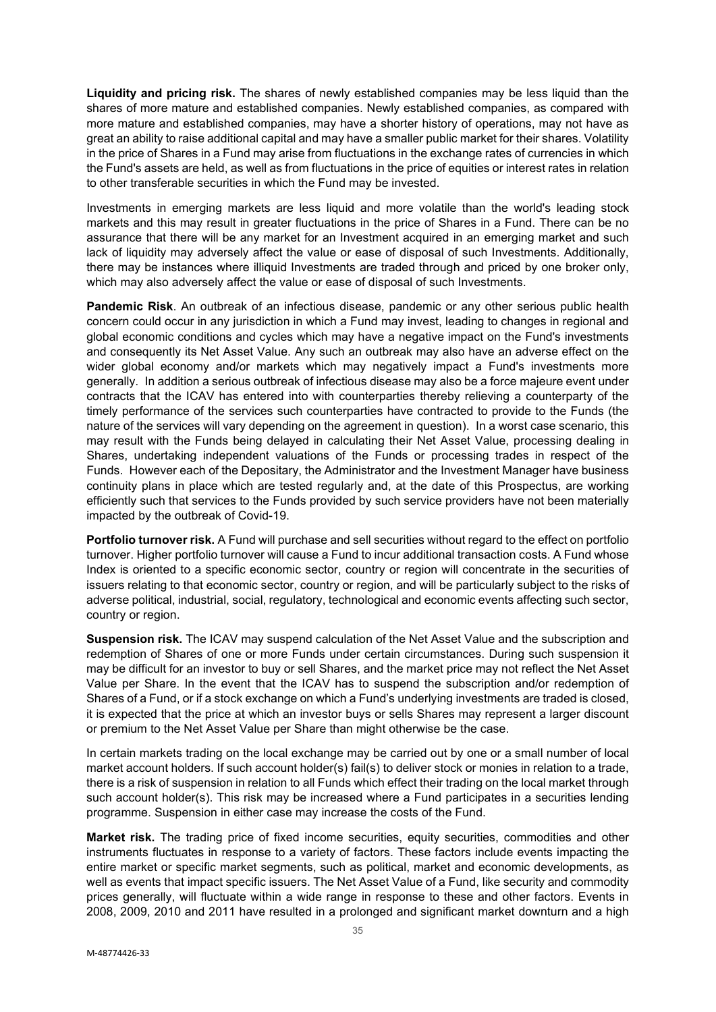**Liquidity and pricing risk.** The shares of newly established companies may be less liquid than the shares of more mature and established companies. Newly established companies, as compared with more mature and established companies, may have a shorter history of operations, may not have as great an ability to raise additional capital and may have a smaller public market for their shares. Volatility in the price of Shares in a Fund may arise from fluctuations in the exchange rates of currencies in which the Fund's assets are held, as well as from fluctuations in the price of equities or interest rates in relation to other transferable securities in which the Fund may be invested.

Investments in emerging markets are less liquid and more volatile than the world's leading stock markets and this may result in greater fluctuations in the price of Shares in a Fund. There can be no assurance that there will be any market for an Investment acquired in an emerging market and such lack of liquidity may adversely affect the value or ease of disposal of such Investments. Additionally, there may be instances where illiquid Investments are traded through and priced by one broker only, which may also adversely affect the value or ease of disposal of such Investments.

**Pandemic Risk**. An outbreak of an infectious disease, pandemic or any other serious public health concern could occur in any jurisdiction in which a Fund may invest, leading to changes in regional and global economic conditions and cycles which may have a negative impact on the Fund's investments and consequently its Net Asset Value. Any such an outbreak may also have an adverse effect on the wider global economy and/or markets which may negatively impact a Fund's investments more generally. In addition a serious outbreak of infectious disease may also be a force majeure event under contracts that the ICAV has entered into with counterparties thereby relieving a counterparty of the timely performance of the services such counterparties have contracted to provide to the Funds (the nature of the services will vary depending on the agreement in question). In a worst case scenario, this may result with the Funds being delayed in calculating their Net Asset Value, processing dealing in Shares, undertaking independent valuations of the Funds or processing trades in respect of the Funds. However each of the Depositary, the Administrator and the Investment Manager have business continuity plans in place which are tested regularly and, at the date of this Prospectus, are working efficiently such that services to the Funds provided by such service providers have not been materially impacted by the outbreak of Covid-19.

**Portfolio turnover risk.** A Fund will purchase and sell securities without regard to the effect on portfolio turnover. Higher portfolio turnover will cause a Fund to incur additional transaction costs. A Fund whose Index is oriented to a specific economic sector, country or region will concentrate in the securities of issuers relating to that economic sector, country or region, and will be particularly subject to the risks of adverse political, industrial, social, regulatory, technological and economic events affecting such sector, country or region.

**Suspension risk.** The ICAV may suspend calculation of the Net Asset Value and the subscription and redemption of Shares of one or more Funds under certain circumstances. During such suspension it may be difficult for an investor to buy or sell Shares, and the market price may not reflect the Net Asset Value per Share. In the event that the ICAV has to suspend the subscription and/or redemption of Shares of a Fund, or if a stock exchange on which a Fund's underlying investments are traded is closed, it is expected that the price at which an investor buys or sells Shares may represent a larger discount or premium to the Net Asset Value per Share than might otherwise be the case.

In certain markets trading on the local exchange may be carried out by one or a small number of local market account holders. If such account holder(s) fail(s) to deliver stock or monies in relation to a trade, there is a risk of suspension in relation to all Funds which effect their trading on the local market through such account holder(s). This risk may be increased where a Fund participates in a securities lending programme. Suspension in either case may increase the costs of the Fund.

**Market risk.** The trading price of fixed income securities, equity securities, commodities and other instruments fluctuates in response to a variety of factors. These factors include events impacting the entire market or specific market segments, such as political, market and economic developments, as well as events that impact specific issuers. The Net Asset Value of a Fund, like security and commodity prices generally, will fluctuate within a wide range in response to these and other factors. Events in 2008, 2009, 2010 and 2011 have resulted in a prolonged and significant market downturn and a high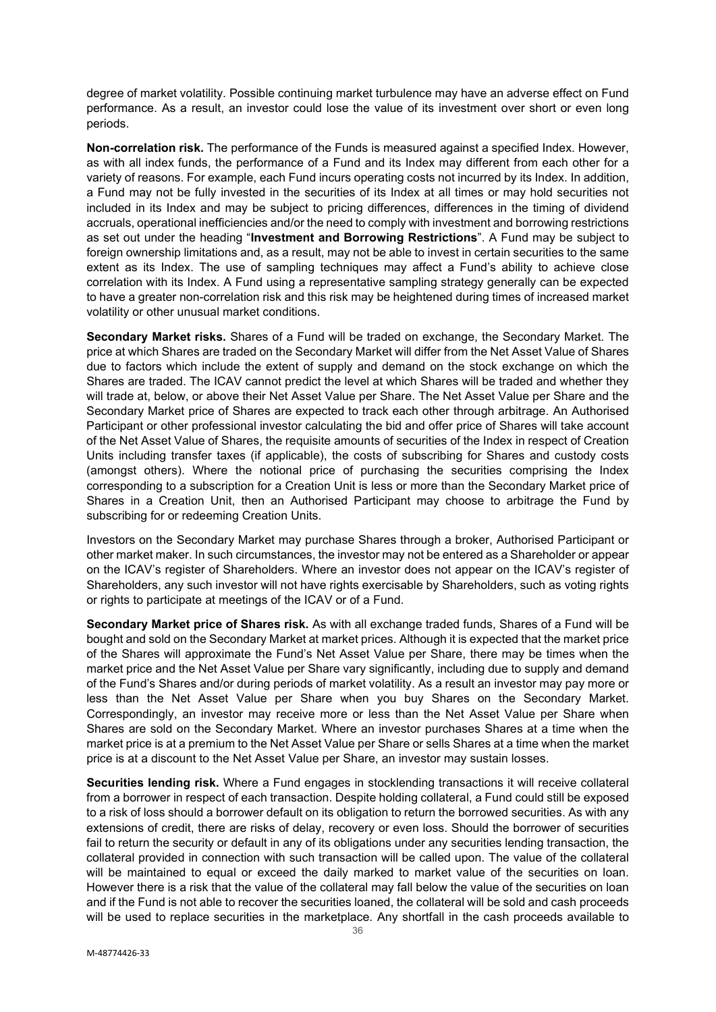degree of market volatility. Possible continuing market turbulence may have an adverse effect on Fund performance. As a result, an investor could lose the value of its investment over short or even long periods.

**Non-correlation risk.** The performance of the Funds is measured against a specified Index. However, as with all index funds, the performance of a Fund and its Index may different from each other for a variety of reasons. For example, each Fund incurs operating costs not incurred by its Index. In addition, a Fund may not be fully invested in the securities of its Index at all times or may hold securities not included in its Index and may be subject to pricing differences, differences in the timing of dividend accruals, operational inefficiencies and/or the need to comply with investment and borrowing restrictions as set out under the heading "**Investment and Borrowing Restrictions**". A Fund may be subject to foreign ownership limitations and, as a result, may not be able to invest in certain securities to the same extent as its Index. The use of sampling techniques may affect a Fund's ability to achieve close correlation with its Index. A Fund using a representative sampling strategy generally can be expected to have a greater non-correlation risk and this risk may be heightened during times of increased market volatility or other unusual market conditions.

**Secondary Market risks.** Shares of a Fund will be traded on exchange, the Secondary Market. The price at which Shares are traded on the Secondary Market will differ from the Net Asset Value of Shares due to factors which include the extent of supply and demand on the stock exchange on which the Shares are traded. The ICAV cannot predict the level at which Shares will be traded and whether they will trade at, below, or above their Net Asset Value per Share. The Net Asset Value per Share and the Secondary Market price of Shares are expected to track each other through arbitrage. An Authorised Participant or other professional investor calculating the bid and offer price of Shares will take account of the Net Asset Value of Shares, the requisite amounts of securities of the Index in respect of Creation Units including transfer taxes (if applicable), the costs of subscribing for Shares and custody costs (amongst others). Where the notional price of purchasing the securities comprising the Index corresponding to a subscription for a Creation Unit is less or more than the Secondary Market price of Shares in a Creation Unit, then an Authorised Participant may choose to arbitrage the Fund by subscribing for or redeeming Creation Units.

Investors on the Secondary Market may purchase Shares through a broker, Authorised Participant or other market maker. In such circumstances, the investor may not be entered as a Shareholder or appear on the ICAV's register of Shareholders. Where an investor does not appear on the ICAV's register of Shareholders, any such investor will not have rights exercisable by Shareholders, such as voting rights or rights to participate at meetings of the ICAV or of a Fund.

**Secondary Market price of Shares risk.** As with all exchange traded funds, Shares of a Fund will be bought and sold on the Secondary Market at market prices. Although it is expected that the market price of the Shares will approximate the Fund's Net Asset Value per Share, there may be times when the market price and the Net Asset Value per Share vary significantly, including due to supply and demand of the Fund's Shares and/or during periods of market volatility. As a result an investor may pay more or less than the Net Asset Value per Share when you buy Shares on the Secondary Market. Correspondingly, an investor may receive more or less than the Net Asset Value per Share when Shares are sold on the Secondary Market. Where an investor purchases Shares at a time when the market price is at a premium to the Net Asset Value per Share or sells Shares at a time when the market price is at a discount to the Net Asset Value per Share, an investor may sustain losses.

**Securities lending risk.** Where a Fund engages in stocklending transactions it will receive collateral from a borrower in respect of each transaction. Despite holding collateral, a Fund could still be exposed to a risk of loss should a borrower default on its obligation to return the borrowed securities. As with any extensions of credit, there are risks of delay, recovery or even loss. Should the borrower of securities fail to return the security or default in any of its obligations under any securities lending transaction, the collateral provided in connection with such transaction will be called upon. The value of the collateral will be maintained to equal or exceed the daily marked to market value of the securities on loan. However there is a risk that the value of the collateral may fall below the value of the securities on loan and if the Fund is not able to recover the securities loaned, the collateral will be sold and cash proceeds will be used to replace securities in the marketplace. Any shortfall in the cash proceeds available to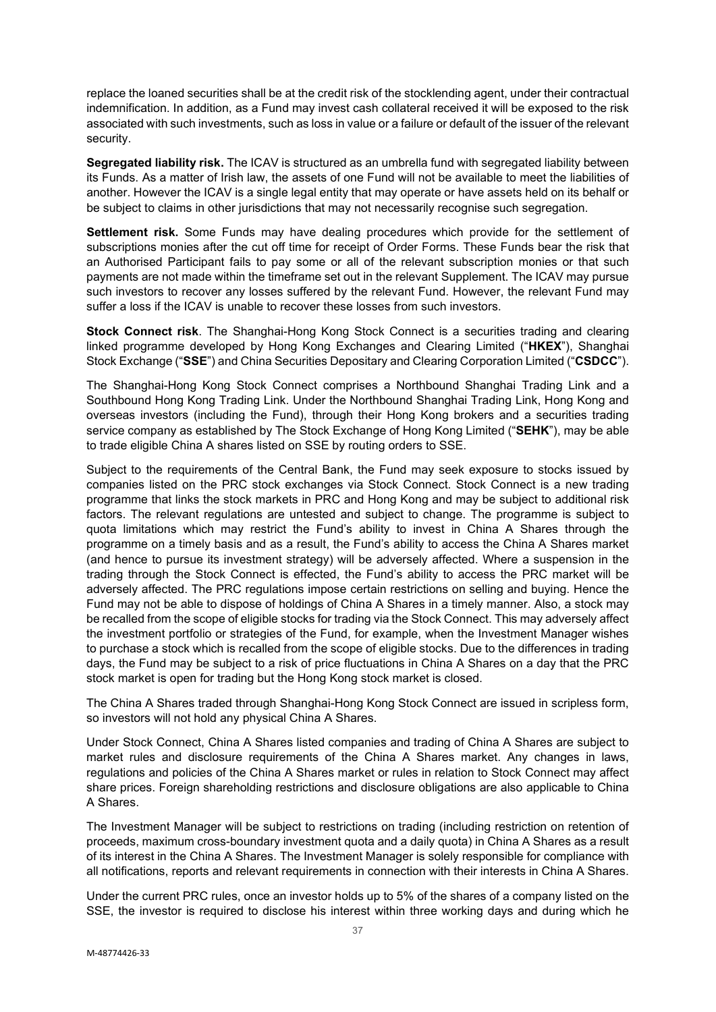replace the loaned securities shall be at the credit risk of the stocklending agent, under their contractual indemnification. In addition, as a Fund may invest cash collateral received it will be exposed to the risk associated with such investments, such as loss in value or a failure or default of the issuer of the relevant security.

**Segregated liability risk.** The ICAV is structured as an umbrella fund with segregated liability between its Funds. As a matter of Irish law, the assets of one Fund will not be available to meet the liabilities of another. However the ICAV is a single legal entity that may operate or have assets held on its behalf or be subject to claims in other jurisdictions that may not necessarily recognise such segregation.

**Settlement risk.** Some Funds may have dealing procedures which provide for the settlement of subscriptions monies after the cut off time for receipt of Order Forms. These Funds bear the risk that an Authorised Participant fails to pay some or all of the relevant subscription monies or that such payments are not made within the timeframe set out in the relevant Supplement. The ICAV may pursue such investors to recover any losses suffered by the relevant Fund. However, the relevant Fund may suffer a loss if the ICAV is unable to recover these losses from such investors.

**Stock Connect risk**. The Shanghai-Hong Kong Stock Connect is a securities trading and clearing linked programme developed by Hong Kong Exchanges and Clearing Limited ("**HKEX**"), Shanghai Stock Exchange ("**SSE**") and China Securities Depositary and Clearing Corporation Limited ("**CSDCC**").

The Shanghai-Hong Kong Stock Connect comprises a Northbound Shanghai Trading Link and a Southbound Hong Kong Trading Link. Under the Northbound Shanghai Trading Link, Hong Kong and overseas investors (including the Fund), through their Hong Kong brokers and a securities trading service company as established by The Stock Exchange of Hong Kong Limited ("**SEHK**"), may be able to trade eligible China A shares listed on SSE by routing orders to SSE.

Subject to the requirements of the Central Bank, the Fund may seek exposure to stocks issued by companies listed on the PRC stock exchanges via Stock Connect. Stock Connect is a new trading programme that links the stock markets in PRC and Hong Kong and may be subject to additional risk factors. The relevant regulations are untested and subject to change. The programme is subject to quota limitations which may restrict the Fund's ability to invest in China A Shares through the programme on a timely basis and as a result, the Fund's ability to access the China A Shares market (and hence to pursue its investment strategy) will be adversely affected. Where a suspension in the trading through the Stock Connect is effected, the Fund's ability to access the PRC market will be adversely affected. The PRC regulations impose certain restrictions on selling and buying. Hence the Fund may not be able to dispose of holdings of China A Shares in a timely manner. Also, a stock may be recalled from the scope of eligible stocks for trading via the Stock Connect. This may adversely affect the investment portfolio or strategies of the Fund, for example, when the Investment Manager wishes to purchase a stock which is recalled from the scope of eligible stocks. Due to the differences in trading days, the Fund may be subject to a risk of price fluctuations in China A Shares on a day that the PRC stock market is open for trading but the Hong Kong stock market is closed.

The China A Shares traded through Shanghai-Hong Kong Stock Connect are issued in scripless form, so investors will not hold any physical China A Shares.

Under Stock Connect, China A Shares listed companies and trading of China A Shares are subject to market rules and disclosure requirements of the China A Shares market. Any changes in laws, regulations and policies of the China A Shares market or rules in relation to Stock Connect may affect share prices. Foreign shareholding restrictions and disclosure obligations are also applicable to China A Shares.

The Investment Manager will be subject to restrictions on trading (including restriction on retention of proceeds, maximum cross-boundary investment quota and a daily quota) in China A Shares as a result of its interest in the China A Shares. The Investment Manager is solely responsible for compliance with all notifications, reports and relevant requirements in connection with their interests in China A Shares.

Under the current PRC rules, once an investor holds up to 5% of the shares of a company listed on the SSE, the investor is required to disclose his interest within three working days and during which he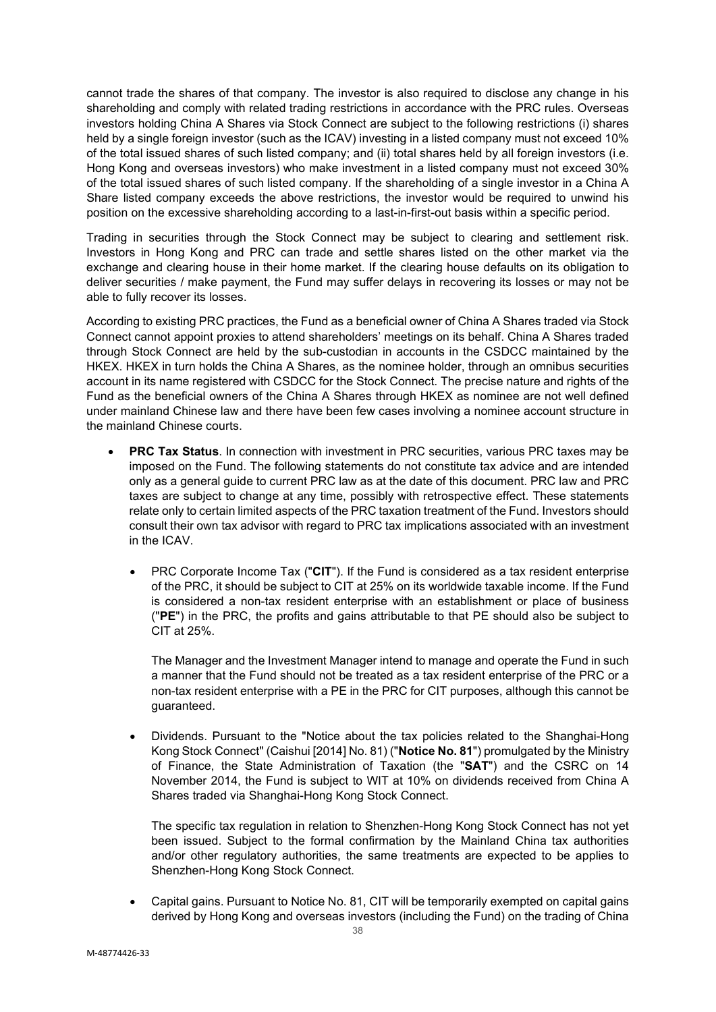cannot trade the shares of that company. The investor is also required to disclose any change in his shareholding and comply with related trading restrictions in accordance with the PRC rules. Overseas investors holding China A Shares via Stock Connect are subject to the following restrictions (i) shares held by a single foreign investor (such as the ICAV) investing in a listed company must not exceed 10% of the total issued shares of such listed company; and (ii) total shares held by all foreign investors (i.e. Hong Kong and overseas investors) who make investment in a listed company must not exceed 30% of the total issued shares of such listed company. If the shareholding of a single investor in a China A Share listed company exceeds the above restrictions, the investor would be required to unwind his position on the excessive shareholding according to a last-in-first-out basis within a specific period.

Trading in securities through the Stock Connect may be subject to clearing and settlement risk. Investors in Hong Kong and PRC can trade and settle shares listed on the other market via the exchange and clearing house in their home market. If the clearing house defaults on its obligation to deliver securities / make payment, the Fund may suffer delays in recovering its losses or may not be able to fully recover its losses.

According to existing PRC practices, the Fund as a beneficial owner of China A Shares traded via Stock Connect cannot appoint proxies to attend shareholders' meetings on its behalf. China A Shares traded through Stock Connect are held by the sub-custodian in accounts in the CSDCC maintained by the HKEX. HKEX in turn holds the China A Shares, as the nominee holder, through an omnibus securities account in its name registered with CSDCC for the Stock Connect. The precise nature and rights of the Fund as the beneficial owners of the China A Shares through HKEX as nominee are not well defined under mainland Chinese law and there have been few cases involving a nominee account structure in the mainland Chinese courts.

- **PRC Tax Status**. In connection with investment in PRC securities, various PRC taxes may be imposed on the Fund. The following statements do not constitute tax advice and are intended only as a general guide to current PRC law as at the date of this document. PRC law and PRC taxes are subject to change at any time, possibly with retrospective effect. These statements relate only to certain limited aspects of the PRC taxation treatment of the Fund. Investors should consult their own tax advisor with regard to PRC tax implications associated with an investment in the ICAV.
	- PRC Corporate Income Tax ("**CIT**"). If the Fund is considered as a tax resident enterprise of the PRC, it should be subject to CIT at 25% on its worldwide taxable income. If the Fund is considered a non-tax resident enterprise with an establishment or place of business ("**PE**") in the PRC, the profits and gains attributable to that PE should also be subject to CIT at 25%.

The Manager and the Investment Manager intend to manage and operate the Fund in such a manner that the Fund should not be treated as a tax resident enterprise of the PRC or a non-tax resident enterprise with a PE in the PRC for CIT purposes, although this cannot be guaranteed.

• Dividends. Pursuant to the "Notice about the tax policies related to the Shanghai-Hong Kong Stock Connect" (Caishui [2014] No. 81) ("**Notice No. 81**") promulgated by the Ministry of Finance, the State Administration of Taxation (the "**SAT**") and the CSRC on 14 November 2014, the Fund is subject to WIT at 10% on dividends received from China A Shares traded via Shanghai-Hong Kong Stock Connect.

The specific tax regulation in relation to Shenzhen-Hong Kong Stock Connect has not yet been issued. Subject to the formal confirmation by the Mainland China tax authorities and/or other regulatory authorities, the same treatments are expected to be applies to Shenzhen-Hong Kong Stock Connect.

• Capital gains. Pursuant to Notice No. 81, CIT will be temporarily exempted on capital gains derived by Hong Kong and overseas investors (including the Fund) on the trading of China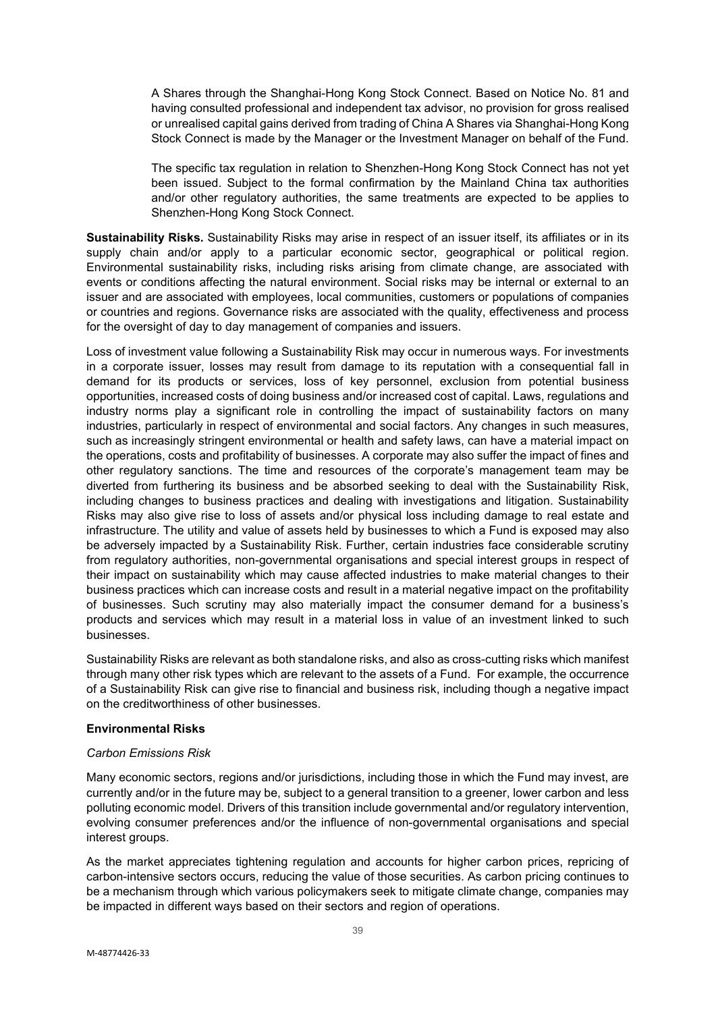A Shares through the Shanghai-Hong Kong Stock Connect. Based on Notice No. 81 and having consulted professional and independent tax advisor, no provision for gross realised or unrealised capital gains derived from trading of China A Shares via Shanghai-Hong Kong Stock Connect is made by the Manager or the Investment Manager on behalf of the Fund.

The specific tax regulation in relation to Shenzhen-Hong Kong Stock Connect has not yet been issued. Subject to the formal confirmation by the Mainland China tax authorities and/or other regulatory authorities, the same treatments are expected to be applies to Shenzhen-Hong Kong Stock Connect.

**Sustainability Risks.** Sustainability Risks may arise in respect of an issuer itself, its affiliates or in its supply chain and/or apply to a particular economic sector, geographical or political region. Environmental sustainability risks, including risks arising from climate change, are associated with events or conditions affecting the natural environment. Social risks may be internal or external to an issuer and are associated with employees, local communities, customers or populations of companies or countries and regions. Governance risks are associated with the quality, effectiveness and process for the oversight of day to day management of companies and issuers.

Loss of investment value following a Sustainability Risk may occur in numerous ways. For investments in a corporate issuer, losses may result from damage to its reputation with a consequential fall in demand for its products or services, loss of key personnel, exclusion from potential business opportunities, increased costs of doing business and/or increased cost of capital. Laws, regulations and industry norms play a significant role in controlling the impact of sustainability factors on many industries, particularly in respect of environmental and social factors. Any changes in such measures, such as increasingly stringent environmental or health and safety laws, can have a material impact on the operations, costs and profitability of businesses. A corporate may also suffer the impact of fines and other regulatory sanctions. The time and resources of the corporate's management team may be diverted from furthering its business and be absorbed seeking to deal with the Sustainability Risk, including changes to business practices and dealing with investigations and litigation. Sustainability Risks may also give rise to loss of assets and/or physical loss including damage to real estate and infrastructure. The utility and value of assets held by businesses to which a Fund is exposed may also be adversely impacted by a Sustainability Risk. Further, certain industries face considerable scrutiny from regulatory authorities, non-governmental organisations and special interest groups in respect of their impact on sustainability which may cause affected industries to make material changes to their business practices which can increase costs and result in a material negative impact on the profitability of businesses. Such scrutiny may also materially impact the consumer demand for a business's products and services which may result in a material loss in value of an investment linked to such businesses.

Sustainability Risks are relevant as both standalone risks, and also as cross-cutting risks which manifest through many other risk types which are relevant to the assets of a Fund. For example, the occurrence of a Sustainability Risk can give rise to financial and business risk, including though a negative impact on the creditworthiness of other businesses.

#### **Environmental Risks**

#### *Carbon Emissions Risk*

Many economic sectors, regions and/or jurisdictions, including those in which the Fund may invest, are currently and/or in the future may be, subject to a general transition to a greener, lower carbon and less polluting economic model. Drivers of this transition include governmental and/or regulatory intervention, evolving consumer preferences and/or the influence of non-governmental organisations and special interest groups.

As the market appreciates tightening regulation and accounts for higher carbon prices, repricing of carbon-intensive sectors occurs, reducing the value of those securities. As carbon pricing continues to be a mechanism through which various policymakers seek to mitigate climate change, companies may be impacted in different ways based on their sectors and region of operations.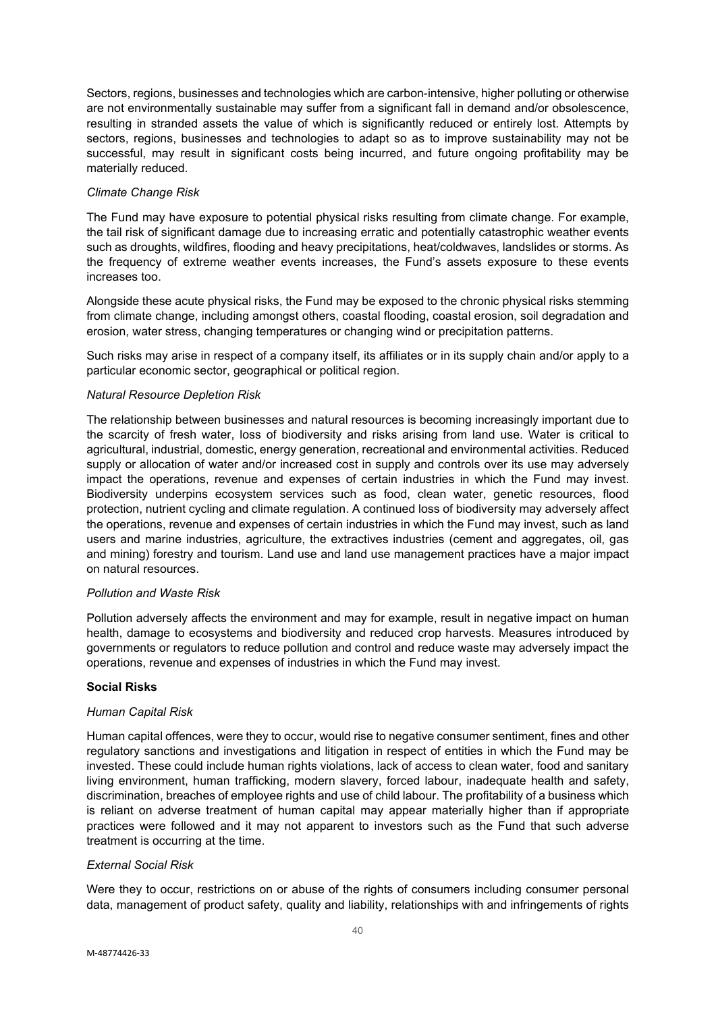Sectors, regions, businesses and technologies which are carbon-intensive, higher polluting or otherwise are not environmentally sustainable may suffer from a significant fall in demand and/or obsolescence, resulting in stranded assets the value of which is significantly reduced or entirely lost. Attempts by sectors, regions, businesses and technologies to adapt so as to improve sustainability may not be successful, may result in significant costs being incurred, and future ongoing profitability may be materially reduced.

### *Climate Change Risk*

The Fund may have exposure to potential physical risks resulting from climate change. For example, the tail risk of significant damage due to increasing erratic and potentially catastrophic weather events such as droughts, wildfires, flooding and heavy precipitations, heat/coldwaves, landslides or storms. As the frequency of extreme weather events increases, the Fund's assets exposure to these events increases too.

Alongside these acute physical risks, the Fund may be exposed to the chronic physical risks stemming from climate change, including amongst others, coastal flooding, coastal erosion, soil degradation and erosion, water stress, changing temperatures or changing wind or precipitation patterns.

Such risks may arise in respect of a company itself, its affiliates or in its supply chain and/or apply to a particular economic sector, geographical or political region.

### *Natural Resource Depletion Risk*

The relationship between businesses and natural resources is becoming increasingly important due to the scarcity of fresh water, loss of biodiversity and risks arising from land use. Water is critical to agricultural, industrial, domestic, energy generation, recreational and environmental activities. Reduced supply or allocation of water and/or increased cost in supply and controls over its use may adversely impact the operations, revenue and expenses of certain industries in which the Fund may invest. Biodiversity underpins ecosystem services such as food, clean water, genetic resources, flood protection, nutrient cycling and climate regulation. A continued loss of biodiversity may adversely affect the operations, revenue and expenses of certain industries in which the Fund may invest, such as land users and marine industries, agriculture, the extractives industries (cement and aggregates, oil, gas and mining) forestry and tourism. Land use and land use management practices have a major impact on natural resources.

#### *Pollution and Waste Risk*

Pollution adversely affects the environment and may for example, result in negative impact on human health, damage to ecosystems and biodiversity and reduced crop harvests. Measures introduced by governments or regulators to reduce pollution and control and reduce waste may adversely impact the operations, revenue and expenses of industries in which the Fund may invest.

#### **Social Risks**

#### *Human Capital Risk*

Human capital offences, were they to occur, would rise to negative consumer sentiment, fines and other regulatory sanctions and investigations and litigation in respect of entities in which the Fund may be invested. These could include human rights violations, lack of access to clean water, food and sanitary living environment, human trafficking, modern slavery, forced labour, inadequate health and safety, discrimination, breaches of employee rights and use of child labour. The profitability of a business which is reliant on adverse treatment of human capital may appear materially higher than if appropriate practices were followed and it may not apparent to investors such as the Fund that such adverse treatment is occurring at the time.

### *External Social Risk*

Were they to occur, restrictions on or abuse of the rights of consumers including consumer personal data, management of product safety, quality and liability, relationships with and infringements of rights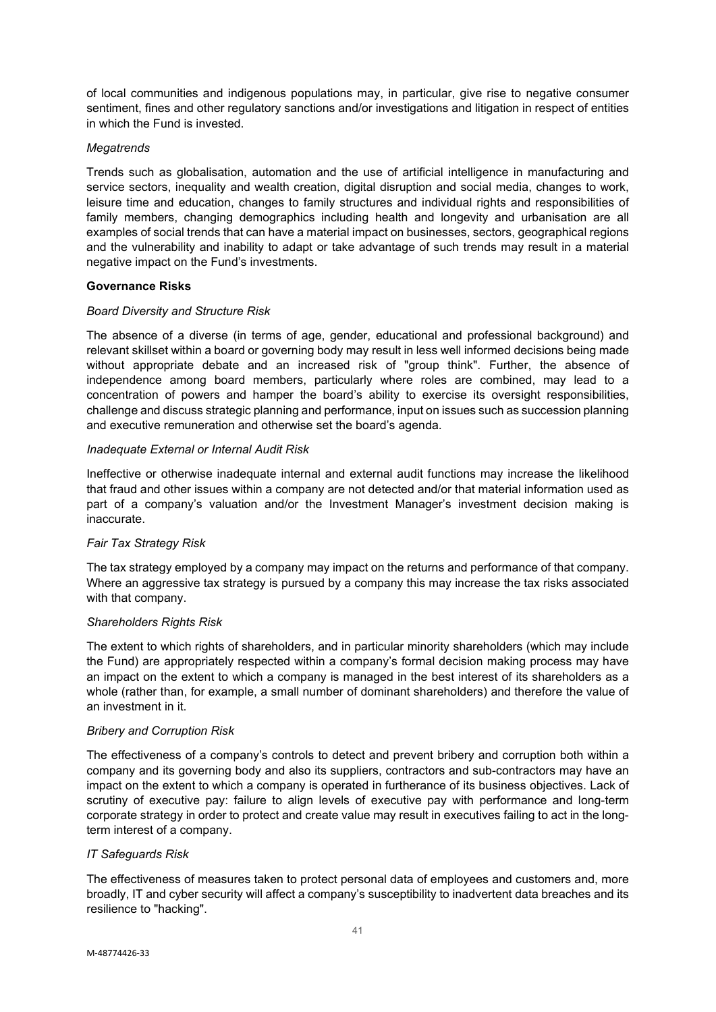of local communities and indigenous populations may, in particular, give rise to negative consumer sentiment, fines and other regulatory sanctions and/or investigations and litigation in respect of entities in which the Fund is invested.

### *Megatrends*

Trends such as globalisation, automation and the use of artificial intelligence in manufacturing and service sectors, inequality and wealth creation, digital disruption and social media, changes to work, leisure time and education, changes to family structures and individual rights and responsibilities of family members, changing demographics including health and longevity and urbanisation are all examples of social trends that can have a material impact on businesses, sectors, geographical regions and the vulnerability and inability to adapt or take advantage of such trends may result in a material negative impact on the Fund's investments.

### **Governance Risks**

#### *Board Diversity and Structure Risk*

The absence of a diverse (in terms of age, gender, educational and professional background) and relevant skillset within a board or governing body may result in less well informed decisions being made without appropriate debate and an increased risk of "group think". Further, the absence of independence among board members, particularly where roles are combined, may lead to a concentration of powers and hamper the board's ability to exercise its oversight responsibilities, challenge and discuss strategic planning and performance, input on issues such as succession planning and executive remuneration and otherwise set the board's agenda.

### *Inadequate External or Internal Audit Risk*

Ineffective or otherwise inadequate internal and external audit functions may increase the likelihood that fraud and other issues within a company are not detected and/or that material information used as part of a company's valuation and/or the Investment Manager's investment decision making is inaccurate.

# *Fair Tax Strategy Risk*

The tax strategy employed by a company may impact on the returns and performance of that company. Where an aggressive tax strategy is pursued by a company this may increase the tax risks associated with that company.

#### *Shareholders Rights Risk*

The extent to which rights of shareholders, and in particular minority shareholders (which may include the Fund) are appropriately respected within a company's formal decision making process may have an impact on the extent to which a company is managed in the best interest of its shareholders as a whole (rather than, for example, a small number of dominant shareholders) and therefore the value of an investment in it.

#### *Bribery and Corruption Risk*

The effectiveness of a company's controls to detect and prevent bribery and corruption both within a company and its governing body and also its suppliers, contractors and sub-contractors may have an impact on the extent to which a company is operated in furtherance of its business objectives. Lack of scrutiny of executive pay: failure to align levels of executive pay with performance and long-term corporate strategy in order to protect and create value may result in executives failing to act in the longterm interest of a company.

#### *IT Safeguards Risk*

The effectiveness of measures taken to protect personal data of employees and customers and, more broadly, IT and cyber security will affect a company's susceptibility to inadvertent data breaches and its resilience to "hacking".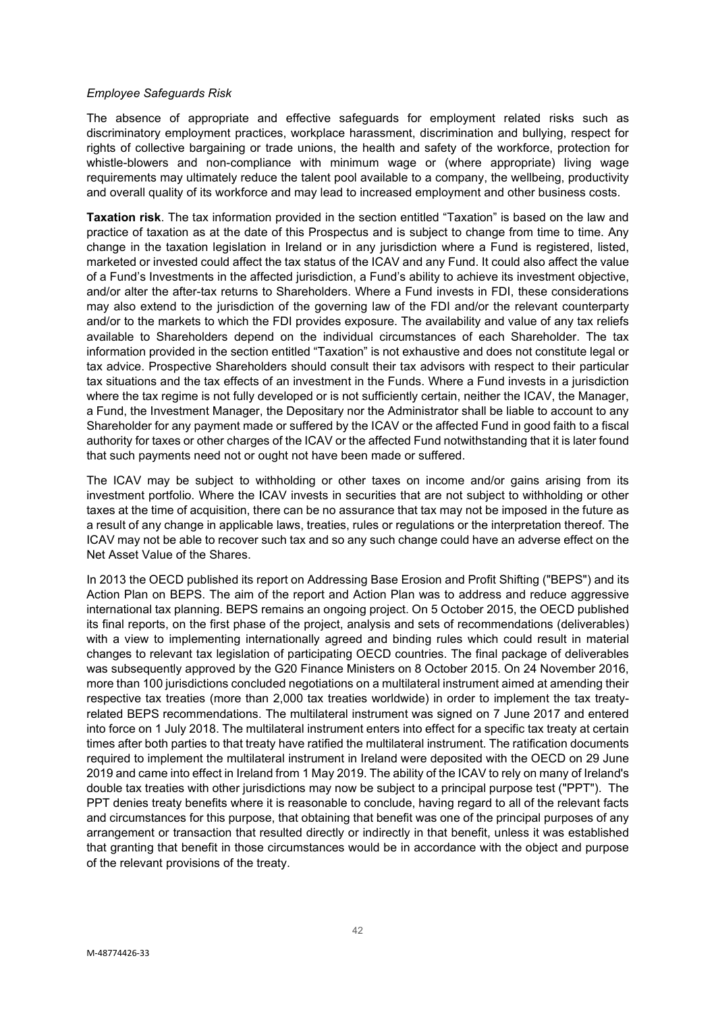#### *Employee Safeguards Risk*

The absence of appropriate and effective safeguards for employment related risks such as discriminatory employment practices, workplace harassment, discrimination and bullying, respect for rights of collective bargaining or trade unions, the health and safety of the workforce, protection for whistle-blowers and non-compliance with minimum wage or (where appropriate) living wage requirements may ultimately reduce the talent pool available to a company, the wellbeing, productivity and overall quality of its workforce and may lead to increased employment and other business costs.

**Taxation risk**. The tax information provided in the section entitled "Taxation" is based on the law and practice of taxation as at the date of this Prospectus and is subject to change from time to time. Any change in the taxation legislation in Ireland or in any jurisdiction where a Fund is registered, listed, marketed or invested could affect the tax status of the ICAV and any Fund. It could also affect the value of a Fund's Investments in the affected jurisdiction, a Fund's ability to achieve its investment objective, and/or alter the after-tax returns to Shareholders. Where a Fund invests in FDI, these considerations may also extend to the jurisdiction of the governing law of the FDI and/or the relevant counterparty and/or to the markets to which the FDI provides exposure. The availability and value of any tax reliefs available to Shareholders depend on the individual circumstances of each Shareholder. The tax information provided in the section entitled "Taxation" is not exhaustive and does not constitute legal or tax advice. Prospective Shareholders should consult their tax advisors with respect to their particular tax situations and the tax effects of an investment in the Funds. Where a Fund invests in a jurisdiction where the tax regime is not fully developed or is not sufficiently certain, neither the ICAV, the Manager, a Fund, the Investment Manager, the Depositary nor the Administrator shall be liable to account to any Shareholder for any payment made or suffered by the ICAV or the affected Fund in good faith to a fiscal authority for taxes or other charges of the ICAV or the affected Fund notwithstanding that it is later found that such payments need not or ought not have been made or suffered.

The ICAV may be subject to withholding or other taxes on income and/or gains arising from its investment portfolio. Where the ICAV invests in securities that are not subject to withholding or other taxes at the time of acquisition, there can be no assurance that tax may not be imposed in the future as a result of any change in applicable laws, treaties, rules or regulations or the interpretation thereof. The ICAV may not be able to recover such tax and so any such change could have an adverse effect on the Net Asset Value of the Shares.

In 2013 the OECD published its report on Addressing Base Erosion and Profit Shifting ("BEPS") and its Action Plan on BEPS. The aim of the report and Action Plan was to address and reduce aggressive international tax planning. BEPS remains an ongoing project. On 5 October 2015, the OECD published its final reports, on the first phase of the project, analysis and sets of recommendations (deliverables) with a view to implementing internationally agreed and binding rules which could result in material changes to relevant tax legislation of participating OECD countries. The final package of deliverables was subsequently approved by the G20 Finance Ministers on 8 October 2015. On 24 November 2016, more than 100 jurisdictions concluded negotiations on a multilateral instrument aimed at amending their respective tax treaties (more than 2,000 tax treaties worldwide) in order to implement the tax treatyrelated BEPS recommendations. The multilateral instrument was signed on 7 June 2017 and entered into force on 1 July 2018. The multilateral instrument enters into effect for a specific tax treaty at certain times after both parties to that treaty have ratified the multilateral instrument. The ratification documents required to implement the multilateral instrument in Ireland were deposited with the OECD on 29 June 2019 and came into effect in Ireland from 1 May 2019. The ability of the ICAV to rely on many of Ireland's double tax treaties with other jurisdictions may now be subject to a principal purpose test ("PPT"). The PPT denies treaty benefits where it is reasonable to conclude, having regard to all of the relevant facts and circumstances for this purpose, that obtaining that benefit was one of the principal purposes of any arrangement or transaction that resulted directly or indirectly in that benefit, unless it was established that granting that benefit in those circumstances would be in accordance with the object and purpose of the relevant provisions of the treaty.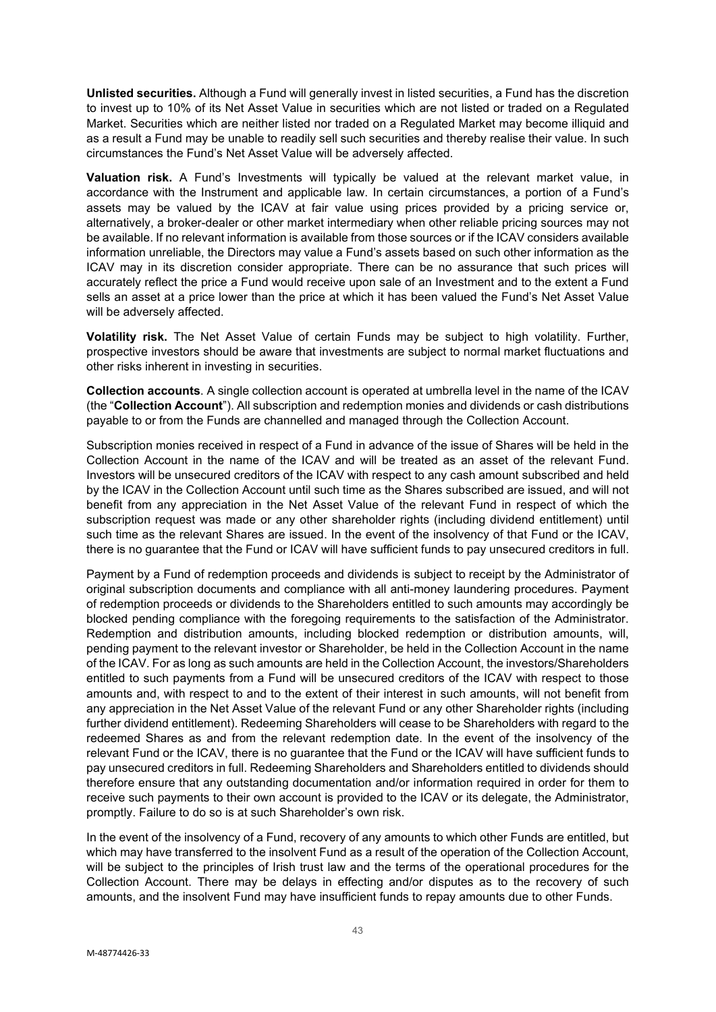**Unlisted securities.** Although a Fund will generally invest in listed securities, a Fund has the discretion to invest up to 10% of its Net Asset Value in securities which are not listed or traded on a Regulated Market. Securities which are neither listed nor traded on a Regulated Market may become illiquid and as a result a Fund may be unable to readily sell such securities and thereby realise their value. In such circumstances the Fund's Net Asset Value will be adversely affected.

**Valuation risk.** A Fund's Investments will typically be valued at the relevant market value, in accordance with the Instrument and applicable law. In certain circumstances, a portion of a Fund's assets may be valued by the ICAV at fair value using prices provided by a pricing service or, alternatively, a broker-dealer or other market intermediary when other reliable pricing sources may not be available. If no relevant information is available from those sources or if the ICAV considers available information unreliable, the Directors may value a Fund's assets based on such other information as the ICAV may in its discretion consider appropriate. There can be no assurance that such prices will accurately reflect the price a Fund would receive upon sale of an Investment and to the extent a Fund sells an asset at a price lower than the price at which it has been valued the Fund's Net Asset Value will be adversely affected.

**Volatility risk.** The Net Asset Value of certain Funds may be subject to high volatility. Further, prospective investors should be aware that investments are subject to normal market fluctuations and other risks inherent in investing in securities.

**Collection accounts**. A single collection account is operated at umbrella level in the name of the ICAV (the "**Collection Account**"). All subscription and redemption monies and dividends or cash distributions payable to or from the Funds are channelled and managed through the Collection Account.

Subscription monies received in respect of a Fund in advance of the issue of Shares will be held in the Collection Account in the name of the ICAV and will be treated as an asset of the relevant Fund. Investors will be unsecured creditors of the ICAV with respect to any cash amount subscribed and held by the ICAV in the Collection Account until such time as the Shares subscribed are issued, and will not benefit from any appreciation in the Net Asset Value of the relevant Fund in respect of which the subscription request was made or any other shareholder rights (including dividend entitlement) until such time as the relevant Shares are issued. In the event of the insolvency of that Fund or the ICAV, there is no guarantee that the Fund or ICAV will have sufficient funds to pay unsecured creditors in full.

Payment by a Fund of redemption proceeds and dividends is subject to receipt by the Administrator of original subscription documents and compliance with all anti-money laundering procedures. Payment of redemption proceeds or dividends to the Shareholders entitled to such amounts may accordingly be blocked pending compliance with the foregoing requirements to the satisfaction of the Administrator. Redemption and distribution amounts, including blocked redemption or distribution amounts, will, pending payment to the relevant investor or Shareholder, be held in the Collection Account in the name of the ICAV. For as long as such amounts are held in the Collection Account, the investors/Shareholders entitled to such payments from a Fund will be unsecured creditors of the ICAV with respect to those amounts and, with respect to and to the extent of their interest in such amounts, will not benefit from any appreciation in the Net Asset Value of the relevant Fund or any other Shareholder rights (including further dividend entitlement). Redeeming Shareholders will cease to be Shareholders with regard to the redeemed Shares as and from the relevant redemption date. In the event of the insolvency of the relevant Fund or the ICAV, there is no guarantee that the Fund or the ICAV will have sufficient funds to pay unsecured creditors in full. Redeeming Shareholders and Shareholders entitled to dividends should therefore ensure that any outstanding documentation and/or information required in order for them to receive such payments to their own account is provided to the ICAV or its delegate, the Administrator, promptly. Failure to do so is at such Shareholder's own risk.

In the event of the insolvency of a Fund, recovery of any amounts to which other Funds are entitled, but which may have transferred to the insolvent Fund as a result of the operation of the Collection Account, will be subject to the principles of Irish trust law and the terms of the operational procedures for the Collection Account. There may be delays in effecting and/or disputes as to the recovery of such amounts, and the insolvent Fund may have insufficient funds to repay amounts due to other Funds.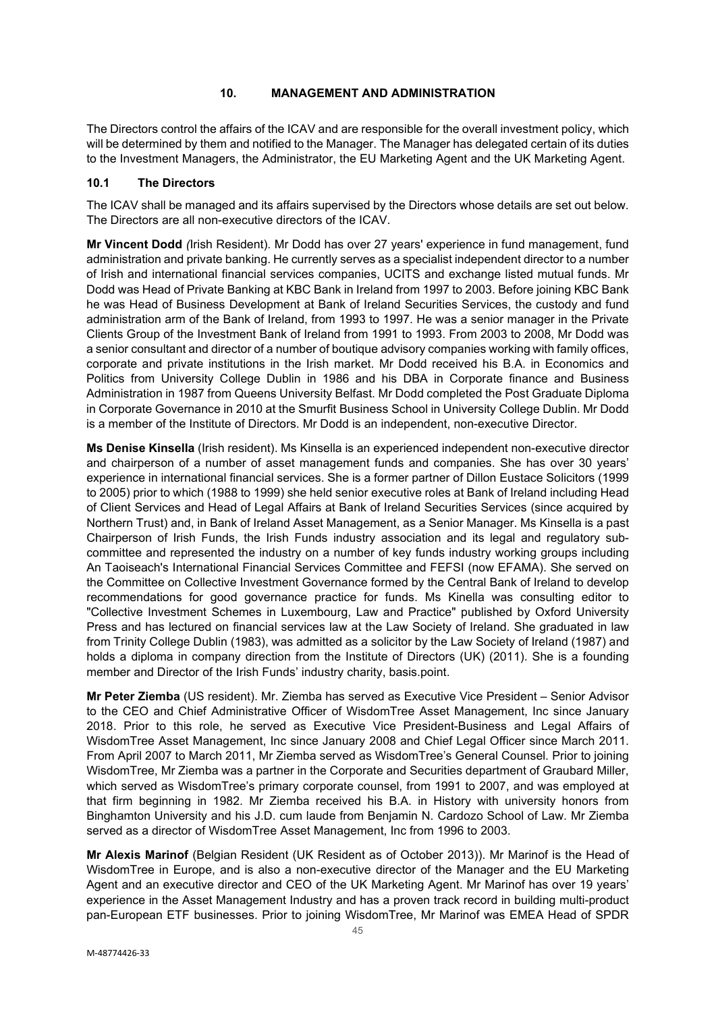# **10. MANAGEMENT AND ADMINISTRATION**

The Directors control the affairs of the ICAV and are responsible for the overall investment policy, which will be determined by them and notified to the Manager. The Manager has delegated certain of its duties to the Investment Managers, the Administrator, the EU Marketing Agent and the UK Marketing Agent.

# **10.1 The Directors**

The ICAV shall be managed and its affairs supervised by the Directors whose details are set out below. The Directors are all non-executive directors of the ICAV.

**Mr Vincent Dodd** *(*Irish Resident). Mr Dodd has over 27 years' experience in fund management, fund administration and private banking. He currently serves as a specialist independent director to a number of Irish and international financial services companies, UCITS and exchange listed mutual funds. Mr Dodd was Head of Private Banking at KBC Bank in Ireland from 1997 to 2003. Before joining KBC Bank he was Head of Business Development at Bank of Ireland Securities Services, the custody and fund administration arm of the Bank of Ireland, from 1993 to 1997. He was a senior manager in the Private Clients Group of the Investment Bank of Ireland from 1991 to 1993. From 2003 to 2008, Mr Dodd was a senior consultant and director of a number of boutique advisory companies working with family offices, corporate and private institutions in the Irish market. Mr Dodd received his B.A. in Economics and Politics from University College Dublin in 1986 and his DBA in Corporate finance and Business Administration in 1987 from Queens University Belfast. Mr Dodd completed the Post Graduate Diploma in Corporate Governance in 2010 at the Smurfit Business School in University College Dublin. Mr Dodd is a member of the Institute of Directors. Mr Dodd is an independent, non-executive Director.

**Ms Denise Kinsella** (Irish resident). Ms Kinsella is an experienced independent non-executive director and chairperson of a number of asset management funds and companies. She has over 30 years' experience in international financial services. She is a former partner of Dillon Eustace Solicitors (1999 to 2005) prior to which (1988 to 1999) she held senior executive roles at Bank of Ireland including Head of Client Services and Head of Legal Affairs at Bank of Ireland Securities Services (since acquired by Northern Trust) and, in Bank of Ireland Asset Management, as a Senior Manager. Ms Kinsella is a past Chairperson of Irish Funds, the Irish Funds industry association and its legal and regulatory subcommittee and represented the industry on a number of key funds industry working groups including An Taoiseach's International Financial Services Committee and FEFSI (now EFAMA). She served on the Committee on Collective Investment Governance formed by the Central Bank of Ireland to develop recommendations for good governance practice for funds. Ms Kinella was consulting editor to "Collective Investment Schemes in Luxembourg, Law and Practice" published by Oxford University Press and has lectured on financial services law at the Law Society of Ireland. She graduated in law from Trinity College Dublin (1983), was admitted as a solicitor by the Law Society of Ireland (1987) and holds a diploma in company direction from the Institute of Directors (UK) (2011). She is a founding member and Director of the Irish Funds' industry charity, basis.point.

**Mr Peter Ziemba** (US resident). Mr. Ziemba has served as Executive Vice President – Senior Advisor to the CEO and Chief Administrative Officer of WisdomTree Asset Management, Inc since January 2018. Prior to this role, he served as Executive Vice President-Business and Legal Affairs of WisdomTree Asset Management, Inc since January 2008 and Chief Legal Officer since March 2011. From April 2007 to March 2011, Mr Ziemba served as WisdomTree's General Counsel. Prior to joining WisdomTree, Mr Ziemba was a partner in the Corporate and Securities department of Graubard Miller, which served as WisdomTree's primary corporate counsel, from 1991 to 2007, and was employed at that firm beginning in 1982. Mr Ziemba received his B.A. in History with university honors from Binghamton University and his J.D. cum laude from Benjamin N. Cardozo School of Law. Mr Ziemba served as a director of WisdomTree Asset Management, Inc from 1996 to 2003.

**Mr Alexis Marinof** (Belgian Resident (UK Resident as of October 2013)). Mr Marinof is the Head of WisdomTree in Europe, and is also a non-executive director of the Manager and the EU Marketing Agent and an executive director and CEO of the UK Marketing Agent. Mr Marinof has over 19 years' experience in the Asset Management Industry and has a proven track record in building multi-product pan-European ETF businesses. Prior to joining WisdomTree, Mr Marinof was EMEA Head of SPDR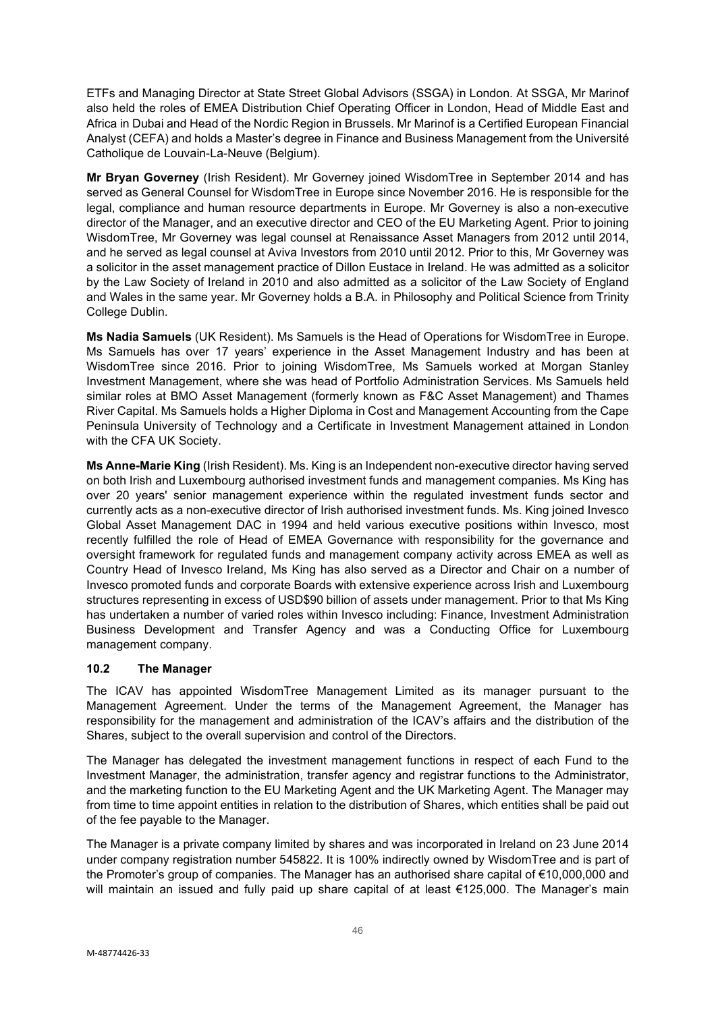ETFs and Managing Director at State Street Global Advisors (SSGA) in London. At SSGA, Mr Marinof also held the roles of EMEA Distribution Chief Operating Officer in London, Head of Middle East and Africa in Dubai and Head of the Nordic Region in Brussels. Mr Marinof is a Certified European Financial Analyst (CEFA) and holds a Master's degree in Finance and Business Management from the Université Catholique de Louvain-La-Neuve (Belgium).

**Mr Bryan Governey** (Irish Resident). Mr Governey joined WisdomTree in September 2014 and has served as General Counsel for WisdomTree in Europe since November 2016. He is responsible for the legal, compliance and human resource departments in Europe. Mr Governey is also a non-executive director of the Manager, and an executive director and CEO of the EU Marketing Agent. Prior to joining WisdomTree, Mr Governey was legal counsel at Renaissance Asset Managers from 2012 until 2014, and he served as legal counsel at Aviva Investors from 2010 until 2012. Prior to this, Mr Governey was a solicitor in the asset management practice of Dillon Eustace in Ireland. He was admitted as a solicitor by the Law Society of Ireland in 2010 and also admitted as a solicitor of the Law Society of England and Wales in the same year. Mr Governey holds a B.A. in Philosophy and Political Science from Trinity College Dublin.

**Ms Nadia Samuels** (UK Resident). Ms Samuels is the Head of Operations for WisdomTree in Europe. Ms Samuels has over 17 years' experience in the Asset Management Industry and has been at WisdomTree since 2016. Prior to joining WisdomTree, Ms Samuels worked at Morgan Stanley Investment Management, where she was head of Portfolio Administration Services. Ms Samuels held similar roles at BMO Asset Management (formerly known as F&C Asset Management) and Thames River Capital. Ms Samuels holds a Higher Diploma in Cost and Management Accounting from the Cape Peninsula University of Technology and a Certificate in Investment Management attained in London with the CFA UK Society.

**Ms Anne-Marie King** (Irish Resident). Ms. King is an Independent non-executive director having served on both Irish and Luxembourg authorised investment funds and management companies. Ms King has over 20 years' senior management experience within the regulated investment funds sector and currently acts as a non-executive director of Irish authorised investment funds. Ms. King joined Invesco Global Asset Management DAC in 1994 and held various executive positions within Invesco, most recently fulfilled the role of Head of EMEA Governance with responsibility for the governance and oversight framework for regulated funds and management company activity across EMEA as well as Country Head of Invesco Ireland, Ms King has also served as a Director and Chair on a number of Invesco promoted funds and corporate Boards with extensive experience across Irish and Luxembourg structures representing in excess of USD\$90 billion of assets under management. Prior to that Ms King has undertaken a number of varied roles within Invesco including: Finance, Investment Administration Business Development and Transfer Agency and was a Conducting Office for Luxembourg management company.

# **10.2 The Manager**

The ICAV has appointed WisdomTree Management Limited as its manager pursuant to the Management Agreement. Under the terms of the Management Agreement, the Manager has responsibility for the management and administration of the ICAV's affairs and the distribution of the Shares, subject to the overall supervision and control of the Directors.

The Manager has delegated the investment management functions in respect of each Fund to the Investment Manager, the administration, transfer agency and registrar functions to the Administrator, and the marketing function to the EU Marketing Agent and the UK Marketing Agent. The Manager may from time to time appoint entities in relation to the distribution of Shares, which entities shall be paid out of the fee payable to the Manager.

The Manager is a private company limited by shares and was incorporated in Ireland on 23 June 2014 under company registration number 545822. It is 100% indirectly owned by WisdomTree and is part of the Promoter's group of companies. The Manager has an authorised share capital of €10,000,000 and will maintain an issued and fully paid up share capital of at least €125,000. The Manager's main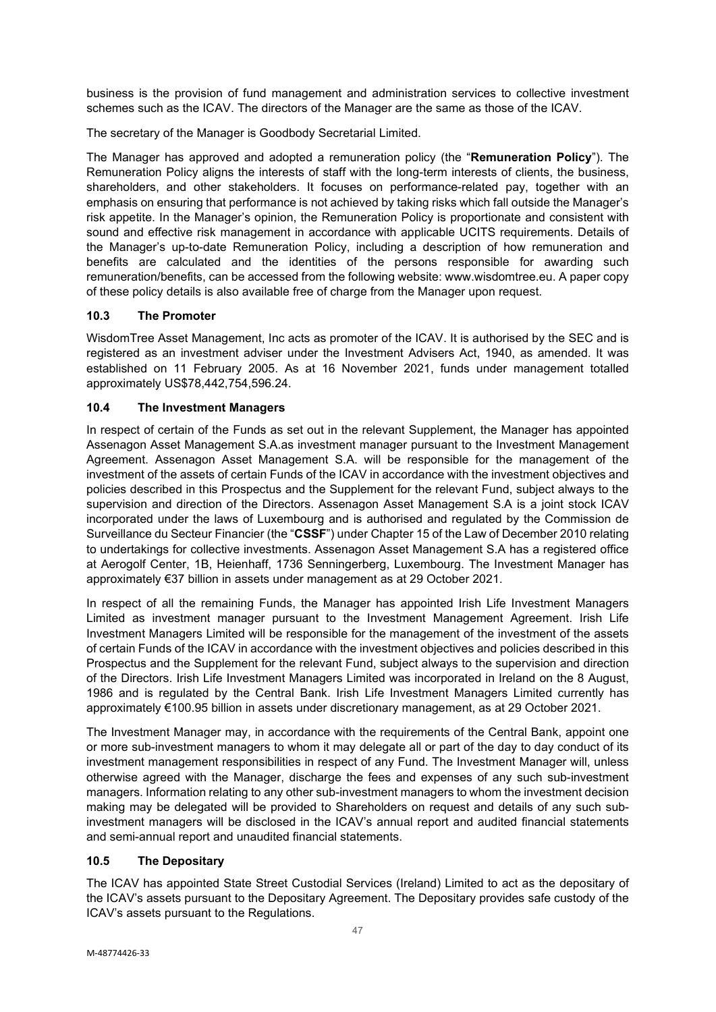business is the provision of fund management and administration services to collective investment schemes such as the ICAV. The directors of the Manager are the same as those of the ICAV.

The secretary of the Manager is Goodbody Secretarial Limited.

The Manager has approved and adopted a remuneration policy (the "**Remuneration Policy**"). The Remuneration Policy aligns the interests of staff with the long-term interests of clients, the business, shareholders, and other stakeholders. It focuses on performance-related pay, together with an emphasis on ensuring that performance is not achieved by taking risks which fall outside the Manager's risk appetite. In the Manager's opinion, the Remuneration Policy is proportionate and consistent with sound and effective risk management in accordance with applicable UCITS requirements. Details of the Manager's up-to-date Remuneration Policy, including a description of how remuneration and benefits are calculated and the identities of the persons responsible for awarding such remuneration/benefits, can be accessed from the following website: [www.wisdomtree.eu.](http://www.wisdomtree.eu/) A paper copy of these policy details is also available free of charge from the Manager upon request.

# **10.3 The Promoter**

WisdomTree Asset Management, Inc acts as promoter of the ICAV. It is authorised by the SEC and is registered as an investment adviser under the Investment Advisers Act, 1940, as amended. It was established on 11 February 2005. As at 16 November 2021, funds under management totalled approximately US\$78,442,754,596.24.

# **10.4 The Investment Managers**

In respect of certain of the Funds as set out in the relevant Supplement, the Manager has appointed Assenagon Asset Management S.A.as investment manager pursuant to the Investment Management Agreement. Assenagon Asset Management S.A. will be responsible for the management of the investment of the assets of certain Funds of the ICAV in accordance with the investment objectives and policies described in this Prospectus and the Supplement for the relevant Fund, subject always to the supervision and direction of the Directors. Assenagon Asset Management S.A is a joint stock ICAV incorporated under the laws of Luxembourg and is authorised and regulated by the Commission de Surveillance du Secteur Financier (the "**CSSF**") under Chapter 15 of the Law of December 2010 relating to undertakings for collective investments. Assenagon Asset Management S.A has a registered office at Aerogolf Center, 1B, Heienhaff, 1736 Senningerberg, Luxembourg. The Investment Manager has approximately €37 billion in assets under management as at 29 October 2021.

In respect of all the remaining Funds, the Manager has appointed Irish Life Investment Managers Limited as investment manager pursuant to the Investment Management Agreement. Irish Life Investment Managers Limited will be responsible for the management of the investment of the assets of certain Funds of the ICAV in accordance with the investment objectives and policies described in this Prospectus and the Supplement for the relevant Fund, subject always to the supervision and direction of the Directors. Irish Life Investment Managers Limited was incorporated in Ireland on the 8 August, 1986 and is regulated by the Central Bank. Irish Life Investment Managers Limited currently has approximately €100.95 billion in assets under discretionary management, as at 29 October 2021.

The Investment Manager may, in accordance with the requirements of the Central Bank, appoint one or more sub-investment managers to whom it may delegate all or part of the day to day conduct of its investment management responsibilities in respect of any Fund. The Investment Manager will, unless otherwise agreed with the Manager, discharge the fees and expenses of any such sub-investment managers. Information relating to any other sub-investment managers to whom the investment decision making may be delegated will be provided to Shareholders on request and details of any such subinvestment managers will be disclosed in the ICAV's annual report and audited financial statements and semi-annual report and unaudited financial statements.

# **10.5 The Depositary**

The ICAV has appointed State Street Custodial Services (Ireland) Limited to act as the depositary of the ICAV's assets pursuant to the Depositary Agreement. The Depositary provides safe custody of the ICAV's assets pursuant to the Regulations.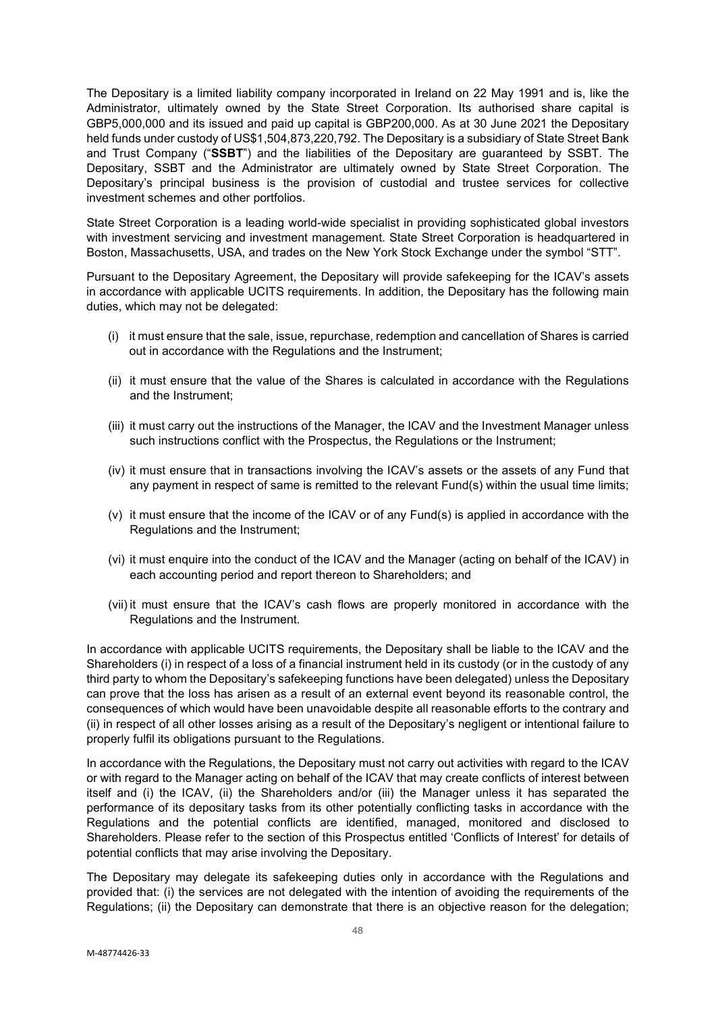The Depositary is a limited liability company incorporated in Ireland on 22 May 1991 and is, like the Administrator, ultimately owned by the State Street Corporation. Its authorised share capital is GBP5,000,000 and its issued and paid up capital is GBP200,000. As at 30 June 2021 the Depositary held funds under custody of US\$1,504,873,220,792. The Depositary is a subsidiary of State Street Bank and Trust Company ("**SSBT**") and the liabilities of the Depositary are guaranteed by SSBT. The Depositary, SSBT and the Administrator are ultimately owned by State Street Corporation. The Depositary's principal business is the provision of custodial and trustee services for collective investment schemes and other portfolios.

State Street Corporation is a leading world-wide specialist in providing sophisticated global investors with investment servicing and investment management. State Street Corporation is headquartered in Boston, Massachusetts, USA, and trades on the New York Stock Exchange under the symbol "STT".

Pursuant to the Depositary Agreement, the Depositary will provide safekeeping for the ICAV's assets in accordance with applicable UCITS requirements. In addition, the Depositary has the following main duties, which may not be delegated:

- (i) it must ensure that the sale, issue, repurchase, redemption and cancellation of Shares is carried out in accordance with the Regulations and the Instrument;
- (ii) it must ensure that the value of the Shares is calculated in accordance with the Regulations and the Instrument;
- (iii) it must carry out the instructions of the Manager, the ICAV and the Investment Manager unless such instructions conflict with the Prospectus, the Regulations or the Instrument;
- (iv) it must ensure that in transactions involving the ICAV's assets or the assets of any Fund that any payment in respect of same is remitted to the relevant Fund(s) within the usual time limits;
- (v) it must ensure that the income of the ICAV or of any Fund(s) is applied in accordance with the Regulations and the Instrument;
- (vi) it must enquire into the conduct of the ICAV and the Manager (acting on behalf of the ICAV) in each accounting period and report thereon to Shareholders; and
- (vii) it must ensure that the ICAV's cash flows are properly monitored in accordance with the Regulations and the Instrument.

In accordance with applicable UCITS requirements, the Depositary shall be liable to the ICAV and the Shareholders (i) in respect of a loss of a financial instrument held in its custody (or in the custody of any third party to whom the Depositary's safekeeping functions have been delegated) unless the Depositary can prove that the loss has arisen as a result of an external event beyond its reasonable control, the consequences of which would have been unavoidable despite all reasonable efforts to the contrary and (ii) in respect of all other losses arising as a result of the Depositary's negligent or intentional failure to properly fulfil its obligations pursuant to the Regulations.

In accordance with the Regulations, the Depositary must not carry out activities with regard to the ICAV or with regard to the Manager acting on behalf of the ICAV that may create conflicts of interest between itself and (i) the ICAV, (ii) the Shareholders and/or (iii) the Manager unless it has separated the performance of its depositary tasks from its other potentially conflicting tasks in accordance with the Regulations and the potential conflicts are identified, managed, monitored and disclosed to Shareholders. Please refer to the section of this Prospectus entitled 'Conflicts of Interest' for details of potential conflicts that may arise involving the Depositary.

The Depositary may delegate its safekeeping duties only in accordance with the Regulations and provided that: (i) the services are not delegated with the intention of avoiding the requirements of the Regulations; (ii) the Depositary can demonstrate that there is an objective reason for the delegation;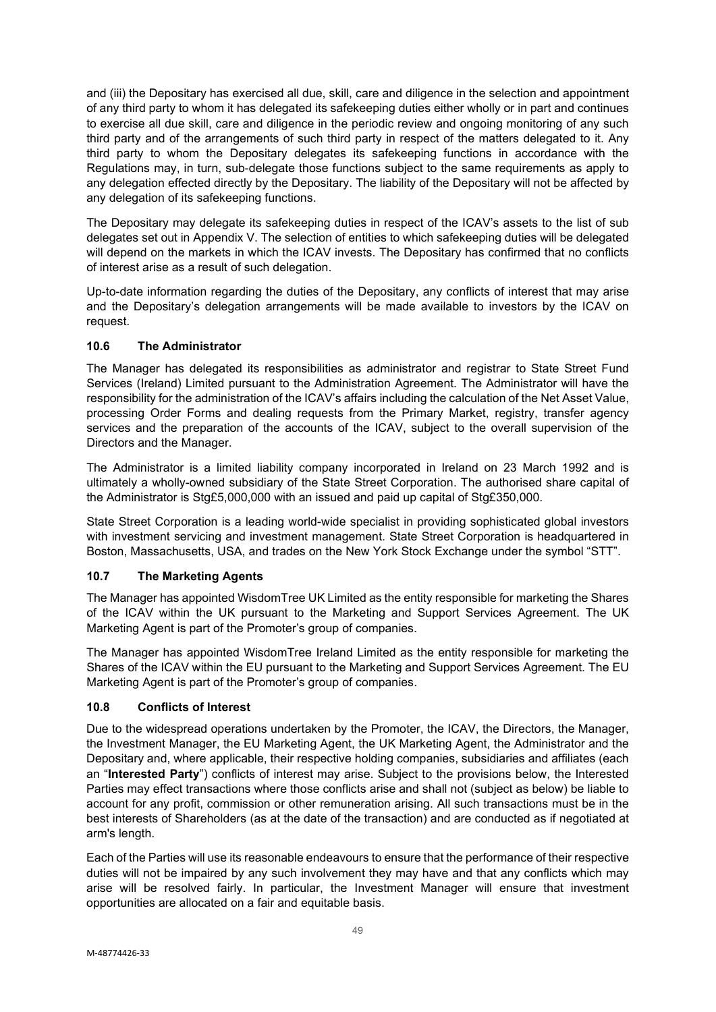and (iii) the Depositary has exercised all due, skill, care and diligence in the selection and appointment of any third party to whom it has delegated its safekeeping duties either wholly or in part and continues to exercise all due skill, care and diligence in the periodic review and ongoing monitoring of any such third party and of the arrangements of such third party in respect of the matters delegated to it. Any third party to whom the Depositary delegates its safekeeping functions in accordance with the Regulations may, in turn, sub-delegate those functions subject to the same requirements as apply to any delegation effected directly by the Depositary. The liability of the Depositary will not be affected by any delegation of its safekeeping functions.

The Depositary may delegate its safekeeping duties in respect of the ICAV's assets to the list of sub delegates set out in Appendix V. The selection of entities to which safekeeping duties will be delegated will depend on the markets in which the ICAV invests. The Depositary has confirmed that no conflicts of interest arise as a result of such delegation.

Up-to-date information regarding the duties of the Depositary, any conflicts of interest that may arise and the Depositary's delegation arrangements will be made available to investors by the ICAV on request.

# **10.6 The Administrator**

The Manager has delegated its responsibilities as administrator and registrar to State Street Fund Services (Ireland) Limited pursuant to the Administration Agreement. The Administrator will have the responsibility for the administration of the ICAV's affairs including the calculation of the Net Asset Value, processing Order Forms and dealing requests from the Primary Market, registry, transfer agency services and the preparation of the accounts of the ICAV, subject to the overall supervision of the Directors and the Manager.

The Administrator is a limited liability company incorporated in Ireland on 23 March 1992 and is ultimately a wholly-owned subsidiary of the State Street Corporation. The authorised share capital of the Administrator is Stg£5,000,000 with an issued and paid up capital of Stg£350,000.

State Street Corporation is a leading world-wide specialist in providing sophisticated global investors with investment servicing and investment management. State Street Corporation is headquartered in Boston, Massachusetts, USA, and trades on the New York Stock Exchange under the symbol "STT".

# **10.7 The Marketing Agents**

The Manager has appointed WisdomTree UK Limited as the entity responsible for marketing the Shares of the ICAV within the UK pursuant to the Marketing and Support Services Agreement. The UK Marketing Agent is part of the Promoter's group of companies.

The Manager has appointed WisdomTree Ireland Limited as the entity responsible for marketing the Shares of the ICAV within the EU pursuant to the Marketing and Support Services Agreement. The EU Marketing Agent is part of the Promoter's group of companies.

# **10.8 Conflicts of Interest**

Due to the widespread operations undertaken by the Promoter, the ICAV, the Directors, the Manager, the Investment Manager, the EU Marketing Agent, the UK Marketing Agent, the Administrator and the Depositary and, where applicable, their respective holding companies, subsidiaries and affiliates (each an "**Interested Party**") conflicts of interest may arise. Subject to the provisions below, the Interested Parties may effect transactions where those conflicts arise and shall not (subject as below) be liable to account for any profit, commission or other remuneration arising. All such transactions must be in the best interests of Shareholders (as at the date of the transaction) and are conducted as if negotiated at arm's length.

Each of the Parties will use its reasonable endeavours to ensure that the performance of their respective duties will not be impaired by any such involvement they may have and that any conflicts which may arise will be resolved fairly. In particular, the Investment Manager will ensure that investment opportunities are allocated on a fair and equitable basis.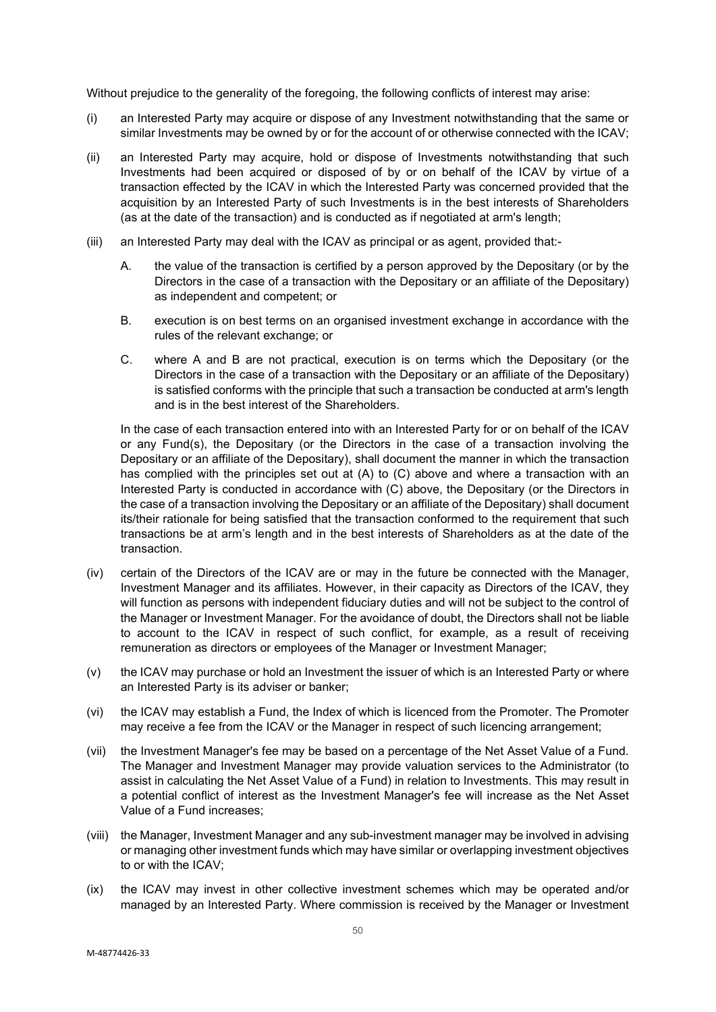Without prejudice to the generality of the foregoing, the following conflicts of interest may arise:

- (i) an Interested Party may acquire or dispose of any Investment notwithstanding that the same or similar Investments may be owned by or for the account of or otherwise connected with the ICAV;
- (ii) an Interested Party may acquire, hold or dispose of Investments notwithstanding that such Investments had been acquired or disposed of by or on behalf of the ICAV by virtue of a transaction effected by the ICAV in which the Interested Party was concerned provided that the acquisition by an Interested Party of such Investments is in the best interests of Shareholders (as at the date of the transaction) and is conducted as if negotiated at arm's length;
- (iii) an Interested Party may deal with the ICAV as principal or as agent, provided that:-
	- A. the value of the transaction is certified by a person approved by the Depositary (or by the Directors in the case of a transaction with the Depositary or an affiliate of the Depositary) as independent and competent; or
	- B. execution is on best terms on an organised investment exchange in accordance with the rules of the relevant exchange; or
	- C. where A and B are not practical, execution is on terms which the Depositary (or the Directors in the case of a transaction with the Depositary or an affiliate of the Depositary) is satisfied conforms with the principle that such a transaction be conducted at arm's length and is in the best interest of the Shareholders.

In the case of each transaction entered into with an Interested Party for or on behalf of the ICAV or any Fund(s), the Depositary (or the Directors in the case of a transaction involving the Depositary or an affiliate of the Depositary), shall document the manner in which the transaction has complied with the principles set out at (A) to (C) above and where a transaction with an Interested Party is conducted in accordance with (C) above, the Depositary (or the Directors in the case of a transaction involving the Depositary or an affiliate of the Depositary) shall document its/their rationale for being satisfied that the transaction conformed to the requirement that such transactions be at arm's length and in the best interests of Shareholders as at the date of the transaction.

- (iv) certain of the Directors of the ICAV are or may in the future be connected with the Manager, Investment Manager and its affiliates. However, in their capacity as Directors of the ICAV, they will function as persons with independent fiduciary duties and will not be subject to the control of the Manager or Investment Manager. For the avoidance of doubt, the Directors shall not be liable to account to the ICAV in respect of such conflict, for example, as a result of receiving remuneration as directors or employees of the Manager or Investment Manager;
- (v) the ICAV may purchase or hold an Investment the issuer of which is an Interested Party or where an Interested Party is its adviser or banker;
- (vi) the ICAV may establish a Fund, the Index of which is licenced from the Promoter. The Promoter may receive a fee from the ICAV or the Manager in respect of such licencing arrangement;
- (vii) the Investment Manager's fee may be based on a percentage of the Net Asset Value of a Fund. The Manager and Investment Manager may provide valuation services to the Administrator (to assist in calculating the Net Asset Value of a Fund) in relation to Investments. This may result in a potential conflict of interest as the Investment Manager's fee will increase as the Net Asset Value of a Fund increases;
- (viii) the Manager, Investment Manager and any sub-investment manager may be involved in advising or managing other investment funds which may have similar or overlapping investment objectives to or with the ICAV;
- (ix) the ICAV may invest in other collective investment schemes which may be operated and/or managed by an Interested Party. Where commission is received by the Manager or Investment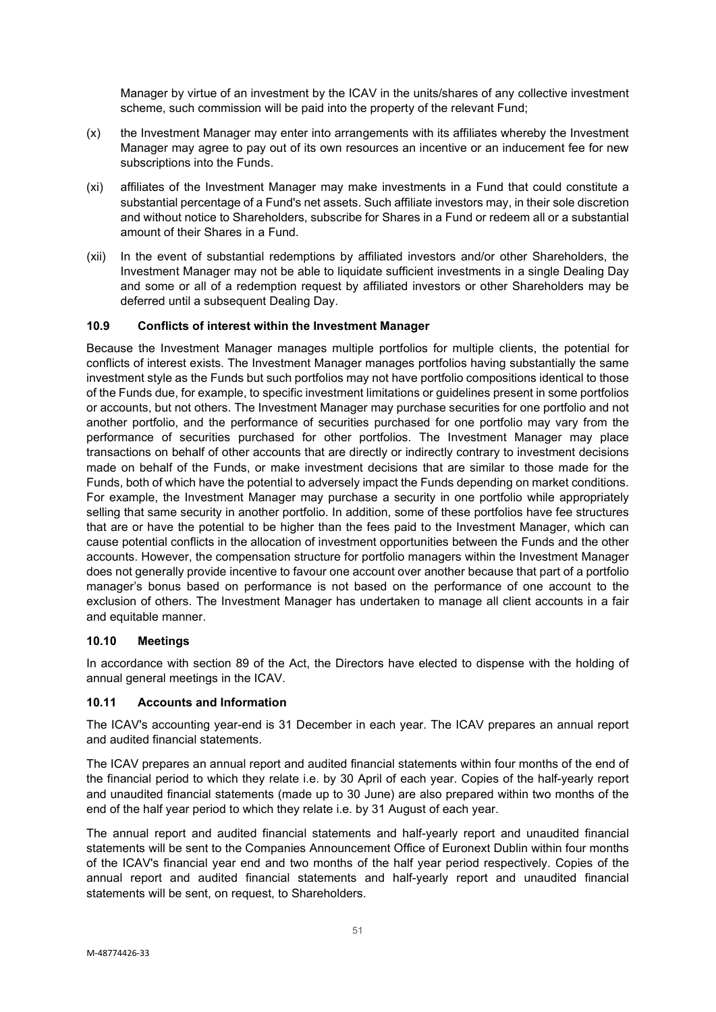Manager by virtue of an investment by the ICAV in the units/shares of any collective investment scheme, such commission will be paid into the property of the relevant Fund;

- (x) the Investment Manager may enter into arrangements with its affiliates whereby the Investment Manager may agree to pay out of its own resources an incentive or an inducement fee for new subscriptions into the Funds.
- (xi) affiliates of the Investment Manager may make investments in a Fund that could constitute a substantial percentage of a Fund's net assets. Such affiliate investors may, in their sole discretion and without notice to Shareholders, subscribe for Shares in a Fund or redeem all or a substantial amount of their Shares in a Fund.
- (xii) In the event of substantial redemptions by affiliated investors and/or other Shareholders, the Investment Manager may not be able to liquidate sufficient investments in a single Dealing Day and some or all of a redemption request by affiliated investors or other Shareholders may be deferred until a subsequent Dealing Day.

# **10.9 Conflicts of interest within the Investment Manager**

Because the Investment Manager manages multiple portfolios for multiple clients, the potential for conflicts of interest exists. The Investment Manager manages portfolios having substantially the same investment style as the Funds but such portfolios may not have portfolio compositions identical to those of the Funds due, for example, to specific investment limitations or guidelines present in some portfolios or accounts, but not others. The Investment Manager may purchase securities for one portfolio and not another portfolio, and the performance of securities purchased for one portfolio may vary from the performance of securities purchased for other portfolios. The Investment Manager may place transactions on behalf of other accounts that are directly or indirectly contrary to investment decisions made on behalf of the Funds, or make investment decisions that are similar to those made for the Funds, both of which have the potential to adversely impact the Funds depending on market conditions. For example, the Investment Manager may purchase a security in one portfolio while appropriately selling that same security in another portfolio. In addition, some of these portfolios have fee structures that are or have the potential to be higher than the fees paid to the Investment Manager, which can cause potential conflicts in the allocation of investment opportunities between the Funds and the other accounts. However, the compensation structure for portfolio managers within the Investment Manager does not generally provide incentive to favour one account over another because that part of a portfolio manager's bonus based on performance is not based on the performance of one account to the exclusion of others. The Investment Manager has undertaken to manage all client accounts in a fair and equitable manner.

#### **10.10 Meetings**

In accordance with section 89 of the Act, the Directors have elected to dispense with the holding of annual general meetings in the ICAV.

### **10.11 Accounts and Information**

The ICAV's accounting year-end is 31 December in each year. The ICAV prepares an annual report and audited financial statements.

The ICAV prepares an annual report and audited financial statements within four months of the end of the financial period to which they relate i.e. by 30 April of each year. Copies of the half-yearly report and unaudited financial statements (made up to 30 June) are also prepared within two months of the end of the half year period to which they relate i.e. by 31 August of each year.

The annual report and audited financial statements and half-yearly report and unaudited financial statements will be sent to the Companies Announcement Office of Euronext Dublin within four months of the ICAV's financial year end and two months of the half year period respectively. Copies of the annual report and audited financial statements and half-yearly report and unaudited financial statements will be sent, on request, to Shareholders.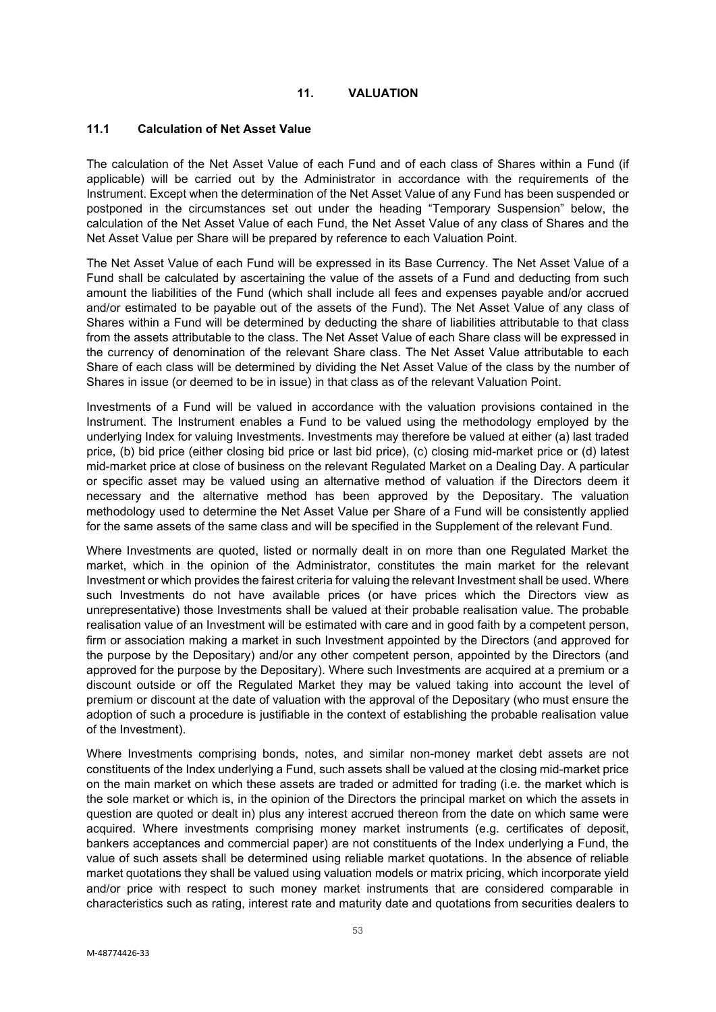### **11. VALUATION**

### **11.1 Calculation of Net Asset Value**

The calculation of the Net Asset Value of each Fund and of each class of Shares within a Fund (if applicable) will be carried out by the Administrator in accordance with the requirements of the Instrument. Except when the determination of the Net Asset Value of any Fund has been suspended or postponed in the circumstances set out under the heading "Temporary Suspension" below, the calculation of the Net Asset Value of each Fund, the Net Asset Value of any class of Shares and the Net Asset Value per Share will be prepared by reference to each Valuation Point.

The Net Asset Value of each Fund will be expressed in its Base Currency. The Net Asset Value of a Fund shall be calculated by ascertaining the value of the assets of a Fund and deducting from such amount the liabilities of the Fund (which shall include all fees and expenses payable and/or accrued and/or estimated to be payable out of the assets of the Fund). The Net Asset Value of any class of Shares within a Fund will be determined by deducting the share of liabilities attributable to that class from the assets attributable to the class. The Net Asset Value of each Share class will be expressed in the currency of denomination of the relevant Share class. The Net Asset Value attributable to each Share of each class will be determined by dividing the Net Asset Value of the class by the number of Shares in issue (or deemed to be in issue) in that class as of the relevant Valuation Point.

Investments of a Fund will be valued in accordance with the valuation provisions contained in the Instrument. The Instrument enables a Fund to be valued using the methodology employed by the underlying Index for valuing Investments. Investments may therefore be valued at either (a) last traded price, (b) bid price (either closing bid price or last bid price), (c) closing mid-market price or (d) latest mid-market price at close of business on the relevant Regulated Market on a Dealing Day. A particular or specific asset may be valued using an alternative method of valuation if the Directors deem it necessary and the alternative method has been approved by the Depositary. The valuation methodology used to determine the Net Asset Value per Share of a Fund will be consistently applied for the same assets of the same class and will be specified in the Supplement of the relevant Fund.

Where Investments are quoted, listed or normally dealt in on more than one Regulated Market the market, which in the opinion of the Administrator, constitutes the main market for the relevant Investment or which provides the fairest criteria for valuing the relevant Investment shall be used. Where such Investments do not have available prices (or have prices which the Directors view as unrepresentative) those Investments shall be valued at their probable realisation value. The probable realisation value of an Investment will be estimated with care and in good faith by a competent person, firm or association making a market in such Investment appointed by the Directors (and approved for the purpose by the Depositary) and/or any other competent person, appointed by the Directors (and approved for the purpose by the Depositary). Where such Investments are acquired at a premium or a discount outside or off the Regulated Market they may be valued taking into account the level of premium or discount at the date of valuation with the approval of the Depositary (who must ensure the adoption of such a procedure is justifiable in the context of establishing the probable realisation value of the Investment).

Where Investments comprising bonds, notes, and similar non-money market debt assets are not constituents of the Index underlying a Fund, such assets shall be valued at the closing mid-market price on the main market on which these assets are traded or admitted for trading (i.e. the market which is the sole market or which is, in the opinion of the Directors the principal market on which the assets in question are quoted or dealt in) plus any interest accrued thereon from the date on which same were acquired. Where investments comprising money market instruments (e.g. certificates of deposit, bankers acceptances and commercial paper) are not constituents of the Index underlying a Fund, the value of such assets shall be determined using reliable market quotations. In the absence of reliable market quotations they shall be valued using valuation models or matrix pricing, which incorporate yield and/or price with respect to such money market instruments that are considered comparable in characteristics such as rating, interest rate and maturity date and quotations from securities dealers to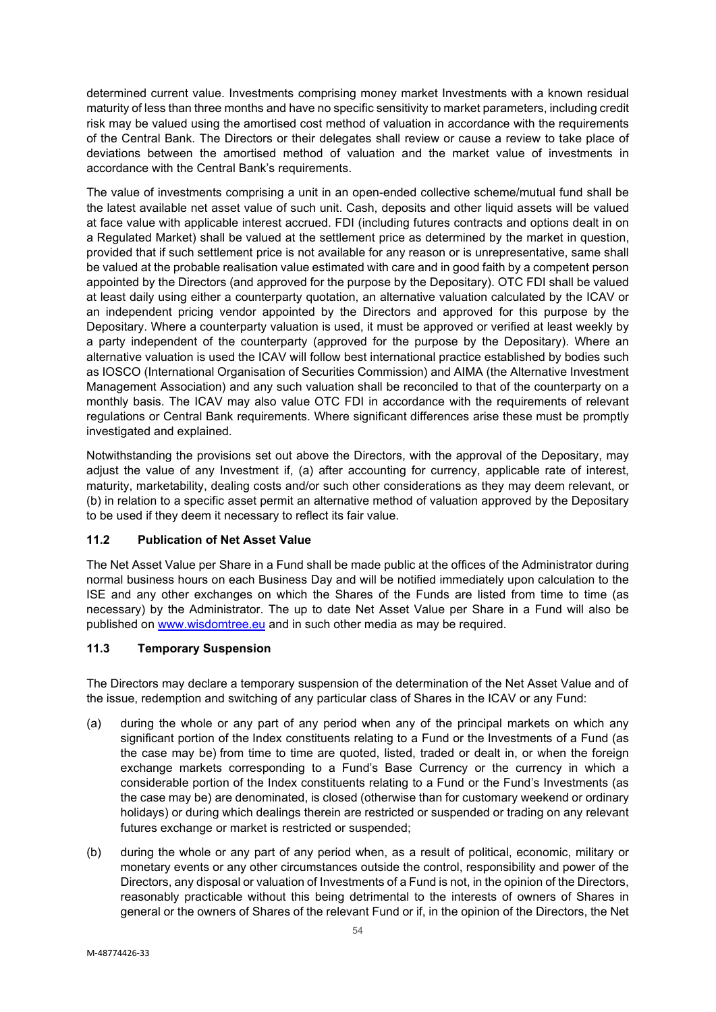determined current value. Investments comprising money market Investments with a known residual maturity of less than three months and have no specific sensitivity to market parameters, including credit risk may be valued using the amortised cost method of valuation in accordance with the requirements of the Central Bank. The Directors or their delegates shall review or cause a review to take place of deviations between the amortised method of valuation and the market value of investments in accordance with the Central Bank's requirements.

The value of investments comprising a unit in an open-ended collective scheme/mutual fund shall be the latest available net asset value of such unit. Cash, deposits and other liquid assets will be valued at face value with applicable interest accrued. FDI (including futures contracts and options dealt in on a Regulated Market) shall be valued at the settlement price as determined by the market in question, provided that if such settlement price is not available for any reason or is unrepresentative, same shall be valued at the probable realisation value estimated with care and in good faith by a competent person appointed by the Directors (and approved for the purpose by the Depositary). OTC FDI shall be valued at least daily using either a counterparty quotation, an alternative valuation calculated by the ICAV or an independent pricing vendor appointed by the Directors and approved for this purpose by the Depositary. Where a counterparty valuation is used, it must be approved or verified at least weekly by a party independent of the counterparty (approved for the purpose by the Depositary). Where an alternative valuation is used the ICAV will follow best international practice established by bodies such as IOSCO (International Organisation of Securities Commission) and AIMA (the Alternative Investment Management Association) and any such valuation shall be reconciled to that of the counterparty on a monthly basis. The ICAV may also value OTC FDI in accordance with the requirements of relevant regulations or Central Bank requirements. Where significant differences arise these must be promptly investigated and explained.

Notwithstanding the provisions set out above the Directors, with the approval of the Depositary, may adjust the value of any Investment if, (a) after accounting for currency, applicable rate of interest, maturity, marketability, dealing costs and/or such other considerations as they may deem relevant, or (b) in relation to a specific asset permit an alternative method of valuation approved by the Depositary to be used if they deem it necessary to reflect its fair value.

# **11.2 Publication of Net Asset Value**

The Net Asset Value per Share in a Fund shall be made public at the offices of the Administrator during normal business hours on each Business Day and will be notified immediately upon calculation to the ISE and any other exchanges on which the Shares of the Funds are listed from time to time (as necessary) by the Administrator. The up to date Net Asset Value per Share in a Fund will also be published on [www.wisdomtree.eu](http://www.wisdomtree.eu/) and in such other media as may be required.

# **11.3 Temporary Suspension**

The Directors may declare a temporary suspension of the determination of the Net Asset Value and of the issue, redemption and switching of any particular class of Shares in the ICAV or any Fund:

- (a) during the whole or any part of any period when any of the principal markets on which any significant portion of the Index constituents relating to a Fund or the Investments of a Fund (as the case may be) from time to time are quoted, listed, traded or dealt in, or when the foreign exchange markets corresponding to a Fund's Base Currency or the currency in which a considerable portion of the Index constituents relating to a Fund or the Fund's Investments (as the case may be) are denominated, is closed (otherwise than for customary weekend or ordinary holidays) or during which dealings therein are restricted or suspended or trading on any relevant futures exchange or market is restricted or suspended;
- (b) during the whole or any part of any period when, as a result of political, economic, military or monetary events or any other circumstances outside the control, responsibility and power of the Directors, any disposal or valuation of Investments of a Fund is not, in the opinion of the Directors, reasonably practicable without this being detrimental to the interests of owners of Shares in general or the owners of Shares of the relevant Fund or if, in the opinion of the Directors, the Net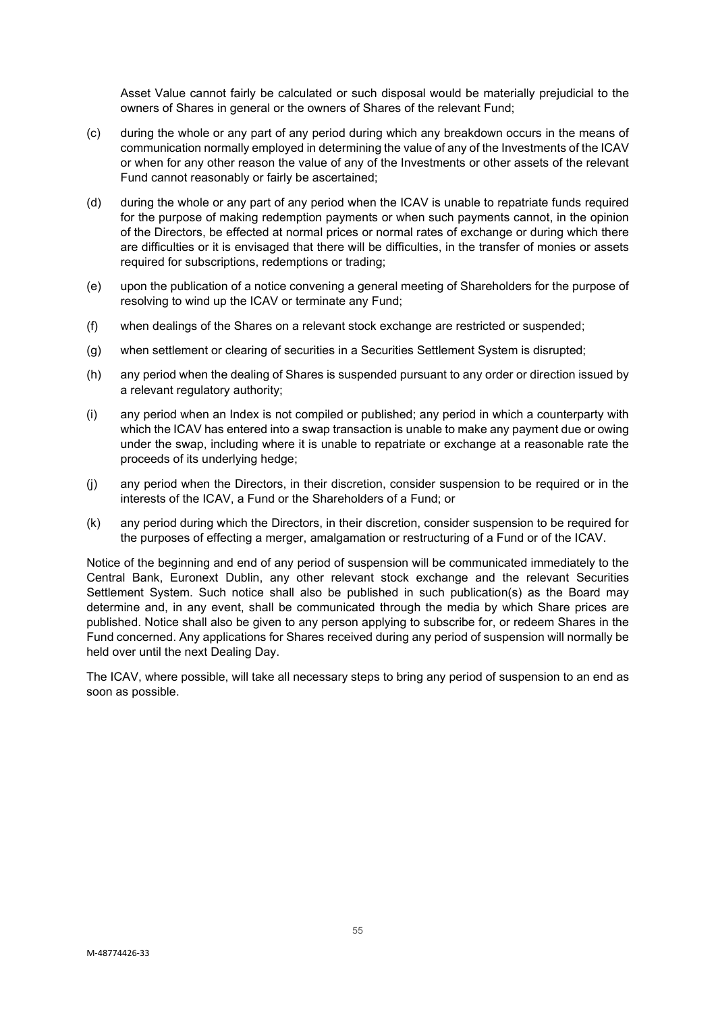Asset Value cannot fairly be calculated or such disposal would be materially prejudicial to the owners of Shares in general or the owners of Shares of the relevant Fund;

- (c) during the whole or any part of any period during which any breakdown occurs in the means of communication normally employed in determining the value of any of the Investments of the ICAV or when for any other reason the value of any of the Investments or other assets of the relevant Fund cannot reasonably or fairly be ascertained;
- (d) during the whole or any part of any period when the ICAV is unable to repatriate funds required for the purpose of making redemption payments or when such payments cannot, in the opinion of the Directors, be effected at normal prices or normal rates of exchange or during which there are difficulties or it is envisaged that there will be difficulties, in the transfer of monies or assets required for subscriptions, redemptions or trading;
- (e) upon the publication of a notice convening a general meeting of Shareholders for the purpose of resolving to wind up the ICAV or terminate any Fund;
- (f) when dealings of the Shares on a relevant stock exchange are restricted or suspended;
- (g) when settlement or clearing of securities in a Securities Settlement System is disrupted;
- (h) any period when the dealing of Shares is suspended pursuant to any order or direction issued by a relevant regulatory authority;
- (i) any period when an Index is not compiled or published; any period in which a counterparty with which the ICAV has entered into a swap transaction is unable to make any payment due or owing under the swap, including where it is unable to repatriate or exchange at a reasonable rate the proceeds of its underlying hedge;
- (j) any period when the Directors, in their discretion, consider suspension to be required or in the interests of the ICAV, a Fund or the Shareholders of a Fund; or
- (k) any period during which the Directors, in their discretion, consider suspension to be required for the purposes of effecting a merger, amalgamation or restructuring of a Fund or of the ICAV.

Notice of the beginning and end of any period of suspension will be communicated immediately to the Central Bank, Euronext Dublin, any other relevant stock exchange and the relevant Securities Settlement System. Such notice shall also be published in such publication(s) as the Board may determine and, in any event, shall be communicated through the media by which Share prices are published. Notice shall also be given to any person applying to subscribe for, or redeem Shares in the Fund concerned. Any applications for Shares received during any period of suspension will normally be held over until the next Dealing Day.

The ICAV, where possible, will take all necessary steps to bring any period of suspension to an end as soon as possible.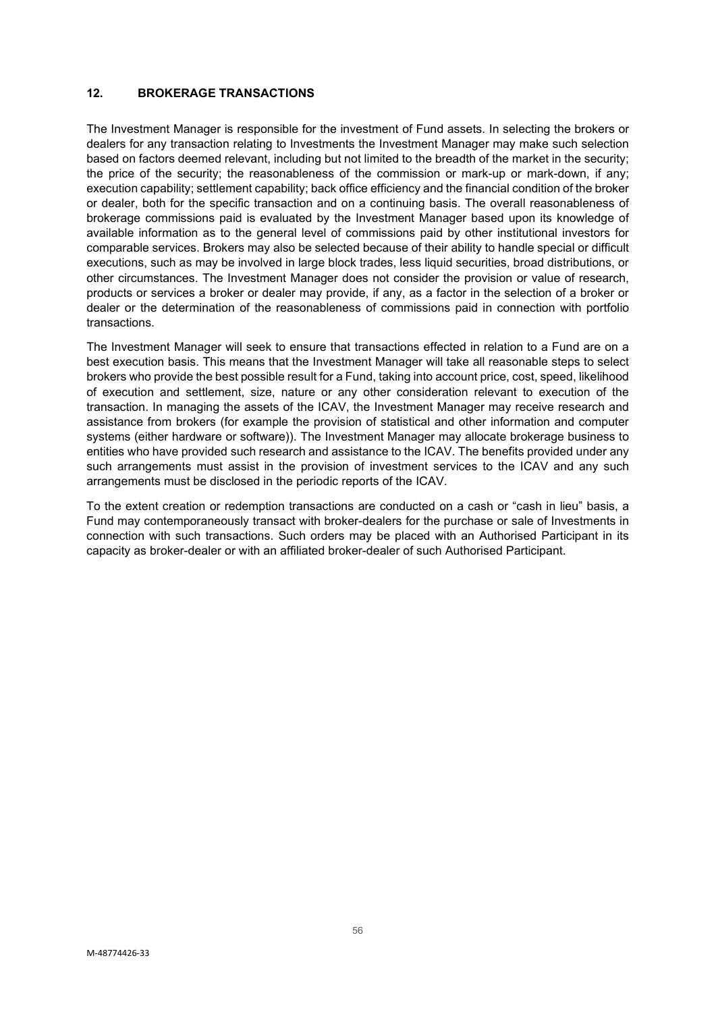# **12. BROKERAGE TRANSACTIONS**

The Investment Manager is responsible for the investment of Fund assets. In selecting the brokers or dealers for any transaction relating to Investments the Investment Manager may make such selection based on factors deemed relevant, including but not limited to the breadth of the market in the security; the price of the security; the reasonableness of the commission or mark-up or mark-down, if any; execution capability; settlement capability; back office efficiency and the financial condition of the broker or dealer, both for the specific transaction and on a continuing basis. The overall reasonableness of brokerage commissions paid is evaluated by the Investment Manager based upon its knowledge of available information as to the general level of commissions paid by other institutional investors for comparable services. Brokers may also be selected because of their ability to handle special or difficult executions, such as may be involved in large block trades, less liquid securities, broad distributions, or other circumstances. The Investment Manager does not consider the provision or value of research, products or services a broker or dealer may provide, if any, as a factor in the selection of a broker or dealer or the determination of the reasonableness of commissions paid in connection with portfolio transactions.

The Investment Manager will seek to ensure that transactions effected in relation to a Fund are on a best execution basis. This means that the Investment Manager will take all reasonable steps to select brokers who provide the best possible result for a Fund, taking into account price, cost, speed, likelihood of execution and settlement, size, nature or any other consideration relevant to execution of the transaction. In managing the assets of the ICAV, the Investment Manager may receive research and assistance from brokers (for example the provision of statistical and other information and computer systems (either hardware or software)). The Investment Manager may allocate brokerage business to entities who have provided such research and assistance to the ICAV. The benefits provided under any such arrangements must assist in the provision of investment services to the ICAV and any such arrangements must be disclosed in the periodic reports of the ICAV.

To the extent creation or redemption transactions are conducted on a cash or "cash in lieu" basis, a Fund may contemporaneously transact with broker-dealers for the purchase or sale of Investments in connection with such transactions. Such orders may be placed with an Authorised Participant in its capacity as broker-dealer or with an affiliated broker-dealer of such Authorised Participant.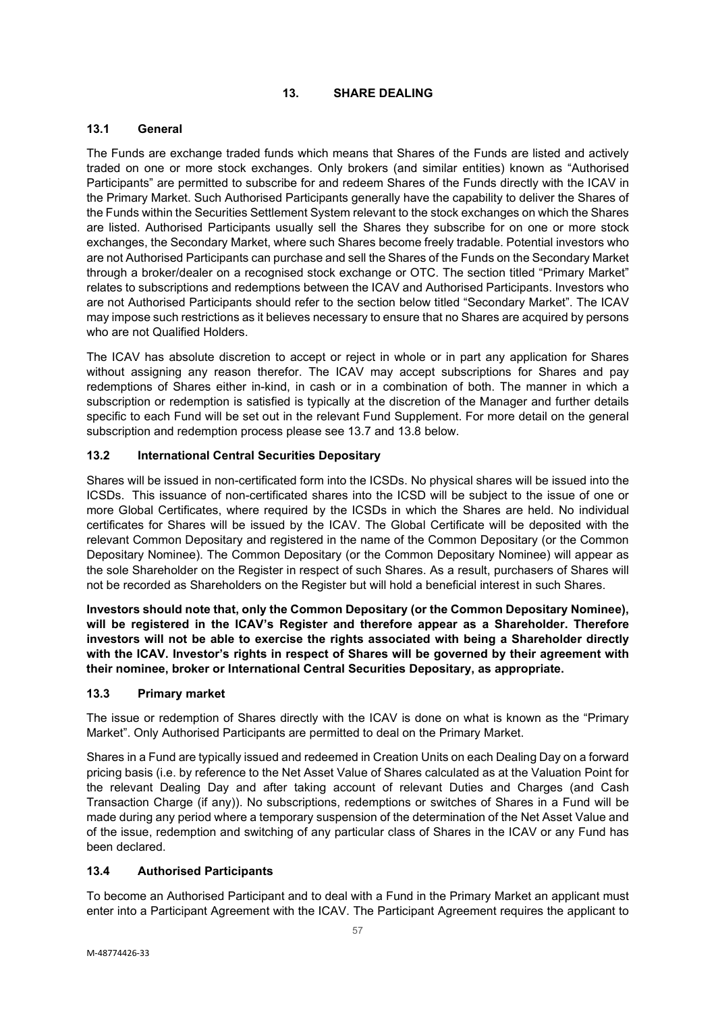### **13. SHARE DEALING**

# **13.1 General**

The Funds are exchange traded funds which means that Shares of the Funds are listed and actively traded on one or more stock exchanges. Only brokers (and similar entities) known as "Authorised Participants" are permitted to subscribe for and redeem Shares of the Funds directly with the ICAV in the Primary Market. Such Authorised Participants generally have the capability to deliver the Shares of the Funds within the Securities Settlement System relevant to the stock exchanges on which the Shares are listed. Authorised Participants usually sell the Shares they subscribe for on one or more stock exchanges, the Secondary Market, where such Shares become freely tradable. Potential investors who are not Authorised Participants can purchase and sell the Shares of the Funds on the Secondary Market through a broker/dealer on a recognised stock exchange or OTC. The section titled "Primary Market" relates to subscriptions and redemptions between the ICAV and Authorised Participants. Investors who are not Authorised Participants should refer to the section below titled "Secondary Market". The ICAV may impose such restrictions as it believes necessary to ensure that no Shares are acquired by persons who are not Qualified Holders.

The ICAV has absolute discretion to accept or reject in whole or in part any application for Shares without assigning any reason therefor. The ICAV may accept subscriptions for Shares and pay redemptions of Shares either in-kind, in cash or in a combination of both. The manner in which a subscription or redemption is satisfied is typically at the discretion of the Manager and further details specific to each Fund will be set out in the relevant Fund Supplement. For more detail on the general subscription and redemption process please see 13.7 and 13.8 below.

# **13.2 International Central Securities Depositary**

Shares will be issued in non-certificated form into the ICSDs. No physical shares will be issued into the ICSDs. This issuance of non-certificated shares into the ICSD will be subject to the issue of one or more Global Certificates, where required by the ICSDs in which the Shares are held. No individual certificates for Shares will be issued by the ICAV. The Global Certificate will be deposited with the relevant Common Depositary and registered in the name of the Common Depositary (or the Common Depositary Nominee). The Common Depositary (or the Common Depositary Nominee) will appear as the sole Shareholder on the Register in respect of such Shares. As a result, purchasers of Shares will not be recorded as Shareholders on the Register but will hold a beneficial interest in such Shares.

**Investors should note that, only the Common Depositary (or the Common Depositary Nominee), will be registered in the ICAV's Register and therefore appear as a Shareholder. Therefore investors will not be able to exercise the rights associated with being a Shareholder directly with the ICAV. Investor's rights in respect of Shares will be governed by their agreement with their nominee, broker or International Central Securities Depositary, as appropriate.**

# **13.3 Primary market**

The issue or redemption of Shares directly with the ICAV is done on what is known as the "Primary Market". Only Authorised Participants are permitted to deal on the Primary Market.

Shares in a Fund are typically issued and redeemed in Creation Units on each Dealing Day on a forward pricing basis (i.e. by reference to the Net Asset Value of Shares calculated as at the Valuation Point for the relevant Dealing Day and after taking account of relevant Duties and Charges (and Cash Transaction Charge (if any)). No subscriptions, redemptions or switches of Shares in a Fund will be made during any period where a temporary suspension of the determination of the Net Asset Value and of the issue, redemption and switching of any particular class of Shares in the ICAV or any Fund has been declared.

# **13.4 Authorised Participants**

To become an Authorised Participant and to deal with a Fund in the Primary Market an applicant must enter into a Participant Agreement with the ICAV. The Participant Agreement requires the applicant to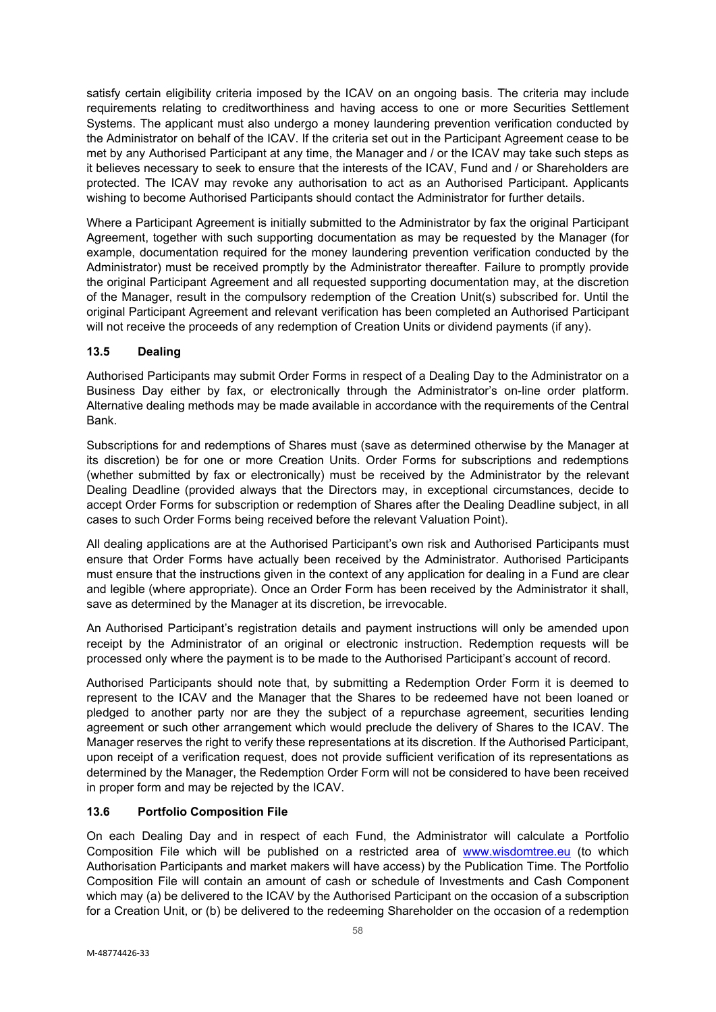satisfy certain eligibility criteria imposed by the ICAV on an ongoing basis. The criteria may include requirements relating to creditworthiness and having access to one or more Securities Settlement Systems. The applicant must also undergo a money laundering prevention verification conducted by the Administrator on behalf of the ICAV. If the criteria set out in the Participant Agreement cease to be met by any Authorised Participant at any time, the Manager and / or the ICAV may take such steps as it believes necessary to seek to ensure that the interests of the ICAV, Fund and / or Shareholders are protected. The ICAV may revoke any authorisation to act as an Authorised Participant. Applicants wishing to become Authorised Participants should contact the Administrator for further details.

Where a Participant Agreement is initially submitted to the Administrator by fax the original Participant Agreement, together with such supporting documentation as may be requested by the Manager (for example, documentation required for the money laundering prevention verification conducted by the Administrator) must be received promptly by the Administrator thereafter. Failure to promptly provide the original Participant Agreement and all requested supporting documentation may, at the discretion of the Manager, result in the compulsory redemption of the Creation Unit(s) subscribed for. Until the original Participant Agreement and relevant verification has been completed an Authorised Participant will not receive the proceeds of any redemption of Creation Units or dividend payments (if any).

# **13.5 Dealing**

Authorised Participants may submit Order Forms in respect of a Dealing Day to the Administrator on a Business Day either by fax, or electronically through the Administrator's on-line order platform. Alternative dealing methods may be made available in accordance with the requirements of the Central Bank.

Subscriptions for and redemptions of Shares must (save as determined otherwise by the Manager at its discretion) be for one or more Creation Units. Order Forms for subscriptions and redemptions (whether submitted by fax or electronically) must be received by the Administrator by the relevant Dealing Deadline (provided always that the Directors may, in exceptional circumstances, decide to accept Order Forms for subscription or redemption of Shares after the Dealing Deadline subject, in all cases to such Order Forms being received before the relevant Valuation Point).

All dealing applications are at the Authorised Participant's own risk and Authorised Participants must ensure that Order Forms have actually been received by the Administrator. Authorised Participants must ensure that the instructions given in the context of any application for dealing in a Fund are clear and legible (where appropriate). Once an Order Form has been received by the Administrator it shall, save as determined by the Manager at its discretion, be irrevocable.

An Authorised Participant's registration details and payment instructions will only be amended upon receipt by the Administrator of an original or electronic instruction. Redemption requests will be processed only where the payment is to be made to the Authorised Participant's account of record.

Authorised Participants should note that, by submitting a Redemption Order Form it is deemed to represent to the ICAV and the Manager that the Shares to be redeemed have not been loaned or pledged to another party nor are they the subject of a repurchase agreement, securities lending agreement or such other arrangement which would preclude the delivery of Shares to the ICAV. The Manager reserves the right to verify these representations at its discretion. If the Authorised Participant, upon receipt of a verification request, does not provide sufficient verification of its representations as determined by the Manager, the Redemption Order Form will not be considered to have been received in proper form and may be rejected by the ICAV.

# **13.6 Portfolio Composition File**

On each Dealing Day and in respect of each Fund, the Administrator will calculate a Portfolio Composition File which will be published on a restricted area of [www.wisdomtree.eu](http://www.wisdomtree.eu/) (to which Authorisation Participants and market makers will have access) by the Publication Time. The Portfolio Composition File will contain an amount of cash or schedule of Investments and Cash Component which may (a) be delivered to the ICAV by the Authorised Participant on the occasion of a subscription for a Creation Unit, or (b) be delivered to the redeeming Shareholder on the occasion of a redemption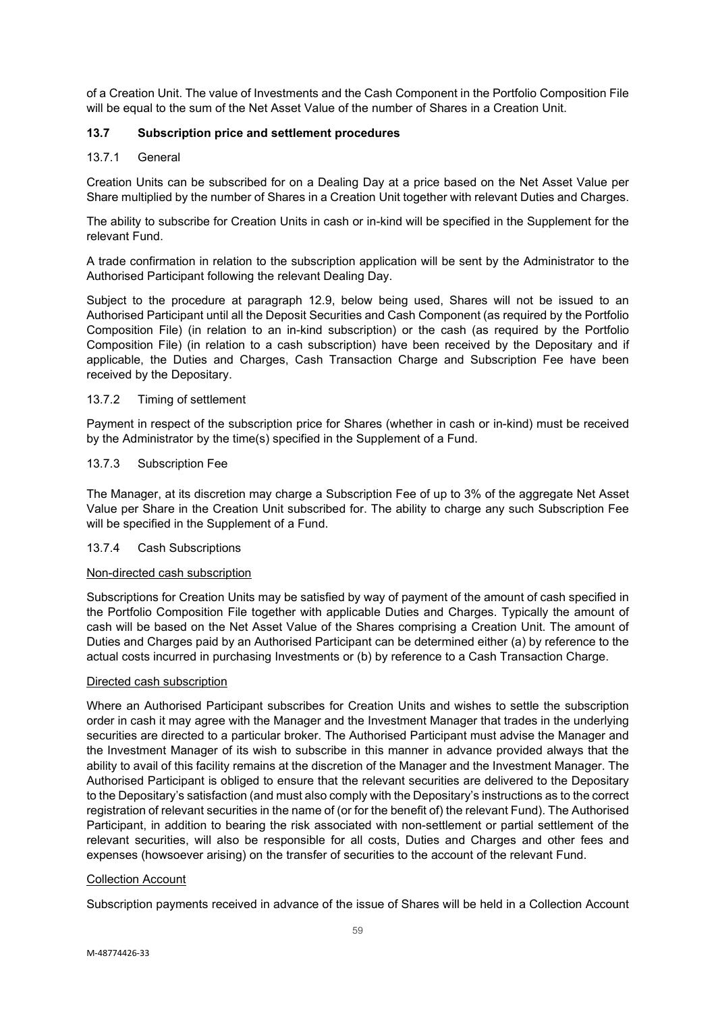of a Creation Unit. The value of Investments and the Cash Component in the Portfolio Composition File will be equal to the sum of the Net Asset Value of the number of Shares in a Creation Unit.

# **13.7 Subscription price and settlement procedures**

### 13.7.1 General

Creation Units can be subscribed for on a Dealing Day at a price based on the Net Asset Value per Share multiplied by the number of Shares in a Creation Unit together with relevant Duties and Charges.

The ability to subscribe for Creation Units in cash or in-kind will be specified in the Supplement for the relevant Fund.

A trade confirmation in relation to the subscription application will be sent by the Administrator to the Authorised Participant following the relevant Dealing Day.

Subject to the procedure at paragraph 12.9, below being used, Shares will not be issued to an Authorised Participant until all the Deposit Securities and Cash Component (as required by the Portfolio Composition File) (in relation to an in-kind subscription) or the cash (as required by the Portfolio Composition File) (in relation to a cash subscription) have been received by the Depositary and if applicable, the Duties and Charges, Cash Transaction Charge and Subscription Fee have been received by the Depositary.

#### 13.7.2 Timing of settlement

Payment in respect of the subscription price for Shares (whether in cash or in-kind) must be received by the Administrator by the time(s) specified in the Supplement of a Fund.

#### 13.7.3 Subscription Fee

The Manager, at its discretion may charge a Subscription Fee of up to 3% of the aggregate Net Asset Value per Share in the Creation Unit subscribed for. The ability to charge any such Subscription Fee will be specified in the Supplement of a Fund.

# 13.7.4 Cash Subscriptions

### Non-directed cash subscription

Subscriptions for Creation Units may be satisfied by way of payment of the amount of cash specified in the Portfolio Composition File together with applicable Duties and Charges. Typically the amount of cash will be based on the Net Asset Value of the Shares comprising a Creation Unit. The amount of Duties and Charges paid by an Authorised Participant can be determined either (a) by reference to the actual costs incurred in purchasing Investments or (b) by reference to a Cash Transaction Charge.

#### Directed cash subscription

Where an Authorised Participant subscribes for Creation Units and wishes to settle the subscription order in cash it may agree with the Manager and the Investment Manager that trades in the underlying securities are directed to a particular broker. The Authorised Participant must advise the Manager and the Investment Manager of its wish to subscribe in this manner in advance provided always that the ability to avail of this facility remains at the discretion of the Manager and the Investment Manager. The Authorised Participant is obliged to ensure that the relevant securities are delivered to the Depositary to the Depositary's satisfaction (and must also comply with the Depositary's instructions as to the correct registration of relevant securities in the name of (or for the benefit of) the relevant Fund). The Authorised Participant, in addition to bearing the risk associated with non-settlement or partial settlement of the relevant securities, will also be responsible for all costs, Duties and Charges and other fees and expenses (howsoever arising) on the transfer of securities to the account of the relevant Fund.

#### Collection Account

Subscription payments received in advance of the issue of Shares will be held in a Collection Account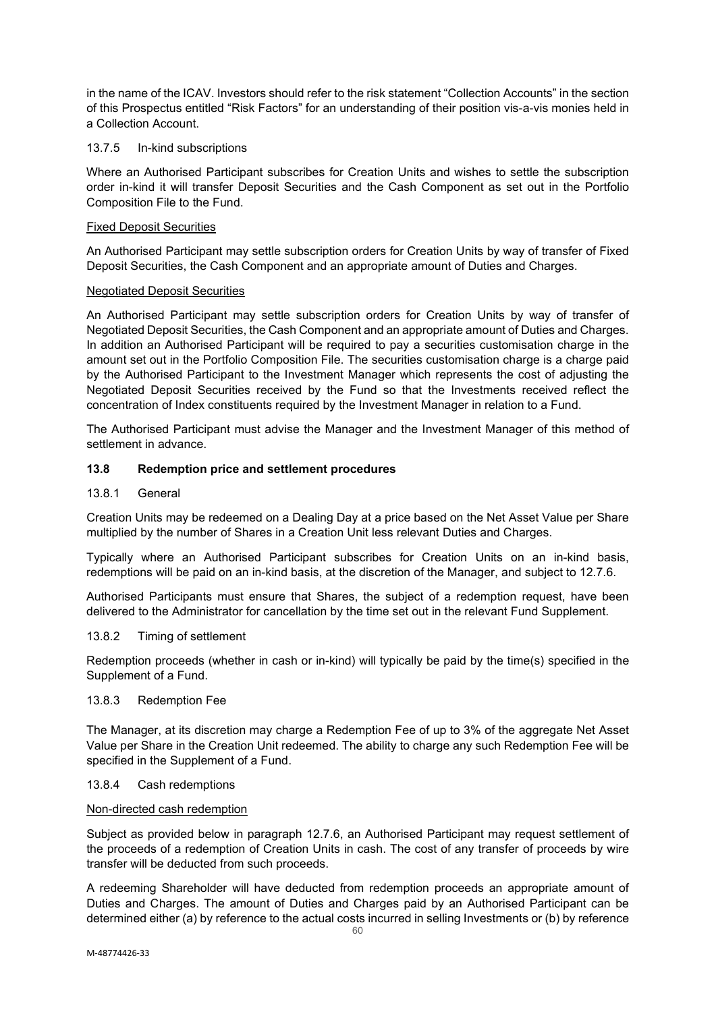in the name of the ICAV. Investors should refer to the risk statement "Collection Accounts" in the section of this Prospectus entitled "Risk Factors" for an understanding of their position vis-a-vis monies held in a Collection Account.

### 13.7.5 In-kind subscriptions

Where an Authorised Participant subscribes for Creation Units and wishes to settle the subscription order in-kind it will transfer Deposit Securities and the Cash Component as set out in the Portfolio Composition File to the Fund.

### Fixed Deposit Securities

An Authorised Participant may settle subscription orders for Creation Units by way of transfer of Fixed Deposit Securities, the Cash Component and an appropriate amount of Duties and Charges.

### Negotiated Deposit Securities

An Authorised Participant may settle subscription orders for Creation Units by way of transfer of Negotiated Deposit Securities, the Cash Component and an appropriate amount of Duties and Charges. In addition an Authorised Participant will be required to pay a securities customisation charge in the amount set out in the Portfolio Composition File. The securities customisation charge is a charge paid by the Authorised Participant to the Investment Manager which represents the cost of adjusting the Negotiated Deposit Securities received by the Fund so that the Investments received reflect the concentration of Index constituents required by the Investment Manager in relation to a Fund.

The Authorised Participant must advise the Manager and the Investment Manager of this method of settlement in advance.

### **13.8 Redemption price and settlement procedures**

### 13.8.1 General

Creation Units may be redeemed on a Dealing Day at a price based on the Net Asset Value per Share multiplied by the number of Shares in a Creation Unit less relevant Duties and Charges.

Typically where an Authorised Participant subscribes for Creation Units on an in-kind basis, redemptions will be paid on an in-kind basis, at the discretion of the Manager, and subject to 12.7.6.

Authorised Participants must ensure that Shares, the subject of a redemption request, have been delivered to the Administrator for cancellation by the time set out in the relevant Fund Supplement.

#### 13.8.2 Timing of settlement

Redemption proceeds (whether in cash or in-kind) will typically be paid by the time(s) specified in the Supplement of a Fund.

### 13.8.3 Redemption Fee

The Manager, at its discretion may charge a Redemption Fee of up to 3% of the aggregate Net Asset Value per Share in the Creation Unit redeemed. The ability to charge any such Redemption Fee will be specified in the Supplement of a Fund.

#### 13.8.4 Cash redemptions

#### Non-directed cash redemption

Subject as provided below in paragraph 12.7.6, an Authorised Participant may request settlement of the proceeds of a redemption of Creation Units in cash. The cost of any transfer of proceeds by wire transfer will be deducted from such proceeds.

A redeeming Shareholder will have deducted from redemption proceeds an appropriate amount of Duties and Charges. The amount of Duties and Charges paid by an Authorised Participant can be determined either (a) by reference to the actual costs incurred in selling Investments or (b) by reference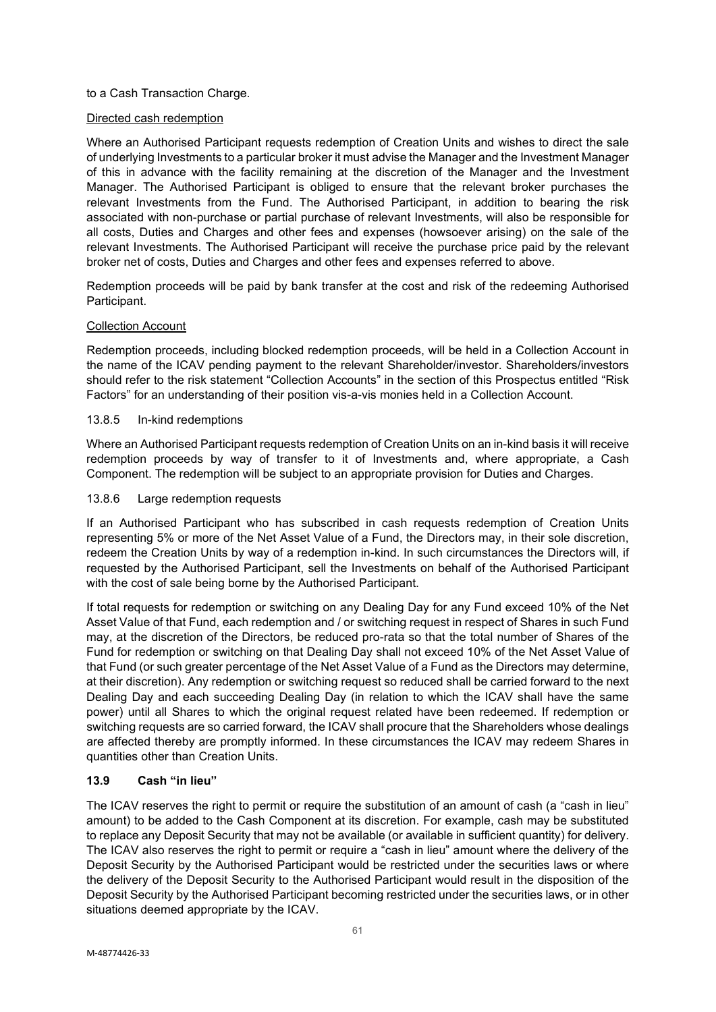### to a Cash Transaction Charge.

### Directed cash redemption

Where an Authorised Participant requests redemption of Creation Units and wishes to direct the sale of underlying Investments to a particular broker it must advise the Manager and the Investment Manager of this in advance with the facility remaining at the discretion of the Manager and the Investment Manager. The Authorised Participant is obliged to ensure that the relevant broker purchases the relevant Investments from the Fund. The Authorised Participant, in addition to bearing the risk associated with non-purchase or partial purchase of relevant Investments, will also be responsible for all costs, Duties and Charges and other fees and expenses (howsoever arising) on the sale of the relevant Investments. The Authorised Participant will receive the purchase price paid by the relevant broker net of costs, Duties and Charges and other fees and expenses referred to above.

Redemption proceeds will be paid by bank transfer at the cost and risk of the redeeming Authorised Participant.

### Collection Account

Redemption proceeds, including blocked redemption proceeds, will be held in a Collection Account in the name of the ICAV pending payment to the relevant Shareholder/investor. Shareholders/investors should refer to the risk statement "Collection Accounts" in the section of this Prospectus entitled "Risk Factors" for an understanding of their position vis-a-vis monies held in a Collection Account.

### 13.8.5 In-kind redemptions

Where an Authorised Participant requests redemption of Creation Units on an in-kind basis it will receive redemption proceeds by way of transfer to it of Investments and, where appropriate, a Cash Component. The redemption will be subject to an appropriate provision for Duties and Charges.

### 13.8.6 Large redemption requests

If an Authorised Participant who has subscribed in cash requests redemption of Creation Units representing 5% or more of the Net Asset Value of a Fund, the Directors may, in their sole discretion, redeem the Creation Units by way of a redemption in-kind. In such circumstances the Directors will, if requested by the Authorised Participant, sell the Investments on behalf of the Authorised Participant with the cost of sale being borne by the Authorised Participant.

If total requests for redemption or switching on any Dealing Day for any Fund exceed 10% of the Net Asset Value of that Fund, each redemption and / or switching request in respect of Shares in such Fund may, at the discretion of the Directors, be reduced pro-rata so that the total number of Shares of the Fund for redemption or switching on that Dealing Day shall not exceed 10% of the Net Asset Value of that Fund (or such greater percentage of the Net Asset Value of a Fund as the Directors may determine, at their discretion). Any redemption or switching request so reduced shall be carried forward to the next Dealing Day and each succeeding Dealing Day (in relation to which the ICAV shall have the same power) until all Shares to which the original request related have been redeemed. If redemption or switching requests are so carried forward, the ICAV shall procure that the Shareholders whose dealings are affected thereby are promptly informed. In these circumstances the ICAV may redeem Shares in quantities other than Creation Units.

# **13.9 Cash "in lieu"**

The ICAV reserves the right to permit or require the substitution of an amount of cash (a "cash in lieu" amount) to be added to the Cash Component at its discretion. For example, cash may be substituted to replace any Deposit Security that may not be available (or available in sufficient quantity) for delivery. The ICAV also reserves the right to permit or require a "cash in lieu" amount where the delivery of the Deposit Security by the Authorised Participant would be restricted under the securities laws or where the delivery of the Deposit Security to the Authorised Participant would result in the disposition of the Deposit Security by the Authorised Participant becoming restricted under the securities laws, or in other situations deemed appropriate by the ICAV.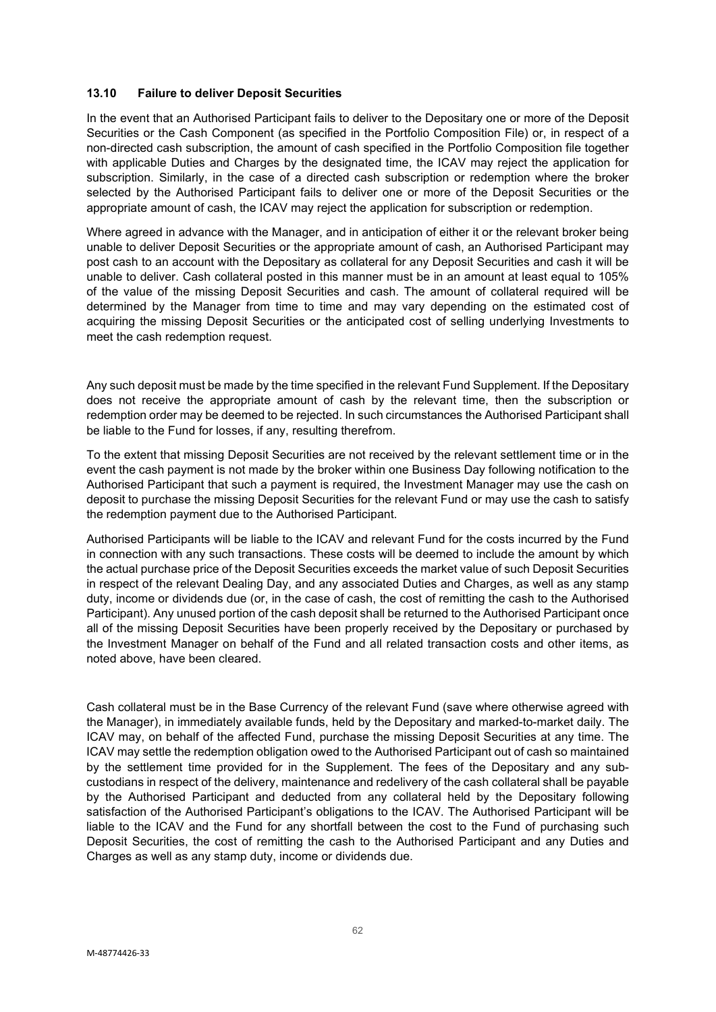### **13.10 Failure to deliver Deposit Securities**

In the event that an Authorised Participant fails to deliver to the Depositary one or more of the Deposit Securities or the Cash Component (as specified in the Portfolio Composition File) or, in respect of a non-directed cash subscription, the amount of cash specified in the Portfolio Composition file together with applicable Duties and Charges by the designated time, the ICAV may reject the application for subscription. Similarly, in the case of a directed cash subscription or redemption where the broker selected by the Authorised Participant fails to deliver one or more of the Deposit Securities or the appropriate amount of cash, the ICAV may reject the application for subscription or redemption.

Where agreed in advance with the Manager, and in anticipation of either it or the relevant broker being unable to deliver Deposit Securities or the appropriate amount of cash, an Authorised Participant may post cash to an account with the Depositary as collateral for any Deposit Securities and cash it will be unable to deliver. Cash collateral posted in this manner must be in an amount at least equal to 105% of the value of the missing Deposit Securities and cash. The amount of collateral required will be determined by the Manager from time to time and may vary depending on the estimated cost of acquiring the missing Deposit Securities or the anticipated cost of selling underlying Investments to meet the cash redemption request.

Any such deposit must be made by the time specified in the relevant Fund Supplement. If the Depositary does not receive the appropriate amount of cash by the relevant time, then the subscription or redemption order may be deemed to be rejected. In such circumstances the Authorised Participant shall be liable to the Fund for losses, if any, resulting therefrom.

To the extent that missing Deposit Securities are not received by the relevant settlement time or in the event the cash payment is not made by the broker within one Business Day following notification to the Authorised Participant that such a payment is required, the Investment Manager may use the cash on deposit to purchase the missing Deposit Securities for the relevant Fund or may use the cash to satisfy the redemption payment due to the Authorised Participant.

Authorised Participants will be liable to the ICAV and relevant Fund for the costs incurred by the Fund in connection with any such transactions. These costs will be deemed to include the amount by which the actual purchase price of the Deposit Securities exceeds the market value of such Deposit Securities in respect of the relevant Dealing Day, and any associated Duties and Charges, as well as any stamp duty, income or dividends due (or, in the case of cash, the cost of remitting the cash to the Authorised Participant). Any unused portion of the cash deposit shall be returned to the Authorised Participant once all of the missing Deposit Securities have been properly received by the Depositary or purchased by the Investment Manager on behalf of the Fund and all related transaction costs and other items, as noted above, have been cleared.

Cash collateral must be in the Base Currency of the relevant Fund (save where otherwise agreed with the Manager), in immediately available funds, held by the Depositary and marked-to-market daily. The ICAV may, on behalf of the affected Fund, purchase the missing Deposit Securities at any time. The ICAV may settle the redemption obligation owed to the Authorised Participant out of cash so maintained by the settlement time provided for in the Supplement. The fees of the Depositary and any subcustodians in respect of the delivery, maintenance and redelivery of the cash collateral shall be payable by the Authorised Participant and deducted from any collateral held by the Depositary following satisfaction of the Authorised Participant's obligations to the ICAV. The Authorised Participant will be liable to the ICAV and the Fund for any shortfall between the cost to the Fund of purchasing such Deposit Securities, the cost of remitting the cash to the Authorised Participant and any Duties and Charges as well as any stamp duty, income or dividends due.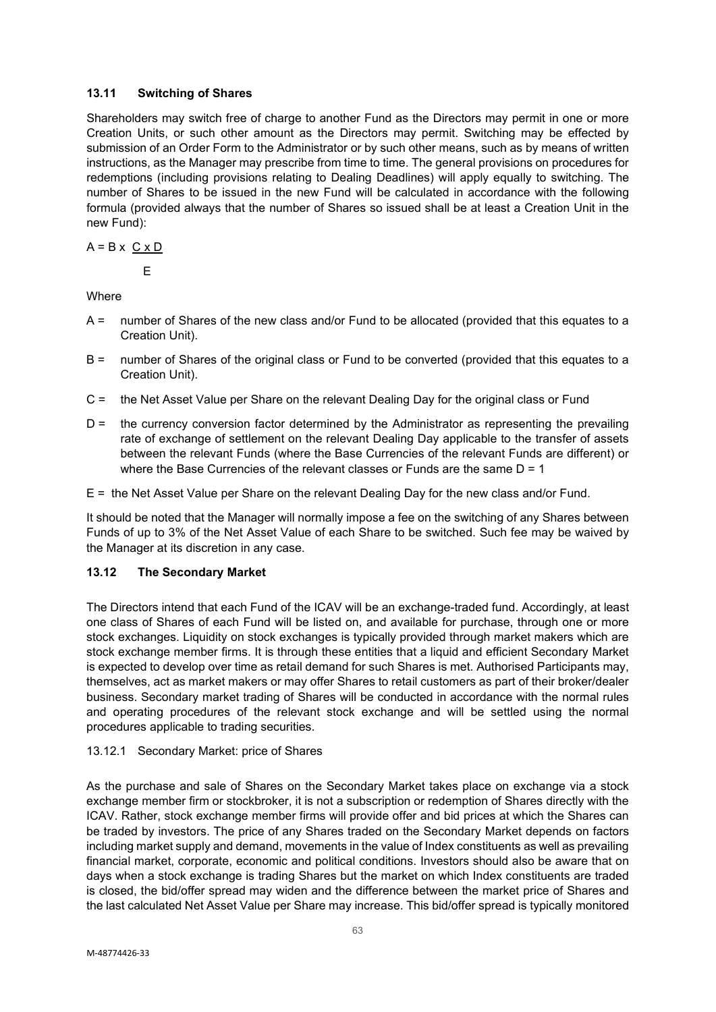# **13.11 Switching of Shares**

Shareholders may switch free of charge to another Fund as the Directors may permit in one or more Creation Units, or such other amount as the Directors may permit. Switching may be effected by submission of an Order Form to the Administrator or by such other means, such as by means of written instructions, as the Manager may prescribe from time to time. The general provisions on procedures for redemptions (including provisions relating to Dealing Deadlines) will apply equally to switching. The number of Shares to be issued in the new Fund will be calculated in accordance with the following formula (provided always that the number of Shares so issued shall be at least a Creation Unit in the new Fund):

$$
A = B \times C \times D
$$

E

**Where** 

- A = number of Shares of the new class and/or Fund to be allocated (provided that this equates to a Creation Unit).
- B = number of Shares of the original class or Fund to be converted (provided that this equates to a Creation Unit).
- C = the Net Asset Value per Share on the relevant Dealing Day for the original class or Fund
- D = the currency conversion factor determined by the Administrator as representing the prevailing rate of exchange of settlement on the relevant Dealing Day applicable to the transfer of assets between the relevant Funds (where the Base Currencies of the relevant Funds are different) or where the Base Currencies of the relevant classes or Funds are the same  $D = 1$
- E = the Net Asset Value per Share on the relevant Dealing Day for the new class and/or Fund.

It should be noted that the Manager will normally impose a fee on the switching of any Shares between Funds of up to 3% of the Net Asset Value of each Share to be switched. Such fee may be waived by the Manager at its discretion in any case.

# **13.12 The Secondary Market**

The Directors intend that each Fund of the ICAV will be an exchange-traded fund. Accordingly, at least one class of Shares of each Fund will be listed on, and available for purchase, through one or more stock exchanges. Liquidity on stock exchanges is typically provided through market makers which are stock exchange member firms. It is through these entities that a liquid and efficient Secondary Market is expected to develop over time as retail demand for such Shares is met. Authorised Participants may, themselves, act as market makers or may offer Shares to retail customers as part of their broker/dealer business. Secondary market trading of Shares will be conducted in accordance with the normal rules and operating procedures of the relevant stock exchange and will be settled using the normal procedures applicable to trading securities.

# 13.12.1 Secondary Market: price of Shares

As the purchase and sale of Shares on the Secondary Market takes place on exchange via a stock exchange member firm or stockbroker, it is not a subscription or redemption of Shares directly with the ICAV. Rather, stock exchange member firms will provide offer and bid prices at which the Shares can be traded by investors. The price of any Shares traded on the Secondary Market depends on factors including market supply and demand, movements in the value of Index constituents as well as prevailing financial market, corporate, economic and political conditions. Investors should also be aware that on days when a stock exchange is trading Shares but the market on which Index constituents are traded is closed, the bid/offer spread may widen and the difference between the market price of Shares and the last calculated Net Asset Value per Share may increase. This bid/offer spread is typically monitored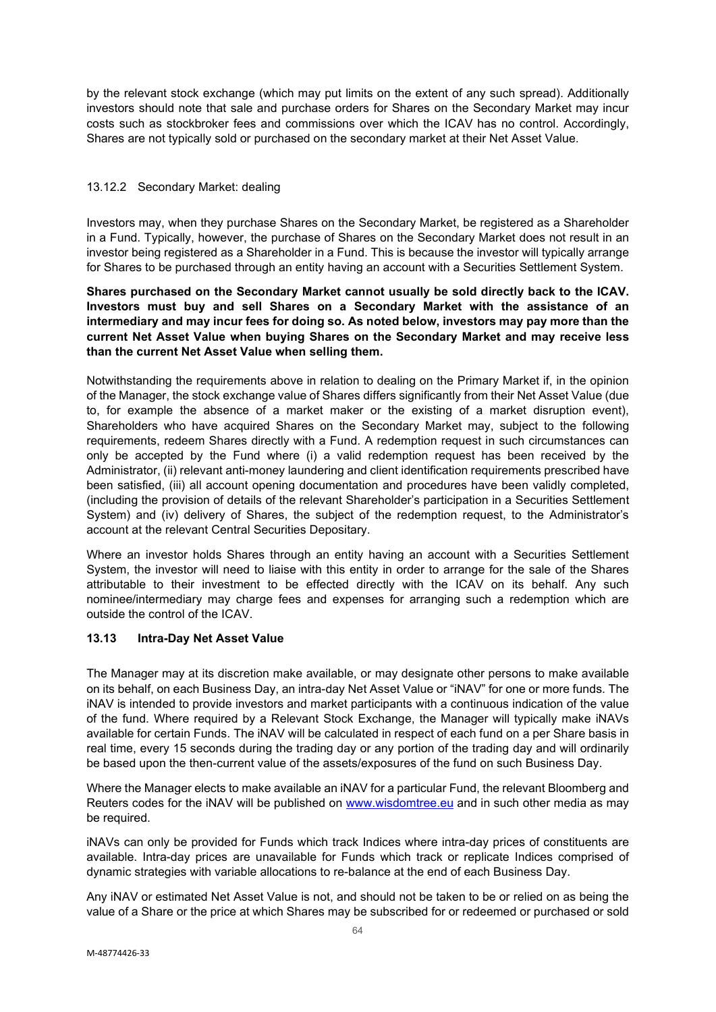by the relevant stock exchange (which may put limits on the extent of any such spread). Additionally investors should note that sale and purchase orders for Shares on the Secondary Market may incur costs such as stockbroker fees and commissions over which the ICAV has no control. Accordingly, Shares are not typically sold or purchased on the secondary market at their Net Asset Value.

### 13.12.2 Secondary Market: dealing

Investors may, when they purchase Shares on the Secondary Market, be registered as a Shareholder in a Fund. Typically, however, the purchase of Shares on the Secondary Market does not result in an investor being registered as a Shareholder in a Fund. This is because the investor will typically arrange for Shares to be purchased through an entity having an account with a Securities Settlement System.

**Shares purchased on the Secondary Market cannot usually be sold directly back to the ICAV. Investors must buy and sell Shares on a Secondary Market with the assistance of an intermediary and may incur fees for doing so. As noted below, investors may pay more than the current Net Asset Value when buying Shares on the Secondary Market and may receive less than the current Net Asset Value when selling them.** 

Notwithstanding the requirements above in relation to dealing on the Primary Market if, in the opinion of the Manager, the stock exchange value of Shares differs significantly from their Net Asset Value (due to, for example the absence of a market maker or the existing of a market disruption event), Shareholders who have acquired Shares on the Secondary Market may, subject to the following requirements, redeem Shares directly with a Fund. A redemption request in such circumstances can only be accepted by the Fund where (i) a valid redemption request has been received by the Administrator, (ii) relevant anti-money laundering and client identification requirements prescribed have been satisfied, (iii) all account opening documentation and procedures have been validly completed, (including the provision of details of the relevant Shareholder's participation in a Securities Settlement System) and (iv) delivery of Shares, the subject of the redemption request, to the Administrator's account at the relevant Central Securities Depositary.

Where an investor holds Shares through an entity having an account with a Securities Settlement System, the investor will need to liaise with this entity in order to arrange for the sale of the Shares attributable to their investment to be effected directly with the ICAV on its behalf. Any such nominee/intermediary may charge fees and expenses for arranging such a redemption which are outside the control of the ICAV.

# **13.13 Intra-Day Net Asset Value**

The Manager may at its discretion make available, or may designate other persons to make available on its behalf, on each Business Day, an intra-day Net Asset Value or "iNAV" for one or more funds. The iNAV is intended to provide investors and market participants with a continuous indication of the value of the fund. Where required by a Relevant Stock Exchange, the Manager will typically make iNAVs available for certain Funds. The iNAV will be calculated in respect of each fund on a per Share basis in real time, every 15 seconds during the trading day or any portion of the trading day and will ordinarily be based upon the then-current value of the assets/exposures of the fund on such Business Day.

Where the Manager elects to make available an iNAV for a particular Fund, the relevant Bloomberg and Reuters codes for the iNAV will be published on [www.wisdomtree.eu](http://www.wisdomtree.eu/) and in such other media as may be required.

iNAVs can only be provided for Funds which track Indices where intra-day prices of constituents are available. Intra-day prices are unavailable for Funds which track or replicate Indices comprised of dynamic strategies with variable allocations to re-balance at the end of each Business Day.

Any iNAV or estimated Net Asset Value is not, and should not be taken to be or relied on as being the value of a Share or the price at which Shares may be subscribed for or redeemed or purchased or sold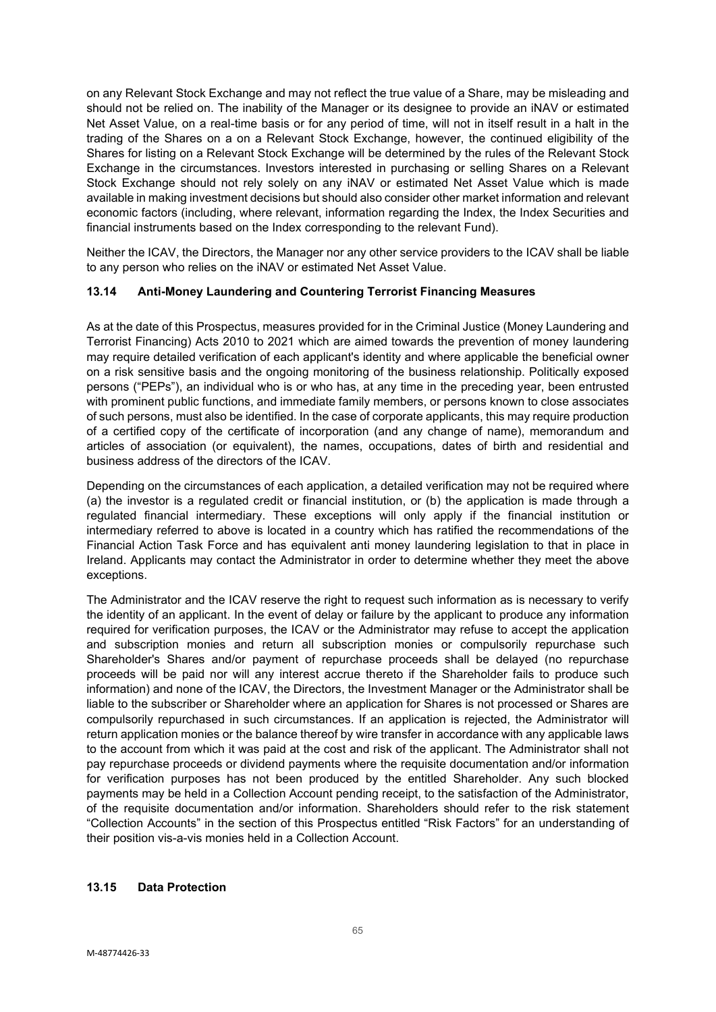on any Relevant Stock Exchange and may not reflect the true value of a Share, may be misleading and should not be relied on. The inability of the Manager or its designee to provide an iNAV or estimated Net Asset Value, on a real-time basis or for any period of time, will not in itself result in a halt in the trading of the Shares on a on a Relevant Stock Exchange, however, the continued eligibility of the Shares for listing on a Relevant Stock Exchange will be determined by the rules of the Relevant Stock Exchange in the circumstances. Investors interested in purchasing or selling Shares on a Relevant Stock Exchange should not rely solely on any iNAV or estimated Net Asset Value which is made available in making investment decisions but should also consider other market information and relevant economic factors (including, where relevant, information regarding the Index, the Index Securities and financial instruments based on the Index corresponding to the relevant Fund).

Neither the ICAV, the Directors, the Manager nor any other service providers to the ICAV shall be liable to any person who relies on the iNAV or estimated Net Asset Value.

# **13.14 Anti-Money Laundering and Countering Terrorist Financing Measures**

As at the date of this Prospectus, measures provided for in the Criminal Justice (Money Laundering and Terrorist Financing) Acts 2010 to 2021 which are aimed towards the prevention of money laundering may require detailed verification of each applicant's identity and where applicable the beneficial owner on a risk sensitive basis and the ongoing monitoring of the business relationship. Politically exposed persons ("PEPs"), an individual who is or who has, at any time in the preceding year, been entrusted with prominent public functions, and immediate family members, or persons known to close associates of such persons, must also be identified. In the case of corporate applicants, this may require production of a certified copy of the certificate of incorporation (and any change of name), memorandum and articles of association (or equivalent), the names, occupations, dates of birth and residential and business address of the directors of the ICAV.

Depending on the circumstances of each application, a detailed verification may not be required where (a) the investor is a regulated credit or financial institution, or (b) the application is made through a regulated financial intermediary. These exceptions will only apply if the financial institution or intermediary referred to above is located in a country which has ratified the recommendations of the Financial Action Task Force and has equivalent anti money laundering legislation to that in place in Ireland. Applicants may contact the Administrator in order to determine whether they meet the above exceptions.

The Administrator and the ICAV reserve the right to request such information as is necessary to verify the identity of an applicant. In the event of delay or failure by the applicant to produce any information required for verification purposes, the ICAV or the Administrator may refuse to accept the application and subscription monies and return all subscription monies or compulsorily repurchase such Shareholder's Shares and/or payment of repurchase proceeds shall be delayed (no repurchase proceeds will be paid nor will any interest accrue thereto if the Shareholder fails to produce such information) and none of the ICAV, the Directors, the Investment Manager or the Administrator shall be liable to the subscriber or Shareholder where an application for Shares is not processed or Shares are compulsorily repurchased in such circumstances. If an application is rejected, the Administrator will return application monies or the balance thereof by wire transfer in accordance with any applicable laws to the account from which it was paid at the cost and risk of the applicant. The Administrator shall not pay repurchase proceeds or dividend payments where the requisite documentation and/or information for verification purposes has not been produced by the entitled Shareholder. Any such blocked payments may be held in a Collection Account pending receipt, to the satisfaction of the Administrator, of the requisite documentation and/or information. Shareholders should refer to the risk statement "Collection Accounts" in the section of this Prospectus entitled "Risk Factors" for an understanding of their position vis-a-vis monies held in a Collection Account.

# **13.15 Data Protection**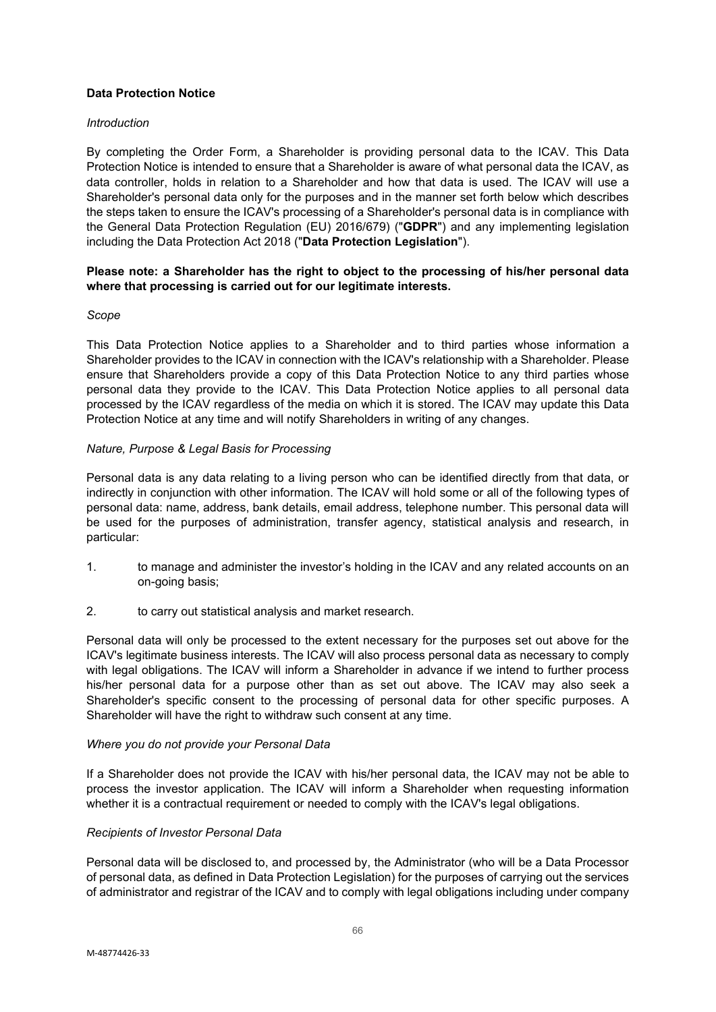# **Data Protection Notice**

#### *Introduction*

By completing the Order Form, a Shareholder is providing personal data to the ICAV. This Data Protection Notice is intended to ensure that a Shareholder is aware of what personal data the ICAV, as data controller, holds in relation to a Shareholder and how that data is used. The ICAV will use a Shareholder's personal data only for the purposes and in the manner set forth below which describes the steps taken to ensure the ICAV's processing of a Shareholder's personal data is in compliance with the General Data Protection Regulation (EU) 2016/679) ("**GDPR**") and any implementing legislation including the Data Protection Act 2018 ("**Data Protection Legislation**").

### **Please note: a Shareholder has the right to object to the processing of his/her personal data where that processing is carried out for our legitimate interests.**

#### *Scope*

This Data Protection Notice applies to a Shareholder and to third parties whose information a Shareholder provides to the ICAV in connection with the ICAV's relationship with a Shareholder. Please ensure that Shareholders provide a copy of this Data Protection Notice to any third parties whose personal data they provide to the ICAV. This Data Protection Notice applies to all personal data processed by the ICAV regardless of the media on which it is stored. The ICAV may update this Data Protection Notice at any time and will notify Shareholders in writing of any changes.

### *Nature, Purpose & Legal Basis for Processing*

Personal data is any data relating to a living person who can be identified directly from that data, or indirectly in conjunction with other information. The ICAV will hold some or all of the following types of personal data: name, address, bank details, email address, telephone number. This personal data will be used for the purposes of administration, transfer agency, statistical analysis and research, in particular:

- 1. to manage and administer the investor's holding in the ICAV and any related accounts on an on-going basis;
- 2. to carry out statistical analysis and market research.

Personal data will only be processed to the extent necessary for the purposes set out above for the ICAV's legitimate business interests. The ICAV will also process personal data as necessary to comply with legal obligations. The ICAV will inform a Shareholder in advance if we intend to further process his/her personal data for a purpose other than as set out above. The ICAV may also seek a Shareholder's specific consent to the processing of personal data for other specific purposes. A Shareholder will have the right to withdraw such consent at any time.

#### *Where you do not provide your Personal Data*

If a Shareholder does not provide the ICAV with his/her personal data, the ICAV may not be able to process the investor application. The ICAV will inform a Shareholder when requesting information whether it is a contractual requirement or needed to comply with the ICAV's legal obligations.

#### *Recipients of Investor Personal Data*

Personal data will be disclosed to, and processed by, the Administrator (who will be a Data Processor of personal data, as defined in Data Protection Legislation) for the purposes of carrying out the services of administrator and registrar of the ICAV and to comply with legal obligations including under company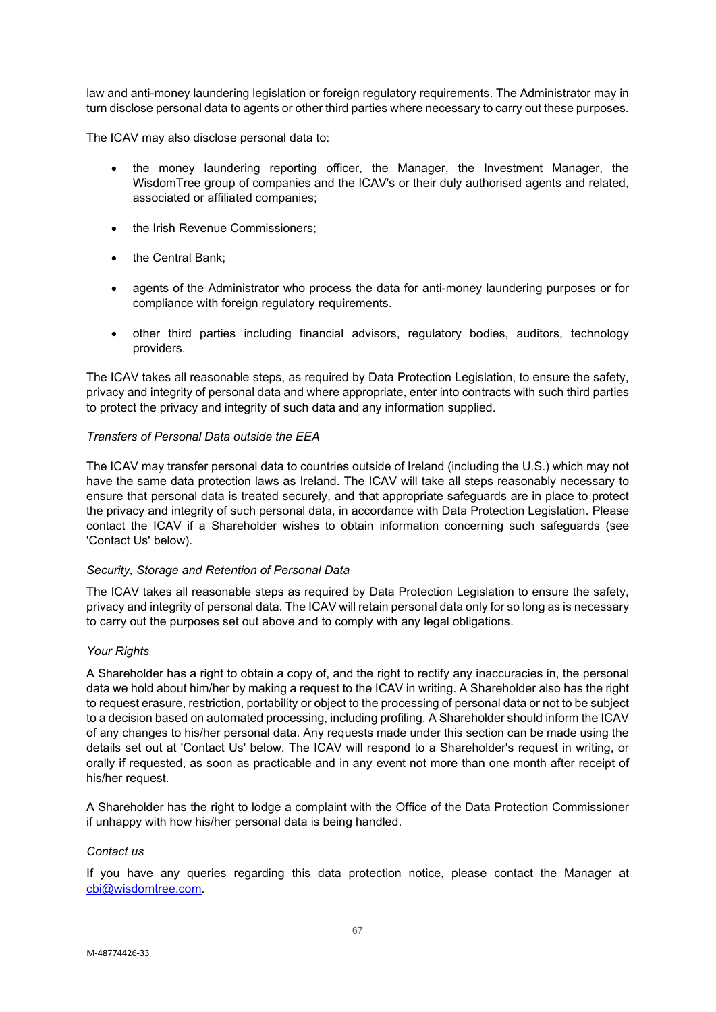law and anti-money laundering legislation or foreign regulatory requirements. The Administrator may in turn disclose personal data to agents or other third parties where necessary to carry out these purposes.

The ICAV may also disclose personal data to:

- the money laundering reporting officer, the Manager, the Investment Manager, the WisdomTree group of companies and the ICAV's or their duly authorised agents and related, associated or affiliated companies;
- the Irish Revenue Commissioners;
- the Central Bank:
- agents of the Administrator who process the data for anti-money laundering purposes or for compliance with foreign regulatory requirements.
- other third parties including financial advisors, regulatory bodies, auditors, technology providers.

The ICAV takes all reasonable steps, as required by Data Protection Legislation, to ensure the safety, privacy and integrity of personal data and where appropriate, enter into contracts with such third parties to protect the privacy and integrity of such data and any information supplied.

### *Transfers of Personal Data outside the EEA*

The ICAV may transfer personal data to countries outside of Ireland (including the U.S.) which may not have the same data protection laws as Ireland. The ICAV will take all steps reasonably necessary to ensure that personal data is treated securely, and that appropriate safeguards are in place to protect the privacy and integrity of such personal data, in accordance with Data Protection Legislation. Please contact the ICAV if a Shareholder wishes to obtain information concerning such safeguards (see 'Contact Us' below).

#### *Security, Storage and Retention of Personal Data*

The ICAV takes all reasonable steps as required by Data Protection Legislation to ensure the safety, privacy and integrity of personal data. The ICAV will retain personal data only for so long as is necessary to carry out the purposes set out above and to comply with any legal obligations.

#### *Your Rights*

A Shareholder has a right to obtain a copy of, and the right to rectify any inaccuracies in, the personal data we hold about him/her by making a request to the ICAV in writing. A Shareholder also has the right to request erasure, restriction, portability or object to the processing of personal data or not to be subject to a decision based on automated processing, including profiling. A Shareholder should inform the ICAV of any changes to his/her personal data. Any requests made under this section can be made using the details set out at 'Contact Us' below. The ICAV will respond to a Shareholder's request in writing, or orally if requested, as soon as practicable and in any event not more than one month after receipt of his/her request.

A Shareholder has the right to lodge a complaint with the Office of the Data Protection Commissioner if unhappy with how his/her personal data is being handled.

#### *Contact us*

If you have any queries regarding this data protection notice, please contact the Manager at [cbi@wisdomtree.com.](mailto:cbi@wisdomtree.com)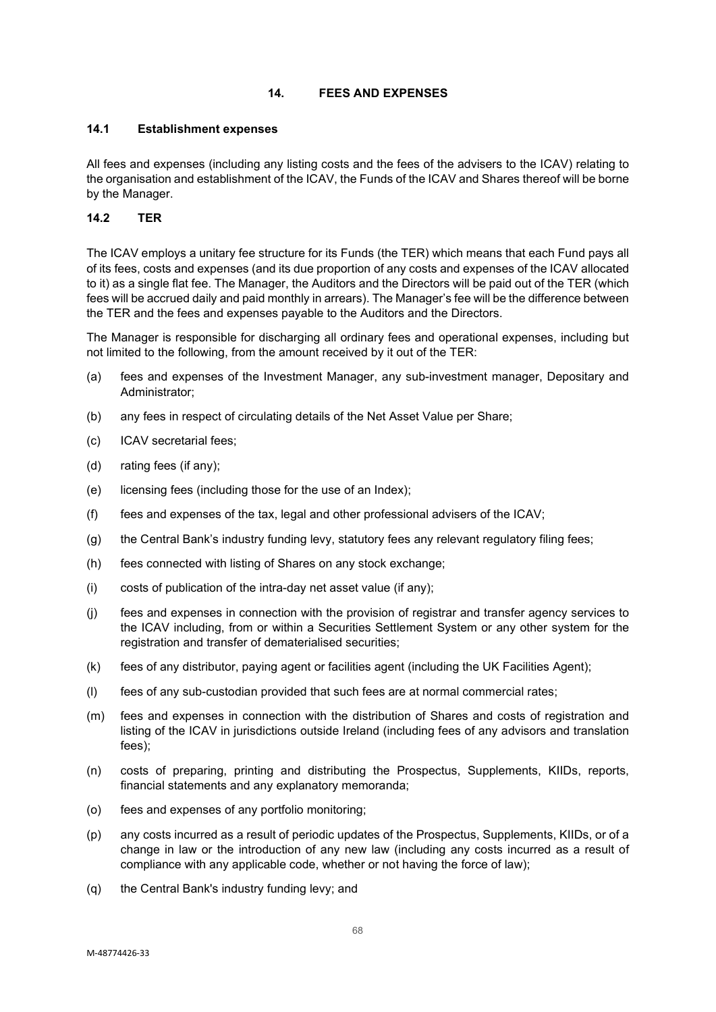# **14. FEES AND EXPENSES**

### **14.1 Establishment expenses**

All fees and expenses (including any listing costs and the fees of the advisers to the ICAV) relating to the organisation and establishment of the ICAV, the Funds of the ICAV and Shares thereof will be borne by the Manager.

### **14.2 TER**

The ICAV employs a unitary fee structure for its Funds (the TER) which means that each Fund pays all of its fees, costs and expenses (and its due proportion of any costs and expenses of the ICAV allocated to it) as a single flat fee. The Manager, the Auditors and the Directors will be paid out of the TER (which fees will be accrued daily and paid monthly in arrears). The Manager's fee will be the difference between the TER and the fees and expenses payable to the Auditors and the Directors.

The Manager is responsible for discharging all ordinary fees and operational expenses, including but not limited to the following, from the amount received by it out of the TER:

- (a) fees and expenses of the Investment Manager, any sub-investment manager, Depositary and Administrator;
- (b) any fees in respect of circulating details of the Net Asset Value per Share;
- (c) ICAV secretarial fees;
- (d) rating fees (if any);
- (e) licensing fees (including those for the use of an Index);
- (f) fees and expenses of the tax, legal and other professional advisers of the ICAV;
- (g) the Central Bank's industry funding levy, statutory fees any relevant regulatory filing fees;
- (h) fees connected with listing of Shares on any stock exchange;
- (i) costs of publication of the intra-day net asset value (if any);
- (j) fees and expenses in connection with the provision of registrar and transfer agency services to the ICAV including, from or within a Securities Settlement System or any other system for the registration and transfer of dematerialised securities;
- (k) fees of any distributor, paying agent or facilities agent (including the UK Facilities Agent);
- (l) fees of any sub-custodian provided that such fees are at normal commercial rates;
- (m) fees and expenses in connection with the distribution of Shares and costs of registration and listing of the ICAV in jurisdictions outside Ireland (including fees of any advisors and translation fees);
- (n) costs of preparing, printing and distributing the Prospectus, Supplements, KIIDs, reports, financial statements and any explanatory memoranda;
- (o) fees and expenses of any portfolio monitoring;
- (p) any costs incurred as a result of periodic updates of the Prospectus, Supplements, KIIDs, or of a change in law or the introduction of any new law (including any costs incurred as a result of compliance with any applicable code, whether or not having the force of law);
- (q) the Central Bank's industry funding levy; and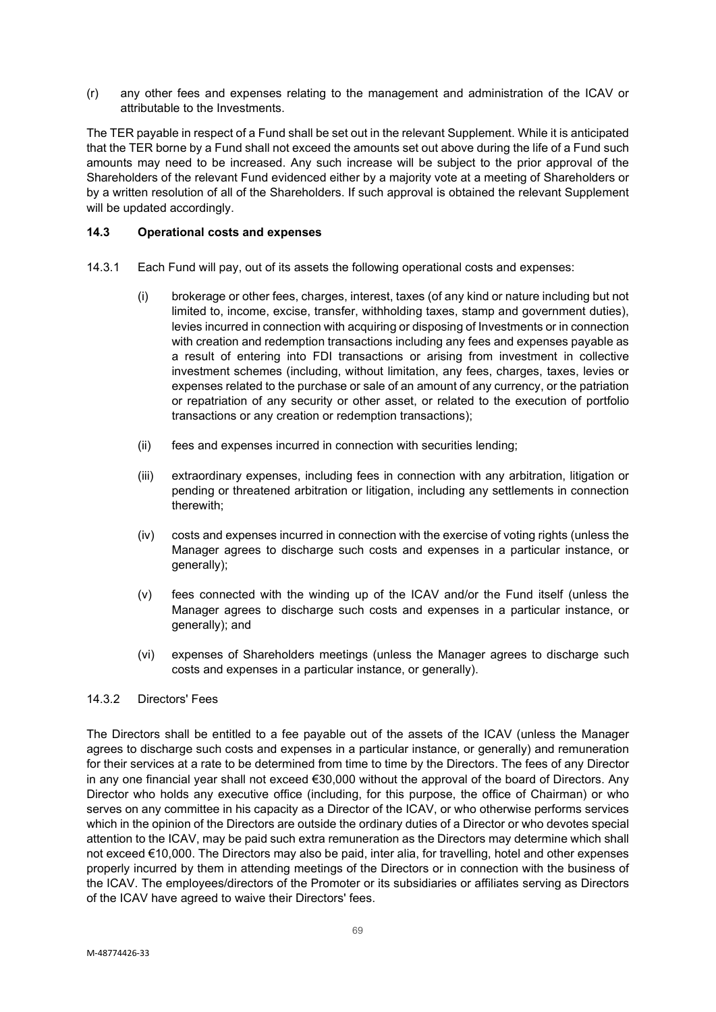(r) any other fees and expenses relating to the management and administration of the ICAV or attributable to the Investments.

The TER payable in respect of a Fund shall be set out in the relevant Supplement. While it is anticipated that the TER borne by a Fund shall not exceed the amounts set out above during the life of a Fund such amounts may need to be increased. Any such increase will be subject to the prior approval of the Shareholders of the relevant Fund evidenced either by a majority vote at a meeting of Shareholders or by a written resolution of all of the Shareholders. If such approval is obtained the relevant Supplement will be updated accordingly.

### **14.3 Operational costs and expenses**

- 14.3.1 Each Fund will pay, out of its assets the following operational costs and expenses:
	- (i) brokerage or other fees, charges, interest, taxes (of any kind or nature including but not limited to, income, excise, transfer, withholding taxes, stamp and government duties), levies incurred in connection with acquiring or disposing of Investments or in connection with creation and redemption transactions including any fees and expenses payable as a result of entering into FDI transactions or arising from investment in collective investment schemes (including, without limitation, any fees, charges, taxes, levies or expenses related to the purchase or sale of an amount of any currency, or the patriation or repatriation of any security or other asset, or related to the execution of portfolio transactions or any creation or redemption transactions);
	- (ii) fees and expenses incurred in connection with securities lending;
	- (iii) extraordinary expenses, including fees in connection with any arbitration, litigation or pending or threatened arbitration or litigation, including any settlements in connection therewith;
	- (iv) costs and expenses incurred in connection with the exercise of voting rights (unless the Manager agrees to discharge such costs and expenses in a particular instance, or generally);
	- (v) fees connected with the winding up of the ICAV and/or the Fund itself (unless the Manager agrees to discharge such costs and expenses in a particular instance, or generally); and
	- (vi) expenses of Shareholders meetings (unless the Manager agrees to discharge such costs and expenses in a particular instance, or generally).

#### 14.3.2 Directors' Fees

The Directors shall be entitled to a fee payable out of the assets of the ICAV (unless the Manager agrees to discharge such costs and expenses in a particular instance, or generally) and remuneration for their services at a rate to be determined from time to time by the Directors. The fees of any Director in any one financial year shall not exceed €30,000 without the approval of the board of Directors. Any Director who holds any executive office (including, for this purpose, the office of Chairman) or who serves on any committee in his capacity as a Director of the ICAV, or who otherwise performs services which in the opinion of the Directors are outside the ordinary duties of a Director or who devotes special attention to the ICAV, may be paid such extra remuneration as the Directors may determine which shall not exceed €10,000. The Directors may also be paid, inter alia, for travelling, hotel and other expenses properly incurred by them in attending meetings of the Directors or in connection with the business of the ICAV. The employees/directors of the Promoter or its subsidiaries or affiliates serving as Directors of the ICAV have agreed to waive their Directors' fees.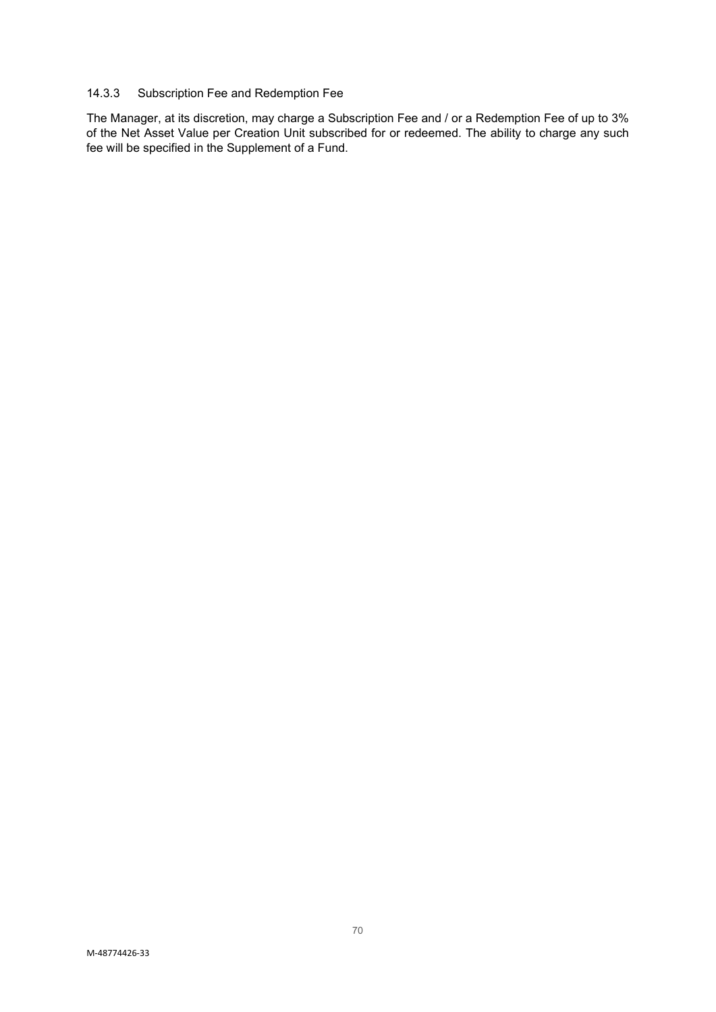# 14.3.3 Subscription Fee and Redemption Fee

The Manager, at its discretion, may charge a Subscription Fee and / or a Redemption Fee of up to 3% of the Net Asset Value per Creation Unit subscribed for or redeemed. The ability to charge any such fee will be specified in the Supplement of a Fund.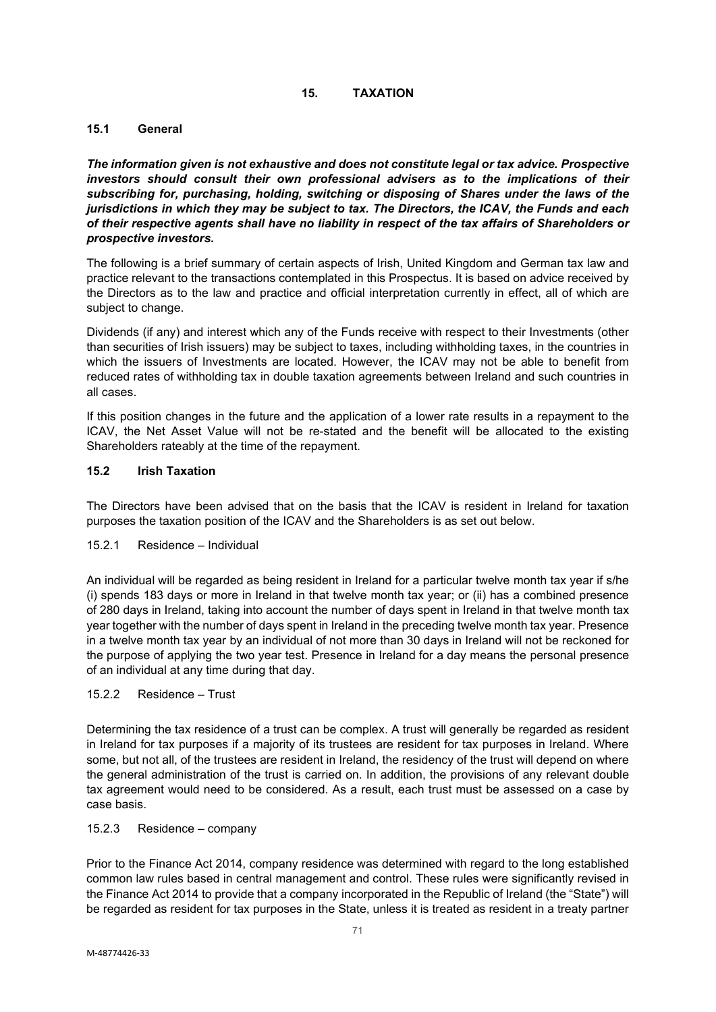# **15. TAXATION**

# **15.1 General**

*The information given is not exhaustive and does not constitute legal or tax advice. Prospective investors should consult their own professional advisers as to the implications of their subscribing for, purchasing, holding, switching or disposing of Shares under the laws of the jurisdictions in which they may be subject to tax. The Directors, the ICAV, the Funds and each of their respective agents shall have no liability in respect of the tax affairs of Shareholders or prospective investors.*

The following is a brief summary of certain aspects of Irish, United Kingdom and German tax law and practice relevant to the transactions contemplated in this Prospectus. It is based on advice received by the Directors as to the law and practice and official interpretation currently in effect, all of which are subject to change.

Dividends (if any) and interest which any of the Funds receive with respect to their Investments (other than securities of Irish issuers) may be subject to taxes, including withholding taxes, in the countries in which the issuers of Investments are located. However, the ICAV may not be able to benefit from reduced rates of withholding tax in double taxation agreements between Ireland and such countries in all cases.

If this position changes in the future and the application of a lower rate results in a repayment to the ICAV, the Net Asset Value will not be re-stated and the benefit will be allocated to the existing Shareholders rateably at the time of the repayment.

# **15.2 Irish Taxation**

The Directors have been advised that on the basis that the ICAV is resident in Ireland for taxation purposes the taxation position of the ICAV and the Shareholders is as set out below.

# 15.2.1 Residence – Individual

An individual will be regarded as being resident in Ireland for a particular twelve month tax year if s/he (i) spends 183 days or more in Ireland in that twelve month tax year; or (ii) has a combined presence of 280 days in Ireland, taking into account the number of days spent in Ireland in that twelve month tax year together with the number of days spent in Ireland in the preceding twelve month tax year. Presence in a twelve month tax year by an individual of not more than 30 days in Ireland will not be reckoned for the purpose of applying the two year test. Presence in Ireland for a day means the personal presence of an individual at any time during that day.

# 15.2.2 Residence – Trust

Determining the tax residence of a trust can be complex. A trust will generally be regarded as resident in Ireland for tax purposes if a majority of its trustees are resident for tax purposes in Ireland. Where some, but not all, of the trustees are resident in Ireland, the residency of the trust will depend on where the general administration of the trust is carried on. In addition, the provisions of any relevant double tax agreement would need to be considered. As a result, each trust must be assessed on a case by case basis.

### 15.2.3 Residence – company

Prior to the Finance Act 2014, company residence was determined with regard to the long established common law rules based in central management and control. These rules were significantly revised in the Finance Act 2014 to provide that a company incorporated in the Republic of Ireland (the "State") will be regarded as resident for tax purposes in the State, unless it is treated as resident in a treaty partner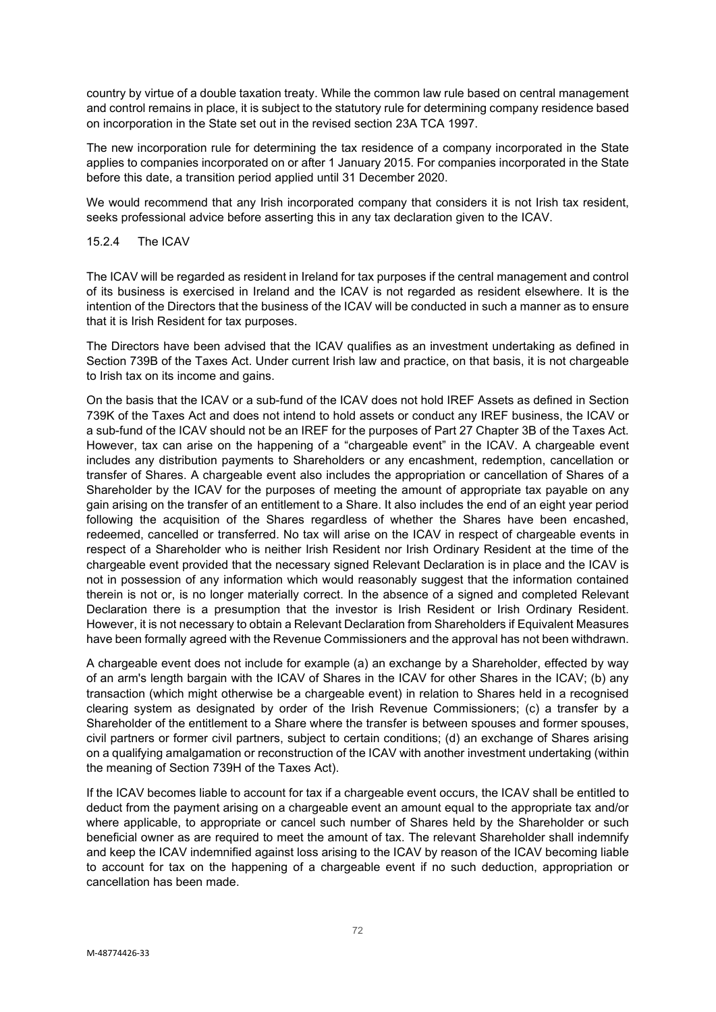country by virtue of a double taxation treaty. While the common law rule based on central management and control remains in place, it is subject to the statutory rule for determining company residence based on incorporation in the State set out in the revised section 23A TCA 1997.

The new incorporation rule for determining the tax residence of a company incorporated in the State applies to companies incorporated on or after 1 January 2015. For companies incorporated in the State before this date, a transition period applied until 31 December 2020.

We would recommend that any Irish incorporated company that considers it is not Irish tax resident, seeks professional advice before asserting this in any tax declaration given to the ICAV.

### 15.2.4 The ICAV

The ICAV will be regarded as resident in Ireland for tax purposes if the central management and control of its business is exercised in Ireland and the ICAV is not regarded as resident elsewhere. It is the intention of the Directors that the business of the ICAV will be conducted in such a manner as to ensure that it is Irish Resident for tax purposes.

The Directors have been advised that the ICAV qualifies as an investment undertaking as defined in Section 739B of the Taxes Act. Under current Irish law and practice, on that basis, it is not chargeable to Irish tax on its income and gains.

On the basis that the ICAV or a sub-fund of the ICAV does not hold IREF Assets as defined in Section 739K of the Taxes Act and does not intend to hold assets or conduct any IREF business, the ICAV or a sub-fund of the ICAV should not be an IREF for the purposes of Part 27 Chapter 3B of the Taxes Act. However, tax can arise on the happening of a "chargeable event" in the ICAV. A chargeable event includes any distribution payments to Shareholders or any encashment, redemption, cancellation or transfer of Shares. A chargeable event also includes the appropriation or cancellation of Shares of a Shareholder by the ICAV for the purposes of meeting the amount of appropriate tax payable on any gain arising on the transfer of an entitlement to a Share. It also includes the end of an eight year period following the acquisition of the Shares regardless of whether the Shares have been encashed, redeemed, cancelled or transferred. No tax will arise on the ICAV in respect of chargeable events in respect of a Shareholder who is neither Irish Resident nor Irish Ordinary Resident at the time of the chargeable event provided that the necessary signed Relevant Declaration is in place and the ICAV is not in possession of any information which would reasonably suggest that the information contained therein is not or, is no longer materially correct. In the absence of a signed and completed Relevant Declaration there is a presumption that the investor is Irish Resident or Irish Ordinary Resident. However, it is not necessary to obtain a Relevant Declaration from Shareholders if Equivalent Measures have been formally agreed with the Revenue Commissioners and the approval has not been withdrawn.

A chargeable event does not include for example (a) an exchange by a Shareholder, effected by way of an arm's length bargain with the ICAV of Shares in the ICAV for other Shares in the ICAV; (b) any transaction (which might otherwise be a chargeable event) in relation to Shares held in a recognised clearing system as designated by order of the Irish Revenue Commissioners; (c) a transfer by a Shareholder of the entitlement to a Share where the transfer is between spouses and former spouses, civil partners or former civil partners, subject to certain conditions; (d) an exchange of Shares arising on a qualifying amalgamation or reconstruction of the ICAV with another investment undertaking (within the meaning of Section 739H of the Taxes Act).

If the ICAV becomes liable to account for tax if a chargeable event occurs, the ICAV shall be entitled to deduct from the payment arising on a chargeable event an amount equal to the appropriate tax and/or where applicable, to appropriate or cancel such number of Shares held by the Shareholder or such beneficial owner as are required to meet the amount of tax. The relevant Shareholder shall indemnify and keep the ICAV indemnified against loss arising to the ICAV by reason of the ICAV becoming liable to account for tax on the happening of a chargeable event if no such deduction, appropriation or cancellation has been made.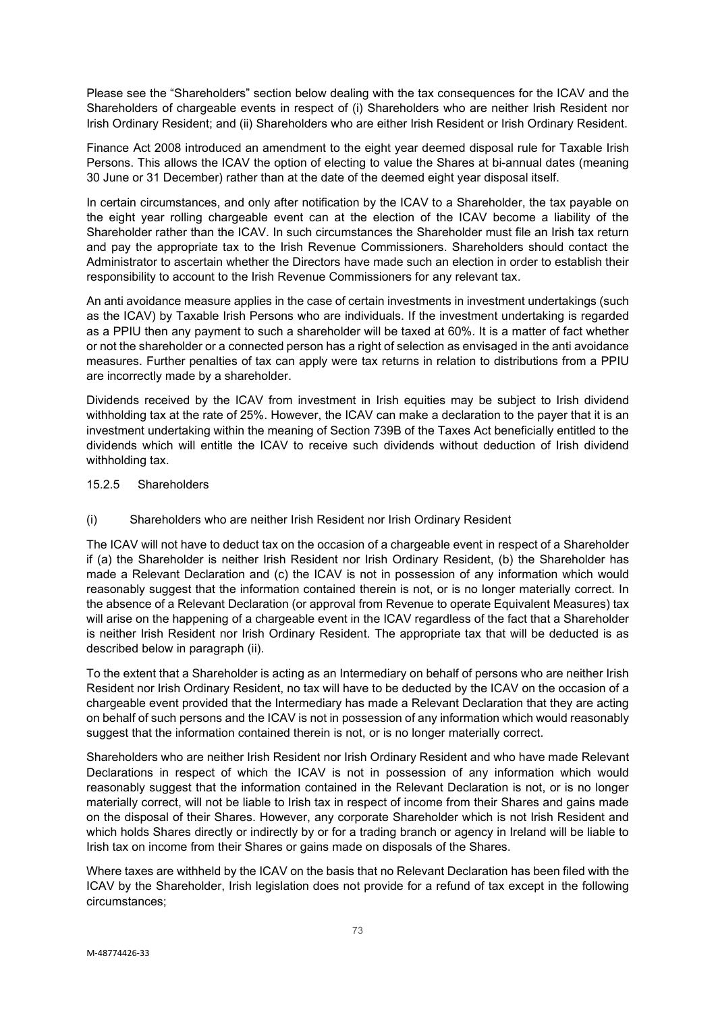Please see the "Shareholders" section below dealing with the tax consequences for the ICAV and the Shareholders of chargeable events in respect of (i) Shareholders who are neither Irish Resident nor Irish Ordinary Resident; and (ii) Shareholders who are either Irish Resident or Irish Ordinary Resident.

Finance Act 2008 introduced an amendment to the eight year deemed disposal rule for Taxable Irish Persons. This allows the ICAV the option of electing to value the Shares at bi-annual dates (meaning 30 June or 31 December) rather than at the date of the deemed eight year disposal itself.

In certain circumstances, and only after notification by the ICAV to a Shareholder, the tax payable on the eight year rolling chargeable event can at the election of the ICAV become a liability of the Shareholder rather than the ICAV. In such circumstances the Shareholder must file an Irish tax return and pay the appropriate tax to the Irish Revenue Commissioners. Shareholders should contact the Administrator to ascertain whether the Directors have made such an election in order to establish their responsibility to account to the Irish Revenue Commissioners for any relevant tax.

An anti avoidance measure applies in the case of certain investments in investment undertakings (such as the ICAV) by Taxable Irish Persons who are individuals. If the investment undertaking is regarded as a PPIU then any payment to such a shareholder will be taxed at 60%. It is a matter of fact whether or not the shareholder or a connected person has a right of selection as envisaged in the anti avoidance measures. Further penalties of tax can apply were tax returns in relation to distributions from a PPIU are incorrectly made by a shareholder.

Dividends received by the ICAV from investment in Irish equities may be subject to Irish dividend withholding tax at the rate of 25%. However, the ICAV can make a declaration to the payer that it is an investment undertaking within the meaning of Section 739B of the Taxes Act beneficially entitled to the dividends which will entitle the ICAV to receive such dividends without deduction of Irish dividend withholding tax.

- 15.2.5 Shareholders
- (i) Shareholders who are neither Irish Resident nor Irish Ordinary Resident

The ICAV will not have to deduct tax on the occasion of a chargeable event in respect of a Shareholder if (a) the Shareholder is neither Irish Resident nor Irish Ordinary Resident, (b) the Shareholder has made a Relevant Declaration and (c) the ICAV is not in possession of any information which would reasonably suggest that the information contained therein is not, or is no longer materially correct. In the absence of a Relevant Declaration (or approval from Revenue to operate Equivalent Measures) tax will arise on the happening of a chargeable event in the ICAV regardless of the fact that a Shareholder is neither Irish Resident nor Irish Ordinary Resident. The appropriate tax that will be deducted is as described below in paragraph (ii).

To the extent that a Shareholder is acting as an Intermediary on behalf of persons who are neither Irish Resident nor Irish Ordinary Resident, no tax will have to be deducted by the ICAV on the occasion of a chargeable event provided that the Intermediary has made a Relevant Declaration that they are acting on behalf of such persons and the ICAV is not in possession of any information which would reasonably suggest that the information contained therein is not, or is no longer materially correct.

Shareholders who are neither Irish Resident nor Irish Ordinary Resident and who have made Relevant Declarations in respect of which the ICAV is not in possession of any information which would reasonably suggest that the information contained in the Relevant Declaration is not, or is no longer materially correct, will not be liable to Irish tax in respect of income from their Shares and gains made on the disposal of their Shares. However, any corporate Shareholder which is not Irish Resident and which holds Shares directly or indirectly by or for a trading branch or agency in Ireland will be liable to Irish tax on income from their Shares or gains made on disposals of the Shares.

Where taxes are withheld by the ICAV on the basis that no Relevant Declaration has been filed with the ICAV by the Shareholder, Irish legislation does not provide for a refund of tax except in the following circumstances;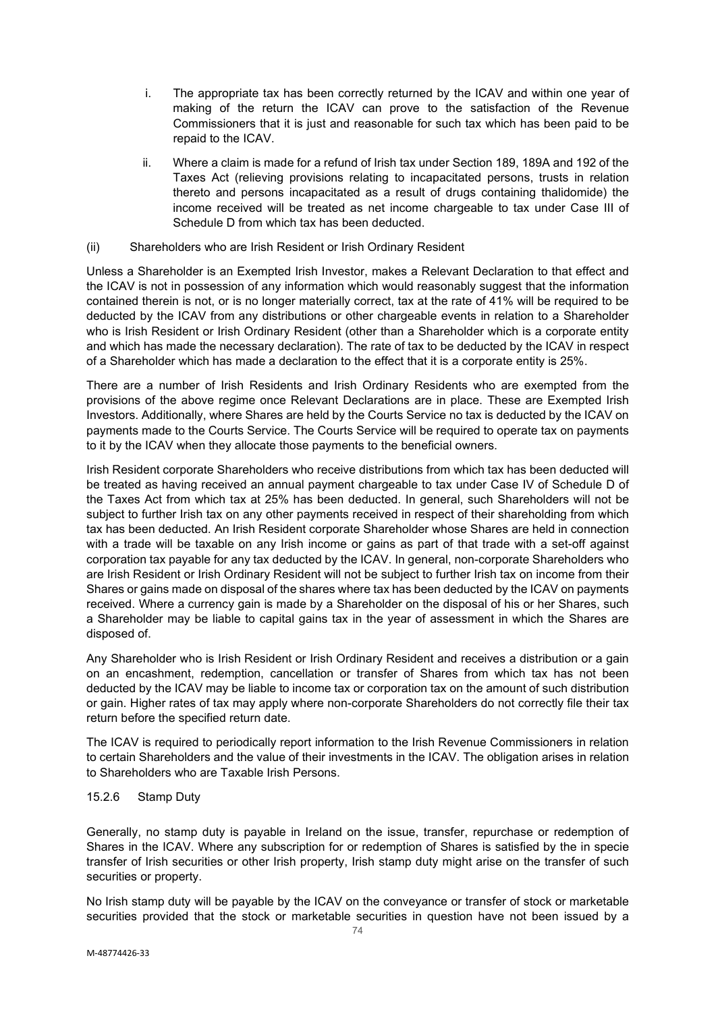- i. The appropriate tax has been correctly returned by the ICAV and within one year of making of the return the ICAV can prove to the satisfaction of the Revenue Commissioners that it is just and reasonable for such tax which has been paid to be repaid to the ICAV.
- ii. Where a claim is made for a refund of Irish tax under Section 189, 189A and 192 of the Taxes Act (relieving provisions relating to incapacitated persons, trusts in relation thereto and persons incapacitated as a result of drugs containing thalidomide) the income received will be treated as net income chargeable to tax under Case III of Schedule D from which tax has been deducted.

#### (ii) Shareholders who are Irish Resident or Irish Ordinary Resident

Unless a Shareholder is an Exempted Irish Investor, makes a Relevant Declaration to that effect and the ICAV is not in possession of any information which would reasonably suggest that the information contained therein is not, or is no longer materially correct, tax at the rate of 41% will be required to be deducted by the ICAV from any distributions or other chargeable events in relation to a Shareholder who is Irish Resident or Irish Ordinary Resident (other than a Shareholder which is a corporate entity and which has made the necessary declaration). The rate of tax to be deducted by the ICAV in respect of a Shareholder which has made a declaration to the effect that it is a corporate entity is 25%.

There are a number of Irish Residents and Irish Ordinary Residents who are exempted from the provisions of the above regime once Relevant Declarations are in place. These are Exempted Irish Investors. Additionally, where Shares are held by the Courts Service no tax is deducted by the ICAV on payments made to the Courts Service. The Courts Service will be required to operate tax on payments to it by the ICAV when they allocate those payments to the beneficial owners.

Irish Resident corporate Shareholders who receive distributions from which tax has been deducted will be treated as having received an annual payment chargeable to tax under Case IV of Schedule D of the Taxes Act from which tax at 25% has been deducted. In general, such Shareholders will not be subject to further Irish tax on any other payments received in respect of their shareholding from which tax has been deducted. An Irish Resident corporate Shareholder whose Shares are held in connection with a trade will be taxable on any Irish income or gains as part of that trade with a set-off against corporation tax payable for any tax deducted by the ICAV. In general, non-corporate Shareholders who are Irish Resident or Irish Ordinary Resident will not be subject to further Irish tax on income from their Shares or gains made on disposal of the shares where tax has been deducted by the ICAV on payments received. Where a currency gain is made by a Shareholder on the disposal of his or her Shares, such a Shareholder may be liable to capital gains tax in the year of assessment in which the Shares are disposed of.

Any Shareholder who is Irish Resident or Irish Ordinary Resident and receives a distribution or a gain on an encashment, redemption, cancellation or transfer of Shares from which tax has not been deducted by the ICAV may be liable to income tax or corporation tax on the amount of such distribution or gain. Higher rates of tax may apply where non-corporate Shareholders do not correctly file their tax return before the specified return date.

The ICAV is required to periodically report information to the Irish Revenue Commissioners in relation to certain Shareholders and the value of their investments in the ICAV. The obligation arises in relation to Shareholders who are Taxable Irish Persons.

# 15.2.6 Stamp Duty

Generally, no stamp duty is payable in Ireland on the issue, transfer, repurchase or redemption of Shares in the ICAV. Where any subscription for or redemption of Shares is satisfied by the in specie transfer of Irish securities or other Irish property, Irish stamp duty might arise on the transfer of such securities or property.

No Irish stamp duty will be payable by the ICAV on the conveyance or transfer of stock or marketable securities provided that the stock or marketable securities in question have not been issued by a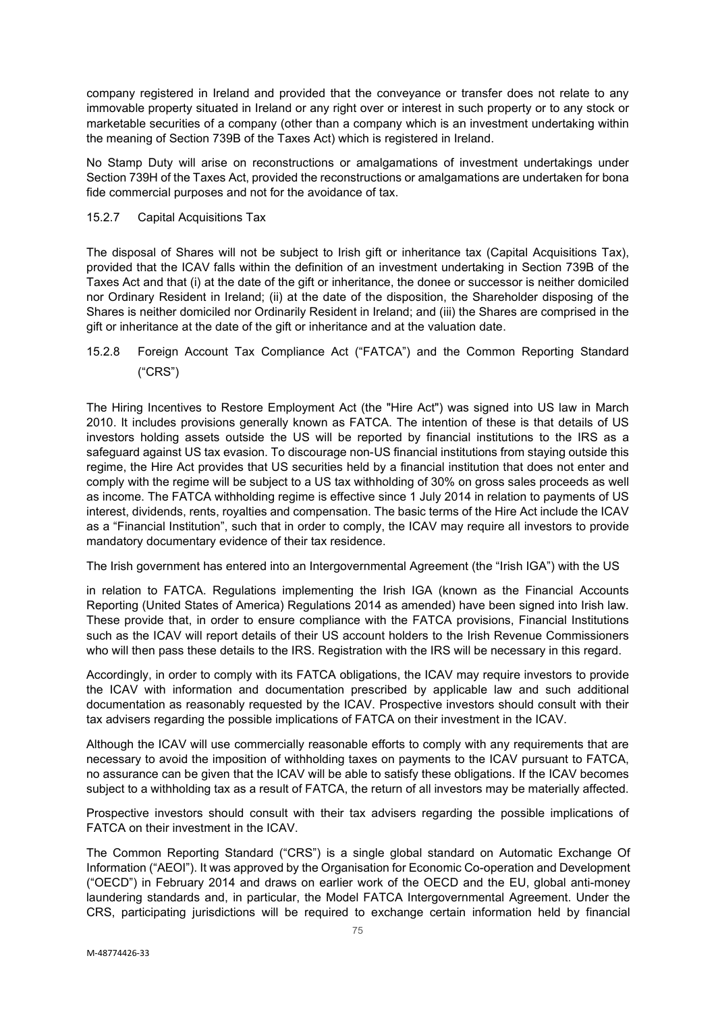company registered in Ireland and provided that the conveyance or transfer does not relate to any immovable property situated in Ireland or any right over or interest in such property or to any stock or marketable securities of a company (other than a company which is an investment undertaking within the meaning of Section 739B of the Taxes Act) which is registered in Ireland.

No Stamp Duty will arise on reconstructions or amalgamations of investment undertakings under Section 739H of the Taxes Act, provided the reconstructions or amalgamations are undertaken for bona fide commercial purposes and not for the avoidance of tax.

# 15.2.7 Capital Acquisitions Tax

The disposal of Shares will not be subject to Irish gift or inheritance tax (Capital Acquisitions Tax), provided that the ICAV falls within the definition of an investment undertaking in Section 739B of the Taxes Act and that (i) at the date of the gift or inheritance, the donee or successor is neither domiciled nor Ordinary Resident in Ireland; (ii) at the date of the disposition, the Shareholder disposing of the Shares is neither domiciled nor Ordinarily Resident in Ireland; and (iii) the Shares are comprised in the gift or inheritance at the date of the gift or inheritance and at the valuation date.

# 15.2.8 Foreign Account Tax Compliance Act ("FATCA") and the Common Reporting Standard ("CRS")

The Hiring Incentives to Restore Employment Act (the "Hire Act") was signed into US law in March 2010. It includes provisions generally known as FATCA. The intention of these is that details of US investors holding assets outside the US will be reported by financial institutions to the IRS as a safeguard against US tax evasion. To discourage non-US financial institutions from staying outside this regime, the Hire Act provides that US securities held by a financial institution that does not enter and comply with the regime will be subject to a US tax withholding of 30% on gross sales proceeds as well as income. The FATCA withholding regime is effective since 1 July 2014 in relation to payments of US interest, dividends, rents, royalties and compensation. The basic terms of the Hire Act include the ICAV as a "Financial Institution", such that in order to comply, the ICAV may require all investors to provide mandatory documentary evidence of their tax residence.

The Irish government has entered into an Intergovernmental Agreement (the "Irish IGA") with the US

in relation to FATCA. Regulations implementing the Irish IGA (known as the Financial Accounts Reporting (United States of America) Regulations 2014 as amended) have been signed into Irish law. These provide that, in order to ensure compliance with the FATCA provisions, Financial Institutions such as the ICAV will report details of their US account holders to the Irish Revenue Commissioners who will then pass these details to the IRS. Registration with the IRS will be necessary in this regard.

Accordingly, in order to comply with its FATCA obligations, the ICAV may require investors to provide the ICAV with information and documentation prescribed by applicable law and such additional documentation as reasonably requested by the ICAV. Prospective investors should consult with their tax advisers regarding the possible implications of FATCA on their investment in the ICAV.

Although the ICAV will use commercially reasonable efforts to comply with any requirements that are necessary to avoid the imposition of withholding taxes on payments to the ICAV pursuant to FATCA, no assurance can be given that the ICAV will be able to satisfy these obligations. If the ICAV becomes subject to a withholding tax as a result of FATCA, the return of all investors may be materially affected.

Prospective investors should consult with their tax advisers regarding the possible implications of FATCA on their investment in the ICAV.

The Common Reporting Standard ("CRS") is a single global standard on Automatic Exchange Of Information ("AEOI"). It was approved by the Organisation for Economic Co-operation and Development ("OECD") in February 2014 and draws on earlier work of the OECD and the EU, global anti-money laundering standards and, in particular, the Model FATCA Intergovernmental Agreement. Under the CRS, participating jurisdictions will be required to exchange certain information held by financial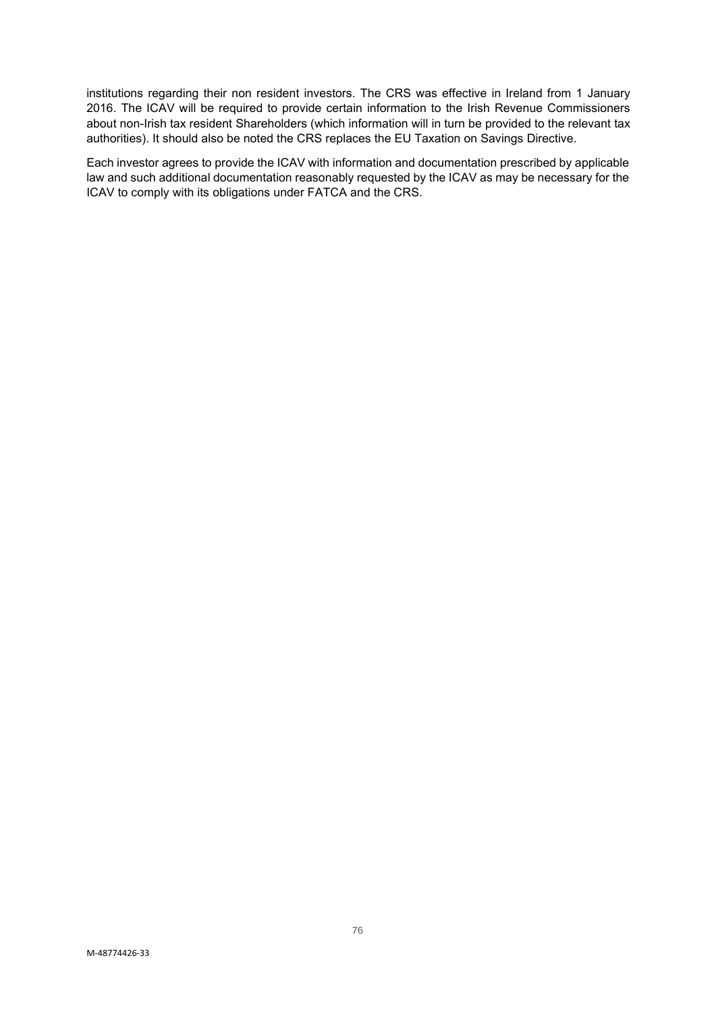institutions regarding their non resident investors. The CRS was effective in Ireland from 1 January 2016. The ICAV will be required to provide certain information to the Irish Revenue Commissioners about non-Irish tax resident Shareholders (which information will in turn be provided to the relevant tax authorities). It should also be noted the CRS replaces the EU Taxation on Savings Directive.

Each investor agrees to provide the ICAV with information and documentation prescribed by applicable law and such additional documentation reasonably requested by the ICAV as may be necessary for the ICAV to comply with its obligations under FATCA and the CRS.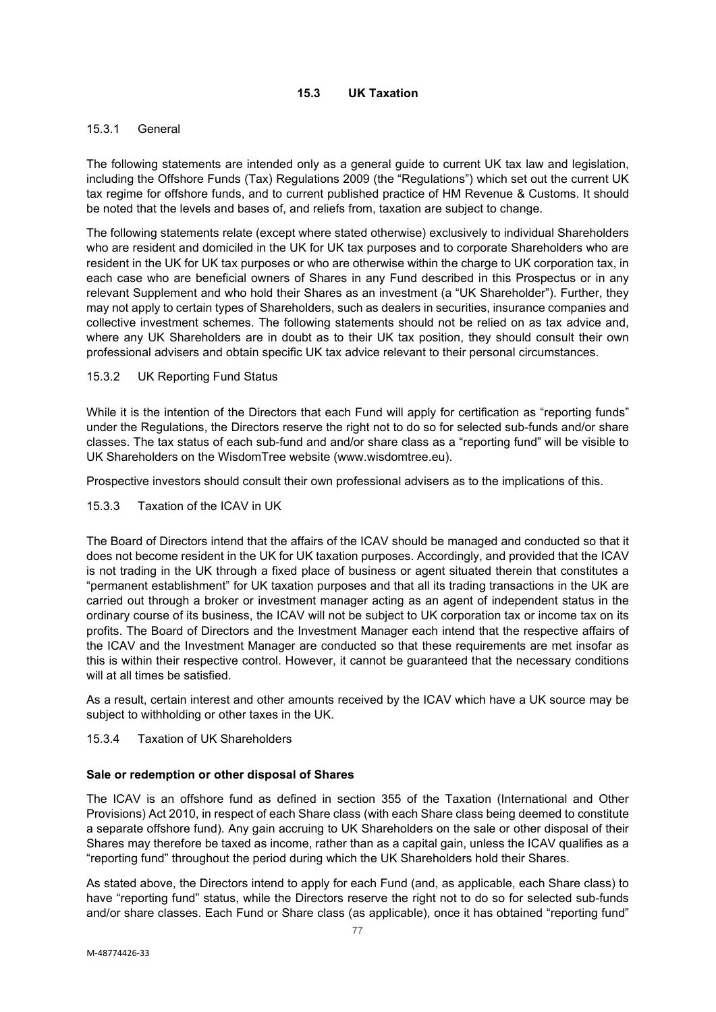# **15.3 UK Taxation**

# 15.3.1 General

The following statements are intended only as a general guide to current UK tax law and legislation, including the Offshore Funds (Tax) Regulations 2009 (the "Regulations") which set out the current UK tax regime for offshore funds, and to current published practice of HM Revenue & Customs. It should be noted that the levels and bases of, and reliefs from, taxation are subject to change.

The following statements relate (except where stated otherwise) exclusively to individual Shareholders who are resident and domiciled in the UK for UK tax purposes and to corporate Shareholders who are resident in the UK for UK tax purposes or who are otherwise within the charge to UK corporation tax, in each case who are beneficial owners of Shares in any Fund described in this Prospectus or in any relevant Supplement and who hold their Shares as an investment (a "UK Shareholder"). Further, they may not apply to certain types of Shareholders, such as dealers in securities, insurance companies and collective investment schemes. The following statements should not be relied on as tax advice and, where any UK Shareholders are in doubt as to their UK tax position, they should consult their own professional advisers and obtain specific UK tax advice relevant to their personal circumstances.

### 15.3.2 UK Reporting Fund Status

While it is the intention of the Directors that each Fund will apply for certification as "reporting funds" under the Regulations, the Directors reserve the right not to do so for selected sub-funds and/or share classes. The tax status of each sub-fund and and/or share class as a "reporting fund" will be visible to UK Shareholders on the WisdomTree website (www.wisdomtree.eu).

Prospective investors should consult their own professional advisers as to the implications of this.

### 15.3.3 Taxation of the ICAV in UK

The Board of Directors intend that the affairs of the ICAV should be managed and conducted so that it does not become resident in the UK for UK taxation purposes. Accordingly, and provided that the ICAV is not trading in the UK through a fixed place of business or agent situated therein that constitutes a "permanent establishment" for UK taxation purposes and that all its trading transactions in the UK are carried out through a broker or investment manager acting as an agent of independent status in the ordinary course of its business, the ICAV will not be subject to UK corporation tax or income tax on its profits. The Board of Directors and the Investment Manager each intend that the respective affairs of the ICAV and the Investment Manager are conducted so that these requirements are met insofar as this is within their respective control. However, it cannot be guaranteed that the necessary conditions will at all times be satisfied.

As a result, certain interest and other amounts received by the ICAV which have a UK source may be subject to withholding or other taxes in the UK.

#### 15.3.4 Taxation of UK Shareholders

#### **Sale or redemption or other disposal of Shares**

The ICAV is an offshore fund as defined in section 355 of the Taxation (International and Other Provisions) Act 2010, in respect of each Share class (with each Share class being deemed to constitute a separate offshore fund). Any gain accruing to UK Shareholders on the sale or other disposal of their Shares may therefore be taxed as income, rather than as a capital gain, unless the ICAV qualifies as a "reporting fund" throughout the period during which the UK Shareholders hold their Shares.

As stated above, the Directors intend to apply for each Fund (and, as applicable, each Share class) to have "reporting fund" status, while the Directors reserve the right not to do so for selected sub-funds and/or share classes. Each Fund or Share class (as applicable), once it has obtained "reporting fund"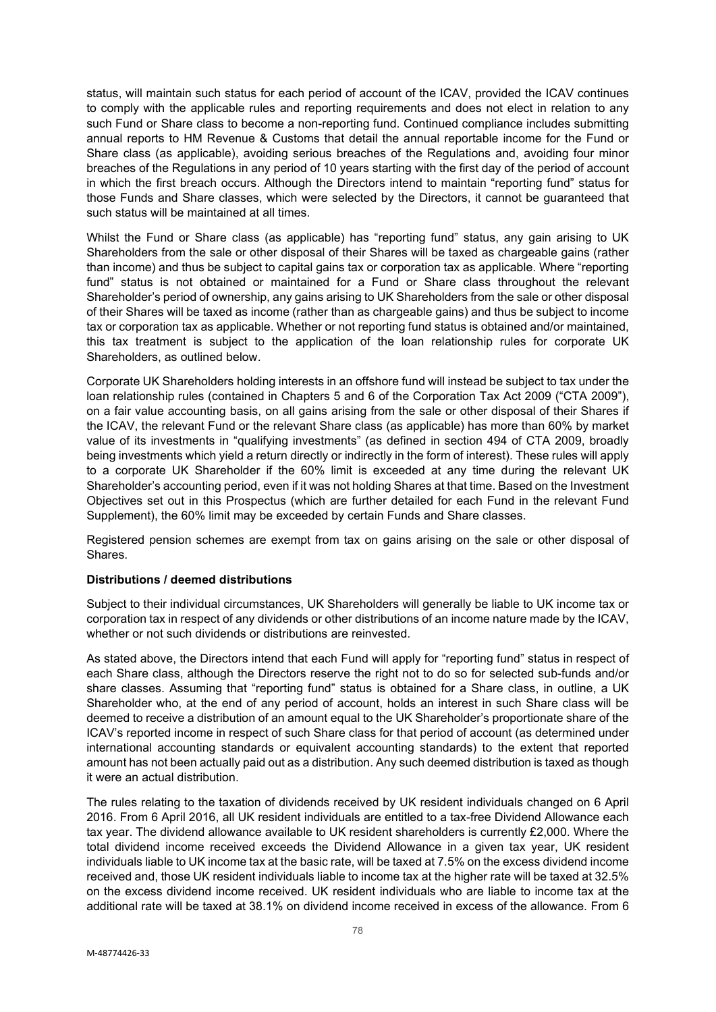status, will maintain such status for each period of account of the ICAV, provided the ICAV continues to comply with the applicable rules and reporting requirements and does not elect in relation to any such Fund or Share class to become a non-reporting fund. Continued compliance includes submitting annual reports to HM Revenue & Customs that detail the annual reportable income for the Fund or Share class (as applicable), avoiding serious breaches of the Regulations and, avoiding four minor breaches of the Regulations in any period of 10 years starting with the first day of the period of account in which the first breach occurs. Although the Directors intend to maintain "reporting fund" status for those Funds and Share classes, which were selected by the Directors, it cannot be guaranteed that such status will be maintained at all times.

Whilst the Fund or Share class (as applicable) has "reporting fund" status, any gain arising to UK Shareholders from the sale or other disposal of their Shares will be taxed as chargeable gains (rather than income) and thus be subject to capital gains tax or corporation tax as applicable. Where "reporting fund" status is not obtained or maintained for a Fund or Share class throughout the relevant Shareholder's period of ownership, any gains arising to UK Shareholders from the sale or other disposal of their Shares will be taxed as income (rather than as chargeable gains) and thus be subject to income tax or corporation tax as applicable. Whether or not reporting fund status is obtained and/or maintained, this tax treatment is subject to the application of the loan relationship rules for corporate UK Shareholders, as outlined below.

Corporate UK Shareholders holding interests in an offshore fund will instead be subject to tax under the loan relationship rules (contained in Chapters 5 and 6 of the Corporation Tax Act 2009 ("CTA 2009"), on a fair value accounting basis, on all gains arising from the sale or other disposal of their Shares if the ICAV, the relevant Fund or the relevant Share class (as applicable) has more than 60% by market value of its investments in "qualifying investments" (as defined in section 494 of CTA 2009, broadly being investments which yield a return directly or indirectly in the form of interest). These rules will apply to a corporate UK Shareholder if the 60% limit is exceeded at any time during the relevant UK Shareholder's accounting period, even if it was not holding Shares at that time. Based on the Investment Objectives set out in this Prospectus (which are further detailed for each Fund in the relevant Fund Supplement), the 60% limit may be exceeded by certain Funds and Share classes.

Registered pension schemes are exempt from tax on gains arising on the sale or other disposal of Shares.

#### **Distributions / deemed distributions**

Subject to their individual circumstances, UK Shareholders will generally be liable to UK income tax or corporation tax in respect of any dividends or other distributions of an income nature made by the ICAV, whether or not such dividends or distributions are reinvested.

As stated above, the Directors intend that each Fund will apply for "reporting fund" status in respect of each Share class, although the Directors reserve the right not to do so for selected sub-funds and/or share classes. Assuming that "reporting fund" status is obtained for a Share class, in outline, a UK Shareholder who, at the end of any period of account, holds an interest in such Share class will be deemed to receive a distribution of an amount equal to the UK Shareholder's proportionate share of the ICAV's reported income in respect of such Share class for that period of account (as determined under international accounting standards or equivalent accounting standards) to the extent that reported amount has not been actually paid out as a distribution. Any such deemed distribution is taxed as though it were an actual distribution.

The rules relating to the taxation of dividends received by UK resident individuals changed on 6 April 2016. From 6 April 2016, all UK resident individuals are entitled to a tax-free Dividend Allowance each tax year. The dividend allowance available to UK resident shareholders is currently £2,000. Where the total dividend income received exceeds the Dividend Allowance in a given tax year, UK resident individuals liable to UK income tax at the basic rate, will be taxed at 7.5% on the excess dividend income received and, those UK resident individuals liable to income tax at the higher rate will be taxed at 32.5% on the excess dividend income received. UK resident individuals who are liable to income tax at the additional rate will be taxed at 38.1% on dividend income received in excess of the allowance. From 6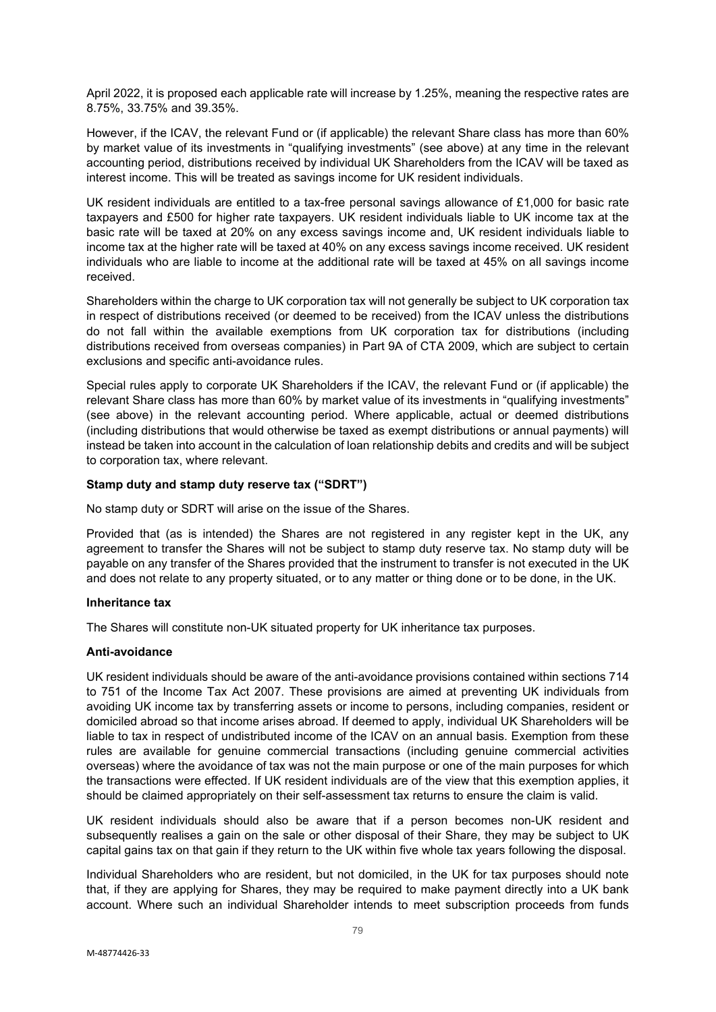April 2022, it is proposed each applicable rate will increase by 1.25%, meaning the respective rates are 8.75%, 33.75% and 39.35%.

However, if the ICAV, the relevant Fund or (if applicable) the relevant Share class has more than 60% by market value of its investments in "qualifying investments" (see above) at any time in the relevant accounting period, distributions received by individual UK Shareholders from the ICAV will be taxed as interest income. This will be treated as savings income for UK resident individuals.

UK resident individuals are entitled to a tax-free personal savings allowance of £1,000 for basic rate taxpayers and £500 for higher rate taxpayers. UK resident individuals liable to UK income tax at the basic rate will be taxed at 20% on any excess savings income and, UK resident individuals liable to income tax at the higher rate will be taxed at 40% on any excess savings income received. UK resident individuals who are liable to income at the additional rate will be taxed at 45% on all savings income received.

Shareholders within the charge to UK corporation tax will not generally be subject to UK corporation tax in respect of distributions received (or deemed to be received) from the ICAV unless the distributions do not fall within the available exemptions from UK corporation tax for distributions (including distributions received from overseas companies) in Part 9A of CTA 2009, which are subject to certain exclusions and specific anti-avoidance rules.

Special rules apply to corporate UK Shareholders if the ICAV, the relevant Fund or (if applicable) the relevant Share class has more than 60% by market value of its investments in "qualifying investments" (see above) in the relevant accounting period. Where applicable, actual or deemed distributions (including distributions that would otherwise be taxed as exempt distributions or annual payments) will instead be taken into account in the calculation of loan relationship debits and credits and will be subject to corporation tax, where relevant.

### **Stamp duty and stamp duty reserve tax ("SDRT")**

No stamp duty or SDRT will arise on the issue of the Shares.

Provided that (as is intended) the Shares are not registered in any register kept in the UK, any agreement to transfer the Shares will not be subject to stamp duty reserve tax. No stamp duty will be payable on any transfer of the Shares provided that the instrument to transfer is not executed in the UK and does not relate to any property situated, or to any matter or thing done or to be done, in the UK.

#### **Inheritance tax**

The Shares will constitute non-UK situated property for UK inheritance tax purposes.

### **Anti-avoidance**

UK resident individuals should be aware of the anti-avoidance provisions contained within sections 714 to 751 of the Income Tax Act 2007. These provisions are aimed at preventing UK individuals from avoiding UK income tax by transferring assets or income to persons, including companies, resident or domiciled abroad so that income arises abroad. If deemed to apply, individual UK Shareholders will be liable to tax in respect of undistributed income of the ICAV on an annual basis. Exemption from these rules are available for genuine commercial transactions (including genuine commercial activities overseas) where the avoidance of tax was not the main purpose or one of the main purposes for which the transactions were effected. If UK resident individuals are of the view that this exemption applies, it should be claimed appropriately on their self-assessment tax returns to ensure the claim is valid.

UK resident individuals should also be aware that if a person becomes non-UK resident and subsequently realises a gain on the sale or other disposal of their Share, they may be subject to UK capital gains tax on that gain if they return to the UK within five whole tax years following the disposal.

Individual Shareholders who are resident, but not domiciled, in the UK for tax purposes should note that, if they are applying for Shares, they may be required to make payment directly into a UK bank account. Where such an individual Shareholder intends to meet subscription proceeds from funds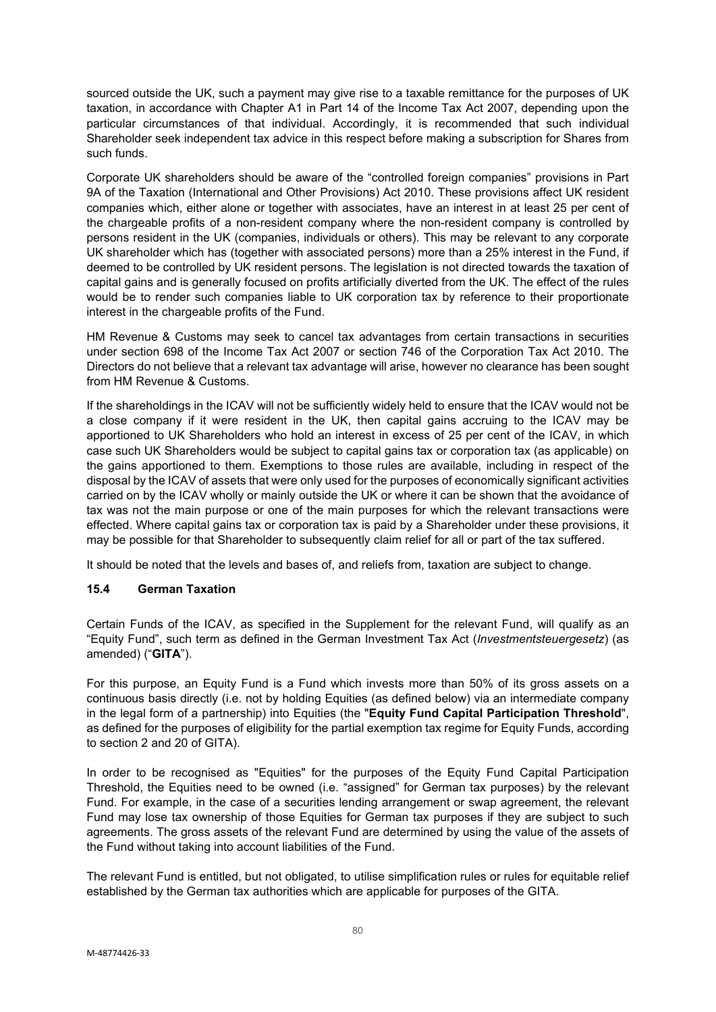sourced outside the UK, such a payment may give rise to a taxable remittance for the purposes of UK taxation, in accordance with Chapter A1 in Part 14 of the Income Tax Act 2007, depending upon the particular circumstances of that individual. Accordingly, it is recommended that such individual Shareholder seek independent tax advice in this respect before making a subscription for Shares from such funds.

Corporate UK shareholders should be aware of the "controlled foreign companies" provisions in Part 9A of the Taxation (International and Other Provisions) Act 2010. These provisions affect UK resident companies which, either alone or together with associates, have an interest in at least 25 per cent of the chargeable profits of a non-resident company where the non-resident company is controlled by persons resident in the UK (companies, individuals or others). This may be relevant to any corporate UK shareholder which has (together with associated persons) more than a 25% interest in the Fund, if deemed to be controlled by UK resident persons. The legislation is not directed towards the taxation of capital gains and is generally focused on profits artificially diverted from the UK. The effect of the rules would be to render such companies liable to UK corporation tax by reference to their proportionate interest in the chargeable profits of the Fund.

HM Revenue & Customs may seek to cancel tax advantages from certain transactions in securities under section 698 of the Income Tax Act 2007 or section 746 of the Corporation Tax Act 2010. The Directors do not believe that a relevant tax advantage will arise, however no clearance has been sought from HM Revenue & Customs.

If the shareholdings in the ICAV will not be sufficiently widely held to ensure that the ICAV would not be a close company if it were resident in the UK, then capital gains accruing to the ICAV may be apportioned to UK Shareholders who hold an interest in excess of 25 per cent of the ICAV, in which case such UK Shareholders would be subject to capital gains tax or corporation tax (as applicable) on the gains apportioned to them. Exemptions to those rules are available, including in respect of the disposal by the ICAV of assets that were only used for the purposes of economically significant activities carried on by the ICAV wholly or mainly outside the UK or where it can be shown that the avoidance of tax was not the main purpose or one of the main purposes for which the relevant transactions were effected. Where capital gains tax or corporation tax is paid by a Shareholder under these provisions, it may be possible for that Shareholder to subsequently claim relief for all or part of the tax suffered.

It should be noted that the levels and bases of, and reliefs from, taxation are subject to change.

# **15.4 German Taxation**

Certain Funds of the ICAV, as specified in the Supplement for the relevant Fund, will qualify as an "Equity Fund", such term as defined in the German Investment Tax Act (*Investmentsteuergesetz*) (as amended) ("**GITA**").

For this purpose, an Equity Fund is a Fund which invests more than 50% of its gross assets on a continuous basis directly (i.e. not by holding Equities (as defined below) via an intermediate company in the legal form of a partnership) into Equities (the "**Equity Fund Capital Participation Threshold**", as defined for the purposes of eligibility for the partial exemption tax regime for Equity Funds, according to section 2 and 20 of GITA).

In order to be recognised as "Equities" for the purposes of the Equity Fund Capital Participation Threshold, the Equities need to be owned (i.e. "assigned" for German tax purposes) by the relevant Fund. For example, in the case of a securities lending arrangement or swap agreement, the relevant Fund may lose tax ownership of those Equities for German tax purposes if they are subject to such agreements. The gross assets of the relevant Fund are determined by using the value of the assets of the Fund without taking into account liabilities of the Fund.

The relevant Fund is entitled, but not obligated, to utilise simplification rules or rules for equitable relief established by the German tax authorities which are applicable for purposes of the GITA.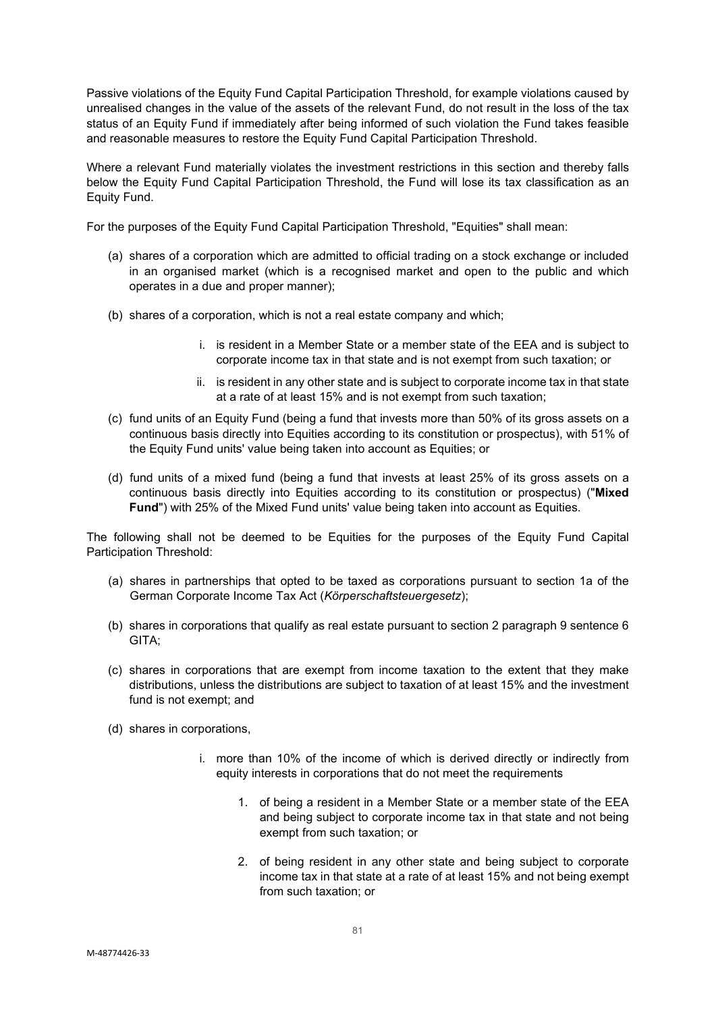Passive violations of the Equity Fund Capital Participation Threshold, for example violations caused by unrealised changes in the value of the assets of the relevant Fund, do not result in the loss of the tax status of an Equity Fund if immediately after being informed of such violation the Fund takes feasible and reasonable measures to restore the Equity Fund Capital Participation Threshold.

Where a relevant Fund materially violates the investment restrictions in this section and thereby falls below the Equity Fund Capital Participation Threshold, the Fund will lose its tax classification as an Equity Fund.

For the purposes of the Equity Fund Capital Participation Threshold, "Equities" shall mean:

- (a) shares of a corporation which are admitted to official trading on a stock exchange or included in an organised market (which is a recognised market and open to the public and which operates in a due and proper manner);
- (b) shares of a corporation, which is not a real estate company and which;
	- i. is resident in a Member State or a member state of the EEA and is subject to corporate income tax in that state and is not exempt from such taxation; or
	- ii. is resident in any other state and is subject to corporate income tax in that state at a rate of at least 15% and is not exempt from such taxation;
- (c) fund units of an Equity Fund (being a fund that invests more than 50% of its gross assets on a continuous basis directly into Equities according to its constitution or prospectus), with 51% of the Equity Fund units' value being taken into account as Equities; or
- (d) fund units of a mixed fund (being a fund that invests at least 25% of its gross assets on a continuous basis directly into Equities according to its constitution or prospectus) ("**Mixed Fund**") with 25% of the Mixed Fund units' value being taken into account as Equities.

The following shall not be deemed to be Equities for the purposes of the Equity Fund Capital Participation Threshold:

- (a) shares in partnerships that opted to be taxed as corporations pursuant to section 1a of the German Corporate Income Tax Act (*Körperschaftsteuergesetz*);
- (b) shares in corporations that qualify as real estate pursuant to section 2 paragraph 9 sentence 6 GITA;
- (c) shares in corporations that are exempt from income taxation to the extent that they make distributions, unless the distributions are subject to taxation of at least 15% and the investment fund is not exempt; and
- (d) shares in corporations,
	- i. more than 10% of the income of which is derived directly or indirectly from equity interests in corporations that do not meet the requirements
		- 1. of being a resident in a Member State or a member state of the EEA and being subject to corporate income tax in that state and not being exempt from such taxation; or
		- 2. of being resident in any other state and being subject to corporate income tax in that state at a rate of at least 15% and not being exempt from such taxation; or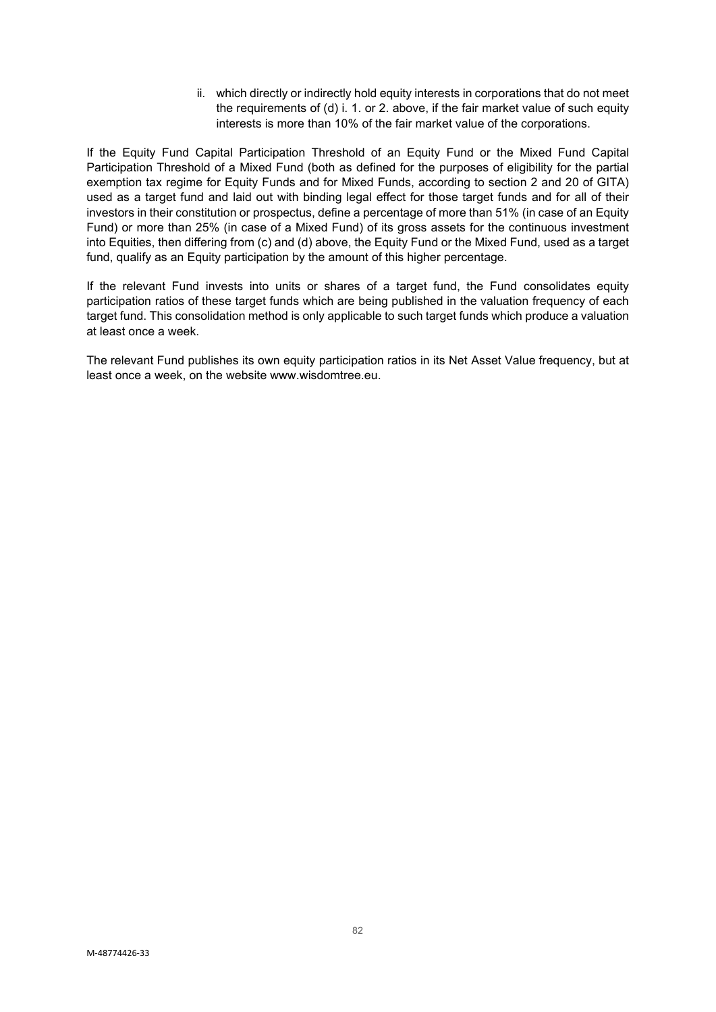ii. which directly or indirectly hold equity interests in corporations that do not meet the requirements of (d) i. 1. or 2. above, if the fair market value of such equity interests is more than 10% of the fair market value of the corporations.

If the Equity Fund Capital Participation Threshold of an Equity Fund or the Mixed Fund Capital Participation Threshold of a Mixed Fund (both as defined for the purposes of eligibility for the partial exemption tax regime for Equity Funds and for Mixed Funds, according to section 2 and 20 of GITA) used as a target fund and laid out with binding legal effect for those target funds and for all of their investors in their constitution or prospectus, define a percentage of more than 51% (in case of an Equity Fund) or more than 25% (in case of a Mixed Fund) of its gross assets for the continuous investment into Equities, then differing from (c) and (d) above, the Equity Fund or the Mixed Fund, used as a target fund, qualify as an Equity participation by the amount of this higher percentage.

If the relevant Fund invests into units or shares of a target fund, the Fund consolidates equity participation ratios of these target funds which are being published in the valuation frequency of each target fund. This consolidation method is only applicable to such target funds which produce a valuation at least once a week.

The relevant Fund publishes its own equity participation ratios in its Net Asset Value frequency, but at least once a week, on the website www.wisdomtree.eu.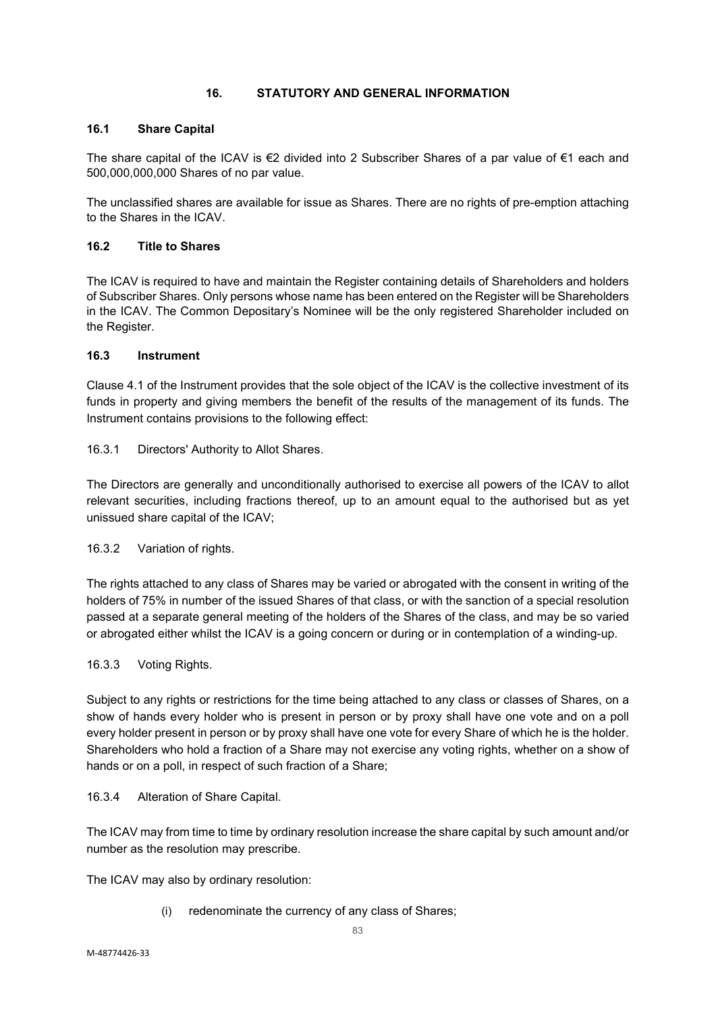# **16. STATUTORY AND GENERAL INFORMATION**

# **16.1 Share Capital**

The share capital of the ICAV is €2 divided into 2 Subscriber Shares of a par value of €1 each and 500,000,000,000 Shares of no par value.

The unclassified shares are available for issue as Shares. There are no rights of pre-emption attaching to the Shares in the ICAV.

### **16.2 Title to Shares**

The ICAV is required to have and maintain the Register containing details of Shareholders and holders of Subscriber Shares. Only persons whose name has been entered on the Register will be Shareholders in the ICAV. The Common Depositary's Nominee will be the only registered Shareholder included on the Register.

### **16.3 Instrument**

Clause 4.1 of the Instrument provides that the sole object of the ICAV is the collective investment of its funds in property and giving members the benefit of the results of the management of its funds. The Instrument contains provisions to the following effect:

16.3.1 Directors' Authority to Allot Shares.

The Directors are generally and unconditionally authorised to exercise all powers of the ICAV to allot relevant securities, including fractions thereof, up to an amount equal to the authorised but as yet unissued share capital of the ICAV;

16.3.2 Variation of rights.

The rights attached to any class of Shares may be varied or abrogated with the consent in writing of the holders of 75% in number of the issued Shares of that class, or with the sanction of a special resolution passed at a separate general meeting of the holders of the Shares of the class, and may be so varied or abrogated either whilst the ICAV is a going concern or during or in contemplation of a winding-up.

# 16.3.3 Voting Rights.

Subject to any rights or restrictions for the time being attached to any class or classes of Shares, on a show of hands every holder who is present in person or by proxy shall have one vote and on a poll every holder present in person or by proxy shall have one vote for every Share of which he is the holder. Shareholders who hold a fraction of a Share may not exercise any voting rights, whether on a show of hands or on a poll, in respect of such fraction of a Share;

#### 16.3.4 Alteration of Share Capital.

The ICAV may from time to time by ordinary resolution increase the share capital by such amount and/or number as the resolution may prescribe.

The ICAV may also by ordinary resolution:

(i) redenominate the currency of any class of Shares;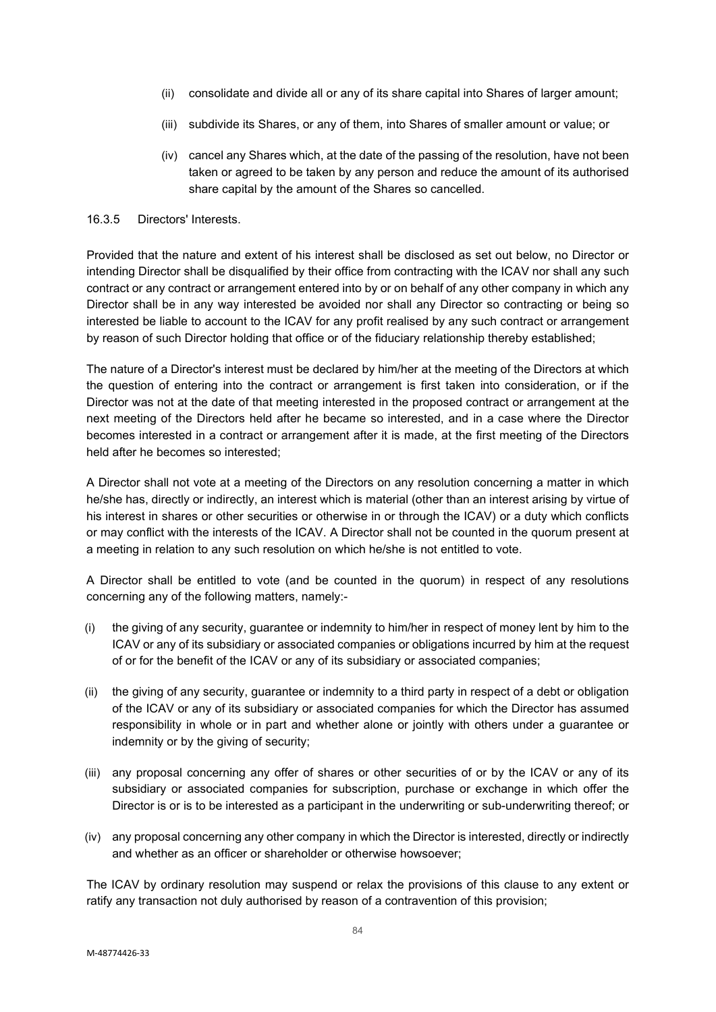- (ii) consolidate and divide all or any of its share capital into Shares of larger amount;
- (iii) subdivide its Shares, or any of them, into Shares of smaller amount or value; or
- (iv) cancel any Shares which, at the date of the passing of the resolution, have not been taken or agreed to be taken by any person and reduce the amount of its authorised share capital by the amount of the Shares so cancelled.

#### 16.3.5 Directors' Interests.

Provided that the nature and extent of his interest shall be disclosed as set out below, no Director or intending Director shall be disqualified by their office from contracting with the ICAV nor shall any such contract or any contract or arrangement entered into by or on behalf of any other company in which any Director shall be in any way interested be avoided nor shall any Director so contracting or being so interested be liable to account to the ICAV for any profit realised by any such contract or arrangement by reason of such Director holding that office or of the fiduciary relationship thereby established;

The nature of a Director's interest must be declared by him/her at the meeting of the Directors at which the question of entering into the contract or arrangement is first taken into consideration, or if the Director was not at the date of that meeting interested in the proposed contract or arrangement at the next meeting of the Directors held after he became so interested, and in a case where the Director becomes interested in a contract or arrangement after it is made, at the first meeting of the Directors held after he becomes so interested;

A Director shall not vote at a meeting of the Directors on any resolution concerning a matter in which he/she has, directly or indirectly, an interest which is material (other than an interest arising by virtue of his interest in shares or other securities or otherwise in or through the ICAV) or a duty which conflicts or may conflict with the interests of the ICAV. A Director shall not be counted in the quorum present at a meeting in relation to any such resolution on which he/she is not entitled to vote.

A Director shall be entitled to vote (and be counted in the quorum) in respect of any resolutions concerning any of the following matters, namely:-

- (i) the giving of any security, guarantee or indemnity to him/her in respect of money lent by him to the ICAV or any of its subsidiary or associated companies or obligations incurred by him at the request of or for the benefit of the ICAV or any of its subsidiary or associated companies;
- (ii) the giving of any security, guarantee or indemnity to a third party in respect of a debt or obligation of the ICAV or any of its subsidiary or associated companies for which the Director has assumed responsibility in whole or in part and whether alone or jointly with others under a guarantee or indemnity or by the giving of security;
- (iii) any proposal concerning any offer of shares or other securities of or by the ICAV or any of its subsidiary or associated companies for subscription, purchase or exchange in which offer the Director is or is to be interested as a participant in the underwriting or sub-underwriting thereof; or
- (iv) any proposal concerning any other company in which the Director is interested, directly or indirectly and whether as an officer or shareholder or otherwise howsoever;

The ICAV by ordinary resolution may suspend or relax the provisions of this clause to any extent or ratify any transaction not duly authorised by reason of a contravention of this provision;

84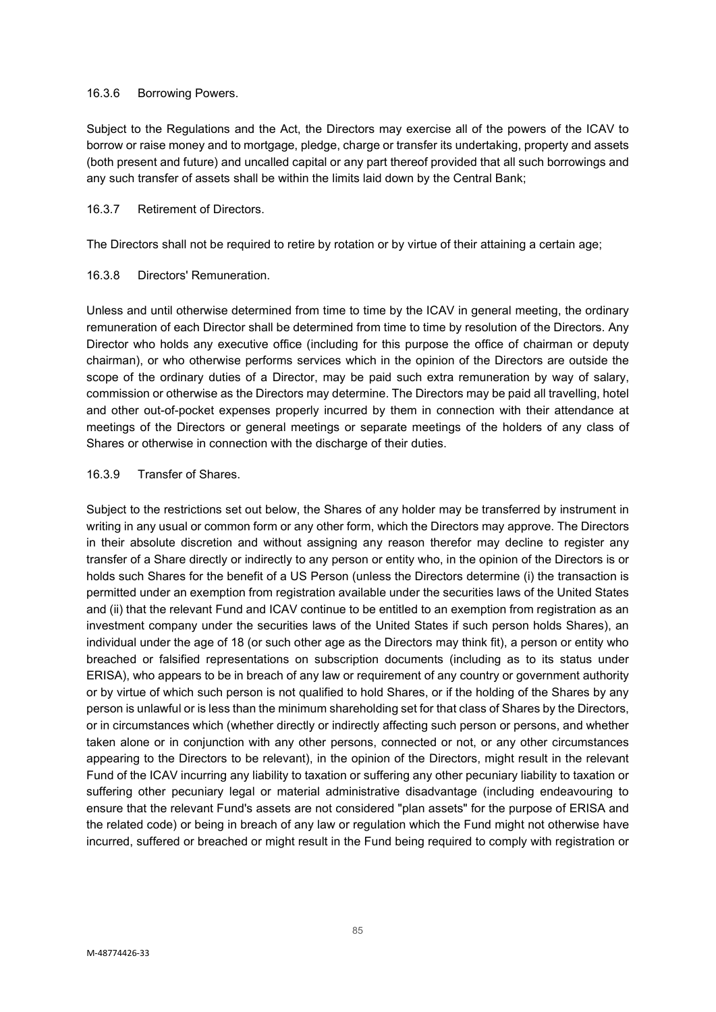#### 16.3.6 Borrowing Powers.

Subject to the Regulations and the Act, the Directors may exercise all of the powers of the ICAV to borrow or raise money and to mortgage, pledge, charge or transfer its undertaking, property and assets (both present and future) and uncalled capital or any part thereof provided that all such borrowings and any such transfer of assets shall be within the limits laid down by the Central Bank;

# 16.3.7 Retirement of Directors.

The Directors shall not be required to retire by rotation or by virtue of their attaining a certain age;

### 16.3.8 Directors' Remuneration.

Unless and until otherwise determined from time to time by the ICAV in general meeting, the ordinary remuneration of each Director shall be determined from time to time by resolution of the Directors. Any Director who holds any executive office (including for this purpose the office of chairman or deputy chairman), or who otherwise performs services which in the opinion of the Directors are outside the scope of the ordinary duties of a Director, may be paid such extra remuneration by way of salary, commission or otherwise as the Directors may determine. The Directors may be paid all travelling, hotel and other out-of-pocket expenses properly incurred by them in connection with their attendance at meetings of the Directors or general meetings or separate meetings of the holders of any class of Shares or otherwise in connection with the discharge of their duties.

### 16.3.9 Transfer of Shares.

Subject to the restrictions set out below, the Shares of any holder may be transferred by instrument in writing in any usual or common form or any other form, which the Directors may approve. The Directors in their absolute discretion and without assigning any reason therefor may decline to register any transfer of a Share directly or indirectly to any person or entity who, in the opinion of the Directors is or holds such Shares for the benefit of a US Person (unless the Directors determine (i) the transaction is permitted under an exemption from registration available under the securities laws of the United States and (ii) that the relevant Fund and ICAV continue to be entitled to an exemption from registration as an investment company under the securities laws of the United States if such person holds Shares), an individual under the age of 18 (or such other age as the Directors may think fit), a person or entity who breached or falsified representations on subscription documents (including as to its status under ERISA), who appears to be in breach of any law or requirement of any country or government authority or by virtue of which such person is not qualified to hold Shares, or if the holding of the Shares by any person is unlawful or is less than the minimum shareholding set for that class of Shares by the Directors, or in circumstances which (whether directly or indirectly affecting such person or persons, and whether taken alone or in conjunction with any other persons, connected or not, or any other circumstances appearing to the Directors to be relevant), in the opinion of the Directors, might result in the relevant Fund of the ICAV incurring any liability to taxation or suffering any other pecuniary liability to taxation or suffering other pecuniary legal or material administrative disadvantage (including endeavouring to ensure that the relevant Fund's assets are not considered "plan assets" for the purpose of ERISA and the related code) or being in breach of any law or regulation which the Fund might not otherwise have incurred, suffered or breached or might result in the Fund being required to comply with registration or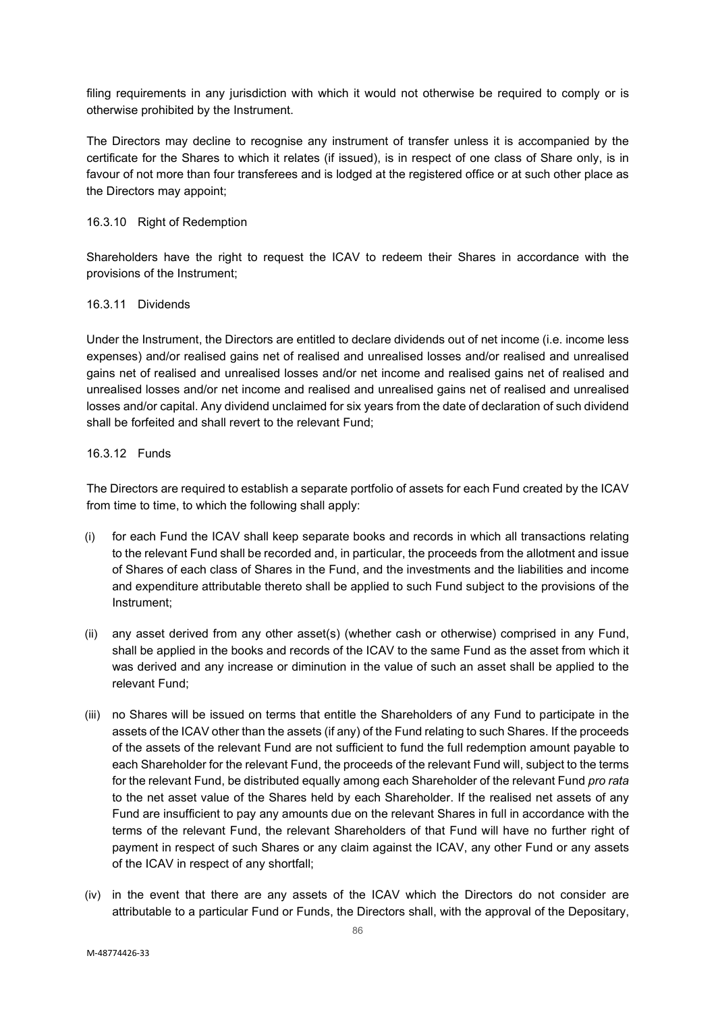filing requirements in any jurisdiction with which it would not otherwise be required to comply or is otherwise prohibited by the Instrument.

The Directors may decline to recognise any instrument of transfer unless it is accompanied by the certificate for the Shares to which it relates (if issued), is in respect of one class of Share only, is in favour of not more than four transferees and is lodged at the registered office or at such other place as the Directors may appoint;

# 16.3.10 Right of Redemption

Shareholders have the right to request the ICAV to redeem their Shares in accordance with the provisions of the Instrument;

#### 16.3.11 Dividends

Under the Instrument, the Directors are entitled to declare dividends out of net income (i.e. income less expenses) and/or realised gains net of realised and unrealised losses and/or realised and unrealised gains net of realised and unrealised losses and/or net income and realised gains net of realised and unrealised losses and/or net income and realised and unrealised gains net of realised and unrealised losses and/or capital. Any dividend unclaimed for six years from the date of declaration of such dividend shall be forfeited and shall revert to the relevant Fund;

## 16.3.12 Funds

The Directors are required to establish a separate portfolio of assets for each Fund created by the ICAV from time to time, to which the following shall apply:

- (i) for each Fund the ICAV shall keep separate books and records in which all transactions relating to the relevant Fund shall be recorded and, in particular, the proceeds from the allotment and issue of Shares of each class of Shares in the Fund, and the investments and the liabilities and income and expenditure attributable thereto shall be applied to such Fund subject to the provisions of the Instrument;
- (ii) any asset derived from any other asset(s) (whether cash or otherwise) comprised in any Fund, shall be applied in the books and records of the ICAV to the same Fund as the asset from which it was derived and any increase or diminution in the value of such an asset shall be applied to the relevant Fund;
- (iii) no Shares will be issued on terms that entitle the Shareholders of any Fund to participate in the assets of the ICAV other than the assets (if any) of the Fund relating to such Shares. If the proceeds of the assets of the relevant Fund are not sufficient to fund the full redemption amount payable to each Shareholder for the relevant Fund, the proceeds of the relevant Fund will, subject to the terms for the relevant Fund, be distributed equally among each Shareholder of the relevant Fund *pro rata* to the net asset value of the Shares held by each Shareholder. If the realised net assets of any Fund are insufficient to pay any amounts due on the relevant Shares in full in accordance with the terms of the relevant Fund, the relevant Shareholders of that Fund will have no further right of payment in respect of such Shares or any claim against the ICAV, any other Fund or any assets of the ICAV in respect of any shortfall;
- (iv) in the event that there are any assets of the ICAV which the Directors do not consider are attributable to a particular Fund or Funds, the Directors shall, with the approval of the Depositary,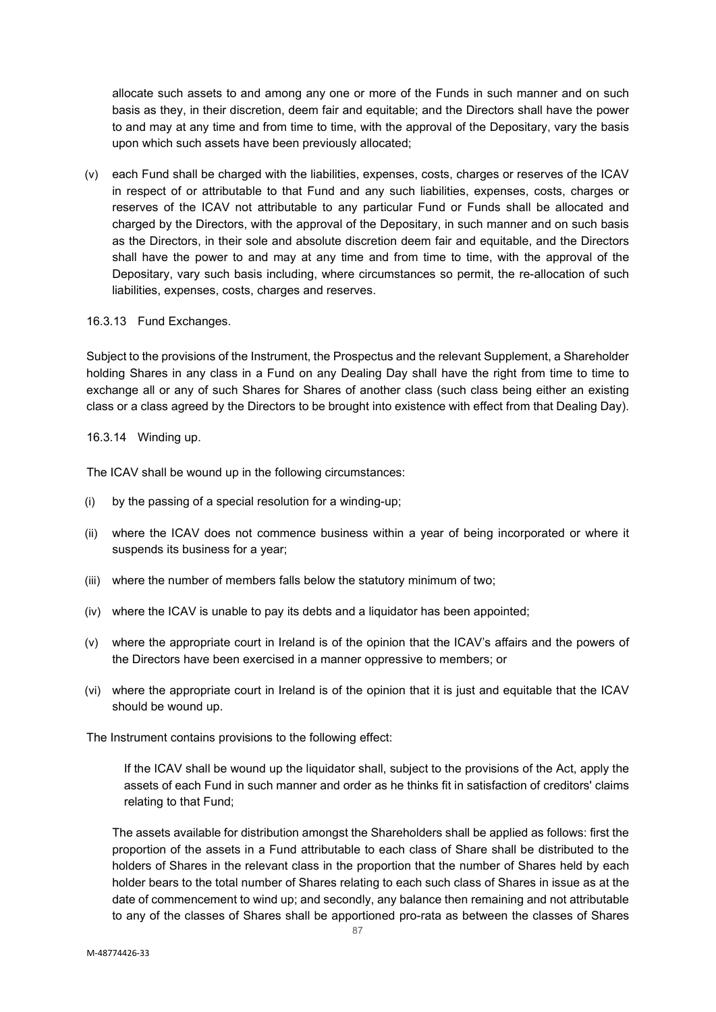allocate such assets to and among any one or more of the Funds in such manner and on such basis as they, in their discretion, deem fair and equitable; and the Directors shall have the power to and may at any time and from time to time, with the approval of the Depositary, vary the basis upon which such assets have been previously allocated;

(v) each Fund shall be charged with the liabilities, expenses, costs, charges or reserves of the ICAV in respect of or attributable to that Fund and any such liabilities, expenses, costs, charges or reserves of the ICAV not attributable to any particular Fund or Funds shall be allocated and charged by the Directors, with the approval of the Depositary, in such manner and on such basis as the Directors, in their sole and absolute discretion deem fair and equitable, and the Directors shall have the power to and may at any time and from time to time, with the approval of the Depositary, vary such basis including, where circumstances so permit, the re-allocation of such liabilities, expenses, costs, charges and reserves.

16.3.13 Fund Exchanges.

Subject to the provisions of the Instrument, the Prospectus and the relevant Supplement, a Shareholder holding Shares in any class in a Fund on any Dealing Day shall have the right from time to time to exchange all or any of such Shares for Shares of another class (such class being either an existing class or a class agreed by the Directors to be brought into existence with effect from that Dealing Day).

16.3.14 Winding up.

The ICAV shall be wound up in the following circumstances:

- (i) by the passing of a special resolution for a winding-up;
- (ii) where the ICAV does not commence business within a year of being incorporated or where it suspends its business for a year;
- (iii) where the number of members falls below the statutory minimum of two;
- (iv) where the ICAV is unable to pay its debts and a liquidator has been appointed;
- (v) where the appropriate court in Ireland is of the opinion that the ICAV's affairs and the powers of the Directors have been exercised in a manner oppressive to members; or
- (vi) where the appropriate court in Ireland is of the opinion that it is just and equitable that the ICAV should be wound up.

The Instrument contains provisions to the following effect:

If the ICAV shall be wound up the liquidator shall, subject to the provisions of the Act, apply the assets of each Fund in such manner and order as he thinks fit in satisfaction of creditors' claims relating to that Fund;

The assets available for distribution amongst the Shareholders shall be applied as follows: first the proportion of the assets in a Fund attributable to each class of Share shall be distributed to the holders of Shares in the relevant class in the proportion that the number of Shares held by each holder bears to the total number of Shares relating to each such class of Shares in issue as at the date of commencement to wind up; and secondly, any balance then remaining and not attributable to any of the classes of Shares shall be apportioned pro-rata as between the classes of Shares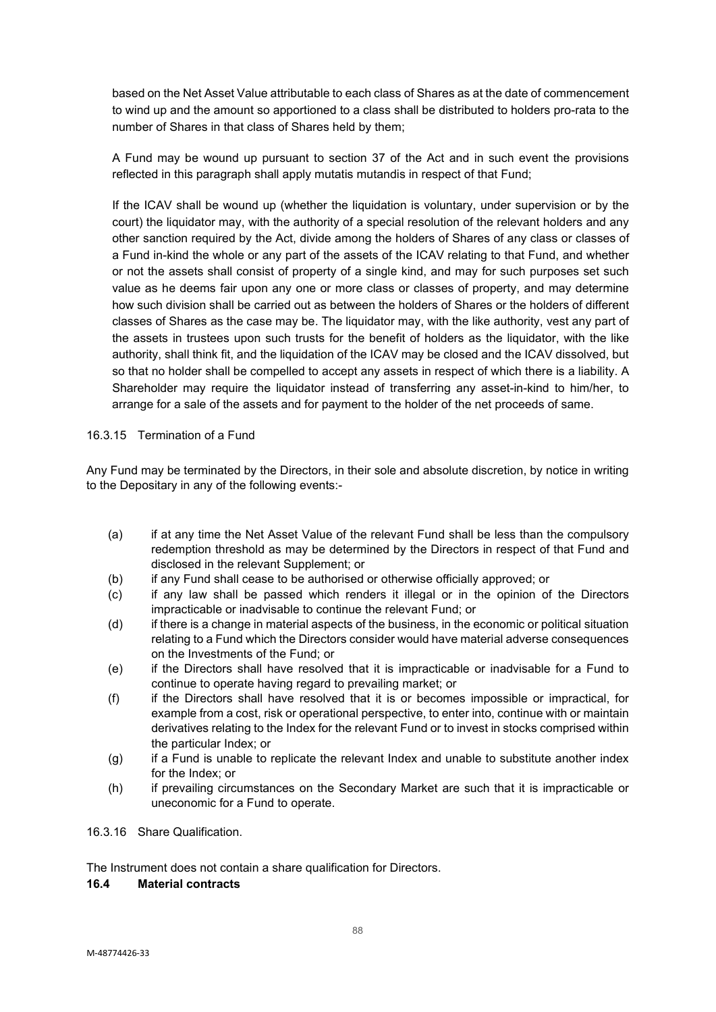based on the Net Asset Value attributable to each class of Shares as at the date of commencement to wind up and the amount so apportioned to a class shall be distributed to holders pro-rata to the number of Shares in that class of Shares held by them;

A Fund may be wound up pursuant to section 37 of the Act and in such event the provisions reflected in this paragraph shall apply mutatis mutandis in respect of that Fund;

If the ICAV shall be wound up (whether the liquidation is voluntary, under supervision or by the court) the liquidator may, with the authority of a special resolution of the relevant holders and any other sanction required by the Act, divide among the holders of Shares of any class or classes of a Fund in-kind the whole or any part of the assets of the ICAV relating to that Fund, and whether or not the assets shall consist of property of a single kind, and may for such purposes set such value as he deems fair upon any one or more class or classes of property, and may determine how such division shall be carried out as between the holders of Shares or the holders of different classes of Shares as the case may be. The liquidator may, with the like authority, vest any part of the assets in trustees upon such trusts for the benefit of holders as the liquidator, with the like authority, shall think fit, and the liquidation of the ICAV may be closed and the ICAV dissolved, but so that no holder shall be compelled to accept any assets in respect of which there is a liability. A Shareholder may require the liquidator instead of transferring any asset-in-kind to him/her, to arrange for a sale of the assets and for payment to the holder of the net proceeds of same.

### 16.3.15 Termination of a Fund

Any Fund may be terminated by the Directors, in their sole and absolute discretion, by notice in writing to the Depositary in any of the following events:-

- (a) if at any time the Net Asset Value of the relevant Fund shall be less than the compulsory redemption threshold as may be determined by the Directors in respect of that Fund and disclosed in the relevant Supplement; or
- (b) if any Fund shall cease to be authorised or otherwise officially approved; or
- (c) if any law shall be passed which renders it illegal or in the opinion of the Directors impracticable or inadvisable to continue the relevant Fund; or
- (d) if there is a change in material aspects of the business, in the economic or political situation relating to a Fund which the Directors consider would have material adverse consequences on the Investments of the Fund; or
- (e) if the Directors shall have resolved that it is impracticable or inadvisable for a Fund to continue to operate having regard to prevailing market; or
- (f) if the Directors shall have resolved that it is or becomes impossible or impractical, for example from a cost, risk or operational perspective, to enter into, continue with or maintain derivatives relating to the Index for the relevant Fund or to invest in stocks comprised within the particular Index; or
- (g) if a Fund is unable to replicate the relevant Index and unable to substitute another index for the Index; or
- (h) if prevailing circumstances on the Secondary Market are such that it is impracticable or uneconomic for a Fund to operate.
- 16.3.16 Share Qualification.

The Instrument does not contain a share qualification for Directors.

#### **16.4 Material contracts**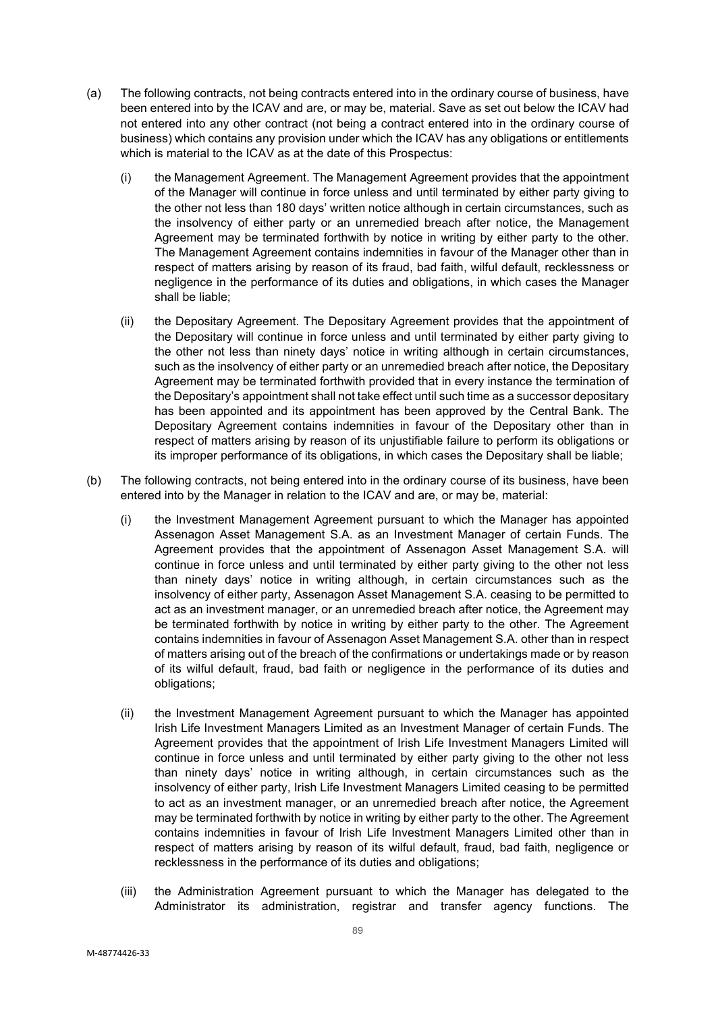- (a) The following contracts, not being contracts entered into in the ordinary course of business, have been entered into by the ICAV and are, or may be, material. Save as set out below the ICAV had not entered into any other contract (not being a contract entered into in the ordinary course of business) which contains any provision under which the ICAV has any obligations or entitlements which is material to the ICAV as at the date of this Prospectus:
	- (i) the Management Agreement. The Management Agreement provides that the appointment of the Manager will continue in force unless and until terminated by either party giving to the other not less than 180 days' written notice although in certain circumstances, such as the insolvency of either party or an unremedied breach after notice, the Management Agreement may be terminated forthwith by notice in writing by either party to the other. The Management Agreement contains indemnities in favour of the Manager other than in respect of matters arising by reason of its fraud, bad faith, wilful default, recklessness or negligence in the performance of its duties and obligations, in which cases the Manager shall be liable;
	- (ii) the Depositary Agreement. The Depositary Agreement provides that the appointment of the Depositary will continue in force unless and until terminated by either party giving to the other not less than ninety days' notice in writing although in certain circumstances, such as the insolvency of either party or an unremedied breach after notice, the Depositary Agreement may be terminated forthwith provided that in every instance the termination of the Depositary's appointment shall not take effect until such time as a successor depositary has been appointed and its appointment has been approved by the Central Bank. The Depositary Agreement contains indemnities in favour of the Depositary other than in respect of matters arising by reason of its unjustifiable failure to perform its obligations or its improper performance of its obligations, in which cases the Depositary shall be liable;
- (b) The following contracts, not being entered into in the ordinary course of its business, have been entered into by the Manager in relation to the ICAV and are, or may be, material:
	- (i) the Investment Management Agreement pursuant to which the Manager has appointed Assenagon Asset Management S.A. as an Investment Manager of certain Funds. The Agreement provides that the appointment of Assenagon Asset Management S.A. will continue in force unless and until terminated by either party giving to the other not less than ninety days' notice in writing although, in certain circumstances such as the insolvency of either party, Assenagon Asset Management S.A. ceasing to be permitted to act as an investment manager, or an unremedied breach after notice, the Agreement may be terminated forthwith by notice in writing by either party to the other. The Agreement contains indemnities in favour of Assenagon Asset Management S.A. other than in respect of matters arising out of the breach of the confirmations or undertakings made or by reason of its wilful default, fraud, bad faith or negligence in the performance of its duties and obligations;
	- (ii) the Investment Management Agreement pursuant to which the Manager has appointed Irish Life Investment Managers Limited as an Investment Manager of certain Funds. The Agreement provides that the appointment of Irish Life Investment Managers Limited will continue in force unless and until terminated by either party giving to the other not less than ninety days' notice in writing although, in certain circumstances such as the insolvency of either party, Irish Life Investment Managers Limited ceasing to be permitted to act as an investment manager, or an unremedied breach after notice, the Agreement may be terminated forthwith by notice in writing by either party to the other. The Agreement contains indemnities in favour of Irish Life Investment Managers Limited other than in respect of matters arising by reason of its wilful default, fraud, bad faith, negligence or recklessness in the performance of its duties and obligations;
	- (iii) the Administration Agreement pursuant to which the Manager has delegated to the Administrator its administration, registrar and transfer agency functions. The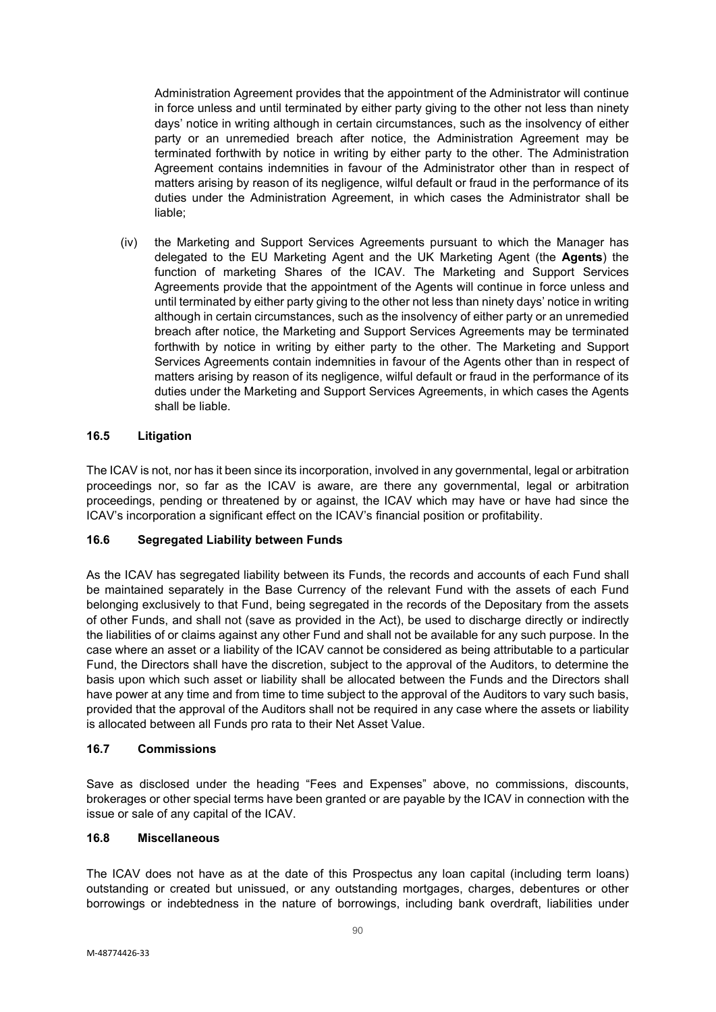Administration Agreement provides that the appointment of the Administrator will continue in force unless and until terminated by either party giving to the other not less than ninety days' notice in writing although in certain circumstances, such as the insolvency of either party or an unremedied breach after notice, the Administration Agreement may be terminated forthwith by notice in writing by either party to the other. The Administration Agreement contains indemnities in favour of the Administrator other than in respect of matters arising by reason of its negligence, wilful default or fraud in the performance of its duties under the Administration Agreement, in which cases the Administrator shall be liable;

(iv) the Marketing and Support Services Agreements pursuant to which the Manager has delegated to the EU Marketing Agent and the UK Marketing Agent (the **Agents**) the function of marketing Shares of the ICAV. The Marketing and Support Services Agreements provide that the appointment of the Agents will continue in force unless and until terminated by either party giving to the other not less than ninety days' notice in writing although in certain circumstances, such as the insolvency of either party or an unremedied breach after notice, the Marketing and Support Services Agreements may be terminated forthwith by notice in writing by either party to the other. The Marketing and Support Services Agreements contain indemnities in favour of the Agents other than in respect of matters arising by reason of its negligence, wilful default or fraud in the performance of its duties under the Marketing and Support Services Agreements, in which cases the Agents shall be liable.

### **16.5 Litigation**

The ICAV is not, nor has it been since its incorporation, involved in any governmental, legal or arbitration proceedings nor, so far as the ICAV is aware, are there any governmental, legal or arbitration proceedings, pending or threatened by or against, the ICAV which may have or have had since the ICAV's incorporation a significant effect on the ICAV's financial position or profitability.

#### **16.6 Segregated Liability between Funds**

As the ICAV has segregated liability between its Funds, the records and accounts of each Fund shall be maintained separately in the Base Currency of the relevant Fund with the assets of each Fund belonging exclusively to that Fund, being segregated in the records of the Depositary from the assets of other Funds, and shall not (save as provided in the Act), be used to discharge directly or indirectly the liabilities of or claims against any other Fund and shall not be available for any such purpose. In the case where an asset or a liability of the ICAV cannot be considered as being attributable to a particular Fund, the Directors shall have the discretion, subject to the approval of the Auditors, to determine the basis upon which such asset or liability shall be allocated between the Funds and the Directors shall have power at any time and from time to time subject to the approval of the Auditors to vary such basis, provided that the approval of the Auditors shall not be required in any case where the assets or liability is allocated between all Funds pro rata to their Net Asset Value.

#### **16.7 Commissions**

Save as disclosed under the heading "Fees and Expenses" above, no commissions, discounts, brokerages or other special terms have been granted or are payable by the ICAV in connection with the issue or sale of any capital of the ICAV.

# **16.8 Miscellaneous**

The ICAV does not have as at the date of this Prospectus any loan capital (including term loans) outstanding or created but unissued, or any outstanding mortgages, charges, debentures or other borrowings or indebtedness in the nature of borrowings, including bank overdraft, liabilities under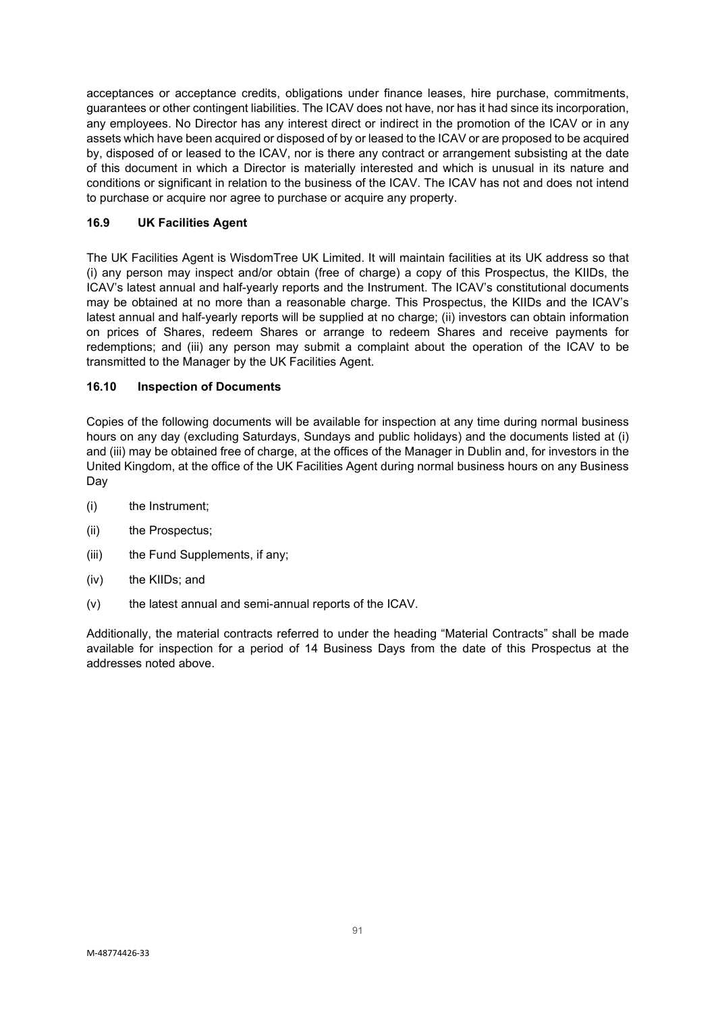acceptances or acceptance credits, obligations under finance leases, hire purchase, commitments, guarantees or other contingent liabilities. The ICAV does not have, nor has it had since its incorporation, any employees. No Director has any interest direct or indirect in the promotion of the ICAV or in any assets which have been acquired or disposed of by or leased to the ICAV or are proposed to be acquired by, disposed of or leased to the ICAV, nor is there any contract or arrangement subsisting at the date of this document in which a Director is materially interested and which is unusual in its nature and conditions or significant in relation to the business of the ICAV. The ICAV has not and does not intend to purchase or acquire nor agree to purchase or acquire any property.

# **16.9 UK Facilities Agent**

The UK Facilities Agent is WisdomTree UK Limited. It will maintain facilities at its UK address so that (i) any person may inspect and/or obtain (free of charge) a copy of this Prospectus, the KIIDs, the ICAV's latest annual and half-yearly reports and the Instrument. The ICAV's constitutional documents may be obtained at no more than a reasonable charge. This Prospectus, the KIIDs and the ICAV's latest annual and half-yearly reports will be supplied at no charge; (ii) investors can obtain information on prices of Shares, redeem Shares or arrange to redeem Shares and receive payments for redemptions; and (iii) any person may submit a complaint about the operation of the ICAV to be transmitted to the Manager by the UK Facilities Agent.

# **16.10 Inspection of Documents**

Copies of the following documents will be available for inspection at any time during normal business hours on any day (excluding Saturdays, Sundays and public holidays) and the documents listed at (i) and (iii) may be obtained free of charge, at the offices of the Manager in Dublin and, for investors in the United Kingdom, at the office of the UK Facilities Agent during normal business hours on any Business Day

- (i) the Instrument;
- (ii) the Prospectus;
- (iii) the Fund Supplements, if any;
- (iv) the KIIDs; and
- (v) the latest annual and semi-annual reports of the ICAV.

Additionally, the material contracts referred to under the heading "Material Contracts" shall be made available for inspection for a period of 14 Business Days from the date of this Prospectus at the addresses noted above.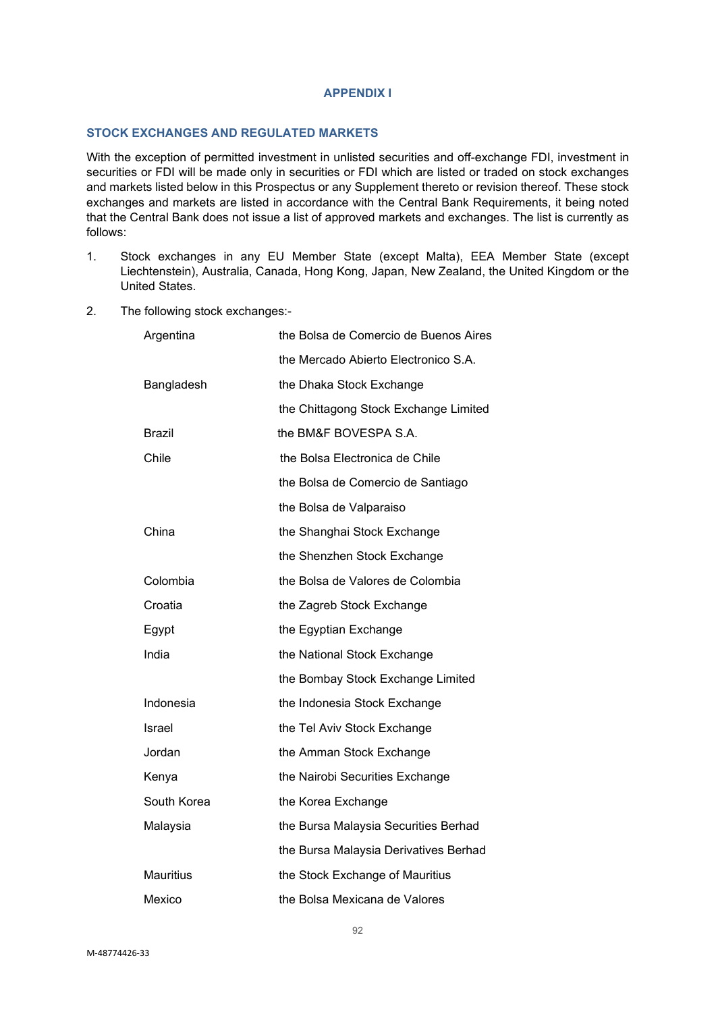#### **APPENDIX I**

#### **STOCK EXCHANGES AND REGULATED MARKETS**

With the exception of permitted investment in unlisted securities and off-exchange FDI, investment in securities or FDI will be made only in securities or FDI which are listed or traded on stock exchanges and markets listed below in this Prospectus or any Supplement thereto or revision thereof. These stock exchanges and markets are listed in accordance with the Central Bank Requirements, it being noted that the Central Bank does not issue a list of approved markets and exchanges. The list is currently as follows:

- 1. Stock exchanges in any EU Member State (except Malta), EEA Member State (except Liechtenstein), Australia, Canada, Hong Kong, Japan, New Zealand, the United Kingdom or the United States.
- 2. The following stock exchanges:-

| Argentina        | the Bolsa de Comercio de Buenos Aires |
|------------------|---------------------------------------|
|                  | the Mercado Abierto Electronico S.A.  |
| Bangladesh       | the Dhaka Stock Exchange              |
|                  | the Chittagong Stock Exchange Limited |
| Brazil           | the BM&F BOVESPA S.A.                 |
| Chile            | the Bolsa Electronica de Chile        |
|                  | the Bolsa de Comercio de Santiago     |
|                  | the Bolsa de Valparaiso               |
| China            | the Shanghai Stock Exchange           |
|                  | the Shenzhen Stock Exchange           |
| Colombia         | the Bolsa de Valores de Colombia      |
| Croatia          | the Zagreb Stock Exchange             |
| Egypt            | the Egyptian Exchange                 |
| India            | the National Stock Exchange           |
|                  | the Bombay Stock Exchange Limited     |
| Indonesia        | the Indonesia Stock Exchange          |
| Israel           | the Tel Aviv Stock Exchange           |
| Jordan           | the Amman Stock Exchange              |
| Kenya            | the Nairobi Securities Exchange       |
| South Korea      | the Korea Exchange                    |
| Malaysia         | the Bursa Malaysia Securities Berhad  |
|                  | the Bursa Malaysia Derivatives Berhad |
| <b>Mauritius</b> | the Stock Exchange of Mauritius       |
| Mexico           | the Bolsa Mexicana de Valores         |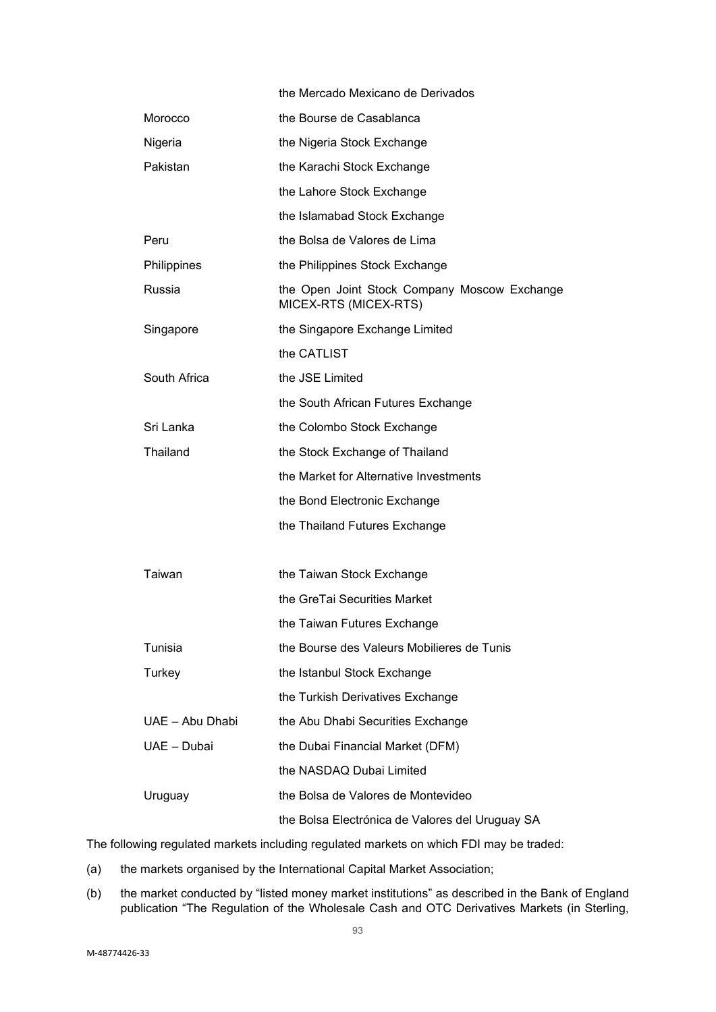|                 | the Mercado Mexicano de Derivados                                     |
|-----------------|-----------------------------------------------------------------------|
| Morocco         | the Bourse de Casablanca                                              |
| Nigeria         | the Nigeria Stock Exchange                                            |
| Pakistan        | the Karachi Stock Exchange                                            |
|                 | the Lahore Stock Exchange                                             |
|                 | the Islamabad Stock Exchange                                          |
| Peru            | the Bolsa de Valores de Lima                                          |
| Philippines     | the Philippines Stock Exchange                                        |
| Russia          | the Open Joint Stock Company Moscow Exchange<br>MICEX-RTS (MICEX-RTS) |
| Singapore       | the Singapore Exchange Limited                                        |
|                 | the CATLIST                                                           |
| South Africa    | the JSE Limited                                                       |
|                 | the South African Futures Exchange                                    |
| Sri Lanka       | the Colombo Stock Exchange                                            |
| Thailand        | the Stock Exchange of Thailand                                        |
|                 | the Market for Alternative Investments                                |
|                 | the Bond Electronic Exchange                                          |
|                 | the Thailand Futures Exchange                                         |
|                 |                                                                       |
| Taiwan          | the Taiwan Stock Exchange                                             |
|                 | the GreTai Securities Market                                          |
|                 | the Taiwan Futures Exchange                                           |
| Tunisia         | the Bourse des Valeurs Mobilieres de Tunis                            |
| Turkey          | the Istanbul Stock Exchange                                           |
|                 | the Turkish Derivatives Exchange                                      |
| UAE - Abu Dhabi | the Abu Dhabi Securities Exchange                                     |
| UAE - Dubai     | the Dubai Financial Market (DFM)                                      |
|                 | the NASDAQ Dubai Limited                                              |
| Uruguay         | the Bolsa de Valores de Montevideo                                    |
|                 | the Bolsa Electrónica de Valores del Uruguay SA                       |

The following regulated markets including regulated markets on which FDI may be traded:

- (a) the markets organised by the International Capital Market Association;
- (b) the market conducted by "listed money market institutions" as described in the Bank of England publication "The Regulation of the Wholesale Cash and OTC Derivatives Markets (in Sterling,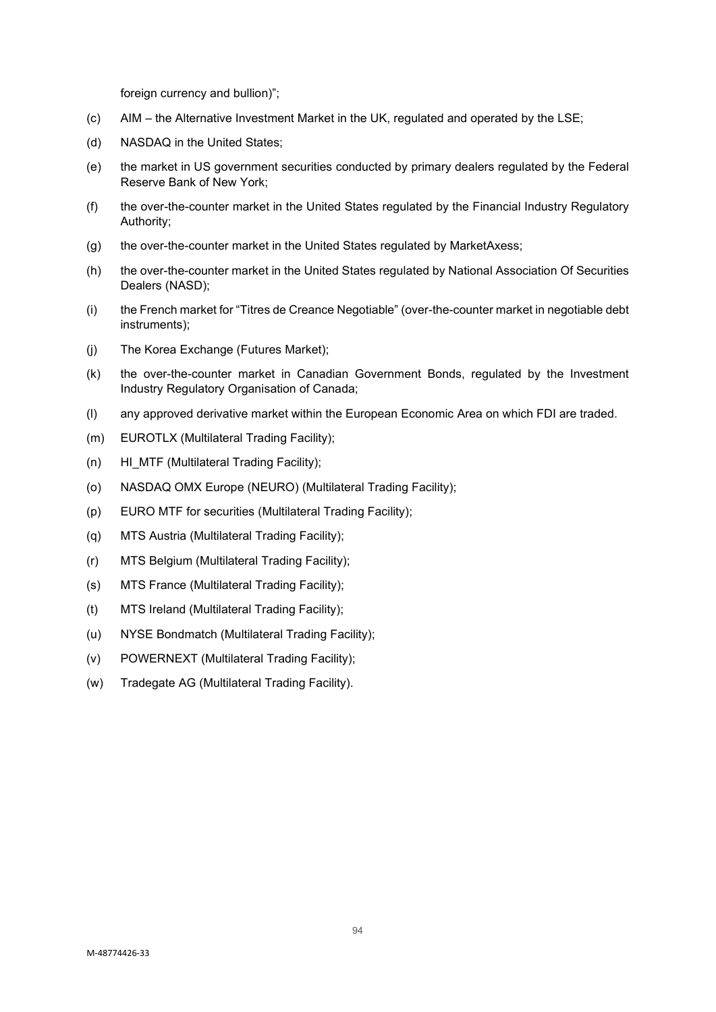foreign currency and bullion)";

- (c) AIM the Alternative Investment Market in the UK, regulated and operated by the LSE;
- (d) NASDAQ in the United States;
- (e) the market in US government securities conducted by primary dealers regulated by the Federal Reserve Bank of New York;
- (f) the over-the-counter market in the United States regulated by the Financial Industry Regulatory Authority;
- (g) the over-the-counter market in the United States regulated by MarketAxess;
- (h) the over-the-counter market in the United States regulated by National Association Of Securities Dealers (NASD);
- (i) the French market for "Titres de Creance Negotiable" (over-the-counter market in negotiable debt instruments);
- (j) The Korea Exchange (Futures Market);
- (k) the over-the-counter market in Canadian Government Bonds, regulated by the Investment Industry Regulatory Organisation of Canada;
- (l) any approved derivative market within the European Economic Area on which FDI are traded.
- (m) EUROTLX (Multilateral Trading Facility);
- (n) HI\_MTF (Multilateral Trading Facility);
- (o) NASDAQ OMX Europe (NEURO) (Multilateral Trading Facility);
- (p) EURO MTF for securities (Multilateral Trading Facility);
- (q) MTS Austria (Multilateral Trading Facility);
- (r) MTS Belgium (Multilateral Trading Facility);
- (s) MTS France (Multilateral Trading Facility);
- (t) MTS Ireland (Multilateral Trading Facility);
- (u) NYSE Bondmatch (Multilateral Trading Facility);
- (v) POWERNEXT (Multilateral Trading Facility);
- (w) Tradegate AG (Multilateral Trading Facility).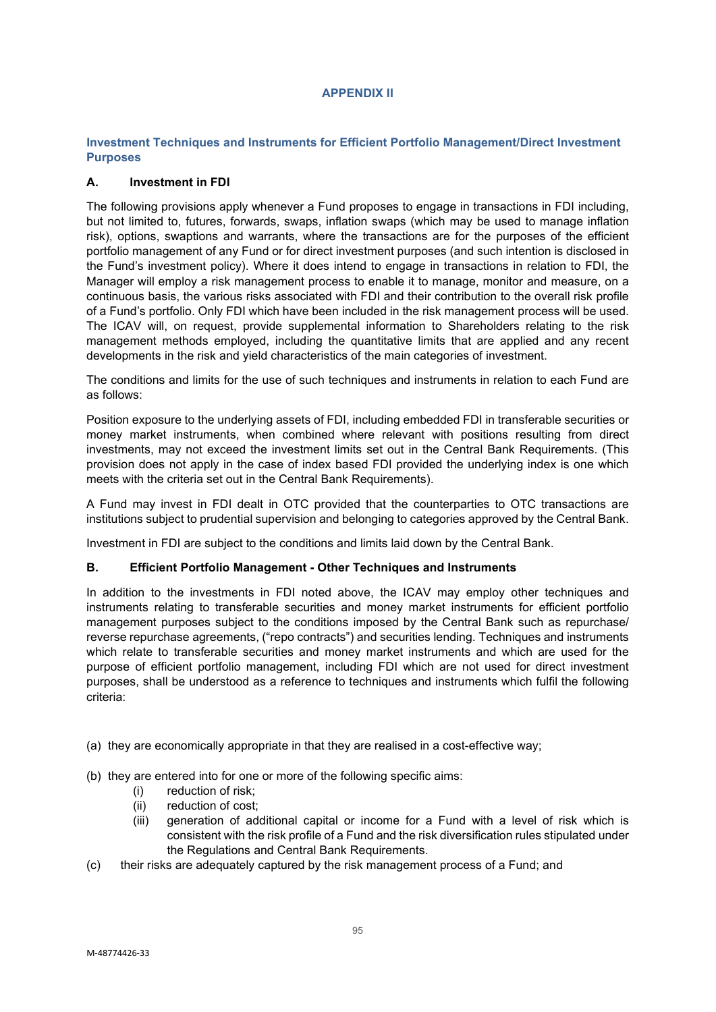# **APPENDIX II**

# **Investment Techniques and Instruments for Efficient Portfolio Management/Direct Investment Purposes**

# **A. Investment in FDI**

The following provisions apply whenever a Fund proposes to engage in transactions in FDI including, but not limited to, futures, forwards, swaps, inflation swaps (which may be used to manage inflation risk), options, swaptions and warrants, where the transactions are for the purposes of the efficient portfolio management of any Fund or for direct investment purposes (and such intention is disclosed in the Fund's investment policy). Where it does intend to engage in transactions in relation to FDI, the Manager will employ a risk management process to enable it to manage, monitor and measure, on a continuous basis, the various risks associated with FDI and their contribution to the overall risk profile of a Fund's portfolio. Only FDI which have been included in the risk management process will be used. The ICAV will, on request, provide supplemental information to Shareholders relating to the risk management methods employed, including the quantitative limits that are applied and any recent developments in the risk and yield characteristics of the main categories of investment.

The conditions and limits for the use of such techniques and instruments in relation to each Fund are as follows:

Position exposure to the underlying assets of FDI, including embedded FDI in transferable securities or money market instruments, when combined where relevant with positions resulting from direct investments, may not exceed the investment limits set out in the Central Bank Requirements. (This provision does not apply in the case of index based FDI provided the underlying index is one which meets with the criteria set out in the Central Bank Requirements).

A Fund may invest in FDI dealt in OTC provided that the counterparties to OTC transactions are institutions subject to prudential supervision and belonging to categories approved by the Central Bank.

Investment in FDI are subject to the conditions and limits laid down by the Central Bank.

# **B. Efficient Portfolio Management - Other Techniques and Instruments**

In addition to the investments in FDI noted above, the ICAV may employ other techniques and instruments relating to transferable securities and money market instruments for efficient portfolio management purposes subject to the conditions imposed by the Central Bank such as repurchase/ reverse repurchase agreements, ("repo contracts") and securities lending. Techniques and instruments which relate to transferable securities and money market instruments and which are used for the purpose of efficient portfolio management, including FDI which are not used for direct investment purposes, shall be understood as a reference to techniques and instruments which fulfil the following criteria:

- (a) they are economically appropriate in that they are realised in a cost-effective way;
- (b) they are entered into for one or more of the following specific aims:
	- (i) reduction of risk;
	- (ii) reduction of cost;
	- (iii) generation of additional capital or income for a Fund with a level of risk which is consistent with the risk profile of a Fund and the risk diversification rules stipulated under the Regulations and Central Bank Requirements.
- (c) their risks are adequately captured by the risk management process of a Fund; and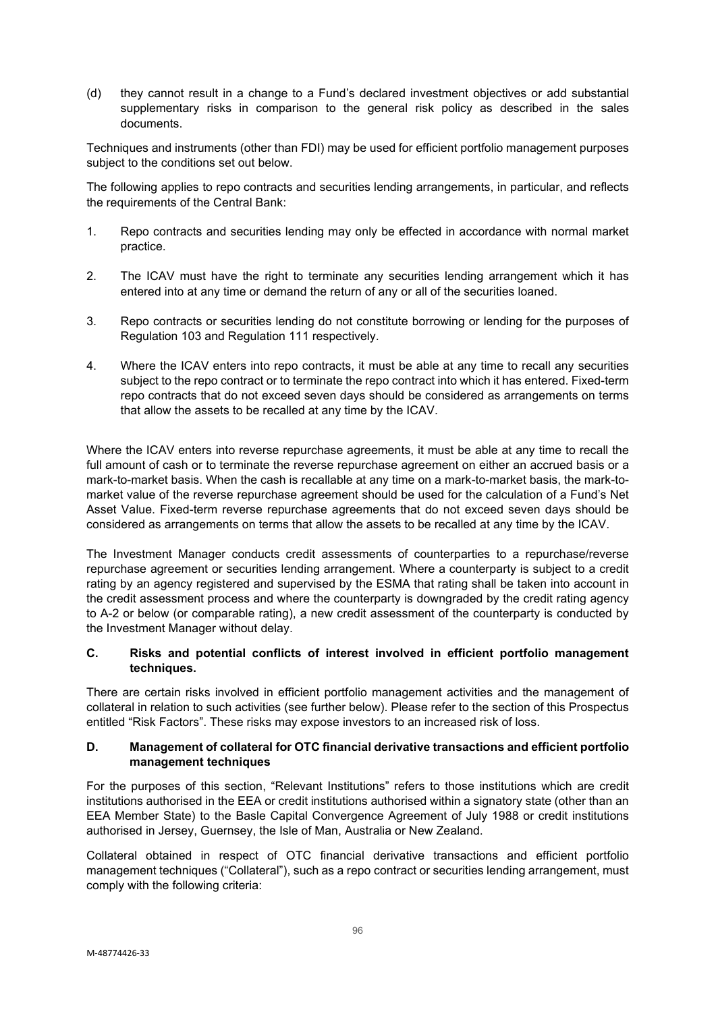(d) they cannot result in a change to a Fund's declared investment objectives or add substantial supplementary risks in comparison to the general risk policy as described in the sales documents.

Techniques and instruments (other than FDI) may be used for efficient portfolio management purposes subject to the conditions set out below.

The following applies to repo contracts and securities lending arrangements, in particular, and reflects the requirements of the Central Bank:

- 1. Repo contracts and securities lending may only be effected in accordance with normal market practice.
- 2. The ICAV must have the right to terminate any securities lending arrangement which it has entered into at any time or demand the return of any or all of the securities loaned.
- 3. Repo contracts or securities lending do not constitute borrowing or lending for the purposes of Regulation 103 and Regulation 111 respectively.
- 4. Where the ICAV enters into repo contracts, it must be able at any time to recall any securities subject to the repo contract or to terminate the repo contract into which it has entered. Fixed-term repo contracts that do not exceed seven days should be considered as arrangements on terms that allow the assets to be recalled at any time by the ICAV.

Where the ICAV enters into reverse repurchase agreements, it must be able at any time to recall the full amount of cash or to terminate the reverse repurchase agreement on either an accrued basis or a mark-to-market basis. When the cash is recallable at any time on a mark-to-market basis, the mark-tomarket value of the reverse repurchase agreement should be used for the calculation of a Fund's Net Asset Value. Fixed-term reverse repurchase agreements that do not exceed seven days should be considered as arrangements on terms that allow the assets to be recalled at any time by the ICAV.

The Investment Manager conducts credit assessments of counterparties to a repurchase/reverse repurchase agreement or securities lending arrangement. Where a counterparty is subject to a credit rating by an agency registered and supervised by the ESMA that rating shall be taken into account in the credit assessment process and where the counterparty is downgraded by the credit rating agency to A-2 or below (or comparable rating), a new credit assessment of the counterparty is conducted by the Investment Manager without delay.

# **C. Risks and potential conflicts of interest involved in efficient portfolio management techniques.**

There are certain risks involved in efficient portfolio management activities and the management of collateral in relation to such activities (see further below). Please refer to the section of this Prospectus entitled "Risk Factors". These risks may expose investors to an increased risk of loss.

# **D. Management of collateral for OTC financial derivative transactions and efficient portfolio management techniques**

For the purposes of this section, "Relevant Institutions" refers to those institutions which are credit institutions authorised in the EEA or credit institutions authorised within a signatory state (other than an EEA Member State) to the Basle Capital Convergence Agreement of July 1988 or credit institutions authorised in Jersey, Guernsey, the Isle of Man, Australia or New Zealand.

Collateral obtained in respect of OTC financial derivative transactions and efficient portfolio management techniques ("Collateral"), such as a repo contract or securities lending arrangement, must comply with the following criteria: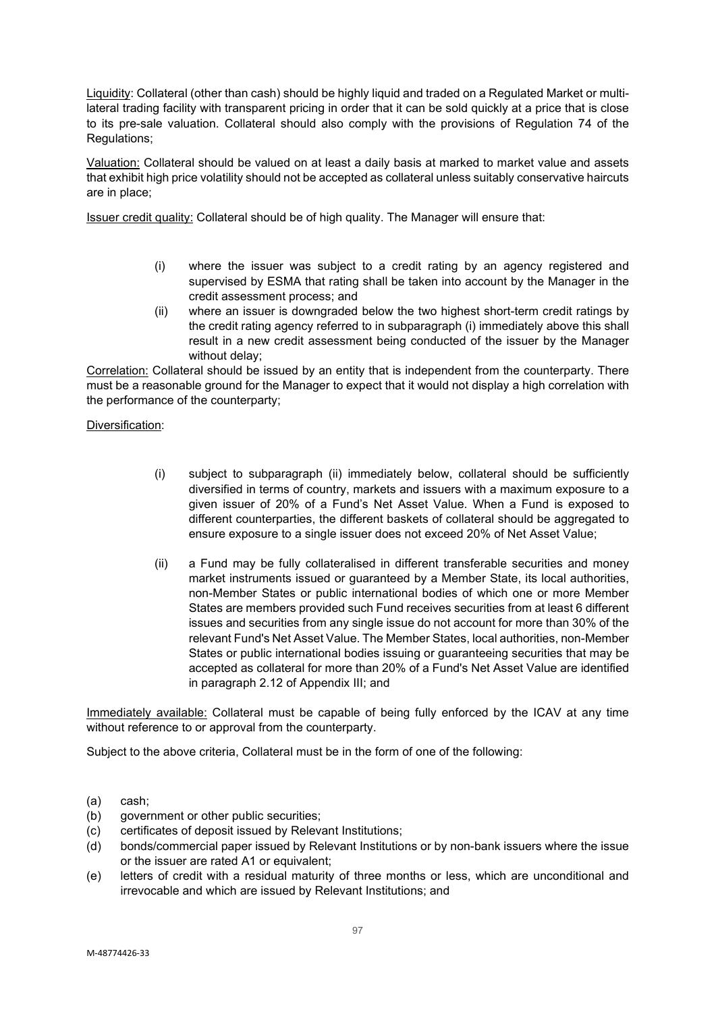Liquidity: Collateral (other than cash) should be highly liquid and traded on a Regulated Market or multilateral trading facility with transparent pricing in order that it can be sold quickly at a price that is close to its pre-sale valuation. Collateral should also comply with the provisions of Regulation 74 of the Regulations;

Valuation: Collateral should be valued on at least a daily basis at marked to market value and assets that exhibit high price volatility should not be accepted as collateral unless suitably conservative haircuts are in place;

Issuer credit quality: Collateral should be of high quality. The Manager will ensure that:

- (i) where the issuer was subject to a credit rating by an agency registered and supervised by ESMA that rating shall be taken into account by the Manager in the credit assessment process; and
- (ii) where an issuer is downgraded below the two highest short-term credit ratings by the credit rating agency referred to in subparagraph (i) immediately above this shall result in a new credit assessment being conducted of the issuer by the Manager without delay:

Correlation: Collateral should be issued by an entity that is independent from the counterparty. There must be a reasonable ground for the Manager to expect that it would not display a high correlation with the performance of the counterparty;

Diversification:

- (i) subject to subparagraph (ii) immediately below, collateral should be sufficiently diversified in terms of country, markets and issuers with a maximum exposure to a given issuer of 20% of a Fund's Net Asset Value. When a Fund is exposed to different counterparties, the different baskets of collateral should be aggregated to ensure exposure to a single issuer does not exceed 20% of Net Asset Value;
- (ii) a Fund may be fully collateralised in different transferable securities and money market instruments issued or guaranteed by a Member State, its local authorities, non-Member States or public international bodies of which one or more Member States are members provided such Fund receives securities from at least 6 different issues and securities from any single issue do not account for more than 30% of the relevant Fund's Net Asset Value. The Member States, local authorities, non-Member States or public international bodies issuing or guaranteeing securities that may be accepted as collateral for more than 20% of a Fund's Net Asset Value are identified in paragraph 2.12 of Appendix III; and

Immediately available: Collateral must be capable of being fully enforced by the ICAV at any time without reference to or approval from the counterparty.

Subject to the above criteria, Collateral must be in the form of one of the following:

- (a) cash;
- (b) government or other public securities;
- (c) certificates of deposit issued by Relevant Institutions;
- (d) bonds/commercial paper issued by Relevant Institutions or by non-bank issuers where the issue or the issuer are rated A1 or equivalent;
- (e) letters of credit with a residual maturity of three months or less, which are unconditional and irrevocable and which are issued by Relevant Institutions; and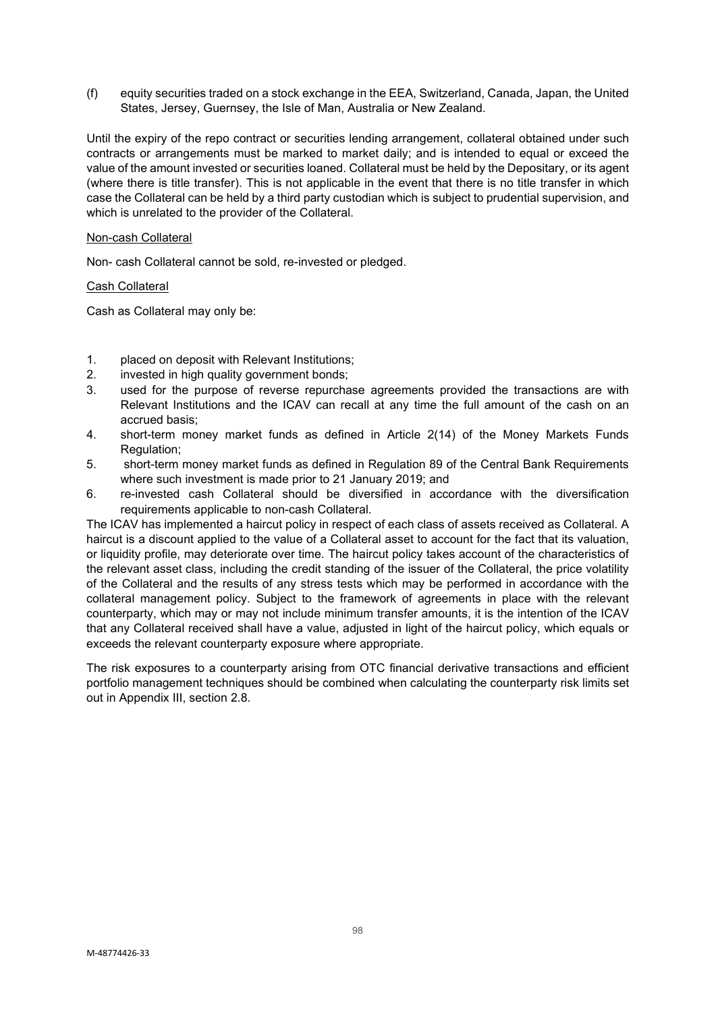(f) equity securities traded on a stock exchange in the EEA, Switzerland, Canada, Japan, the United States, Jersey, Guernsey, the Isle of Man, Australia or New Zealand.

Until the expiry of the repo contract or securities lending arrangement, collateral obtained under such contracts or arrangements must be marked to market daily; and is intended to equal or exceed the value of the amount invested or securities loaned. Collateral must be held by the Depositary, or its agent (where there is title transfer). This is not applicable in the event that there is no title transfer in which case the Collateral can be held by a third party custodian which is subject to prudential supervision, and which is unrelated to the provider of the Collateral.

#### Non-cash Collateral

Non- cash Collateral cannot be sold, re-invested or pledged.

Cash Collateral

Cash as Collateral may only be:

- 1. placed on deposit with Relevant Institutions;
- 2. invested in high quality government bonds;<br>3. used for the purpose of reverse repurcha
- used for the purpose of reverse repurchase agreements provided the transactions are with Relevant Institutions and the ICAV can recall at any time the full amount of the cash on an accrued basis;
- 4. short-term money market funds as defined in Article 2(14) of the Money Markets Funds Regulation;
- 5. short-term money market funds as defined in Regulation 89 of the Central Bank Requirements where such investment is made prior to 21 January 2019; and
- 6. re-invested cash Collateral should be diversified in accordance with the diversification requirements applicable to non-cash Collateral.

The ICAV has implemented a haircut policy in respect of each class of assets received as Collateral. A haircut is a discount applied to the value of a Collateral asset to account for the fact that its valuation, or liquidity profile, may deteriorate over time. The haircut policy takes account of the characteristics of the relevant asset class, including the credit standing of the issuer of the Collateral, the price volatility of the Collateral and the results of any stress tests which may be performed in accordance with the collateral management policy. Subject to the framework of agreements in place with the relevant counterparty, which may or may not include minimum transfer amounts, it is the intention of the ICAV that any Collateral received shall have a value, adjusted in light of the haircut policy, which equals or exceeds the relevant counterparty exposure where appropriate.

The risk exposures to a counterparty arising from OTC financial derivative transactions and efficient portfolio management techniques should be combined when calculating the counterparty risk limits set out in Appendix III, section 2.8.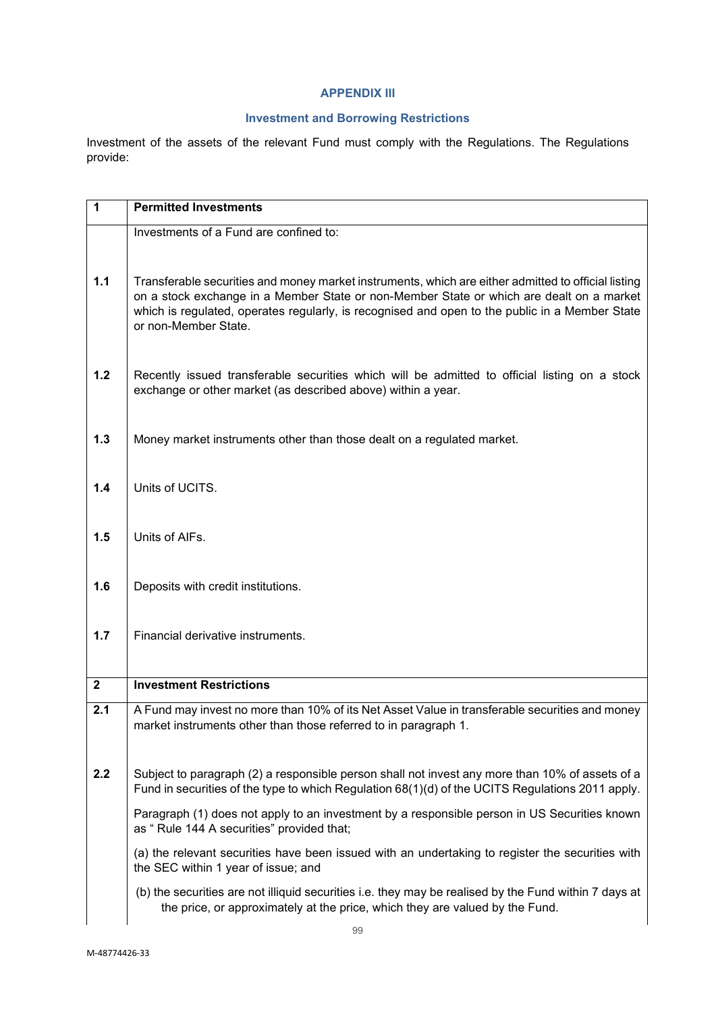# **APPENDIX III**

# **Investment and Borrowing Restrictions**

Investment of the assets of the relevant Fund must comply with the Regulations. The Regulations provide:

| 1            | <b>Permitted Investments</b>                                                                                                                                                                                                                                                                                              |
|--------------|---------------------------------------------------------------------------------------------------------------------------------------------------------------------------------------------------------------------------------------------------------------------------------------------------------------------------|
|              | Investments of a Fund are confined to:                                                                                                                                                                                                                                                                                    |
| 1.1          | Transferable securities and money market instruments, which are either admitted to official listing<br>on a stock exchange in a Member State or non-Member State or which are dealt on a market<br>which is regulated, operates regularly, is recognised and open to the public in a Member State<br>or non-Member State. |
| 1.2          | Recently issued transferable securities which will be admitted to official listing on a stock<br>exchange or other market (as described above) within a year.                                                                                                                                                             |
| 1.3          | Money market instruments other than those dealt on a regulated market.                                                                                                                                                                                                                                                    |
| 1.4          | Units of UCITS.                                                                                                                                                                                                                                                                                                           |
| 1.5          | Units of AIFs.                                                                                                                                                                                                                                                                                                            |
| 1.6          | Deposits with credit institutions.                                                                                                                                                                                                                                                                                        |
| 1.7          | Financial derivative instruments.                                                                                                                                                                                                                                                                                         |
| $\mathbf{2}$ | <b>Investment Restrictions</b>                                                                                                                                                                                                                                                                                            |
| 2.1          | A Fund may invest no more than 10% of its Net Asset Value in transferable securities and money<br>market instruments other than those referred to in paragraph 1.                                                                                                                                                         |
| 2.2          | Subject to paragraph (2) a responsible person shall not invest any more than 10% of assets of a<br>Fund in securities of the type to which Regulation 68(1)(d) of the UCITS Regulations 2011 apply.                                                                                                                       |
|              | Paragraph (1) does not apply to an investment by a responsible person in US Securities known<br>as " Rule 144 A securities" provided that;                                                                                                                                                                                |
|              | (a) the relevant securities have been issued with an undertaking to register the securities with<br>the SEC within 1 year of issue; and                                                                                                                                                                                   |
|              | (b) the securities are not illiquid securities i.e. they may be realised by the Fund within 7 days at<br>the price, or approximately at the price, which they are valued by the Fund.                                                                                                                                     |
|              |                                                                                                                                                                                                                                                                                                                           |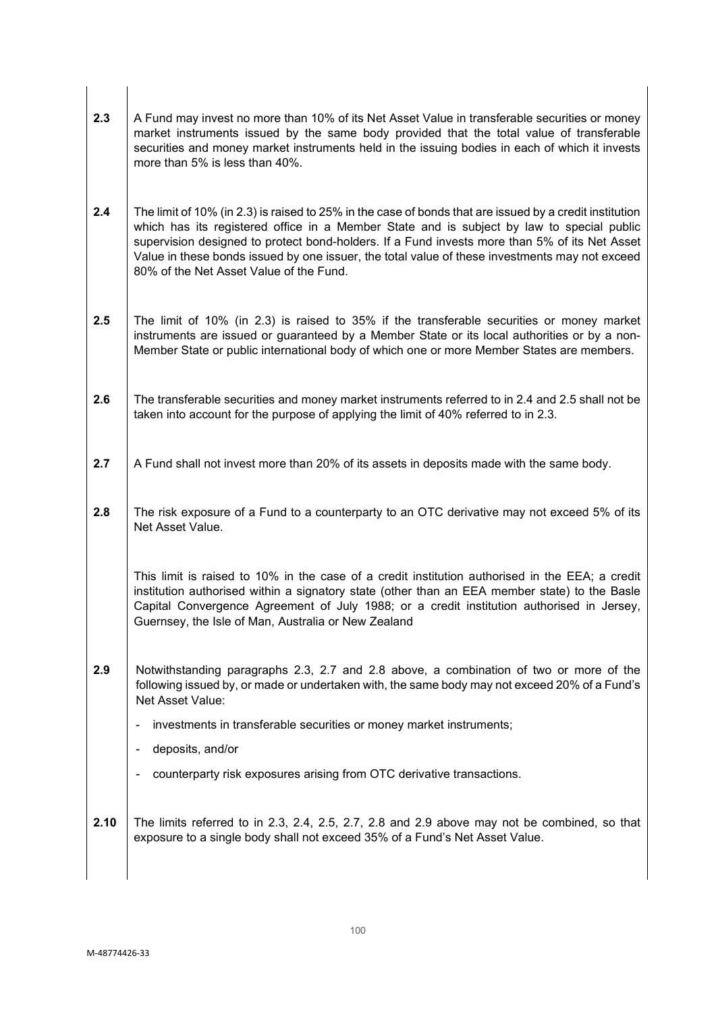- 2.3 A Fund may invest no more than 10% of its Net Asset Value in transferable securities or money market instruments issued by the same body provided that the total value of transferable securities and money market instruments held in the issuing bodies in each of which it invests more than 5% is less than 40%.
- **2.4** The limit of 10% (in 2.3) is raised to 25% in the case of bonds that are issued by a credit institution which has its registered office in a Member State and is subject by law to special public supervision designed to protect bond-holders. If a Fund invests more than 5% of its Net Asset Value in these bonds issued by one issuer, the total value of these investments may not exceed 80% of the Net Asset Value of the Fund.
- **2.5** The limit of 10% (in 2.3) is raised to 35% if the transferable securities or money market instruments are issued or guaranteed by a Member State or its local authorities or by a non-Member State or public international body of which one or more Member States are members.
- **2.6** The transferable securities and money market instruments referred to in 2.4 and 2.5 shall not be taken into account for the purpose of applying the limit of 40% referred to in 2.3.
- **2.7** A Fund shall not invest more than 20% of its assets in deposits made with the same body.
- 2.8 The risk exposure of a Fund to a counterparty to an OTC derivative may not exceed 5% of its Net Asset Value.

This limit is raised to 10% in the case of a credit institution authorised in the EEA; a credit institution authorised within a signatory state (other than an EEA member state) to the Basle Capital Convergence Agreement of July 1988; or a credit institution authorised in Jersey, Guernsey, the Isle of Man, Australia or New Zealand

- **2.9** Notwithstanding paragraphs 2.3, 2.7 and 2.8 above, a combination of two or more of the following issued by, or made or undertaken with, the same body may not exceed 20% of a Fund's Net Asset Value:
	- investments in transferable securities or money market instruments;
	- deposits, and/or
	- counterparty risk exposures arising from OTC derivative transactions.
- **2.10** The limits referred to in 2.3, 2.4, 2.5, 2.7, 2.8 and 2.9 above may not be combined, so that exposure to a single body shall not exceed 35% of a Fund's Net Asset Value.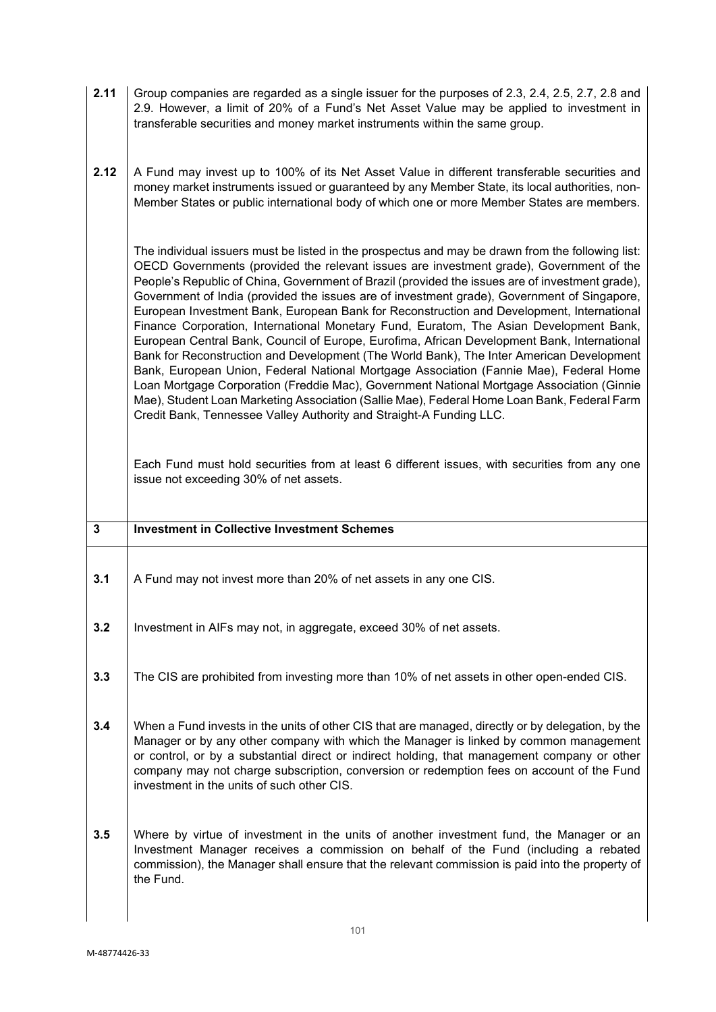| 2.11 Group companies are regarded as a single issuer for the purposes of 2.3, 2.4, 2.5, 2.7, 2.8 and |  |
|------------------------------------------------------------------------------------------------------|--|
| 2.9. However, a limit of 20% of a Fund's Net Asset Value may be applied to investment in             |  |
| I transferable securities and money market instruments within the same group.                        |  |

**2.12** A Fund may invest up to 100% of its Net Asset Value in different transferable securities and money market instruments issued or guaranteed by any Member State, its local authorities, non-Member States or public international body of which one or more Member States are members.

The individual issuers must be listed in the prospectus and may be drawn from the following list: OECD Governments (provided the relevant issues are investment grade), Government of the People's Republic of China, Government of Brazil (provided the issues are of investment grade), Government of India (provided the issues are of investment grade), Government of Singapore, European Investment Bank, European Bank for Reconstruction and Development, International Finance Corporation, International Monetary Fund, Euratom, The Asian Development Bank, European Central Bank, Council of Europe, Eurofima, African Development Bank, International Bank for Reconstruction and Development (The World Bank), The Inter American Development Bank, European Union, Federal National Mortgage Association (Fannie Mae), Federal Home Loan Mortgage Corporation (Freddie Mac), Government National Mortgage Association (Ginnie Mae), Student Loan Marketing Association (Sallie Mae), Federal Home Loan Bank, Federal Farm Credit Bank, Tennessee Valley Authority and Straight-A Funding LLC.

Each Fund must hold securities from at least 6 different issues, with securities from any one issue not exceeding 30% of net assets.

| $\overline{3}$ | <b>Investment in Collective Investment Schemes</b>                                                                                                                                                                                                                                                                                                                                                                                    |
|----------------|---------------------------------------------------------------------------------------------------------------------------------------------------------------------------------------------------------------------------------------------------------------------------------------------------------------------------------------------------------------------------------------------------------------------------------------|
| 3.1            | A Fund may not invest more than 20% of net assets in any one CIS.                                                                                                                                                                                                                                                                                                                                                                     |
| 3.2            | Investment in AIFs may not, in aggregate, exceed 30% of net assets.                                                                                                                                                                                                                                                                                                                                                                   |
| 3.3            | The CIS are prohibited from investing more than 10% of net assets in other open-ended CIS.                                                                                                                                                                                                                                                                                                                                            |
| 3.4            | When a Fund invests in the units of other CIS that are managed, directly or by delegation, by the<br>Manager or by any other company with which the Manager is linked by common management<br>or control, or by a substantial direct or indirect holding, that management company or other<br>company may not charge subscription, conversion or redemption fees on account of the Fund<br>investment in the units of such other CIS. |
| 3.5            | Where by virtue of investment in the units of another investment fund, the Manager or an<br>Investment Manager receives a commission on behalf of the Fund (including a rebated<br>commission), the Manager shall ensure that the relevant commission is paid into the property of<br>the Fund.                                                                                                                                       |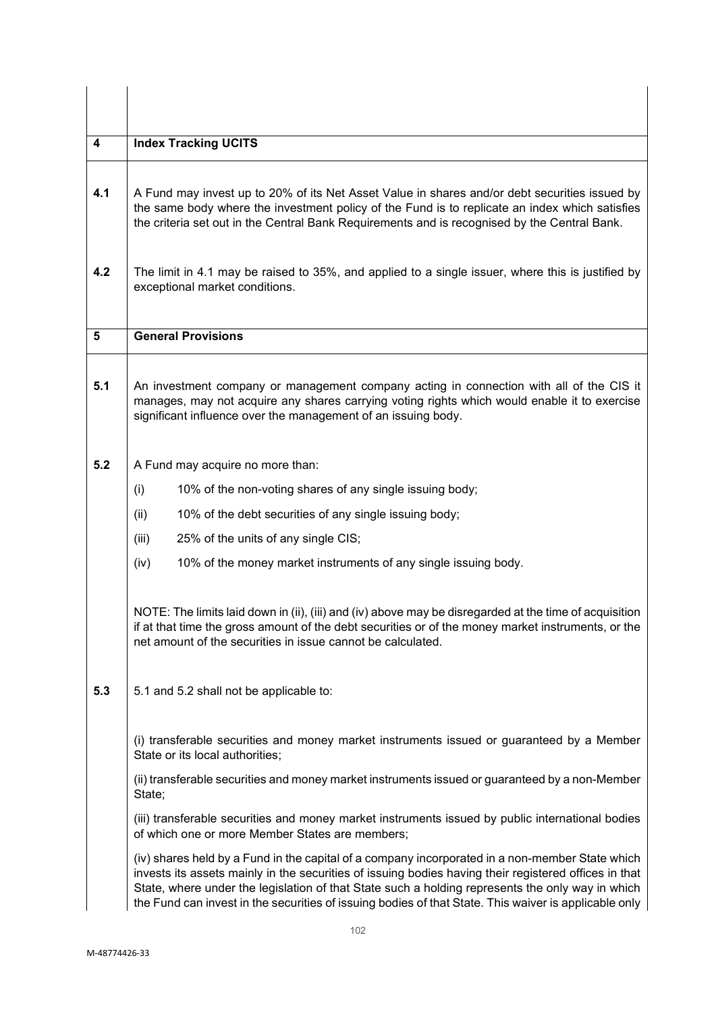| 4   | <b>Index Tracking UCITS</b>                                                                                                                                                                                                                                                                                                                                                                                           |  |
|-----|-----------------------------------------------------------------------------------------------------------------------------------------------------------------------------------------------------------------------------------------------------------------------------------------------------------------------------------------------------------------------------------------------------------------------|--|
|     |                                                                                                                                                                                                                                                                                                                                                                                                                       |  |
| 4.1 | A Fund may invest up to 20% of its Net Asset Value in shares and/or debt securities issued by<br>the same body where the investment policy of the Fund is to replicate an index which satisfies<br>the criteria set out in the Central Bank Requirements and is recognised by the Central Bank.                                                                                                                       |  |
| 4.2 | The limit in 4.1 may be raised to 35%, and applied to a single issuer, where this is justified by<br>exceptional market conditions.                                                                                                                                                                                                                                                                                   |  |
| 5   | <b>General Provisions</b>                                                                                                                                                                                                                                                                                                                                                                                             |  |
| 5.1 | An investment company or management company acting in connection with all of the CIS it<br>manages, may not acquire any shares carrying voting rights which would enable it to exercise<br>significant influence over the management of an issuing body.                                                                                                                                                              |  |
| 5.2 | A Fund may acquire no more than:                                                                                                                                                                                                                                                                                                                                                                                      |  |
|     | (i)<br>10% of the non-voting shares of any single issuing body;                                                                                                                                                                                                                                                                                                                                                       |  |
|     | (ii)<br>10% of the debt securities of any single issuing body;                                                                                                                                                                                                                                                                                                                                                        |  |
|     | 25% of the units of any single CIS;<br>(iii)                                                                                                                                                                                                                                                                                                                                                                          |  |
|     | 10% of the money market instruments of any single issuing body.<br>(iv)                                                                                                                                                                                                                                                                                                                                               |  |
|     | NOTE: The limits laid down in (ii), (iii) and (iv) above may be disregarded at the time of acquisition<br>if at that time the gross amount of the debt securities or of the money market instruments, or the<br>net amount of the securities in issue cannot be calculated.                                                                                                                                           |  |
| 5.3 | 5.1 and 5.2 shall not be applicable to:                                                                                                                                                                                                                                                                                                                                                                               |  |
|     | (i) transferable securities and money market instruments issued or guaranteed by a Member<br>State or its local authorities;                                                                                                                                                                                                                                                                                          |  |
|     | (ii) transferable securities and money market instruments issued or guaranteed by a non-Member<br>State;                                                                                                                                                                                                                                                                                                              |  |
|     | (iii) transferable securities and money market instruments issued by public international bodies<br>of which one or more Member States are members;                                                                                                                                                                                                                                                                   |  |
|     | (iv) shares held by a Fund in the capital of a company incorporated in a non-member State which<br>invests its assets mainly in the securities of issuing bodies having their registered offices in that<br>State, where under the legislation of that State such a holding represents the only way in which<br>the Fund can invest in the securities of issuing bodies of that State. This waiver is applicable only |  |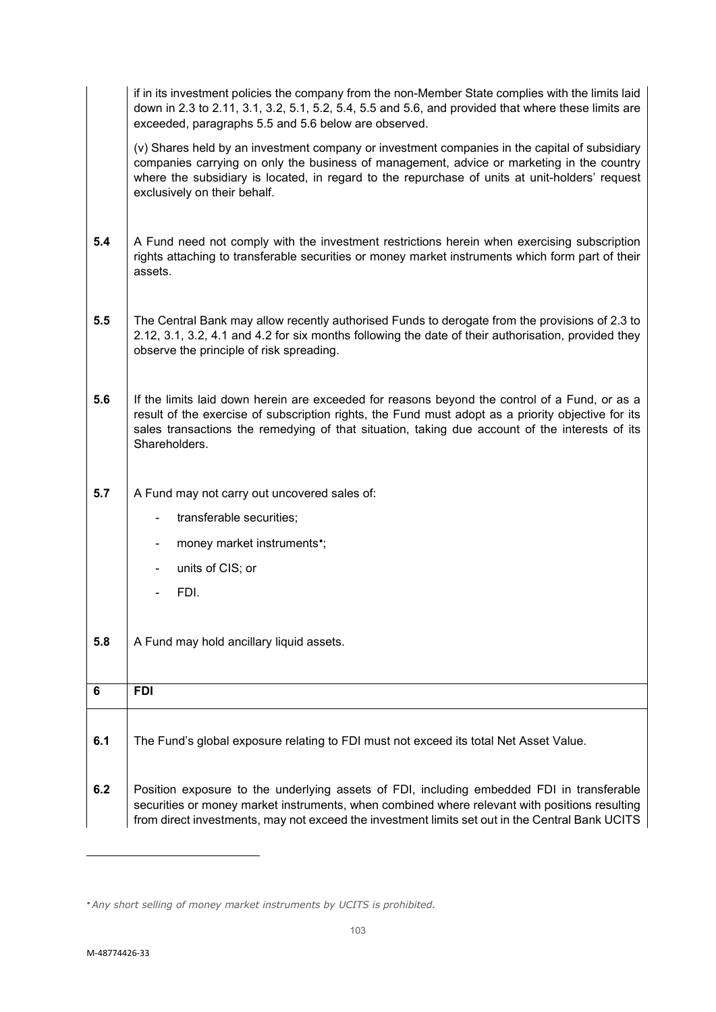|     | if in its investment policies the company from the non-Member State complies with the limits laid<br>down in 2.3 to 2.11, 3.1, 3.2, 5.1, 5.2, 5.4, 5.5 and 5.6, and provided that where these limits are<br>exceeded, paragraphs 5.5 and 5.6 below are observed.                                                             |
|-----|------------------------------------------------------------------------------------------------------------------------------------------------------------------------------------------------------------------------------------------------------------------------------------------------------------------------------|
|     | (v) Shares held by an investment company or investment companies in the capital of subsidiary<br>companies carrying on only the business of management, advice or marketing in the country<br>where the subsidiary is located, in regard to the repurchase of units at unit-holders' request<br>exclusively on their behalf. |
| 5.4 | A Fund need not comply with the investment restrictions herein when exercising subscription<br>rights attaching to transferable securities or money market instruments which form part of their<br>assets.                                                                                                                   |
| 5.5 | The Central Bank may allow recently authorised Funds to derogate from the provisions of 2.3 to<br>2.12, 3.1, 3.2, 4.1 and 4.2 for six months following the date of their authorisation, provided they<br>observe the principle of risk spreading.                                                                            |
| 5.6 | If the limits laid down herein are exceeded for reasons beyond the control of a Fund, or as a<br>result of the exercise of subscription rights, the Fund must adopt as a priority objective for its<br>sales transactions the remedying of that situation, taking due account of the interests of its<br>Shareholders.       |
| 5.7 | A Fund may not carry out uncovered sales of:                                                                                                                                                                                                                                                                                 |
|     | transferable securities;                                                                                                                                                                                                                                                                                                     |
|     | money market instruments <sup>*</sup> ;                                                                                                                                                                                                                                                                                      |
|     | units of CIS; or<br>-                                                                                                                                                                                                                                                                                                        |
|     | FDI.                                                                                                                                                                                                                                                                                                                         |
| 5.8 | A Fund may hold ancillary liquid assets.                                                                                                                                                                                                                                                                                     |
| 6   | <b>FDI</b>                                                                                                                                                                                                                                                                                                                   |
| 6.1 | The Fund's global exposure relating to FDI must not exceed its total Net Asset Value.                                                                                                                                                                                                                                        |
| 6.2 | Position exposure to the underlying assets of FDI, including embedded FDI in transferable<br>securities or money market instruments, when combined where relevant with positions resulting<br>from direct investments, may not exceed the investment limits set out in the Central Bank UCITS                                |

<span id="page-102-0"></span><sup>•</sup> *Any short selling of money market instruments by UCITS is prohibited.*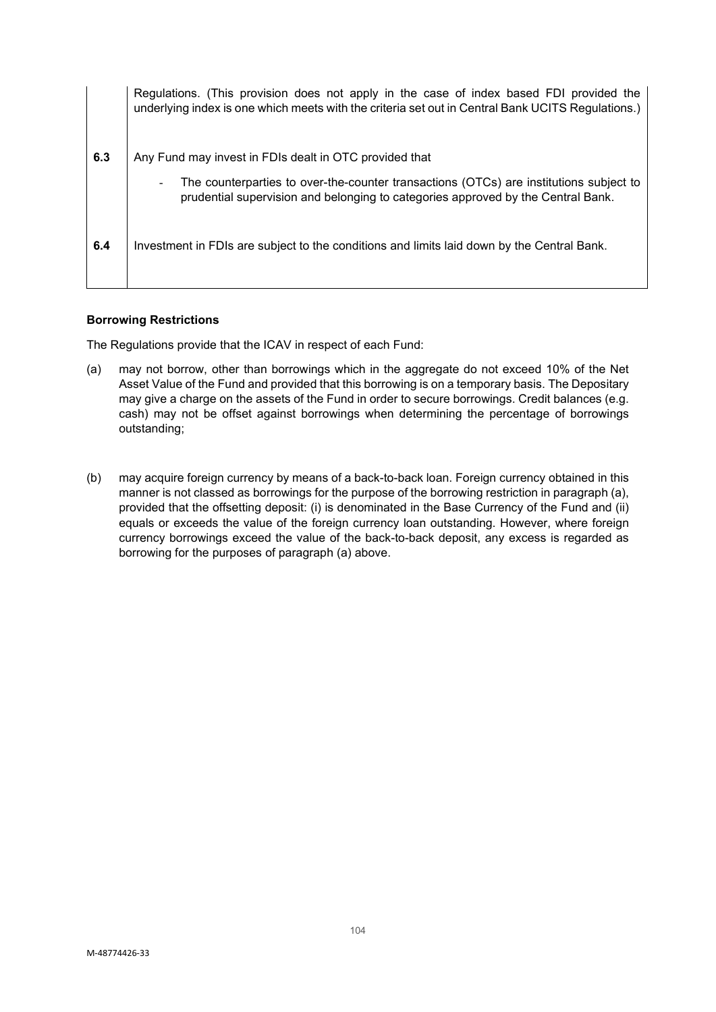|     | Regulations. (This provision does not apply in the case of index based FDI provided the<br>underlying index is one which meets with the criteria set out in Central Bank UCITS Regulations.) |
|-----|----------------------------------------------------------------------------------------------------------------------------------------------------------------------------------------------|
| 6.3 | Any Fund may invest in FDIs dealt in OTC provided that                                                                                                                                       |
|     | The counterparties to over-the-counter transactions (OTCs) are institutions subject to<br>prudential supervision and belonging to categories approved by the Central Bank.                   |
| 6.4 | Investment in FDIs are subject to the conditions and limits laid down by the Central Bank.                                                                                                   |

### **Borrowing Restrictions**

The Regulations provide that the ICAV in respect of each Fund:

- (a) may not borrow, other than borrowings which in the aggregate do not exceed 10% of the Net Asset Value of the Fund and provided that this borrowing is on a temporary basis. The Depositary may give a charge on the assets of the Fund in order to secure borrowings. Credit balances (e.g. cash) may not be offset against borrowings when determining the percentage of borrowings outstanding;
- (b) may acquire foreign currency by means of a back-to-back loan. Foreign currency obtained in this manner is not classed as borrowings for the purpose of the borrowing restriction in paragraph (a), provided that the offsetting deposit: (i) is denominated in the Base Currency of the Fund and (ii) equals or exceeds the value of the foreign currency loan outstanding. However, where foreign currency borrowings exceed the value of the back-to-back deposit, any excess is regarded as borrowing for the purposes of paragraph (a) above.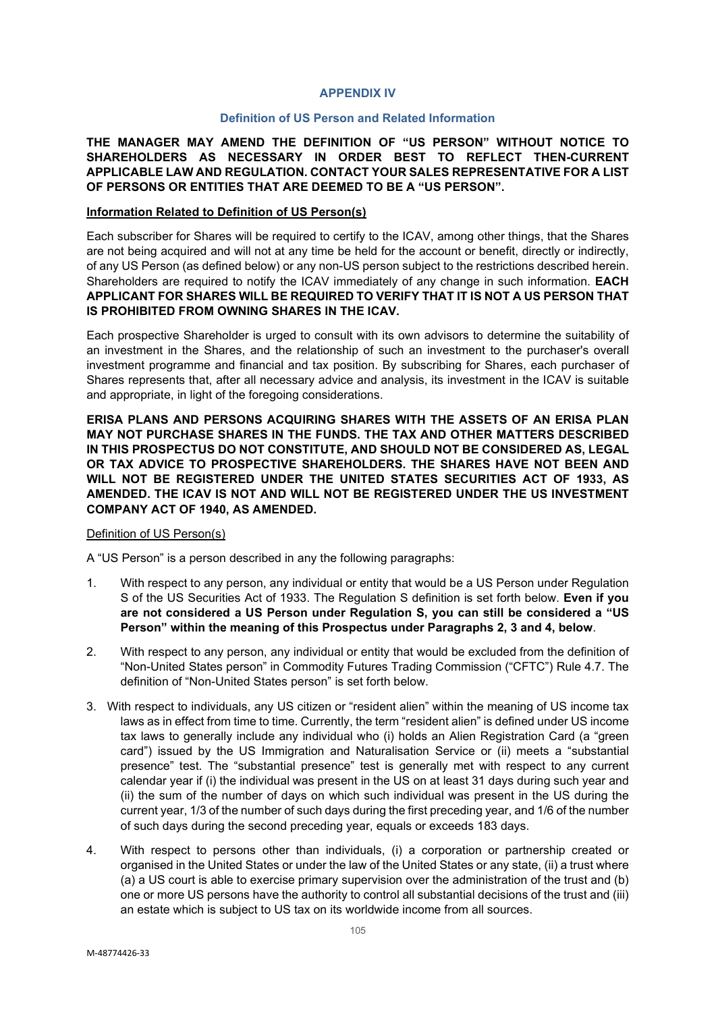#### **APPENDIX IV**

#### **Definition of US Person and Related Information**

**THE MANAGER MAY AMEND THE DEFINITION OF "US PERSON" WITHOUT NOTICE TO SHAREHOLDERS AS NECESSARY IN ORDER BEST TO REFLECT THEN-CURRENT APPLICABLE LAW AND REGULATION. CONTACT YOUR SALES REPRESENTATIVE FOR A LIST OF PERSONS OR ENTITIES THAT ARE DEEMED TO BE A "US PERSON".**

#### **Information Related to Definition of US Person(s)**

Each subscriber for Shares will be required to certify to the ICAV, among other things, that the Shares are not being acquired and will not at any time be held for the account or benefit, directly or indirectly, of any US Person (as defined below) or any non-US person subject to the restrictions described herein. Shareholders are required to notify the ICAV immediately of any change in such information. **EACH APPLICANT FOR SHARES WILL BE REQUIRED TO VERIFY THAT IT IS NOT A US PERSON THAT IS PROHIBITED FROM OWNING SHARES IN THE ICAV.**

Each prospective Shareholder is urged to consult with its own advisors to determine the suitability of an investment in the Shares, and the relationship of such an investment to the purchaser's overall investment programme and financial and tax position. By subscribing for Shares, each purchaser of Shares represents that, after all necessary advice and analysis, its investment in the ICAV is suitable and appropriate, in light of the foregoing considerations.

**ERISA PLANS AND PERSONS ACQUIRING SHARES WITH THE ASSETS OF AN ERISA PLAN MAY NOT PURCHASE SHARES IN THE FUNDS. THE TAX AND OTHER MATTERS DESCRIBED IN THIS PROSPECTUS DO NOT CONSTITUTE, AND SHOULD NOT BE CONSIDERED AS, LEGAL OR TAX ADVICE TO PROSPECTIVE SHAREHOLDERS. THE SHARES HAVE NOT BEEN AND WILL NOT BE REGISTERED UNDER THE UNITED STATES SECURITIES ACT OF 1933, AS AMENDED. THE ICAV IS NOT AND WILL NOT BE REGISTERED UNDER THE US INVESTMENT COMPANY ACT OF 1940, AS AMENDED.**

#### Definition of US Person(s)

A "US Person" is a person described in any the following paragraphs:

- 1. With respect to any person, any individual or entity that would be a US Person under Regulation S of the US Securities Act of 1933. The Regulation S definition is set forth below. **Even if you are not considered a US Person under Regulation S, you can still be considered a "US Person" within the meaning of this Prospectus under Paragraphs 2, 3 and 4, below**.
- 2. With respect to any person, any individual or entity that would be excluded from the definition of "Non-United States person" in Commodity Futures Trading Commission ("CFTC") Rule 4.7. The definition of "Non-United States person" is set forth below.
- 3. With respect to individuals, any US citizen or "resident alien" within the meaning of US income tax laws as in effect from time to time. Currently, the term "resident alien" is defined under US income tax laws to generally include any individual who (i) holds an Alien Registration Card (a "green card") issued by the US Immigration and Naturalisation Service or (ii) meets a "substantial presence" test. The "substantial presence" test is generally met with respect to any current calendar year if (i) the individual was present in the US on at least 31 days during such year and (ii) the sum of the number of days on which such individual was present in the US during the current year, 1/3 of the number of such days during the first preceding year, and 1/6 of the number of such days during the second preceding year, equals or exceeds 183 days.
- 4. With respect to persons other than individuals, (i) a corporation or partnership created or organised in the United States or under the law of the United States or any state, (ii) a trust where (a) a US court is able to exercise primary supervision over the administration of the trust and (b) one or more US persons have the authority to control all substantial decisions of the trust and (iii) an estate which is subject to US tax on its worldwide income from all sources.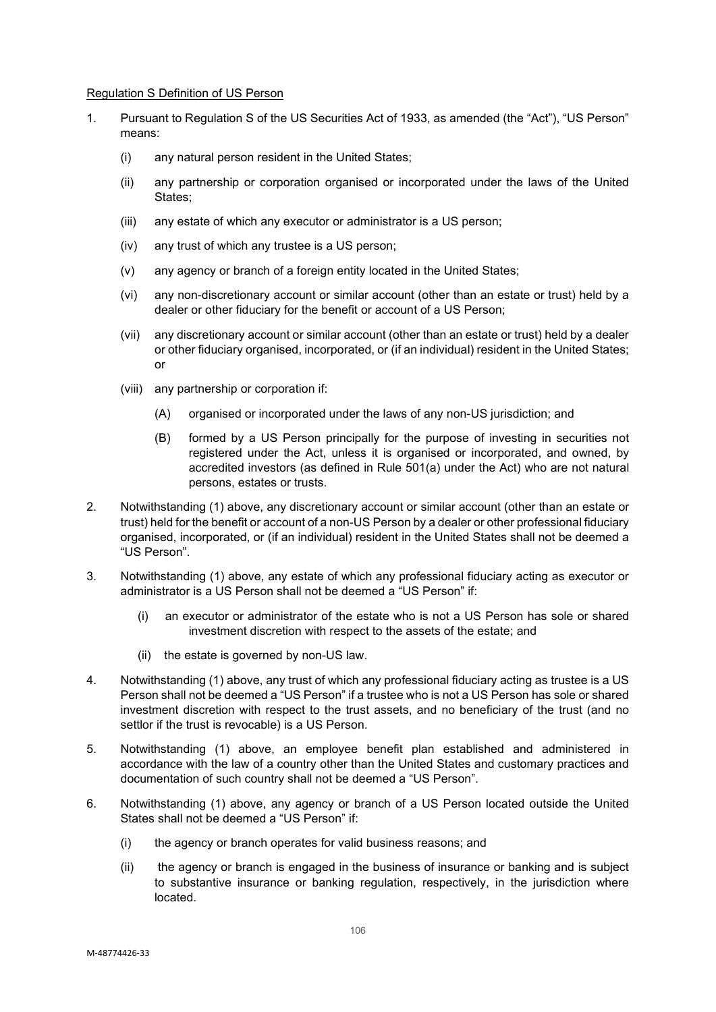#### Regulation S Definition of US Person

- 1. Pursuant to Regulation S of the US Securities Act of 1933, as amended (the "Act"), "US Person" means:
	- (i) any natural person resident in the United States;
	- (ii) any partnership or corporation organised or incorporated under the laws of the United States;
	- (iii) any estate of which any executor or administrator is a US person;
	- (iv) any trust of which any trustee is a US person;
	- (v) any agency or branch of a foreign entity located in the United States;
	- (vi) any non-discretionary account or similar account (other than an estate or trust) held by a dealer or other fiduciary for the benefit or account of a US Person;
	- (vii) any discretionary account or similar account (other than an estate or trust) held by a dealer or other fiduciary organised, incorporated, or (if an individual) resident in the United States; or
	- (viii) any partnership or corporation if:
		- (A) organised or incorporated under the laws of any non-US jurisdiction; and
		- (B) formed by a US Person principally for the purpose of investing in securities not registered under the Act, unless it is organised or incorporated, and owned, by accredited investors (as defined in Rule 501(a) under the Act) who are not natural persons, estates or trusts.
- 2. Notwithstanding (1) above, any discretionary account or similar account (other than an estate or trust) held for the benefit or account of a non-US Person by a dealer or other professional fiduciary organised, incorporated, or (if an individual) resident in the United States shall not be deemed a "US Person".
- 3. Notwithstanding (1) above, any estate of which any professional fiduciary acting as executor or administrator is a US Person shall not be deemed a "US Person" if:
	- (i) an executor or administrator of the estate who is not a US Person has sole or shared investment discretion with respect to the assets of the estate; and
	- (ii) the estate is governed by non-US law.
- 4. Notwithstanding (1) above, any trust of which any professional fiduciary acting as trustee is a US Person shall not be deemed a "US Person" if a trustee who is not a US Person has sole or shared investment discretion with respect to the trust assets, and no beneficiary of the trust (and no settlor if the trust is revocable) is a US Person.
- 5. Notwithstanding (1) above, an employee benefit plan established and administered in accordance with the law of a country other than the United States and customary practices and documentation of such country shall not be deemed a "US Person".
- 6. Notwithstanding (1) above, any agency or branch of a US Person located outside the United States shall not be deemed a "US Person" if:
	- (i) the agency or branch operates for valid business reasons; and
	- (ii) the agency or branch is engaged in the business of insurance or banking and is subject to substantive insurance or banking regulation, respectively, in the jurisdiction where located.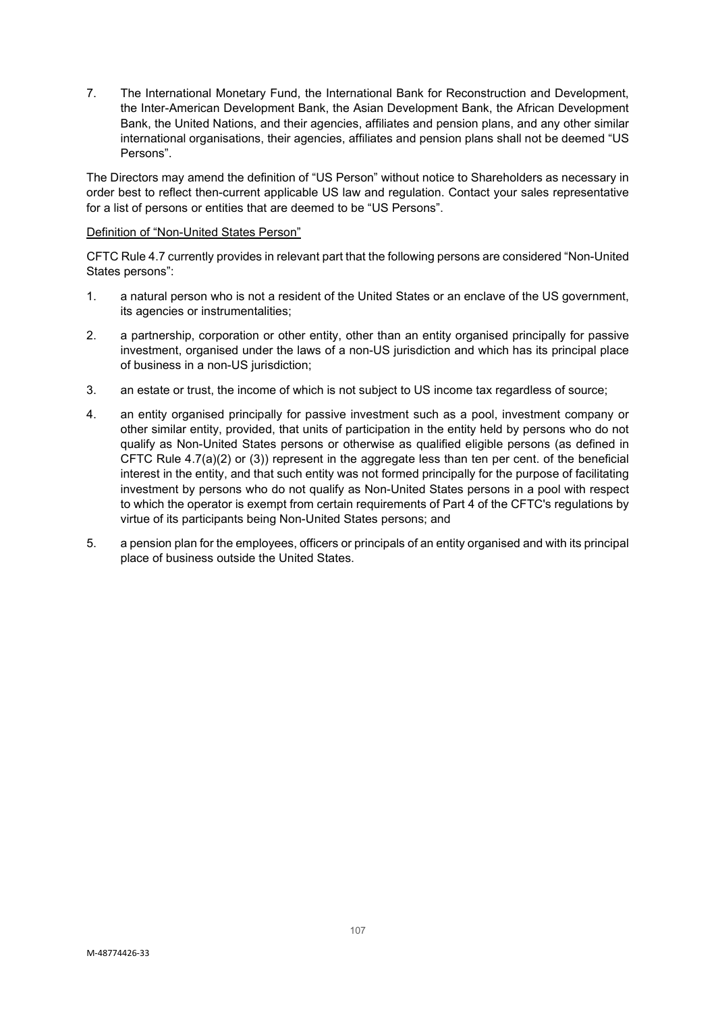7. The International Monetary Fund, the International Bank for Reconstruction and Development, the Inter-American Development Bank, the Asian Development Bank, the African Development Bank, the United Nations, and their agencies, affiliates and pension plans, and any other similar international organisations, their agencies, affiliates and pension plans shall not be deemed "US Persons".

The Directors may amend the definition of "US Person" without notice to Shareholders as necessary in order best to reflect then-current applicable US law and regulation. Contact your sales representative for a list of persons or entities that are deemed to be "US Persons".

#### Definition of "Non-United States Person"

CFTC Rule 4.7 currently provides in relevant part that the following persons are considered "Non-United States persons":

- 1. a natural person who is not a resident of the United States or an enclave of the US government, its agencies or instrumentalities;
- 2. a partnership, corporation or other entity, other than an entity organised principally for passive investment, organised under the laws of a non-US jurisdiction and which has its principal place of business in a non-US jurisdiction;
- 3. an estate or trust, the income of which is not subject to US income tax regardless of source;
- 4. an entity organised principally for passive investment such as a pool, investment company or other similar entity, provided, that units of participation in the entity held by persons who do not qualify as Non-United States persons or otherwise as qualified eligible persons (as defined in CFTC Rule 4.7(a)(2) or (3)) represent in the aggregate less than ten per cent. of the beneficial interest in the entity, and that such entity was not formed principally for the purpose of facilitating investment by persons who do not qualify as Non-United States persons in a pool with respect to which the operator is exempt from certain requirements of Part 4 of the CFTC's regulations by virtue of its participants being Non-United States persons; and
- 5. a pension plan for the employees, officers or principals of an entity organised and with its principal place of business outside the United States.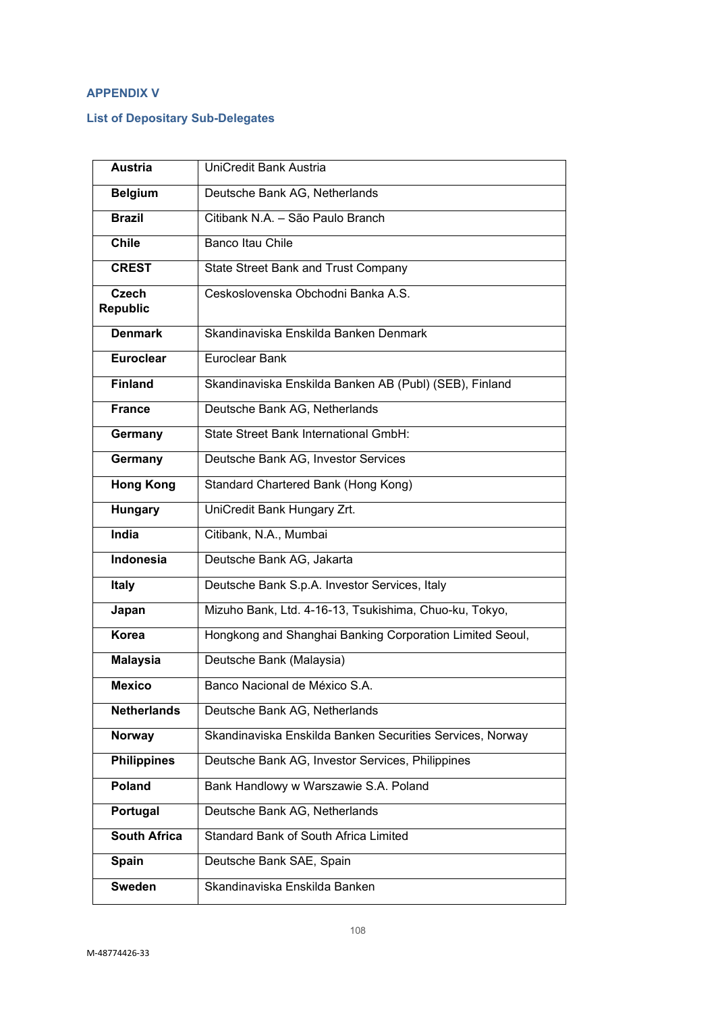# **APPENDIX V**

# **List of Depositary Sub-Delegates**

| <b>Austria</b>                  | UniCredit Bank Austria                                    |
|---------------------------------|-----------------------------------------------------------|
| <b>Belgium</b>                  | Deutsche Bank AG, Netherlands                             |
| <b>Brazil</b>                   | Citibank N.A. - São Paulo Branch                          |
| <b>Chile</b>                    | <b>Banco Itau Chile</b>                                   |
| <b>CREST</b>                    | <b>State Street Bank and Trust Company</b>                |
| <b>Czech</b><br><b>Republic</b> | Ceskoslovenska Obchodni Banka A.S.                        |
| <b>Denmark</b>                  | Skandinaviska Enskilda Banken Denmark                     |
| <b>Euroclear</b>                | Euroclear Bank                                            |
| <b>Finland</b>                  | Skandinaviska Enskilda Banken AB (Publ) (SEB), Finland    |
| <b>France</b>                   | Deutsche Bank AG, Netherlands                             |
| Germany                         | State Street Bank International GmbH:                     |
| Germany                         | Deutsche Bank AG, Investor Services                       |
| <b>Hong Kong</b>                | Standard Chartered Bank (Hong Kong)                       |
| <b>Hungary</b>                  | UniCredit Bank Hungary Zrt.                               |
| <b>India</b>                    | Citibank, N.A., Mumbai                                    |
| <b>Indonesia</b>                | Deutsche Bank AG, Jakarta                                 |
| <b>Italy</b>                    | Deutsche Bank S.p.A. Investor Services, Italy             |
| Japan                           | Mizuho Bank, Ltd. 4-16-13, Tsukishima, Chuo-ku, Tokyo,    |
| Korea                           | Hongkong and Shanghai Banking Corporation Limited Seoul,  |
| <b>Malaysia</b>                 | Deutsche Bank (Malaysia)                                  |
| <b>Mexico</b>                   | Banco Nacional de México S.A.                             |
| <b>Netherlands</b>              | Deutsche Bank AG, Netherlands                             |
| Norway                          | Skandinaviska Enskilda Banken Securities Services, Norway |
| <b>Philippines</b>              | Deutsche Bank AG, Investor Services, Philippines          |
| Poland                          | Bank Handlowy w Warszawie S.A. Poland                     |
| Portugal                        | Deutsche Bank AG, Netherlands                             |
| <b>South Africa</b>             | Standard Bank of South Africa Limited                     |
| <b>Spain</b>                    | Deutsche Bank SAE, Spain                                  |
| <b>Sweden</b>                   | Skandinaviska Enskilda Banken                             |